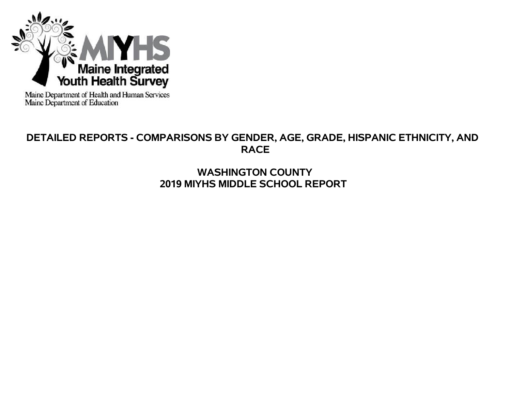

Maine Department of Health and Human Services<br>Maine Department of Education

# **DETAILED REPORTS - COMPARISONS BY GENDER, AGE, GRADE, HISPANIC ETHNICITY, AND RACE**

# **WASHINGTON COUNTY 2019 MIYHS MIDDLE SCHOOL REPORT**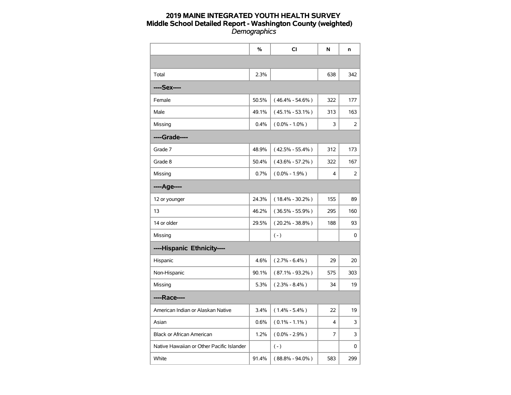|                                           | $\%$  | <b>CI</b>           | N   | n   |
|-------------------------------------------|-------|---------------------|-----|-----|
|                                           |       |                     |     |     |
| Total                                     | 2.3%  |                     | 638 | 342 |
| ----Sex----                               |       |                     |     |     |
| Female                                    | 50.5% | $(46.4\% - 54.6\%)$ | 322 | 177 |
| Male                                      | 49.1% | $(45.1\% - 53.1\%)$ | 313 | 163 |
| Missing                                   | 0.4%  | $(0.0\% - 1.0\%)$   | 3   | 2   |
| ----Grade----                             |       |                     |     |     |
| Grade 7                                   | 48.9% | $(42.5\% - 55.4\%)$ | 312 | 173 |
| Grade 8                                   | 50.4% | $(43.6\% - 57.2\%)$ | 322 | 167 |
| Missing                                   | 0.7%  | $(0.0\% - 1.9\%)$   | 4   | 2   |
| ----Age----                               |       |                     |     |     |
| 12 or younger                             | 24.3% | $(18.4\% - 30.2\%)$ | 155 | 89  |
| 13                                        | 46.2% | $(36.5\% - 55.9\%)$ | 295 | 160 |
| 14 or older                               | 29.5% | $(20.2\% - 38.8\%)$ | 188 | 93  |
| Missing                                   |       | $(-)$               |     | 0   |
| ----Hispanic Ethnicity----                |       |                     |     |     |
| Hispanic                                  | 4.6%  | $(2.7\% - 6.4\%)$   | 29  | 20  |
| Non-Hispanic                              | 90.1% | $(87.1\% - 93.2\%)$ | 575 | 303 |
| Missing                                   | 5.3%  | $(2.3\% - 8.4\%)$   | 34  | 19  |
| ----Race----                              |       |                     |     |     |
| American Indian or Alaskan Native         | 3.4%  | $(1.4\% - 5.4\%)$   | 22  | 19  |
| Asian                                     | 0.6%  | $(0.1\% - 1.1\%)$   | 4   | 3   |
| Black or African American                 | 1.2%  | $(0.0\% - 2.9\%)$   | 7   | 3   |
| Native Hawaiian or Other Pacific Islander |       | $(-)$               |     | 0   |
| White                                     | 91.4% | $(88.8\% - 94.0\%)$ | 583 | 299 |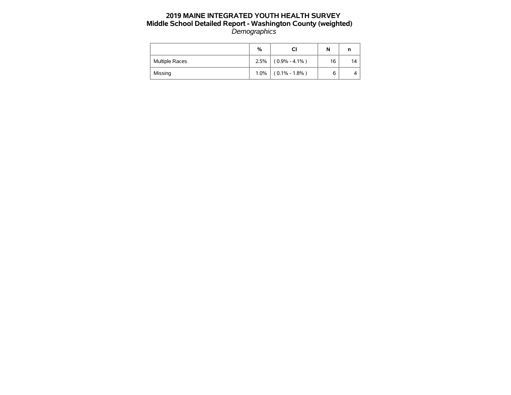|                       | %    |                   | N  |    |
|-----------------------|------|-------------------|----|----|
| <b>Multiple Races</b> | 2.5% | $(0.9\% - 4.1\%)$ | 16 | 14 |
| Missing               | 1.0% | $(0.1\% - 1.8\%)$ | 6  | 4  |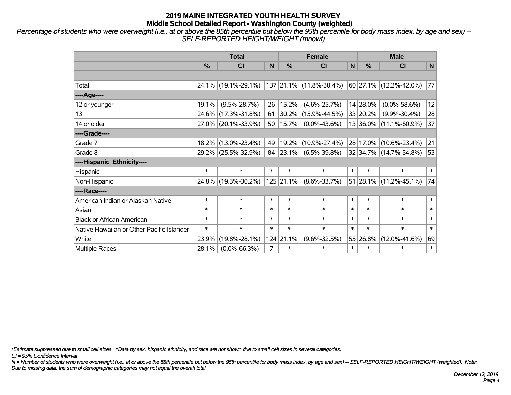*Percentage of students who were overweight (i.e., at or above the 85th percentile but below the 95th percentile for body mass index, by age and sex) -- SELF-REPORTED HEIGHT/WEIGHT (mnowt)*

|                                           |        | <b>Total</b>        |        |               | <b>Female</b>           | <b>Male</b> |               |                             |        |
|-------------------------------------------|--------|---------------------|--------|---------------|-------------------------|-------------|---------------|-----------------------------|--------|
|                                           | %      | CI                  | N      | $\frac{0}{0}$ | <b>CI</b>               | N           | $\frac{0}{0}$ | <b>CI</b>                   | N      |
|                                           |        |                     |        |               |                         |             |               |                             |        |
| Total                                     |        | 24.1% (19.1%-29.1%) |        |               | 137 21.1% (11.8%-30.4%) |             |               | 60 27.1% (12.2%-42.0%)      | 77     |
| ----Age----                               |        |                     |        |               |                         |             |               |                             |        |
| 12 or younger                             | 19.1%  | $(9.5\% - 28.7\%)$  | 26     | 15.2%         | $(4.6\% - 25.7\%)$      |             | 14 28.0%      | $(0.0\% - 58.6\%)$          | 12     |
| 13                                        |        | 24.6% (17.3%-31.8%) | 61     | 30.2%         | $(15.9\% - 44.5\%)$     |             | 33 20.2%      | $(9.9\% - 30.4\%)$          | 28     |
| 14 or older                               |        | 27.0% (20.1%-33.9%) | 50     | 15.7%         | $(0.0\% - 43.6\%)$      |             |               | 13 36.0% (11.1%-60.9%)      | 37     |
| ----Grade----                             |        |                     |        |               |                         |             |               |                             |        |
| Grade 7                                   |        | 18.2% (13.0%-23.4%) | 49     | 19.2%         | $(10.9\% - 27.4\%)$     |             |               | 28 17.0% (10.6%-23.4%)      | 21     |
| Grade 8                                   |        | 29.2% (25.5%-32.9%) | 84     | $ 23.1\% $    | $(6.5\% - 39.8\%)$      |             |               | 32 34.7% (14.7%-54.8%)      | 53     |
| ----Hispanic Ethnicity----                |        |                     |        |               |                         |             |               |                             |        |
| Hispanic                                  | $\ast$ | $\ast$              | $\ast$ | $\ast$        | $\ast$                  | $\ast$      | $\ast$        | $\ast$                      | $\ast$ |
| Non-Hispanic                              |        | 24.8% (19.3%-30.2%) |        | 125 21.1%     | $(8.6\% - 33.7\%)$      |             |               | $ 51 28.1\% $ (11.2%-45.1%) | 74     |
| ----Race----                              |        |                     |        |               |                         |             |               |                             |        |
| American Indian or Alaskan Native         | $\ast$ | $\ast$              | $\ast$ | $\ast$        | $\ast$                  | $\ast$      | $\ast$        | $\ast$                      | $\ast$ |
| Asian                                     | $\ast$ | $\ast$              | $\ast$ | $\ast$        | $\ast$                  | $\ast$      | $\ast$        | $\ast$                      | $\ast$ |
| <b>Black or African American</b>          | $\ast$ | $\ast$              | $\ast$ | $\ast$        | $\ast$                  | $\ast$      | $\ast$        | $\ast$                      | $\ast$ |
| Native Hawaiian or Other Pacific Islander | $\ast$ | $\ast$              | $\ast$ | $\ast$        | $\ast$                  | $\ast$      | $\ast$        | $\ast$                      | $\ast$ |
| White                                     | 23.9%  | $(19.8\% - 28.1\%)$ |        | 124 21.1%     | $(9.6\% - 32.5\%)$      |             | 55 26.8%      | $(12.0\% - 41.6\%)$         | 69     |
| <b>Multiple Races</b>                     | 28.1%  | $(0.0\% - 66.3\%)$  | 7      | $\ast$        | $\ast$                  | $\ast$      | $\ast$        | $\ast$                      | $\ast$ |

*\*Estimate suppressed due to small cell sizes. ^Data by sex, hispanic ethnicity, and race are not shown due to small cell sizes in several categories.*

*CI = 95% Confidence Interval*

*N = Number of students who were overweight (i.e., at or above the 85th percentile but below the 95th percentile for body mass index, by age and sex) -- SELF-REPORTED HEIGHT/WEIGHT (weighted). Note: Due to missing data, the sum of demographic categories may not equal the overall total.*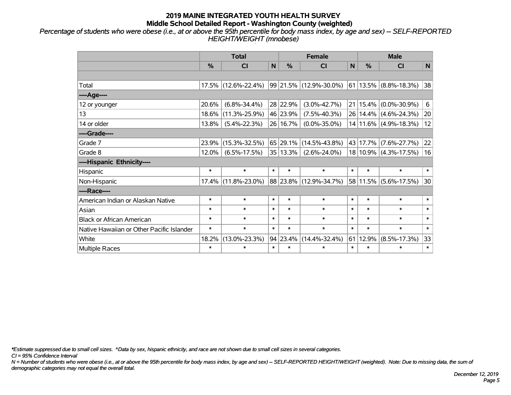*Percentage of students who were obese (i.e., at or above the 95th percentile for body mass index, by age and sex) -- SELF-REPORTED HEIGHT/WEIGHT (mnobese)*

|                                           | <b>Total</b> |                     |        |                          | <b>Female</b>          | <b>Male</b>   |               |                            |        |
|-------------------------------------------|--------------|---------------------|--------|--------------------------|------------------------|---------------|---------------|----------------------------|--------|
|                                           | %            | <b>CI</b>           | N      | $\frac{0}{0}$<br>N<br>CI |                        | $\frac{0}{0}$ | <b>CI</b>     | $\mathsf{N}$               |        |
|                                           |              |                     |        |                          |                        |               |               |                            |        |
| Total                                     | 17.5%        | $(12.6\% - 22.4\%)$ |        |                          | 99 21.5% (12.9%-30.0%) |               |               | $ 61 13.5\% $ (8.8%-18.3%) | 38     |
| ----Age----                               |              |                     |        |                          |                        |               |               |                            |        |
| 12 or younger                             | 20.6%        | $(6.8\% - 34.4\%)$  |        | 28 22.9%                 | $(3.0\% - 42.7\%)$     |               | $21 15.4\% $  | $(0.0\% - 30.9\%)$         | 6      |
| 13                                        | 18.6%        | $(11.3\% - 25.9\%)$ |        | 46 23.9%                 | $(7.5\% - 40.3\%)$     |               | 26 14.4%      | $(4.6\% - 24.3\%)$         | 20     |
| 14 or older                               | 13.8%        | $(5.4\% - 22.3\%)$  |        | 26 16.7%                 | $(0.0\% - 35.0\%)$     |               |               | $14 11.6\% $ (4.9%-18.3%)  | 12     |
| ----Grade----                             |              |                     |        |                          |                        |               |               |                            |        |
| Grade 7                                   | 23.9%        | $(15.3\% - 32.5\%)$ |        | 65 29.1%                 | $(14.5\% - 43.8\%)$    |               | 43 17.7%      | $(7.6\% - 27.7\%)$         | 22     |
| Grade 8                                   | 12.0%        | $(6.5\% - 17.5\%)$  |        | 35 13.3%                 | $(2.6\% - 24.0\%)$     |               |               | 18 10.9% (4.3%-17.5%)      | 16     |
| ----Hispanic Ethnicity----                |              |                     |        |                          |                        |               |               |                            |        |
| Hispanic                                  | $\ast$       | $\ast$              | $\ast$ | $\ast$                   | $\ast$                 | $\ast$        | $\ast$        | $\ast$                     | $\ast$ |
| Non-Hispanic                              | 17.4%        | $(11.8\% - 23.0\%)$ |        | 88 23.8%                 | $(12.9\% - 34.7\%)$    |               | $ 58 11.5\% $ | $(5.6\% - 17.5\%)$         | 30     |
| ----Race----                              |              |                     |        |                          |                        |               |               |                            |        |
| American Indian or Alaskan Native         | $\ast$       | $\ast$              | $\ast$ | $\ast$                   | $\ast$                 | $\ast$        | $\ast$        | $\ast$                     | $\ast$ |
| Asian                                     | $\ast$       | $\ast$              | $\ast$ | $\ast$                   | $\ast$                 | $\ast$        | $\ast$        | $\ast$                     | $\ast$ |
| <b>Black or African American</b>          | $\ast$       | $\ast$              | $\ast$ | $\ast$                   | $\ast$                 | $\ast$        | $\ast$        | $\ast$                     | $\ast$ |
| Native Hawaiian or Other Pacific Islander | $\ast$       | $\ast$              | $\ast$ | $\ast$                   | $\ast$                 | $\ast$        | $\ast$        | $\ast$                     | $\ast$ |
| White                                     | 18.2%        | $(13.0\% - 23.3\%)$ |        | 94 23.4%                 | $(14.4\% - 32.4\%)$    | 61            | 12.9%         | $(8.5\% - 17.3\%)$         | 33     |
| Multiple Races                            | $\ast$       | $\ast$              | $\ast$ | $\ast$                   | $\ast$                 | $\ast$        | $\ast$        | *                          | $\ast$ |

*\*Estimate suppressed due to small cell sizes. ^Data by sex, hispanic ethnicity, and race are not shown due to small cell sizes in several categories.*

*CI = 95% Confidence Interval*

*N = Number of students who were obese (i.e., at or above the 95th percentile for body mass index, by age and sex) -- SELF-REPORTED HEIGHT/WEIGHT (weighted). Note: Due to missing data, the sum of demographic categories may not equal the overall total.*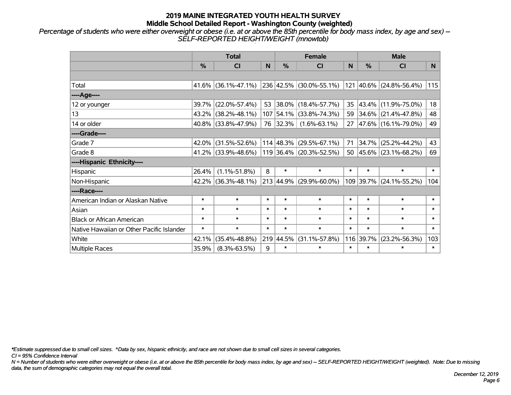*Percentage of students who were either overweight or obese (i.e. at or above the 85th percentile for body mass index, by age and sex) -- SELF-REPORTED HEIGHT/WEIGHT (mnowtob)*

|                                           |               | <b>Total</b>           |        |               | <b>Female</b>                            |        | <b>Male</b> |                             |        |
|-------------------------------------------|---------------|------------------------|--------|---------------|------------------------------------------|--------|-------------|-----------------------------|--------|
|                                           | $\frac{0}{0}$ | <b>CI</b>              | N      | $\frac{9}{6}$ | <b>CI</b>                                | N      | %           | <b>CI</b>                   | N.     |
|                                           |               |                        |        |               |                                          |        |             |                             |        |
| Total                                     |               | $41.6\%$ (36.1%-47.1%) |        |               | $ 236 42.5\% $ (30.0%-55.1%)             |        |             | 121 40.6% (24.8%-56.4%)     | 115    |
| ----Age----                               |               |                        |        |               |                                          |        |             |                             |        |
| 12 or younger                             | 39.7%         | $(22.0\% - 57.4\%)$    | 53     |               | $ 38.0\% $ (18.4%-57.7%)                 | 35     | 43.4%       | $(11.9\% - 75.0\%)$         | 18     |
| 13                                        |               | 43.2% (38.2%-48.1%)    |        |               | 107 54.1% (33.8%-74.3%)                  | 59     |             | $34.6\%$ (21.4%-47.8%)      | 48     |
| 14 or older                               |               | 40.8% (33.8%-47.9%)    |        | 76 32.3%      | $(1.6\% - 63.1\%)$                       |        |             | 27 47.6% (16.1%-79.0%)      | 49     |
| ----Grade----                             |               |                        |        |               |                                          |        |             |                             |        |
| Grade 7                                   | 42.0%         | $(31.5\% - 52.6\%)$    |        |               | $114 \mid 48.3\% \mid (29.5\% - 67.1\%)$ | 71     | 34.7%       | $(25.2\% - 44.2\%)$         | 43     |
| Grade 8                                   |               | $41.2\%$ (33.9%-48.6%) |        |               | $119$ 36.4% (20.3%-52.5%)                |        |             | 50 $ 45.6\% $ (23.1%-68.2%) | 69     |
| ----Hispanic Ethnicity----                |               |                        |        |               |                                          |        |             |                             |        |
| Hispanic                                  | 26.4%         | $(1.1\% - 51.8\%)$     | 8      | $\ast$        | $\ast$                                   | $\ast$ | $\ast$      | $\ast$                      | $\ast$ |
| Non-Hispanic                              |               | 42.2% (36.3%-48.1%)    |        |               | $213   44.9\%   (29.9\% - 60.0\%)$       |        | 109 39.7%   | $(24.1\% - 55.2\%)$         | 104    |
| ----Race----                              |               |                        |        |               |                                          |        |             |                             |        |
| American Indian or Alaskan Native         | $\ast$        | $\ast$                 | $\ast$ | $\ast$        | $\ast$                                   | $\ast$ | $\ast$      | $\ast$                      | $\ast$ |
| Asian                                     | $\ast$        | $\ast$                 | $\ast$ | $\ast$        | $\ast$                                   | $\ast$ | $\ast$      | $\ast$                      | $\ast$ |
| <b>Black or African American</b>          | $\ast$        | $\ast$                 | $\ast$ | $\ast$        | $\ast$                                   | $\ast$ | $\ast$      | $\ast$                      | $\ast$ |
| Native Hawaiian or Other Pacific Islander | $\ast$        | $\ast$                 | $\ast$ | $\ast$        | $\ast$                                   | $\ast$ | $\ast$      | $\ast$                      | $\ast$ |
| White                                     | 42.1%         | $(35.4\% - 48.8\%)$    |        | 219 44.5%     | $(31.1\% - 57.8\%)$                      | 116    | 39.7%       | $(23.2\% - 56.3\%)$         | 103    |
| Multiple Races                            | 35.9%         | $(8.3\% - 63.5\%)$     | 9      | $\ast$        | $\ast$                                   | $\ast$ | $\ast$      | *                           | $\ast$ |

*\*Estimate suppressed due to small cell sizes. ^Data by sex, hispanic ethnicity, and race are not shown due to small cell sizes in several categories.*

*CI = 95% Confidence Interval*

*N = Number of students who were either overweight or obese (i.e. at or above the 85th percentile for body mass index, by age and sex) -- SELF-REPORTED HEIGHT/WEIGHT (weighted). Note: Due to missing data, the sum of demographic categories may not equal the overall total.*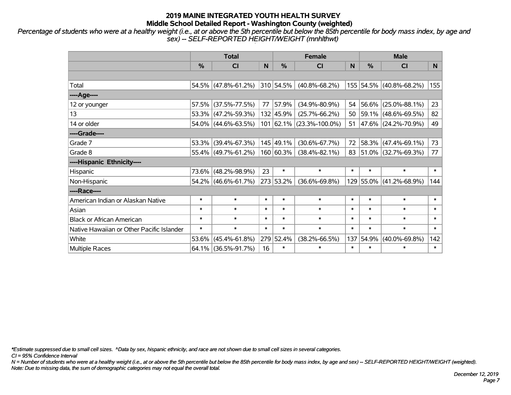*Percentage of students who were at a healthy weight (i.e., at or above the 5th percentile but below the 85th percentile for body mass index, by age and sex) -- SELF-REPORTED HEIGHT/WEIGHT (mnhlthwt)*

|                                           |               | <b>Total</b>        |        |               | <b>Female</b>              | <b>Male</b> |               |                          |                |
|-------------------------------------------|---------------|---------------------|--------|---------------|----------------------------|-------------|---------------|--------------------------|----------------|
|                                           | $\frac{0}{0}$ | <b>CI</b>           | N      | $\frac{0}{0}$ | <b>CI</b>                  | N           | $\frac{0}{0}$ | <b>CI</b>                | N <sub>1</sub> |
|                                           |               |                     |        |               |                            |             |               |                          |                |
| Total                                     |               | 54.5% (47.8%-61.2%) |        | 310 54.5%     | $(40.8\% - 68.2\%)$        |             |               | 155 54.5% (40.8%-68.2%)  | 155            |
| ----Age----                               |               |                     |        |               |                            |             |               |                          |                |
| 12 or younger                             | 57.5%         | $(37.5\% - 77.5\%)$ | 77     | 57.9%         | $(34.9\% - 80.9\%)$        | 54          |               | 56.6% (25.0%-88.1%)      | 23             |
| 13                                        |               | 53.3% (47.2%-59.3%) |        | 132 45.9%     | $(25.7\% - 66.2\%)$        | 50          |               | $ 59.1\% $ (48.6%-69.5%) | 82             |
| 14 or older                               |               | 54.0% (44.6%-63.5%) |        |               | $101$ 62.1% (23.3%-100.0%) | 51          |               | $ 47.6\% $ (24.2%-70.9%) | 49             |
| ----Grade----                             |               |                     |        |               |                            |             |               |                          |                |
| Grade 7                                   |               | 53.3% (39.4%-67.3%) |        | 145 49.1%     | $(30.6\% - 67.7\%)$        | 72          |               | 58.3% (47.4%-69.1%)      | 73             |
| Grade 8                                   |               | 55.4% (49.7%-61.2%) |        | 160 60.3%     | $(38.4\% - 82.1\%)$        | 83          |               | $ 51.0\% $ (32.7%-69.3%) | 77             |
| ----Hispanic Ethnicity----                |               |                     |        |               |                            |             |               |                          |                |
| Hispanic                                  |               | 73.6% (48.2%-98.9%) | 23     | $\ast$        | $\ast$                     | $\ast$      | $\ast$        | $\ast$                   | $\ast$         |
| Non-Hispanic                              |               | 54.2% (46.6%-61.7%) |        | 273 53.2%     | $(36.6\% - 69.8\%)$        |             |               | 129 55.0% (41.2%-68.9%)  | 144            |
| ----Race----                              |               |                     |        |               |                            |             |               |                          |                |
| American Indian or Alaskan Native         | $\ast$        | $\ast$              | $\ast$ | $\ast$        | $\ast$                     | $\ast$      | $\ast$        | $\ast$                   | $\ast$         |
| Asian                                     | $\ast$        | $\ast$              | $\ast$ | $\ast$        | $\ast$                     | $\ast$      | $\ast$        | $\ast$                   | $\ast$         |
| <b>Black or African American</b>          | $\ast$        | $\ast$              | $\ast$ | $\ast$        | $\ast$                     | $\ast$      | $\ast$        | $\ast$                   | $\ast$         |
| Native Hawaiian or Other Pacific Islander | $\ast$        | $\ast$              | $\ast$ | $\ast$        | $\ast$                     | $\ast$      | $\ast$        | $\ast$                   | $\ast$         |
| White                                     | 53.6%         | $(45.4\% - 61.8\%)$ |        | 279 52.4%     | $(38.2\% - 66.5\%)$        | 137         | 54.9%         | $(40.0\% - 69.8\%)$      | 142            |
| Multiple Races                            |               | 64.1% (36.5%-91.7%) | 16     | $\ast$        | $\ast$                     | $\ast$      | $\ast$        | $\ast$                   | $\ast$         |

*\*Estimate suppressed due to small cell sizes. ^Data by sex, hispanic ethnicity, and race are not shown due to small cell sizes in several categories.*

*CI = 95% Confidence Interval*

*N = Number of students who were at a healthy weight (i.e., at or above the 5th percentile but below the 85th percentile for body mass index, by age and sex) -- SELF-REPORTED HEIGHT/WEIGHT (weighted). Note: Due to missing data, the sum of demographic categories may not equal the overall total.*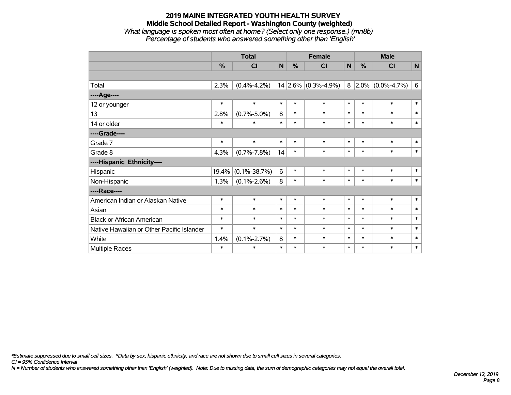#### **2019 MAINE INTEGRATED YOUTH HEALTH SURVEY Middle School Detailed Report - Washington County (weighted)** *What language is spoken most often at home? (Select only one response.) (mn8b) Percentage of students who answered something other than 'English'*

|                                           |        | <b>Total</b>       |              |               | <b>Female</b>           |              | <b>Male</b> |                     |        |  |
|-------------------------------------------|--------|--------------------|--------------|---------------|-------------------------|--------------|-------------|---------------------|--------|--|
|                                           | %      | <b>CI</b>          | $\mathsf{N}$ | $\frac{0}{0}$ | C <sub>l</sub>          | $\mathsf{N}$ | %           | CI                  | N      |  |
|                                           |        |                    |              |               |                         |              |             |                     |        |  |
| Total                                     | 2.3%   | $(0.4\% - 4.2\%)$  |              |               | $14 2.6\% $ (0.3%-4.9%) | 8            |             | $2.0\%$ (0.0%-4.7%) | 6      |  |
| ----Age----                               |        |                    |              |               |                         |              |             |                     |        |  |
| 12 or younger                             | $\ast$ | $\ast$             | $\ast$       | $\ast$        | $\ast$                  | $\pmb{\ast}$ | $\ast$      | $\ast$              | $\ast$ |  |
| 13                                        | 2.8%   | $(0.7\% - 5.0\%)$  | 8            | $\ast$        | $\ast$                  | $\ast$       | $\ast$      | $\ast$              | $\ast$ |  |
| 14 or older                               | $\ast$ | $\ast$             | $\ast$       | $\ast$        | $\ast$                  | $\ast$       | $\ast$      | $\ast$              | $\ast$ |  |
| ----Grade----                             |        |                    |              |               |                         |              |             |                     |        |  |
| Grade 7                                   | $\ast$ | $\ast$             | $\ast$       | $\ast$        | $\ast$                  | $\pmb{\ast}$ | $\ast$      | $\ast$              | $\ast$ |  |
| Grade 8                                   | 4.3%   | $(0.7\% - 7.8\%)$  | 14           | $\ast$        | $\ast$                  | $\ast$       | $\ast$      | $\ast$              | $\ast$ |  |
| ----Hispanic Ethnicity----                |        |                    |              |               |                         |              |             |                     |        |  |
| Hispanic                                  | 19.4%  | $(0.1\% - 38.7\%)$ | 6            | $\ast$        | $\ast$                  | $\ast$       | $\ast$      | $\ast$              | $\ast$ |  |
| Non-Hispanic                              | 1.3%   | $(0.1\% - 2.6\%)$  | 8            | $\ast$        | $\ast$                  | $\ast$       | $\ast$      | $\ast$              | $\ast$ |  |
| ----Race----                              |        |                    |              |               |                         |              |             |                     |        |  |
| American Indian or Alaskan Native         | $\ast$ | $\ast$             | $\ast$       | $\ast$        | $\ast$                  | $\pmb{\ast}$ | $\ast$      | $\ast$              | $\ast$ |  |
| Asian                                     | $\ast$ | $\ast$             | $\ast$       | $\ast$        | $\ast$                  | $\ast$       | $\ast$      | $\ast$              | $\ast$ |  |
| <b>Black or African American</b>          | $\ast$ | $\ast$             | $\ast$       | $\ast$        | $\ast$                  | $\ast$       | $\ast$      | $\ast$              | $\ast$ |  |
| Native Hawaiian or Other Pacific Islander | $\ast$ | $\ast$             | $\ast$       | $\ast$        | $\ast$                  | $\ast$       | $\ast$      | $\ast$              | $\ast$ |  |
| White                                     | 1.4%   | $(0.1\% - 2.7\%)$  | 8            | $\ast$        | $\ast$                  | $\ast$       | $\ast$      | $\ast$              | $\ast$ |  |
| Multiple Races                            | $\ast$ | $\ast$             | $\ast$       | $\ast$        | $\ast$                  | $\ast$       | $\ast$      | $\ast$              | $\ast$ |  |

*\*Estimate suppressed due to small cell sizes. ^Data by sex, hispanic ethnicity, and race are not shown due to small cell sizes in several categories.*

*CI = 95% Confidence Interval*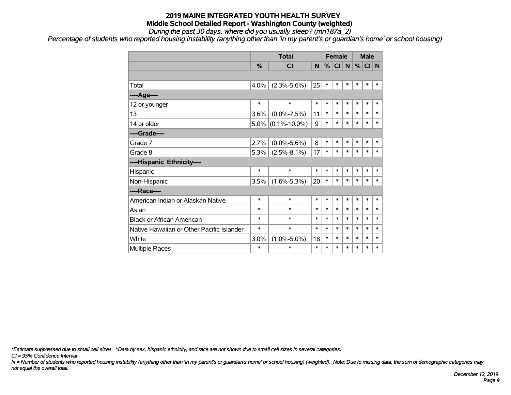*During the past 30 days, where did you usually sleep? (mn187a\_2)*

*Percentage of students who reported housing instability (anything other than 'In my parent's or guardian's home' or school housing)*

|                                           |         | <b>Total</b>       |        |        | <b>Female</b> |        |        | <b>Male</b> |        |
|-------------------------------------------|---------|--------------------|--------|--------|---------------|--------|--------|-------------|--------|
|                                           | %       | <b>CI</b>          | N      | %      | CI            | N      | $\%$   | CI N        |        |
|                                           |         |                    |        |        |               |        |        |             |        |
| Total                                     | 4.0%    | $(2.3\% - 5.6\%)$  | 25     | $\ast$ | $\ast$        | $\ast$ | $\ast$ | $\ast$      | *      |
| ----Age----                               |         |                    |        |        |               |        |        |             |        |
| 12 or younger                             | $\ast$  | $\ast$             | *      | $\ast$ | $\ast$        | $\ast$ | $\ast$ | $\ast$      | *      |
| 13                                        | 3.6%    | $(0.0\% - 7.5\%)$  | 11     | $\ast$ | $\ast$        | $\ast$ | $\ast$ | $\ast$      | *      |
| 14 or older                               | $5.0\%$ | $(0.1\% - 10.0\%)$ | 9      | $\ast$ | $\ast$        | $\ast$ | $\ast$ | $\ast$      | $\ast$ |
| ----Grade----                             |         |                    |        |        |               |        |        |             |        |
| Grade 7                                   | 2.7%    | $(0.0\% - 5.6\%)$  | 8      | $\ast$ | $\ast$        | $\ast$ | $\ast$ | $\ast$      | *      |
| Grade 8                                   | 5.3%    | $(2.5\% - 8.1\%)$  | 17     | $\ast$ | $\ast$        | $\ast$ | $\ast$ | $\ast$      | $\ast$ |
| ----Hispanic Ethnicity----                |         |                    |        |        |               |        |        |             |        |
| Hispanic                                  | $\ast$  | $\ast$             | $\ast$ | $\ast$ | $\ast$        | $\ast$ | $\ast$ | $\ast$      | *      |
| Non-Hispanic                              | 3.5%    | $(1.6\% - 5.3\%)$  | 20     | $\ast$ | $\ast$        | $\ast$ | $\ast$ | $\ast$      | *      |
| ----Race----                              |         |                    |        |        |               |        |        |             |        |
| American Indian or Alaskan Native         | $\ast$  | $\ast$             | *      | $\ast$ | $\ast$        | $\ast$ | $\ast$ | $\ast$      | *      |
| Asian                                     | $\ast$  | $\ast$             | $\ast$ | $\ast$ | $\ast$        | $\ast$ | $\ast$ | $\ast$      | *      |
| <b>Black or African American</b>          | $\ast$  | $\ast$             | $\ast$ | $\ast$ | $\ast$        | $\ast$ | $\ast$ | $\ast$      | $\ast$ |
| Native Hawaiian or Other Pacific Islander | $\ast$  | $\ast$             | $\ast$ | $\ast$ | $\ast$        | $\ast$ | $\ast$ | $\ast$      | $\ast$ |
| White                                     | 3.0%    | $(1.0\% - 5.0\%)$  | 18     | $\ast$ | $\ast$        | $\ast$ | $\ast$ | $\ast$      | *      |
| <b>Multiple Races</b>                     | $\ast$  | $\ast$             | *      | $\ast$ | *             | $\ast$ | $\ast$ | *           | *      |

*\*Estimate suppressed due to small cell sizes. ^Data by sex, hispanic ethnicity, and race are not shown due to small cell sizes in several categories.*

*CI = 95% Confidence Interval*

*N = Number of students who reported housing instability (anything other than 'In my parent's or guardian's home' or school housing) (weighted). Note: Due to missing data, the sum of demographic categories may not equal the overall total.*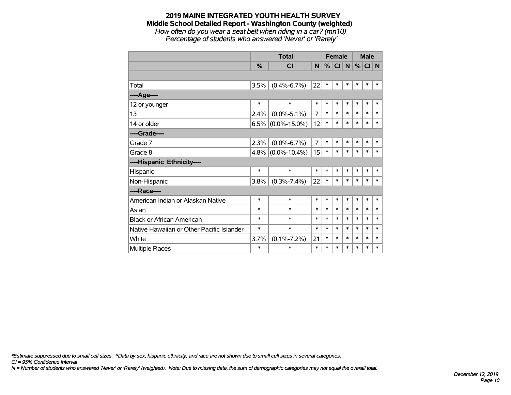*How often do you wear a seat belt when riding in a car? (mn10) Percentage of students who answered 'Never' or 'Rarely'*

|                                           |         | <b>Total</b>       |                | <b>Female</b> |        |          | <b>Male</b> |        |        |
|-------------------------------------------|---------|--------------------|----------------|---------------|--------|----------|-------------|--------|--------|
|                                           | %       | <b>CI</b>          | N              | %             | CI     | <b>N</b> | %           | CI N   |        |
|                                           |         |                    |                |               |        |          |             |        |        |
| Total                                     | 3.5%    | $(0.4\% - 6.7\%)$  | 22             | $\ast$        | $\ast$ | $\ast$   | $\ast$      | $\ast$ | $\ast$ |
| ----Age----                               |         |                    |                |               |        |          |             |        |        |
| 12 or younger                             | $\ast$  | $\ast$             | $\ast$         | $\ast$        | $\ast$ | $\ast$   | $\ast$      | $\ast$ | $\ast$ |
| 13                                        | 2.4%    | $(0.0\% - 5.1\%)$  | 7              | $\ast$        | *      | $\ast$   | $\ast$      | $\ast$ | $\ast$ |
| 14 or older                               | 6.5%    | $(0.0\% - 15.0\%)$ | 12             | $\ast$        | $\ast$ | $\ast$   | $\ast$      | $\ast$ | $\ast$ |
| ----Grade----                             |         |                    |                |               |        |          |             |        |        |
| Grade 7                                   | 2.3%    | $(0.0\% - 6.7\%)$  | $\overline{7}$ | $\ast$        | $\ast$ | $\ast$   | $\ast$      | $\ast$ | $\ast$ |
| Grade 8                                   | $4.8\%$ | $(0.0\% - 10.4\%)$ | 15             | $\ast$        | $\ast$ | $\ast$   | $\ast$      | $\ast$ | $\ast$ |
| ----Hispanic Ethnicity----                |         |                    |                |               |        |          |             |        |        |
| Hispanic                                  | *       | $\ast$             | $\ast$         | $\ast$        | *      | $\ast$   | $\ast$      | $\ast$ | $\ast$ |
| Non-Hispanic                              | 3.8%    | $(0.3\% - 7.4\%)$  | 22             | $\ast$        | $\ast$ | $\ast$   | $\ast$      | $\ast$ | $\ast$ |
| ----Race----                              |         |                    |                |               |        |          |             |        |        |
| American Indian or Alaskan Native         | $\ast$  | $\ast$             | $\ast$         | *             | *      | $\ast$   | $\ast$      | $\ast$ | $\ast$ |
| Asian                                     | *       | $\ast$             | $\ast$         | $\ast$        | $\ast$ | $\ast$   | $\ast$      | $\ast$ | $\ast$ |
| <b>Black or African American</b>          | *       | $\ast$             | $\ast$         | $\ast$        | $\ast$ | $\ast$   | $\ast$      | $\ast$ | $\ast$ |
| Native Hawaiian or Other Pacific Islander | *       | $\ast$             | $\ast$         | $\ast$        | *      | *        | $\ast$      | $\ast$ | $\ast$ |
| White                                     | 3.7%    | $(0.1\% - 7.2\%)$  | 21             | $\ast$        | *      | $\ast$   | $\ast$      | $\ast$ | $\ast$ |
| <b>Multiple Races</b>                     | *       | $\ast$             | $\ast$         | $\ast$        | $\ast$ | $\ast$   | $\ast$      | $\ast$ | $\ast$ |

*\*Estimate suppressed due to small cell sizes. ^Data by sex, hispanic ethnicity, and race are not shown due to small cell sizes in several categories.*

*CI = 95% Confidence Interval*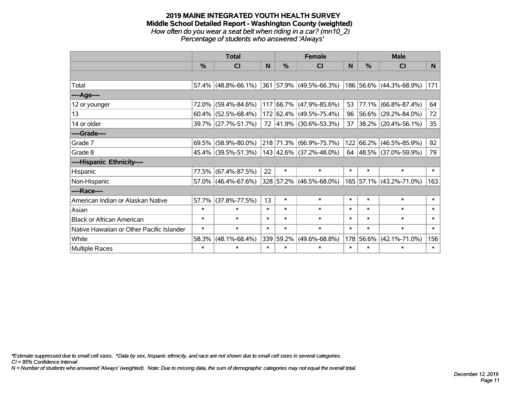#### **2019 MAINE INTEGRATED YOUTH HEALTH SURVEY Middle School Detailed Report - Washington County (weighted)** *How often do you wear a seat belt when riding in a car? (mn10\_2) Percentage of students who answered 'Always'*

|                                           |               | <b>Total</b>           |        |               | <b>Female</b>                  |        | <b>Male</b> |                         |                 |  |
|-------------------------------------------|---------------|------------------------|--------|---------------|--------------------------------|--------|-------------|-------------------------|-----------------|--|
|                                           | $\frac{0}{0}$ | <b>CI</b>              | N      | $\frac{0}{0}$ | <b>CI</b>                      | N      | %           | <b>CI</b>               | N <sub>1</sub>  |  |
|                                           |               |                        |        |               |                                |        |             |                         |                 |  |
| Total                                     |               | $57.4\%$ (48.8%-66.1%) |        |               | 361 57.9% (49.5%-66.3%)        |        |             | 186 56.6% (44.3%-68.9%) | 171             |  |
| ----Age----                               |               |                        |        |               |                                |        |             |                         |                 |  |
| 12 or younger                             | 72.0%         | $(59.4\% - 84.6\%)$    | 117    |               | 66.7% (47.9%-85.6%)            | 53     |             | 77.1% (66.8%-87.4%)     | 64              |  |
| 13                                        | 60.4%         | $(52.5\% - 68.4\%)$    |        |               | 172 62.4% (49.5%-75.4%)        | 96     |             | 56.6% (29.2%-84.0%)     | 72              |  |
| 14 or older                               |               | 39.7% (27.7%-51.7%)    |        |               | 72 41.9% (30.6%-53.3%)         | 37     |             | 38.2% (20.4%-56.1%)     | 35 <sub>2</sub> |  |
| ----Grade----                             |               |                        |        |               |                                |        |             |                         |                 |  |
| Grade 7                                   | 69.5%         | $(58.9\% - 80.0\%)$    |        |               | 218 71.3% (66.9%-75.7%)        | 122    |             | 66.2% (46.5%-85.9%)     | 92              |  |
| Grade 8                                   |               | 45.4% (39.5%-51.3%)    |        |               | $143$ $ 42.6\% $ (37.2%-48.0%) |        |             | 64 48.5% (37.0%-59.9%)  | 79              |  |
| ----Hispanic Ethnicity----                |               |                        |        |               |                                |        |             |                         |                 |  |
| Hispanic                                  | 77.5%         | $(67.4\% - 87.5\%)$    | 22     | $\ast$        | $\ast$                         | $\ast$ | $\ast$      | $\ast$                  | $\ast$          |  |
| Non-Hispanic                              |               | $57.0\%$ (46.4%-67.6%) |        |               | $328$ 57.2% (46.5%-68.0%)      |        |             | 165 57.1% (43.2%-71.0%) | 163             |  |
| ----Race----                              |               |                        |        |               |                                |        |             |                         |                 |  |
| American Indian or Alaskan Native         | 57.7%         | $(37.8\% - 77.5\%)$    | 13     | $\ast$        | $\ast$                         | $\ast$ | $\ast$      | $\ast$                  | $\ast$          |  |
| Asian                                     | $\ast$        | $\ast$                 | $\ast$ | $\ast$        | $\ast$                         | $\ast$ | $\ast$      | $\ast$                  | $\ast$          |  |
| <b>Black or African American</b>          | $\ast$        | $\ast$                 | $\ast$ | $\ast$        | $\ast$                         | $\ast$ | $\ast$      | $\ast$                  | $\ast$          |  |
| Native Hawaiian or Other Pacific Islander | $\ast$        | $\ast$                 | $\ast$ | $\ast$        | $\ast$                         | $\ast$ | $\ast$      | $\ast$                  | $\ast$          |  |
| White                                     | 58.3%         | $(48.1\% - 68.4\%)$    |        | 339 59.2%     | $(49.6\% - 68.8\%)$            | 178    | 56.6%       | $(42.1\% - 71.0\%)$     | 156             |  |
| Multiple Races                            | $\ast$        | $\ast$                 | $\ast$ | $\ast$        | $\ast$                         | $\ast$ | $\ast$      | $\ast$                  | $\ast$          |  |

*\*Estimate suppressed due to small cell sizes. ^Data by sex, hispanic ethnicity, and race are not shown due to small cell sizes in several categories.*

*CI = 95% Confidence Interval*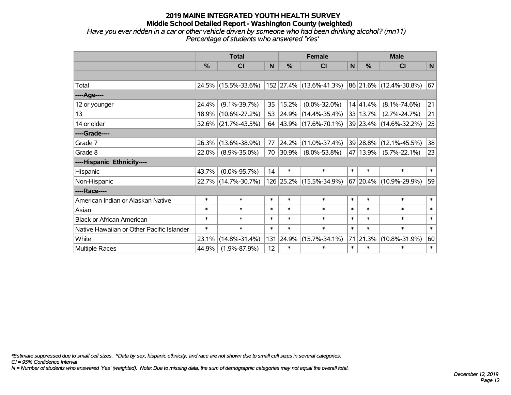*Have you ever ridden in a car or other vehicle driven by someone who had been drinking alcohol? (mn11) Percentage of students who answered 'Yes'*

|                                           |               | <b>Total</b>        |        |               | <b>Female</b>            | <b>Male</b>  |               |                             |        |
|-------------------------------------------|---------------|---------------------|--------|---------------|--------------------------|--------------|---------------|-----------------------------|--------|
|                                           | $\frac{0}{0}$ | <b>CI</b>           | N      | $\frac{0}{0}$ | <b>CI</b>                | $\mathsf{N}$ | $\frac{0}{0}$ | <b>CI</b>                   | N      |
|                                           |               |                     |        |               |                          |              |               |                             |        |
| Total                                     |               | 24.5% (15.5%-33.6%) |        |               | 152 27.4% (13.6%-41.3%)  |              |               | $ 86 21.6\% $ (12.4%-30.8%) | 67     |
| ----Age----                               |               |                     |        |               |                          |              |               |                             |        |
| 12 or younger                             | 24.4%         | $(9.1\% - 39.7\%)$  | 35     | 15.2%         | $(0.0\% - 32.0\%)$       |              | 14 41.4%      | $(8.1\% - 74.6\%)$          | 21     |
| 13                                        | 18.9%         | $(10.6\% - 27.2\%)$ | 53     |               | 24.9% (14.4%-35.4%)      |              | 33 13.7%      | $(2.7\% - 24.7\%)$          | 21     |
| 14 or older                               |               | 32.6% (21.7%-43.5%) | 64     |               | $ 43.9\% $ (17.6%-70.1%) |              |               | 39 23.4% (14.6%-32.2%)      | 25     |
| ----Grade----                             |               |                     |        |               |                          |              |               |                             |        |
| Grade 7                                   | 26.3%         | $(13.6\% - 38.9\%)$ | 77     | 24.2%         | $(11.0\% - 37.4\%)$      |              | 39 28.8%      | $(12.1\% - 45.5\%)$         | 38     |
| Grade 8                                   | 22.0%         | $(8.9\% - 35.0\%)$  | 70     | 30.9%         | $(8.0\% - 53.8\%)$       |              | 47 13.9%      | $(5.7\% - 22.1\%)$          | 23     |
| ----Hispanic Ethnicity----                |               |                     |        |               |                          |              |               |                             |        |
| Hispanic                                  | 43.7%         | $(0.0\% - 95.7\%)$  | 14     | $\ast$        | $\ast$                   | $\ast$       | $\ast$        | $\ast$                      | $\ast$ |
| Non-Hispanic                              |               | 22.7% (14.7%-30.7%) |        |               | 126 25.2% (15.5%-34.9%)  |              |               | 67 20.4% (10.9%-29.9%)      | 59     |
| ----Race----                              |               |                     |        |               |                          |              |               |                             |        |
| American Indian or Alaskan Native         | $\ast$        | $\ast$              | $\ast$ | $\ast$        | $\ast$                   | $\ast$       | $\ast$        | $\ast$                      | $\ast$ |
| Asian                                     | $\ast$        | $\ast$              | $\ast$ | $\ast$        | $\ast$                   | $\ast$       | $\ast$        | $\ast$                      | $\ast$ |
| <b>Black or African American</b>          | $\ast$        | $\ast$              | $\ast$ | $\ast$        | $\ast$                   | $\ast$       | $\ast$        | $\ast$                      | $\ast$ |
| Native Hawaiian or Other Pacific Islander | $\ast$        | $\ast$              | $\ast$ | $\ast$        | $\ast$                   | $\ast$       | $\ast$        | $\ast$                      | $\ast$ |
| White                                     | 23.1%         | $(14.8\% - 31.4\%)$ | 131    | 24.9%         | $(15.7\% - 34.1\%)$      | 71           | $ 21.3\% $    | $(10.8\% - 31.9\%)$         | 60     |
| <b>Multiple Races</b>                     | 44.9%         | $(1.9\% - 87.9\%)$  | 12     | $\ast$        | $\ast$                   | $\ast$       | $\ast$        | $\ast$                      | $\ast$ |

*\*Estimate suppressed due to small cell sizes. ^Data by sex, hispanic ethnicity, and race are not shown due to small cell sizes in several categories.*

*CI = 95% Confidence Interval*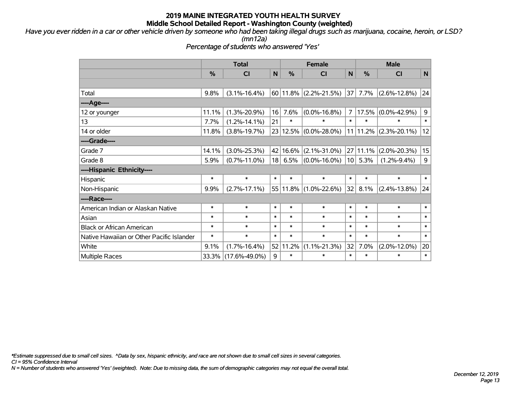*Have you ever ridden in a car or other vehicle driven by someone who had been taking illegal drugs such as marijuana, cocaine, heroin, or LSD? (mn12a)*

*Percentage of students who answered 'Yes'*

|                                           |               | <b>Total</b>        |        | <b>Female</b> | <b>Male</b>        |                |               |                          |        |
|-------------------------------------------|---------------|---------------------|--------|---------------|--------------------|----------------|---------------|--------------------------|--------|
|                                           | $\frac{0}{0}$ | CI                  | N      | $\frac{0}{0}$ | N<br><b>CI</b>     |                | $\frac{0}{0}$ | <b>CI</b>                | N      |
|                                           |               |                     |        |               |                    |                |               |                          |        |
| Total                                     | 9.8%          | $(3.1\% - 16.4\%)$  |        | $60$   11.8%  | $(2.2\% - 21.5\%)$ |                | $37$ 7.7%     | $(2.6\% - 12.8\%)$       | 24     |
| ----Age----                               |               |                     |        |               |                    |                |               |                          |        |
| 12 or younger                             | 11.1%         | $(1.3\% - 20.9\%)$  | 16     | 7.6%          | $(0.0\% - 16.8\%)$ | $\overline{7}$ | 17.5%         | $(0.0\% - 42.9\%)$       | 9      |
| 13                                        | 7.7%          | $(1.2\% - 14.1\%)$  | 21     | $\ast$        |                    | $\ast$         | *             |                          | $\ast$ |
| 14 or older                               | 11.8%         | $(3.8\% - 19.7\%)$  |        | 23 12.5%      | $(0.0\% - 28.0\%)$ |                |               | $11$  11.2% (2.3%-20.1%) | 12     |
| ----Grade----                             |               |                     |        |               |                    |                |               |                          |        |
| Grade 7                                   | 14.1%         | $(3.0\% - 25.3\%)$  |        | 42 16.6%      | $(2.1\% - 31.0\%)$ |                | 27 11.1%      | $(2.0\% - 20.3\%)$       | 15     |
| Grade 8                                   | 5.9%          | $(0.7\% - 11.0\%)$  | 18     | 6.5%          | $(0.0\% - 16.0\%)$ |                | $10$ 5.3%     | $(1.2\% - 9.4\%)$        | 9      |
| ----Hispanic Ethnicity----                |               |                     |        |               |                    |                |               |                          |        |
| Hispanic                                  | $\ast$        | $\ast$              | $\ast$ | $\ast$        | $\ast$             | $\ast$         | $\ast$        | $\ast$                   | $\ast$ |
| Non-Hispanic                              | 9.9%          | $(2.7\% - 17.1\%)$  |        | $55 11.8\% $  | $(1.0\% - 22.6\%)$ | 32             | 8.1%          | $(2.4\% - 13.8\%)$       | 24     |
| ----Race----                              |               |                     |        |               |                    |                |               |                          |        |
| American Indian or Alaskan Native         | $\ast$        | $\ast$              | $\ast$ | $\ast$        | $\ast$             | $\ast$         | $\ast$        | $\ast$                   | $\ast$ |
| Asian                                     | $\ast$        | $\ast$              | $\ast$ | $\ast$        | $\ast$             | $\ast$         | $\ast$        | $\ast$                   | $\ast$ |
| <b>Black or African American</b>          | $\ast$        | $\ast$              | $\ast$ | $\ast$        | $\ast$             | $\ast$         | $\ast$        | $\ast$                   | $\ast$ |
| Native Hawaiian or Other Pacific Islander | $\ast$        | $\ast$              | $\ast$ | $\ast$        | $\ast$             | $\ast$         | $\ast$        | $\ast$                   | $\ast$ |
| White                                     | 9.1%          | $(1.7\% - 16.4\%)$  |        | 52 11.2%      | $(1.1\% - 21.3\%)$ | 32             | 7.0%          | $(2.0\% - 12.0\%)$       | 20     |
| <b>Multiple Races</b>                     |               | 33.3% (17.6%-49.0%) | 9      | $\ast$        | $\ast$             | $\ast$         | $\ast$        | $\ast$                   | $\ast$ |

*\*Estimate suppressed due to small cell sizes. ^Data by sex, hispanic ethnicity, and race are not shown due to small cell sizes in several categories.*

*CI = 95% Confidence Interval*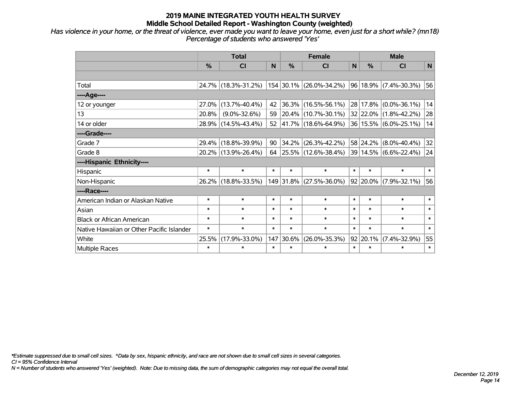*Has violence in your home, or the threat of violence, ever made you want to leave your home, even just for a short while? (mn18) Percentage of students who answered 'Yes'*

|                                           |        | <b>Total</b>        |        | <b>Female</b><br>$\frac{0}{0}$<br>N<br>154 30.1% (26.0%-34.2%)<br>36.3% (16.5%-56.1%)<br>$ 20.4\% $ (10.7%-30.1%) |                          |        |          | <b>Male</b>                    |        |
|-------------------------------------------|--------|---------------------|--------|-------------------------------------------------------------------------------------------------------------------|--------------------------|--------|----------|--------------------------------|--------|
|                                           | %      | <b>CI</b>           |        |                                                                                                                   | <b>CI</b>                | N      | %        | <b>CI</b>                      | N      |
|                                           |        |                     |        |                                                                                                                   |                          |        |          |                                |        |
| Total                                     |        | 24.7% (18.3%-31.2%) |        |                                                                                                                   |                          |        |          | $96 18.9\% $ (7.4%-30.3%)      | 56     |
| ----Age----                               |        |                     |        |                                                                                                                   |                          |        |          |                                |        |
| 12 or younger                             | 27.0%  | $(13.7\% - 40.4\%)$ | 42     |                                                                                                                   |                          |        |          | 28 17.8% (0.0%-36.1%)          | 14     |
| 13                                        | 20.8%  | $(9.0\% - 32.6\%)$  | 59     |                                                                                                                   |                          |        |          | 32 22.0% (1.8%-42.2%)          | 28     |
| 14 or older                               |        | 28.9% (14.5%-43.4%) | 52     |                                                                                                                   | $ 41.7\% $ (18.6%-64.9%) |        |          | 36 15.5% (6.0%-25.1%)          | 14     |
| ----Grade----                             |        |                     |        |                                                                                                                   |                          |        |          |                                |        |
| Grade 7                                   | 29.4%  | $(18.8\% - 39.9\%)$ | 90     | 34.2%                                                                                                             | $(26.3\% - 42.2\%)$      |        |          | 58 24.2% (8.0%-40.4%)          | 32     |
| Grade 8                                   |        | 20.2% (13.9%-26.4%) | 64     |                                                                                                                   | $ 25.5\% $ (12.6%-38.4%) |        |          | $ 39 14.5\%  (6.6\% - 22.4\%)$ | 24     |
| ----Hispanic Ethnicity----                |        |                     |        |                                                                                                                   |                          |        |          |                                |        |
| Hispanic                                  | $\ast$ | $\ast$              | $\ast$ | $\ast$                                                                                                            | $\ast$                   | $\ast$ | $\ast$   | $\ast$                         | $\ast$ |
| Non-Hispanic                              |        | 26.2% (18.8%-33.5%) |        |                                                                                                                   | 149 31.8% (27.5%-36.0%)  |        |          | 92 20.0% (7.9%-32.1%)          | 56     |
| ----Race----                              |        |                     |        |                                                                                                                   |                          |        |          |                                |        |
| American Indian or Alaskan Native         | $\ast$ | $\ast$              | $\ast$ | $\ast$                                                                                                            | $\ast$                   | $\ast$ | $\ast$   | $\ast$                         | $\ast$ |
| Asian                                     | $\ast$ | $\ast$              | $\ast$ | $\ast$                                                                                                            | $\ast$                   | $\ast$ | $\ast$   | $\ast$                         | $\ast$ |
| <b>Black or African American</b>          | $\ast$ | $\ast$              | $\ast$ | $\ast$                                                                                                            | $\ast$                   | $\ast$ | $\ast$   | $\ast$                         | $\ast$ |
| Native Hawaiian or Other Pacific Islander | $\ast$ | $\ast$              | $\ast$ | $\ast$                                                                                                            | $\ast$                   | $\ast$ | $\ast$   | $\ast$                         | $\ast$ |
| White                                     | 25.5%  | $(17.9\% - 33.0\%)$ | 147    | 30.6%                                                                                                             | $(26.0\% - 35.3\%)$      |        | 92 20.1% | $(7.4\% - 32.9\%)$             | 55     |
| Multiple Races                            | $\ast$ | $\ast$              | $\ast$ | $\ast$                                                                                                            | $\ast$                   | $\ast$ | $\ast$   | $\ast$                         | $\ast$ |

*\*Estimate suppressed due to small cell sizes. ^Data by sex, hispanic ethnicity, and race are not shown due to small cell sizes in several categories.*

*CI = 95% Confidence Interval*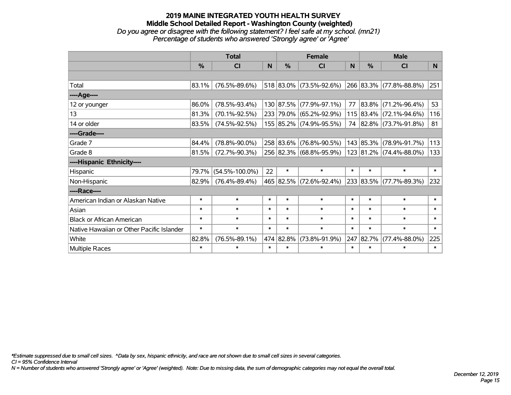## **2019 MAINE INTEGRATED YOUTH HEALTH SURVEY Middle School Detailed Report - Washington County (weighted)** *Do you agree or disagree with the following statement? I feel safe at my school. (mn21)*

|                                           |               | <b>Total</b>         |        |           | <b>Female</b>           |        |           | <b>Male</b>             |        |
|-------------------------------------------|---------------|----------------------|--------|-----------|-------------------------|--------|-----------|-------------------------|--------|
|                                           | $\frac{9}{6}$ | CI                   | N      | %         | C <sub>l</sub>          | N      | %         | <b>CI</b>               | N      |
|                                           |               |                      |        |           |                         |        |           |                         |        |
| Total                                     | 83.1%         | $(76.5\% - 89.6\%)$  |        |           | 518 83.0% (73.5%-92.6%) |        |           | 266 83.3% (77.8%-88.8%) | 251    |
| ----Age----                               |               |                      |        |           |                         |        |           |                         |        |
| 12 or younger                             | 86.0%         | $(78.5\% - 93.4\%)$  |        | 130 87.5% | $(77.9\% - 97.1\%)$     | 77     |           | $83.8\%$ (71.2%-96.4%)  | 53     |
| 13                                        | 81.3%         | $(70.1\% - 92.5\%)$  |        | 233 79.0% | $(65.2\% - 92.9\%)$     |        |           | 115 83.4% (72.1%-94.6%) | 116    |
| 14 or older                               | 83.5%         | $(74.5\% - 92.5\%)$  |        |           | 155 85.2% (74.9%-95.5%) |        |           | 74 82.8% (73.7%-91.8%)  | 81     |
| ----Grade----                             |               |                      |        |           |                         |        |           |                         |        |
| Grade 7                                   | 84.4%         | $(78.8\% - 90.0\%)$  |        | 258 83.6% | $(76.8\% - 90.5\%)$     |        | 143 85.3% | $(78.9\% - 91.7\%)$     | 113    |
| Grade 8                                   | 81.5%         | $(72.7\% - 90.3\%)$  |        |           | 256 82.3% (68.8%-95.9%) |        |           | 123 81.2% (74.4%-88.0%) | 133    |
| ----Hispanic Ethnicity----                |               |                      |        |           |                         |        |           |                         |        |
| Hispanic                                  | 79.7%         | $(54.5\% - 100.0\%)$ | 22     | $\ast$    | $\ast$                  | $\ast$ | $\ast$    | $\ast$                  | $\ast$ |
| Non-Hispanic                              | 82.9%         | $(76.4\% - 89.4\%)$  |        | 465 82.5% | $(72.6\% - 92.4\%)$     |        |           | 233 83.5% (77.7%-89.3%) | 232    |
| ----Race----                              |               |                      |        |           |                         |        |           |                         |        |
| American Indian or Alaskan Native         | $\ast$        | $\ast$               | $\ast$ | $\ast$    | $\ast$                  | $\ast$ | $\ast$    | $\ast$                  | $\ast$ |
| Asian                                     | $\ast$        | $\ast$               | $\ast$ | $\ast$    | $\ast$                  | $\ast$ | $\ast$    | $\ast$                  | $\ast$ |
| <b>Black or African American</b>          | $\ast$        | $\ast$               | $\ast$ | $\ast$    | $\ast$                  | $\ast$ | $\ast$    | $\ast$                  | $\ast$ |
| Native Hawaiian or Other Pacific Islander | $\ast$        | $\ast$               | $\ast$ | $\ast$    | $\ast$                  | $\ast$ | $\ast$    | $\ast$                  | $\ast$ |
| White                                     | 82.8%         | $(76.5\% - 89.1\%)$  |        | 474 82.8% | $(73.8\% - 91.9\%)$     | 247    | 82.7%     | $(77.4\% - 88.0\%)$     | 225    |
| <b>Multiple Races</b>                     | $\ast$        | $\ast$               | $\ast$ | $\ast$    | $\ast$                  | $\ast$ | $\ast$    | $\ast$                  | $\ast$ |

*Percentage of students who answered 'Strongly agree' or 'Agree'*

*\*Estimate suppressed due to small cell sizes. ^Data by sex, hispanic ethnicity, and race are not shown due to small cell sizes in several categories.*

*CI = 95% Confidence Interval*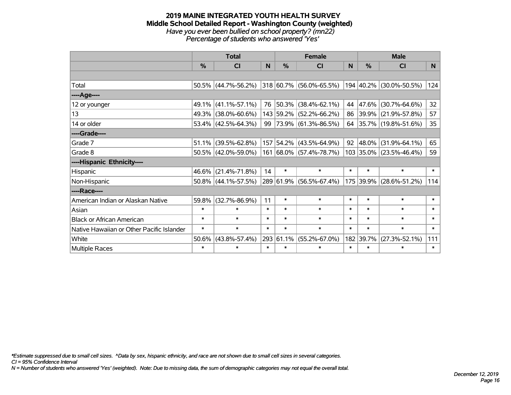#### **2019 MAINE INTEGRATED YOUTH HEALTH SURVEY Middle School Detailed Report - Washington County (weighted)** *Have you ever been bullied on school property? (mn22) Percentage of students who answered 'Yes'*

|                                           |          | <b>Total</b>           |        |           | <b>Female</b>                |        |        | <b>Male</b>              |                 |
|-------------------------------------------|----------|------------------------|--------|-----------|------------------------------|--------|--------|--------------------------|-----------------|
|                                           | $\%$     | <b>CI</b>              | N      | $\%$      | <b>CI</b>                    | N      | $\%$   | <b>CI</b>                | N               |
|                                           |          |                        |        |           |                              |        |        |                          |                 |
| Total                                     |          | $50.5\%$ (44.7%-56.2%) |        |           | $ 318 60.7\% $ (56.0%-65.5%) |        |        | 194 40.2% (30.0%-50.5%)  | 124             |
| ----Age----                               |          |                        |        |           |                              |        |        |                          |                 |
| 12 or younger                             | $49.1\%$ | $(41.1\% - 57.1\%)$    | 76     |           | 50.3% (38.4%-62.1%)          | 44     |        | 47.6% (30.7%-64.6%)      | 32 <sup>2</sup> |
| 13                                        |          | 49.3% (38.0%-60.6%)    |        |           | 143 59.2% (52.2%-66.2%)      | 86     |        | 39.9% (21.9%-57.8%)      | 57              |
| 14 or older                               |          | 53.4% (42.5%-64.3%)    |        |           | 99 73.9% (61.3%-86.5%)       | 64     |        | $ 35.7\% $ (19.8%-51.6%) | 35 <sub>2</sub> |
| ----Grade----                             |          |                        |        |           |                              |        |        |                          |                 |
| Grade 7                                   | 51.1%    | $(39.5\% - 62.8\%)$    |        |           | 157 54.2% (43.5%-64.9%)      | 92     |        | 48.0% (31.9%-64.1%)      | 65              |
| Grade 8                                   |          | 50.5% (42.0%-59.0%)    |        |           | 161 68.0% (57.4%-78.7%)      |        |        | 103 35.0% (23.5%-46.4%)  | 59              |
| ----Hispanic Ethnicity----                |          |                        |        |           |                              |        |        |                          |                 |
| Hispanic                                  | 46.6%    | $(21.4\% - 71.8\%)$    | 14     | $\ast$    | $\ast$                       | $\ast$ | $\ast$ | $\ast$                   | $\ast$          |
| Non-Hispanic                              |          | $50.8\%$ (44.1%-57.5%) |        |           | 289 61.9% (56.5%-67.4%)      |        |        | 175 39.9% (28.6%-51.2%)  | 114             |
| ----Race----                              |          |                        |        |           |                              |        |        |                          |                 |
| American Indian or Alaskan Native         | 59.8%    | $(32.7\% - 86.9\%)$    | 11     | $\ast$    | $\ast$                       | $\ast$ | $\ast$ | $\ast$                   | $\ast$          |
| Asian                                     | $\ast$   | $\ast$                 | $\ast$ | $\ast$    | $\ast$                       | $\ast$ | $\ast$ | $\ast$                   | $\ast$          |
| <b>Black or African American</b>          | $\ast$   | $\ast$                 | $\ast$ | $\ast$    | $\ast$                       | $\ast$ | $\ast$ | $\ast$                   | $\ast$          |
| Native Hawaiian or Other Pacific Islander | $\ast$   | $\ast$                 | $\ast$ | $\ast$    | $\ast$                       | $\ast$ | $\ast$ | $\ast$                   | $\ast$          |
| White                                     | 50.6%    | $(43.8\% - 57.4\%)$    |        | 293 61.1% | $(55.2\% - 67.0\%)$          | 182    | 39.7%  | $(27.3\% - 52.1\%)$      | 111             |
| Multiple Races                            | $\ast$   | $\ast$                 | $\ast$ | $\ast$    | $\ast$                       | $\ast$ | $\ast$ | $\ast$                   | $\ast$          |

*\*Estimate suppressed due to small cell sizes. ^Data by sex, hispanic ethnicity, and race are not shown due to small cell sizes in several categories.*

*CI = 95% Confidence Interval*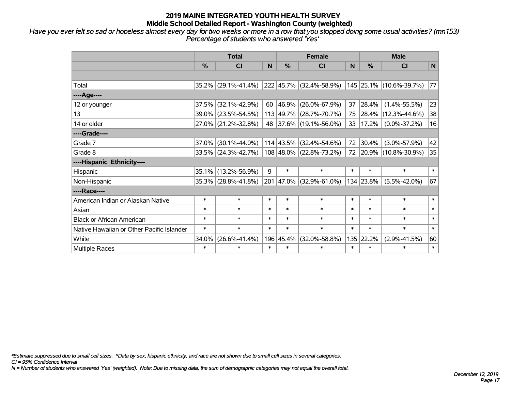*Have you ever felt so sad or hopeless almost every day for two weeks or more in a row that you stopped doing some usual activities? (mn153) Percentage of students who answered 'Yes'*

|                                           |               | <b>Total</b>        |        |               | <b>Female</b>                |        |           | <b>Male</b>              |              |
|-------------------------------------------|---------------|---------------------|--------|---------------|------------------------------|--------|-----------|--------------------------|--------------|
|                                           | $\frac{0}{0}$ | <b>CI</b>           | N      | $\frac{0}{0}$ | <b>CI</b>                    | N      | %         | <b>CI</b>                | $\mathsf{N}$ |
|                                           |               |                     |        |               |                              |        |           |                          |              |
| Total                                     |               | 35.2% (29.1%-41.4%) |        |               | $ 222 45.7\% $ (32.4%-58.9%) |        |           | 145 25.1% (10.6%-39.7%)  | 77           |
| ----Age----                               |               |                     |        |               |                              |        |           |                          |              |
| 12 or younger                             | 37.5%         | $(32.1\% - 42.9\%)$ | 60     | 46.9%         | $(26.0\% - 67.9\%)$          | 37     | 28.4%     | $(1.4\% - 55.5\%)$       | 23           |
| 13                                        | 39.0%         | $(23.5\% - 54.5\%)$ |        |               | 113 49.7% (28.7%-70.7%)      | 75     |           | $ 28.4\% $ (12.3%-44.6%) | 38           |
| 14 or older                               |               | 27.0% (21.2%-32.8%) | 48     |               | $ 37.6\% $ (19.1%-56.0%)     |        | 33 17.2%  | $(0.0\% - 37.2\%)$       | 16           |
| ----Grade----                             |               |                     |        |               |                              |        |           |                          |              |
| Grade 7                                   | 37.0%         | $(30.1\% - 44.0\%)$ |        | $114$ 43.5%   | $(32.4\% - 54.6\%)$          | 72     | 30.4%     | $(3.0\% - 57.9\%)$       | 42           |
| Grade 8                                   |               | 33.5% (24.3%-42.7%) |        |               | 108 48.0% (22.8%-73.2%)      |        |           | 72 20.9% (10.8%-30.9%)   | 35           |
| ----Hispanic Ethnicity----                |               |                     |        |               |                              |        |           |                          |              |
| Hispanic                                  | 35.1%         | $(13.2\% - 56.9\%)$ | 9      | $\ast$        | $\ast$                       | $\ast$ | $\ast$    | $\ast$                   | $\ast$       |
| Non-Hispanic                              | 35.3%         | $(28.8\% - 41.8\%)$ | 201    |               | 47.0% (32.9%-61.0%)          |        | 134 23.8% | $(5.5\% - 42.0\%)$       | 67           |
| ----Race----                              |               |                     |        |               |                              |        |           |                          |              |
| American Indian or Alaskan Native         | $\ast$        | $\ast$              | $\ast$ | $\ast$        | $\ast$                       | $\ast$ | $\ast$    | $\ast$                   | $\ast$       |
| Asian                                     | $\ast$        | $\ast$              | $\ast$ | $\ast$        | $\ast$                       | $\ast$ | $\ast$    | $\ast$                   | $\ast$       |
| <b>Black or African American</b>          | $\ast$        | $\ast$              | $\ast$ | $\ast$        | $\ast$                       | $\ast$ | $\ast$    | $\ast$                   | $\ast$       |
| Native Hawaiian or Other Pacific Islander | $\ast$        | $\ast$              | $\ast$ | $\ast$        | $\ast$                       | $\ast$ | $\ast$    | $\ast$                   | $\ast$       |
| White                                     | 34.0%         | $(26.6\% - 41.4\%)$ |        | 196 45.4%     | $(32.0\% - 58.8\%)$          |        | 135 22.2% | $(2.9\% - 41.5\%)$       | 60           |
| <b>Multiple Races</b>                     | $\ast$        | $\ast$              | $\ast$ | $\ast$        | $\ast$                       | $\ast$ | $\ast$    | $\ast$                   | $\ast$       |

*\*Estimate suppressed due to small cell sizes. ^Data by sex, hispanic ethnicity, and race are not shown due to small cell sizes in several categories.*

*CI = 95% Confidence Interval*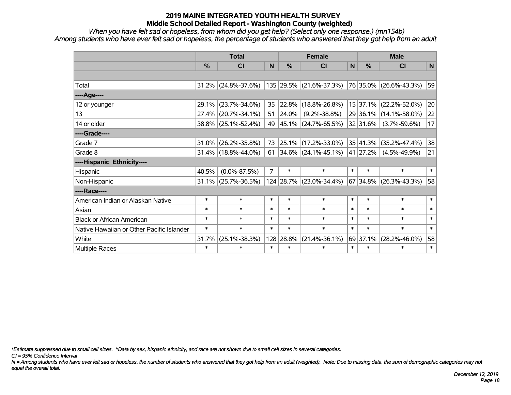*When you have felt sad or hopeless, from whom did you get help? (Select only one response.) (mn154b) Among students who have ever felt sad or hopeless, the percentage of students who answered that they got help from an adult*

|                                           | <b>Total</b><br>$\frac{0}{0}$<br><b>CI</b><br>N<br>$31.2\%$ (24.8%-37.6%)<br>$(23.7\% - 34.6\%)$<br>29.1%<br>35<br>$(20.7\% - 34.1\%)$<br>27.4%<br>51<br>$38.8\%$ (25.1%-52.4%)<br>49<br>$(26.2\% - 35.8\%)$<br>73<br>31.0%<br>$31.4\%$ (18.8%-44.0%)<br>61<br>$\overline{7}$<br>40.5%<br>$(0.0\% - 87.5\%)$<br>$31.1\%$ (25.7%-36.5%)<br>$\ast$<br>$\ast$<br>$\ast$<br>$\ast$<br>$\ast$<br>$\ast$<br>$\ast$<br>$\ast$<br>$\ast$<br>$\ast$<br>$\ast$<br>$\ast$<br>$(25.1\% - 38.3\%)$<br>31.7% |  |  | <b>Female</b> |                          |              | <b>Male</b>  |                        |              |
|-------------------------------------------|------------------------------------------------------------------------------------------------------------------------------------------------------------------------------------------------------------------------------------------------------------------------------------------------------------------------------------------------------------------------------------------------------------------------------------------------------------------------------------------------|--|--|---------------|--------------------------|--------------|--------------|------------------------|--------------|
|                                           |                                                                                                                                                                                                                                                                                                                                                                                                                                                                                                |  |  | $\frac{0}{0}$ | <b>CI</b>                | $\mathsf{N}$ | %            | <b>CI</b>              | $\mathsf{N}$ |
|                                           |                                                                                                                                                                                                                                                                                                                                                                                                                                                                                                |  |  |               |                          |              |              |                        |              |
| Total                                     |                                                                                                                                                                                                                                                                                                                                                                                                                                                                                                |  |  |               | 135 29.5% (21.6%-37.3%)  |              |              | 76 35.0% (26.6%-43.3%) | 59           |
| ----Age----                               |                                                                                                                                                                                                                                                                                                                                                                                                                                                                                                |  |  |               |                          |              |              |                        |              |
| 12 or younger                             |                                                                                                                                                                                                                                                                                                                                                                                                                                                                                                |  |  | 22.8%         | $(18.8\% - 26.8\%)$      |              | $15$ 37.1%   | $(22.2\% - 52.0\%)$    | 20           |
| 13                                        |                                                                                                                                                                                                                                                                                                                                                                                                                                                                                                |  |  | 24.0%         | $(9.2\% - 38.8\%)$       |              |              | 29 36.1% (14.1%-58.0%) | 22           |
| 14 or older                               |                                                                                                                                                                                                                                                                                                                                                                                                                                                                                                |  |  |               | $ 45.1\% $ (24.7%-65.5%) |              | $32 31.6\% $ | $(3.7\% - 59.6\%)$     | 17           |
| ----Grade----                             |                                                                                                                                                                                                                                                                                                                                                                                                                                                                                                |  |  |               |                          |              |              |                        |              |
| Grade 7                                   |                                                                                                                                                                                                                                                                                                                                                                                                                                                                                                |  |  | 25.1%         | $(17.2\% - 33.0\%)$      |              | 35 41.3%     | $(35.2\% - 47.4\%)$    | 38           |
| Grade 8                                   |                                                                                                                                                                                                                                                                                                                                                                                                                                                                                                |  |  |               | $34.6\%$ (24.1%-45.1%)   |              | 41 27.2%     | $(4.5\% - 49.9\%)$     | 21           |
| ----Hispanic Ethnicity----                |                                                                                                                                                                                                                                                                                                                                                                                                                                                                                                |  |  |               |                          |              |              |                        |              |
| Hispanic                                  |                                                                                                                                                                                                                                                                                                                                                                                                                                                                                                |  |  | $\ast$        | $\ast$                   | $\ast$       | $\ast$       | $\ast$                 | $\ast$       |
| Non-Hispanic                              |                                                                                                                                                                                                                                                                                                                                                                                                                                                                                                |  |  |               | 124 28.7% (23.0%-34.4%)  |              | 67 34.8%     | $(26.3\% - 43.3\%)$    | 58           |
| ----Race----                              |                                                                                                                                                                                                                                                                                                                                                                                                                                                                                                |  |  |               |                          |              |              |                        |              |
| American Indian or Alaskan Native         |                                                                                                                                                                                                                                                                                                                                                                                                                                                                                                |  |  | $\ast$        | $\ast$                   | $\ast$       | $\ast$       | $\ast$                 | $\ast$       |
| Asian                                     |                                                                                                                                                                                                                                                                                                                                                                                                                                                                                                |  |  | $\ast$        | $\ast$                   | $\ast$       | $\ast$       | $\ast$                 | $\ast$       |
| <b>Black or African American</b>          |                                                                                                                                                                                                                                                                                                                                                                                                                                                                                                |  |  | $\ast$        | $\ast$                   | $\ast$       | $\ast$       | $\ast$                 | $\ast$       |
| Native Hawaiian or Other Pacific Islander |                                                                                                                                                                                                                                                                                                                                                                                                                                                                                                |  |  | $\ast$        | $\ast$                   | $\ast$       | $\ast$       | $\ast$                 | $\ast$       |
| White                                     |                                                                                                                                                                                                                                                                                                                                                                                                                                                                                                |  |  | 128 28.8%     | $(21.4\% - 36.1\%)$      |              | 69 37.1%     | $(28.2\% - 46.0\%)$    | 58           |
| Multiple Races                            | $\ast$<br>$\ast$<br>$\ast$<br>$\ast$<br>$\ast$<br>$\ast$<br>$\ast$<br>$\ast$                                                                                                                                                                                                                                                                                                                                                                                                                   |  |  |               |                          |              |              | $\ast$                 |              |

*\*Estimate suppressed due to small cell sizes. ^Data by sex, hispanic ethnicity, and race are not shown due to small cell sizes in several categories.*

*CI = 95% Confidence Interval*

*N = Among students who have ever felt sad or hopeless, the number of students who answered that they got help from an adult (weighted). Note: Due to missing data, the sum of demographic categories may not equal the overall total.*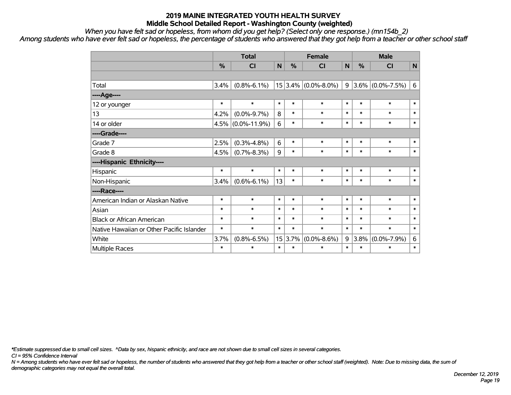*When you have felt sad or hopeless, from whom did you get help? (Select only one response.) (mn154b\_2)*

*Among students who have ever felt sad or hopeless, the percentage of students who answered that they got help from a teacher or other school staff*

|                                           | <b>Total</b><br>%<br>N<br>%<br>CI<br>$(0.8\% - 6.1\%)$<br>3.4%<br>$\ast$<br>$\ast$<br>$\ast$<br>$\ast$<br>8<br>$\ast$<br>4.2%<br>$(0.0\% - 9.7\%)$<br>$\ast$<br>$(0.0\% - 11.9\%)$<br>6<br>4.5%<br>6<br>2.5%<br>$\ast$<br>$(0.3\% - 4.8\%)$<br>9<br>$\ast$<br>$(0.7\% - 8.3\%)$<br>4.5%<br>$\ast$<br>$\ast$<br>$\ast$<br>$\ast$<br>13<br>$\ast$<br>$(0.6\% - 6.1\%)$<br>3.4%<br>$\ast$<br>$\ast$<br>$\ast$<br>$\ast$<br>$\ast$<br>$\ast$<br>$\ast$<br>$\ast$<br>$\ast$<br>$\ast$<br>$\ast$<br>*<br>$\ast$<br>$\ast$<br>$\ast$<br>*<br>15<br>3.7%<br>$(0.8\% - 6.5\%)$ |        |        | <b>Female</b> |                         | <b>Male</b>  |        |                     |              |
|-------------------------------------------|-----------------------------------------------------------------------------------------------------------------------------------------------------------------------------------------------------------------------------------------------------------------------------------------------------------------------------------------------------------------------------------------------------------------------------------------------------------------------------------------------------------------------------------------------------------------------|--------|--------|---------------|-------------------------|--------------|--------|---------------------|--------------|
|                                           |                                                                                                                                                                                                                                                                                                                                                                                                                                                                                                                                                                       |        |        |               | <b>CI</b>               | $\mathsf{N}$ | %      | <b>CI</b>           | $\mathsf{N}$ |
|                                           |                                                                                                                                                                                                                                                                                                                                                                                                                                                                                                                                                                       |        |        |               |                         |              |        |                     |              |
| Total                                     |                                                                                                                                                                                                                                                                                                                                                                                                                                                                                                                                                                       |        |        |               | $15 3.4\% $ (0.0%-8.0%) | 9            |        | $3.6\%$ (0.0%-7.5%) | 6            |
| ----Age----                               |                                                                                                                                                                                                                                                                                                                                                                                                                                                                                                                                                                       |        |        |               |                         |              |        |                     |              |
| 12 or younger                             |                                                                                                                                                                                                                                                                                                                                                                                                                                                                                                                                                                       |        |        |               | $\ast$                  | $\ast$       | $\ast$ | $\ast$              | $\ast$       |
| 13                                        |                                                                                                                                                                                                                                                                                                                                                                                                                                                                                                                                                                       |        |        |               | $\ast$                  | $\ast$       | $\ast$ | $\ast$              | $\ast$       |
| 14 or older                               |                                                                                                                                                                                                                                                                                                                                                                                                                                                                                                                                                                       |        |        |               | $\ast$                  | $\ast$       | $\ast$ | $\ast$              | $\ast$       |
| ----Grade----                             |                                                                                                                                                                                                                                                                                                                                                                                                                                                                                                                                                                       |        |        |               |                         |              |        |                     |              |
| Grade 7                                   |                                                                                                                                                                                                                                                                                                                                                                                                                                                                                                                                                                       |        |        |               | $\ast$                  | $\ast$       | $\ast$ | $\ast$              | $\ast$       |
| Grade 8                                   |                                                                                                                                                                                                                                                                                                                                                                                                                                                                                                                                                                       |        |        |               | $\ast$                  | $\ast$       | $\ast$ | $\ast$              | $\ast$       |
| ----Hispanic Ethnicity----                |                                                                                                                                                                                                                                                                                                                                                                                                                                                                                                                                                                       |        |        |               |                         |              |        |                     |              |
| Hispanic                                  |                                                                                                                                                                                                                                                                                                                                                                                                                                                                                                                                                                       |        |        |               | $\ast$                  | $\ast$       | $\ast$ | $\ast$              | $\ast$       |
| Non-Hispanic                              |                                                                                                                                                                                                                                                                                                                                                                                                                                                                                                                                                                       |        |        |               | $\ast$                  | $\ast$       | $\ast$ | $\ast$              | $\ast$       |
| ----Race----                              |                                                                                                                                                                                                                                                                                                                                                                                                                                                                                                                                                                       |        |        |               |                         |              |        |                     |              |
| American Indian or Alaskan Native         |                                                                                                                                                                                                                                                                                                                                                                                                                                                                                                                                                                       |        |        |               | $\ast$                  | $\ast$       | $\ast$ | $\ast$              | $\ast$       |
| Asian                                     |                                                                                                                                                                                                                                                                                                                                                                                                                                                                                                                                                                       |        |        |               | $\ast$                  | $\ast$       | $\ast$ | $\ast$              | $\ast$       |
| <b>Black or African American</b>          |                                                                                                                                                                                                                                                                                                                                                                                                                                                                                                                                                                       |        |        |               | $\ast$                  | $\ast$       | $\ast$ | $\ast$              | $\ast$       |
| Native Hawaiian or Other Pacific Islander |                                                                                                                                                                                                                                                                                                                                                                                                                                                                                                                                                                       |        |        |               | $\ast$                  | $\ast$       | $\ast$ | $\ast$              | $\ast$       |
| White                                     |                                                                                                                                                                                                                                                                                                                                                                                                                                                                                                                                                                       |        |        | 3.7%          | $(0.0\% - 8.6\%)$       | 9            | 3.8%   | $(0.0\% - 7.9\%)$   | 6            |
| Multiple Races                            | $\ast$                                                                                                                                                                                                                                                                                                                                                                                                                                                                                                                                                                | $\ast$ | $\ast$ | $\ast$        | $\ast$                  | $\ast$       | $\ast$ | $\ast$              | $\ast$       |

*\*Estimate suppressed due to small cell sizes. ^Data by sex, hispanic ethnicity, and race are not shown due to small cell sizes in several categories.*

*CI = 95% Confidence Interval*

*N = Among students who have ever felt sad or hopeless, the number of students who answered that they got help from a teacher or other school staff (weighted). Note: Due to missing data, the sum of demographic categories may not equal the overall total.*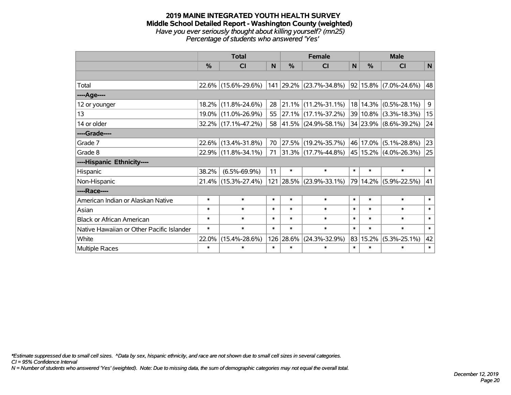#### **2019 MAINE INTEGRATED YOUTH HEALTH SURVEY Middle School Detailed Report - Washington County (weighted)** *Have you ever seriously thought about killing yourself? (mn25) Percentage of students who answered 'Yes'*

|                                           |          | <b>Total</b>        |        |           | <b>Female</b>                                                                                 |        |               | <b>Male</b>           |             |  |  |
|-------------------------------------------|----------|---------------------|--------|-----------|-----------------------------------------------------------------------------------------------|--------|---------------|-----------------------|-------------|--|--|
|                                           | $\%$     | <b>CI</b>           | N      | $\%$      | <b>CI</b>                                                                                     | N      | $\frac{0}{0}$ | <b>CI</b>             | $\mathbf N$ |  |  |
|                                           |          |                     |        |           |                                                                                               |        |               |                       |             |  |  |
| Total                                     |          | 22.6% (15.6%-29.6%) |        |           | $\vert$ 141 $\vert$ 29.2% $\vert$ (23.7%-34.8%) $\vert$ 92 $\vert$ 15.8% $\vert$ (7.0%-24.6%) |        |               |                       | 48          |  |  |
| ----Age----                               |          |                     |        |           |                                                                                               |        |               |                       |             |  |  |
| 12 or younger                             | $18.2\%$ | $(11.8\% - 24.6\%)$ | 28     |           | 21.1% (11.2%-31.1%)                                                                           |        |               | 18 14.3% (0.5%-28.1%) | 9           |  |  |
| 13                                        |          | 19.0% (11.0%-26.9%) | 55     |           | 27.1% (17.1%-37.2%)                                                                           |        |               | 39 10.8% (3.3%-18.3%) | 15          |  |  |
| 14 or older                               |          | 32.2% (17.1%-47.2%) | 58     |           | $ 41.5\% $ (24.9%-58.1%)                                                                      |        |               | 34 23.9% (8.6%-39.2%) | 24          |  |  |
| ----Grade----                             |          |                     |        |           |                                                                                               |        |               |                       |             |  |  |
| Grade 7                                   | 22.6%    | $(13.4\% - 31.8\%)$ | 70     | 27.5%     | $(19.2\% - 35.7\%)$                                                                           |        |               | 46 17.0% (5.1%-28.8%) | 23          |  |  |
| Grade 8                                   |          | 22.9% (11.8%-34.1%) | 71     |           | $ 31.3\% $ (17.7%-44.8%)                                                                      |        |               | 45 15.2% (4.0%-26.3%) | 25          |  |  |
| ----Hispanic Ethnicity----                |          |                     |        |           |                                                                                               |        |               |                       |             |  |  |
| Hispanic                                  | 38.2%    | $(6.5\% - 69.9\%)$  | 11     | $\ast$    | $\ast$                                                                                        | $\ast$ | $\ast$        | $\ast$                | $\ast$      |  |  |
| Non-Hispanic                              |          | 21.4% (15.3%-27.4%) |        |           | 121 28.5% (23.9%-33.1%)                                                                       |        |               | 79 14.2% (5.9%-22.5%) | 41          |  |  |
| ----Race----                              |          |                     |        |           |                                                                                               |        |               |                       |             |  |  |
| American Indian or Alaskan Native         | $\ast$   | $\ast$              | $\ast$ | $\ast$    | $\ast$                                                                                        | $\ast$ | $\ast$        | $\ast$                | $\ast$      |  |  |
| Asian                                     | $\ast$   | $\ast$              | $\ast$ | $\ast$    | $\ast$                                                                                        | $\ast$ | $\ast$        | $\ast$                | $\ast$      |  |  |
| <b>Black or African American</b>          | $\ast$   | $\ast$              | $\ast$ | $\ast$    | $\ast$                                                                                        | $\ast$ | $\ast$        | $\ast$                | $\ast$      |  |  |
| Native Hawaiian or Other Pacific Islander | $\ast$   | $\ast$              | $\ast$ | $\ast$    | $\ast$                                                                                        | $\ast$ | $\ast$        | $\ast$                | $\ast$      |  |  |
| White                                     | 22.0%    | $(15.4\% - 28.6\%)$ |        | 126 28.6% | $(24.3\% - 32.9\%)$                                                                           |        | 83 15.2%      | $(5.3\% - 25.1\%)$    | 42          |  |  |
| <b>Multiple Races</b>                     | $\ast$   | $\ast$              | *      | $\ast$    | $\ast$                                                                                        | $\ast$ | $\ast$        | $\ast$<br>$\ast$      |             |  |  |

*\*Estimate suppressed due to small cell sizes. ^Data by sex, hispanic ethnicity, and race are not shown due to small cell sizes in several categories.*

*CI = 95% Confidence Interval*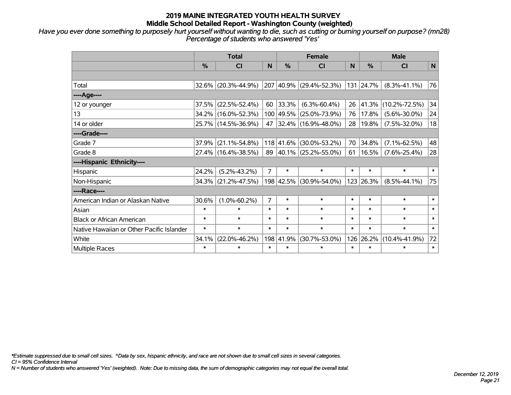*Have you ever done something to purposely hurt yourself without wanting to die, such as cutting or burning yourself on purpose? (mn28) Percentage of students who answered 'Yes'*

|                                           |               | <b>Total</b>        |                |           | <b>Female</b>            |        |           | <b>Male</b>         |        |
|-------------------------------------------|---------------|---------------------|----------------|-----------|--------------------------|--------|-----------|---------------------|--------|
|                                           | $\frac{0}{0}$ | <b>CI</b>           | N              | %         | <b>CI</b>                | N.     | $\%$      | <b>CI</b>           | N      |
|                                           |               |                     |                |           |                          |        |           |                     |        |
| Total                                     |               | 32.6% (20.3%-44.9%) |                |           | 207 40.9% (29.4%-52.3%)  |        | 131 24.7% | $(8.3\% - 41.1\%)$  | 76     |
| ----Age----                               |               |                     |                |           |                          |        |           |                     |        |
| 12 or younger                             | 37.5%         | $(22.5\% - 52.4\%)$ | 60             | 33.3%     | $(6.3\% - 60.4\%)$       | 26     | 41.3%     | $(10.2\% - 72.5\%)$ | 34     |
| 13                                        | 34.2%         | $(16.0\% - 52.3\%)$ |                | 100 49.5% | $(25.0\% - 73.9\%)$      | 76     | 17.8%     | $(5.6\% - 30.0\%)$  | 24     |
| 14 or older                               |               | 25.7% (14.5%-36.9%) | 47             |           | $ 32.4\% $ (16.9%-48.0%) | 28     | 19.8%     | $(7.5\% - 32.0\%)$  | 18     |
| ----Grade----                             |               |                     |                |           |                          |        |           |                     |        |
| Grade 7                                   | 37.9%         | $(21.1\% - 54.8\%)$ |                | 118 41.6% | $(30.0\% - 53.2\%)$      | 70     | 34.8%     | $(7.1\% - 62.5\%)$  | 48     |
| Grade 8                                   |               | 27.4% (16.4%-38.5%) |                |           | 89 40.1% (25.2%-55.0%)   | 61     | 16.5%     | $(7.6\% - 25.4\%)$  | 28     |
| ----Hispanic Ethnicity----                |               |                     |                |           |                          |        |           |                     |        |
| Hispanic                                  | 24.2%         | $(5.2\% - 43.2\%)$  | $\overline{7}$ | $\ast$    | $\ast$                   | $\ast$ | $\ast$    | $\ast$              | $\ast$ |
| Non-Hispanic                              | 34.3%         | $(21.2\% - 47.5\%)$ |                | 198 42.5% | $(30.9\% - 54.0\%)$      |        | 123 26.3% | $(8.5\% - 44.1\%)$  | 75     |
| ----Race----                              |               |                     |                |           |                          |        |           |                     |        |
| American Indian or Alaskan Native         | 30.6%         | $(1.0\% - 60.2\%)$  | $\overline{7}$ | $\ast$    | $\ast$                   | $\ast$ | $\ast$    | $\ast$              | $\ast$ |
| Asian                                     | $\ast$        | $\ast$              | $\ast$         | $\ast$    | $\ast$                   | $\ast$ | $\ast$    | $\ast$              | $\ast$ |
| <b>Black or African American</b>          | $\ast$        | $\ast$              | $\ast$         | $\ast$    | $\ast$                   | $\ast$ | $\ast$    | $\ast$              | $\ast$ |
| Native Hawaiian or Other Pacific Islander | $\ast$        | $\ast$              | $\ast$         | $\ast$    | $\ast$                   | $\ast$ | $\ast$    | $\ast$              | $\ast$ |
| White                                     | 34.1%         | $(22.0\% - 46.2\%)$ |                | 198 41.9% | $(30.7\% - 53.0\%)$      | 126    | 26.2%     | $(10.4\% - 41.9\%)$ | 72     |
| Multiple Races                            | $\ast$        | $\ast$              | $\ast$         | $\ast$    | $\ast$                   | $\ast$ | $\ast$    | $\ast$              | $\ast$ |

*\*Estimate suppressed due to small cell sizes. ^Data by sex, hispanic ethnicity, and race are not shown due to small cell sizes in several categories.*

*CI = 95% Confidence Interval*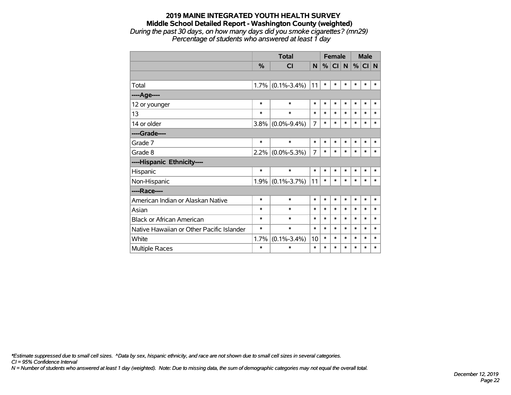#### **2019 MAINE INTEGRATED YOUTH HEALTH SURVEY Middle School Detailed Report - Washington County (weighted)** *During the past 30 days, on how many days did you smoke cigarettes? (mn29) Percentage of students who answered at least 1 day*

|                                           |        | <b>Total</b>        |        |        | <b>Female</b> |        |        | <b>Male</b> |        |
|-------------------------------------------|--------|---------------------|--------|--------|---------------|--------|--------|-------------|--------|
|                                           | %      | <b>CI</b>           | N      | %      | CI            | N      |        | $%$ CI N    |        |
|                                           |        |                     |        |        |               |        |        |             |        |
| Total                                     |        | $1.7\%$ (0.1%-3.4%) | 11     | $\ast$ | *             | $\ast$ | $\ast$ | $\ast$      | $\ast$ |
| ----Age----                               |        |                     |        |        |               |        |        |             |        |
| 12 or younger                             | $\ast$ | $\ast$              | $\ast$ | $\ast$ | $\ast$        | *      | $\ast$ | $\ast$      | $\ast$ |
| 13                                        | $\ast$ | $\ast$              | $\ast$ | $\ast$ | $\ast$        | *      | $\ast$ | $\ast$      | $\ast$ |
| 14 or older                               |        | $3.8\%$ (0.0%-9.4%) | 7      | $\ast$ | $\ast$        | $\ast$ | $\ast$ | $\ast$      | $\ast$ |
| ----Grade----                             |        |                     |        |        |               |        |        |             |        |
| Grade 7                                   | $\ast$ | $\ast$              | $\ast$ | $\ast$ | $\ast$        | *      | *      | $\ast$      | $\ast$ |
| Grade 8                                   |        | $2.2\%$ (0.0%-5.3%) | 7      | $\ast$ | *             | $\ast$ | *      | $\ast$      | $\ast$ |
| ----Hispanic Ethnicity----                |        |                     |        |        |               |        |        |             |        |
| Hispanic                                  | $\ast$ | $\ast$              | $\ast$ | $\ast$ | $\ast$        | $\ast$ | $\ast$ | $\ast$      | $\ast$ |
| Non-Hispanic                              |        | $1.9\%$ (0.1%-3.7%) | 11     | $\ast$ | *             | *      | $\ast$ | $\ast$      | $\ast$ |
| ----Race----                              |        |                     |        |        |               |        |        |             |        |
| American Indian or Alaskan Native         | $\ast$ | $\ast$              | $\ast$ | $\ast$ | $\ast$        | $\ast$ | $\ast$ | $\ast$      | $\ast$ |
| Asian                                     | $\ast$ | $\ast$              | $\ast$ | $\ast$ | $\ast$        | $\ast$ | $\ast$ | $\ast$      | $\ast$ |
| <b>Black or African American</b>          | $\ast$ | $\ast$              | $\ast$ | $\ast$ | $\ast$        | $\ast$ | $\ast$ | $\ast$      | $\ast$ |
| Native Hawaiian or Other Pacific Islander | $\ast$ | $\ast$              | $\ast$ | $\ast$ | $\ast$        | $\ast$ | $\ast$ | $\ast$      | $\ast$ |
| White                                     | 1.7%   | $(0.1\% - 3.4\%)$   | 10     | $\ast$ | $\ast$        | $\ast$ | $\ast$ | *           | $\ast$ |
| <b>Multiple Races</b>                     | $\ast$ | $\ast$              | $\ast$ | $\ast$ | *             | *      | *      | *           | ∗      |

*\*Estimate suppressed due to small cell sizes. ^Data by sex, hispanic ethnicity, and race are not shown due to small cell sizes in several categories.*

*CI = 95% Confidence Interval*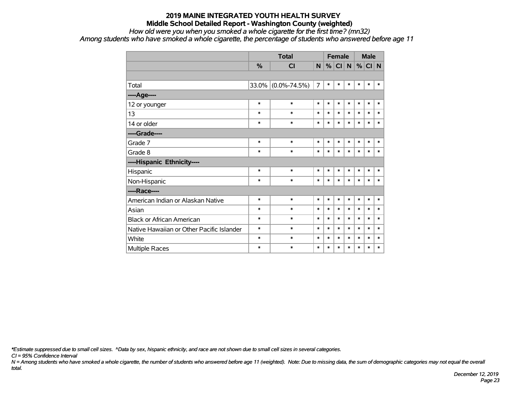*How old were you when you smoked a whole cigarette for the first time? (mn32)*

*Among students who have smoked a whole cigarette, the percentage of students who answered before age 11*

|                                           |        | <b>Total</b>       |                |        | <b>Female</b> |           |        | <b>Male</b> |        |
|-------------------------------------------|--------|--------------------|----------------|--------|---------------|-----------|--------|-------------|--------|
|                                           | %      | CI                 | N              | %      | CI            | ${\sf N}$ | %      | CI N        |        |
|                                           |        |                    |                |        |               |           |        |             |        |
| Total                                     |        | 33.0% (0.0%-74.5%) | $\overline{7}$ | $\ast$ | $\ast$        | $\ast$    | $\ast$ | $\ast$      | $\ast$ |
| ----Age----                               |        |                    |                |        |               |           |        |             |        |
| 12 or younger                             | $\ast$ | $\ast$             | $\ast$         | $\ast$ | $\ast$        | $\ast$    | $\ast$ | $\ast$      | $\ast$ |
| 13                                        | *      | $\ast$             | $\ast$         | $\ast$ | $\ast$        | $\ast$    | $\ast$ | $\ast$      | $\ast$ |
| 14 or older                               | *      | $\ast$             | $\ast$         | $\ast$ | $\ast$        | $\ast$    | *      | $\ast$      | $\ast$ |
| ----Grade----                             |        |                    |                |        |               |           |        |             |        |
| Grade 7                                   | $\ast$ | $\ast$             | $\ast$         | $\ast$ | $\ast$        | $\ast$    | $\ast$ | $\ast$      | $\ast$ |
| Grade 8                                   | $\ast$ | $\ast$             | $\ast$         | $\ast$ | $\ast$        | $\ast$    | $\ast$ | $\ast$      | $\ast$ |
| ----Hispanic Ethnicity----                |        |                    |                |        |               |           |        |             |        |
| Hispanic                                  | $\ast$ | $\ast$             | $\ast$         | $\ast$ | $\ast$        | $\ast$    | $\ast$ | $\ast$      | $\ast$ |
| Non-Hispanic                              | $\ast$ | $\ast$             | $\ast$         | $\ast$ | $\ast$        | $\ast$    | $\ast$ | $\ast$      | $\ast$ |
| ----Race----                              |        |                    |                |        |               |           |        |             |        |
| American Indian or Alaskan Native         | $\ast$ | $\ast$             | $\ast$         | $\ast$ | $\ast$        | $\ast$    | *      | $\ast$      | $\ast$ |
| Asian                                     | $\ast$ | $\ast$             | $\ast$         | $\ast$ | $\ast$        | $\ast$    | $\ast$ | $\ast$      | $\ast$ |
| <b>Black or African American</b>          | *      | $\ast$             | $\ast$         | $\ast$ | $\ast$        | $\ast$    | $\ast$ | $\ast$      | $\ast$ |
| Native Hawaiian or Other Pacific Islander | *      | $\ast$             | $\ast$         | $\ast$ | $\ast$        | $\ast$    | $\ast$ | $\ast$      | $\ast$ |
| White                                     | *      | $\ast$             | $\ast$         | $\ast$ | $\ast$        | $\ast$    | $\ast$ | $\ast$      | $\ast$ |
| <b>Multiple Races</b>                     | $\ast$ | $\ast$             | $\ast$         | $\ast$ | $\ast$        | $\ast$    | $\ast$ | $\ast$      | $\ast$ |

*\*Estimate suppressed due to small cell sizes. ^Data by sex, hispanic ethnicity, and race are not shown due to small cell sizes in several categories.*

*CI = 95% Confidence Interval*

*N = Among students who have smoked a whole cigarette, the number of students who answered before age 11 (weighted). Note: Due to missing data, the sum of demographic categories may not equal the overall total.*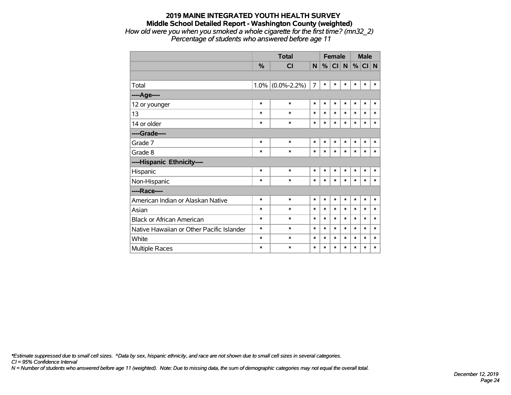#### **2019 MAINE INTEGRATED YOUTH HEALTH SURVEY Middle School Detailed Report - Washington County (weighted)** *How old were you when you smoked a whole cigarette for the first time? (mn32\_2) Percentage of students who answered before age 11*

|                                           |        | <b>Total</b>        |                |        | <b>Female</b>   |        |        | <b>Male</b> |          |
|-------------------------------------------|--------|---------------------|----------------|--------|-----------------|--------|--------|-------------|----------|
|                                           | %      | <b>CI</b>           | N              | %      | Cl <sub>1</sub> | N      |        | $\%$ CI     | <b>N</b> |
|                                           |        |                     |                |        |                 |        |        |             |          |
| Total                                     |        | $1.0\%$ (0.0%-2.2%) | $\overline{7}$ | $\ast$ | $\ast$          | $\ast$ | $\ast$ | $\ast$      | $\ast$   |
| ----Age----                               |        |                     |                |        |                 |        |        |             |          |
| 12 or younger                             | $\ast$ | $\ast$              | *              | $\ast$ | $\ast$          | $\ast$ | $\ast$ | $\ast$      | $\ast$   |
| 13                                        | *      | *                   | *              | $\ast$ | $\ast$          | $\ast$ | $\ast$ | $\ast$      | *        |
| 14 or older                               | $\ast$ | $\ast$              | *              | $\ast$ | $\ast$          | $\ast$ | $\ast$ | $\ast$      | $\ast$   |
| ----Grade----                             |        |                     |                |        |                 |        |        |             |          |
| Grade 7                                   | $\ast$ | $\ast$              | $\ast$         | $\ast$ | $\ast$          | $\ast$ | $\ast$ | *           | *        |
| Grade 8                                   | $\ast$ | *                   | *              | $\ast$ | $\ast$          | $\ast$ | $\ast$ | $\ast$      | $\ast$   |
| ----Hispanic Ethnicity----                |        |                     |                |        |                 |        |        |             |          |
| Hispanic                                  | $\ast$ | $\ast$              | *              | $\ast$ | $\ast$          | $\ast$ | $\ast$ | $\ast$      | $\ast$   |
| Non-Hispanic                              | $\ast$ | $\ast$              | $\ast$         | $\ast$ | $\ast$          | $\ast$ | $\ast$ | *           | $\ast$   |
| ----Race----                              |        |                     |                |        |                 |        |        |             |          |
| American Indian or Alaskan Native         | $\ast$ | $\ast$              | $\ast$         | $\ast$ | $\ast$          | $\ast$ | $\ast$ | $\ast$      | $\ast$   |
| Asian                                     | $\ast$ | $\ast$              | $\ast$         | $\ast$ | $\ast$          | $\ast$ | $\ast$ | $\ast$      | *        |
| <b>Black or African American</b>          | $\ast$ | $\ast$              | $\ast$         | $\ast$ | $\ast$          | $\ast$ | $\ast$ | $\ast$      | $\ast$   |
| Native Hawaiian or Other Pacific Islander | $\ast$ | $\ast$              | $\ast$         | $\ast$ | $\ast$          | $\ast$ | $\ast$ | $\ast$      | $\ast$   |
| White                                     | $\ast$ | $\ast$              | *              | $\ast$ | $\ast$          | $\ast$ | $\ast$ | $\ast$      | $\ast$   |
| Multiple Races                            | *      | $\ast$              | $\ast$         | $\ast$ | $\ast$          | $\ast$ | $\ast$ | $\ast$      | *        |

*\*Estimate suppressed due to small cell sizes. ^Data by sex, hispanic ethnicity, and race are not shown due to small cell sizes in several categories.*

*CI = 95% Confidence Interval*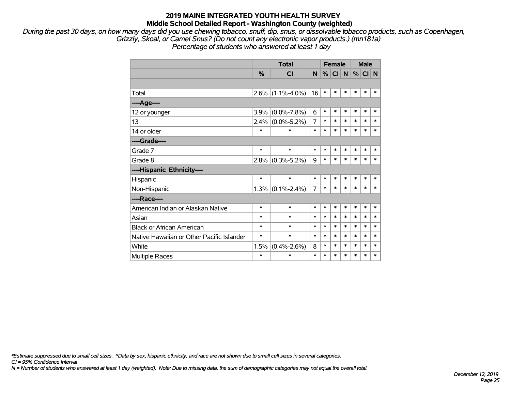*During the past 30 days, on how many days did you use chewing tobacco, snuff, dip, snus, or dissolvable tobacco products, such as Copenhagen, Grizzly, Skoal, or Camel Snus? (Do not count any electronic vapor products.) (mn181a)*

*Percentage of students who answered at least 1 day*

|                                           |         | <b>Total</b>        |        |        | <b>Female</b> |        |        | <b>Male</b> |        |
|-------------------------------------------|---------|---------------------|--------|--------|---------------|--------|--------|-------------|--------|
|                                           | %       | <b>CI</b>           | N      | %      | CI N          |        | $\%$   | CI N        |        |
|                                           |         |                     |        |        |               |        |        |             |        |
| Total                                     |         | $2.6\%$ (1.1%-4.0%) | 16     | $\ast$ | $\ast$        | $\ast$ | $\ast$ | $\ast$      | $\ast$ |
| ----Age----                               |         |                     |        |        |               |        |        |             |        |
| 12 or younger                             | 3.9%    | $(0.0\% - 7.8\%)$   | 6      | $\ast$ | $\ast$        | $\ast$ | $\ast$ | $\ast$      | $\ast$ |
| 13                                        | $2.4\%$ | $(0.0\% - 5.2\%)$   | 7      | $\ast$ | $\ast$        | $\ast$ | $\ast$ | $\ast$      | $\ast$ |
| 14 or older                               | $\ast$  | $\ast$              | $\ast$ | $\ast$ | $\ast$        | $\ast$ | $\ast$ | $\ast$      | $\ast$ |
| ----Grade----                             |         |                     |        |        |               |        |        |             |        |
| Grade 7                                   | $\ast$  | $\ast$              | $\ast$ | $\ast$ | $\ast$        | $\ast$ | $\ast$ | $\ast$      | $\ast$ |
| Grade 8                                   | $2.8\%$ | $(0.3\% - 5.2\%)$   | 9      | $\ast$ | $\ast$        | $\ast$ | $\ast$ | $\ast$      | $\ast$ |
| ----Hispanic Ethnicity----                |         |                     |        |        |               |        |        |             |        |
| Hispanic                                  | $\ast$  | $\ast$              | $\ast$ | $\ast$ | $\ast$        | $\ast$ | $\ast$ | $\ast$      | $\ast$ |
| Non-Hispanic                              |         | $1.3\%$ (0.1%-2.4%) | 7      | $\ast$ | $\ast$        | $\ast$ | $\ast$ | $\ast$      | $\ast$ |
| ----Race----                              |         |                     |        |        |               |        |        |             |        |
| American Indian or Alaskan Native         | $\ast$  | $\ast$              | $\ast$ | $\ast$ | $\ast$        | $\ast$ | $\ast$ | $\ast$      | $\ast$ |
| Asian                                     | $\ast$  | $\ast$              | $\ast$ | $\ast$ | $\ast$        | $\ast$ | $\ast$ | $\ast$      | $\ast$ |
| <b>Black or African American</b>          | ∗       | $\ast$              | $\ast$ | $\ast$ | $\ast$        | $\ast$ | $\ast$ | $\ast$      | $\ast$ |
| Native Hawaiian or Other Pacific Islander | $\ast$  | $\ast$              | $\ast$ | $\ast$ | $\ast$        | $\ast$ | $\ast$ | $\ast$      | *      |
| White                                     | 1.5%    | $(0.4\% - 2.6\%)$   | 8      | $\ast$ | $\ast$        | $\ast$ | $\ast$ | $\ast$      | $\ast$ |
| <b>Multiple Races</b>                     | $\ast$  | $\ast$              | $\ast$ | $\ast$ | *             | $\ast$ | $\ast$ | $\ast$      | $\ast$ |

*\*Estimate suppressed due to small cell sizes. ^Data by sex, hispanic ethnicity, and race are not shown due to small cell sizes in several categories.*

*CI = 95% Confidence Interval*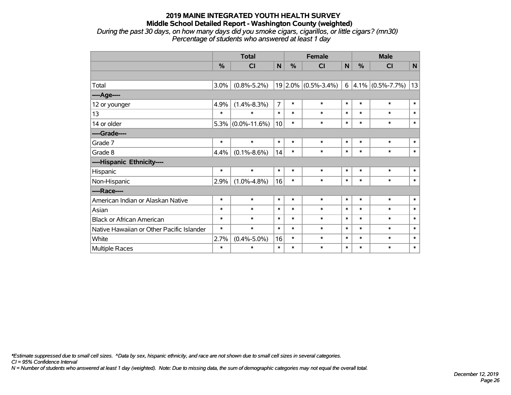*During the past 30 days, on how many days did you smoke cigars, cigarillos, or little cigars? (mn30) Percentage of students who answered at least 1 day*

|                                           |        | <b>Total</b>         |                 | <b>Female</b> |                         | <b>Male</b>  |        |                       |              |
|-------------------------------------------|--------|----------------------|-----------------|---------------|-------------------------|--------------|--------|-----------------------|--------------|
|                                           | %      | CI                   | N               | $\frac{0}{0}$ | <b>CI</b>               | $\mathsf{N}$ | %      | <b>CI</b>             | $\mathsf{N}$ |
|                                           |        |                      |                 |               |                         |              |        |                       |              |
| Total                                     | 3.0%   | $(0.8\% - 5.2\%)$    |                 |               | $19 2.0\% $ (0.5%-3.4%) | 6            |        | $ 4.1\% $ (0.5%-7.7%) | 13           |
| ----Age----                               |        |                      |                 |               |                         |              |        |                       |              |
| 12 or younger                             | 4.9%   | $(1.4\% - 8.3\%)$    | $\overline{7}$  | $\ast$        | $\ast$                  | $\ast$       | $\ast$ | $\ast$                | $\ast$       |
| 13                                        | $\ast$ | $\ast$               | $\ast$          | $\ast$        | $\ast$                  | $\ast$       | $\ast$ | $\ast$                | $\ast$       |
| 14 or older                               |        | $5.3\%$ (0.0%-11.6%) | 10 <sup>1</sup> | $\ast$        | $\ast$                  | $\ast$       | $\ast$ | $\ast$                | $\ast$       |
| ----Grade----                             |        |                      |                 |               |                         |              |        |                       |              |
| Grade 7                                   | $\ast$ | $\ast$               | $\ast$          | $\ast$        | $\ast$                  | $\ast$       | $\ast$ | $\ast$                | $\pmb{\ast}$ |
| Grade 8                                   | 4.4%   | $(0.1\% - 8.6\%)$    | 14              | $\ast$        | $\ast$                  | $\ast$       | $\ast$ | $\ast$                | $\ast$       |
| ----Hispanic Ethnicity----                |        |                      |                 |               |                         |              |        |                       |              |
| Hispanic                                  | $\ast$ | $\ast$               | $\ast$          | $\ast$        | $\ast$                  | $\ast$       | $\ast$ | $\ast$                | $\ast$       |
| Non-Hispanic                              | 2.9%   | $(1.0\% - 4.8\%)$    | 16              | $\ast$        | $\ast$                  | $\ast$       | $\ast$ | $\ast$                | $\ast$       |
| ----Race----                              |        |                      |                 |               |                         |              |        |                       |              |
| American Indian or Alaskan Native         | $\ast$ | $\ast$               | $\ast$          | $\ast$        | $\ast$                  | $\ast$       | $\ast$ | $\ast$                | $\ast$       |
| Asian                                     | $\ast$ | $\ast$               | $\ast$          | $\ast$        | $\ast$                  | $\ast$       | $\ast$ | $\ast$                | $\ast$       |
| <b>Black or African American</b>          | $\ast$ | $\ast$               | $\ast$          | $\ast$        | $\ast$                  | $\ast$       | $\ast$ | $\ast$                | $\ast$       |
| Native Hawaiian or Other Pacific Islander | $\ast$ | $\ast$               | $\ast$          | $\ast$        | $\ast$                  | $\ast$       | $\ast$ | $\ast$                | $\ast$       |
| White                                     | 2.7%   | $(0.4\% - 5.0\%)$    | 16              | $\ast$        | $\ast$                  | $\ast$       | $\ast$ | $\ast$                | $\ast$       |
| Multiple Races                            | $\ast$ | $\ast$               | $\ast$          | $\ast$        | $\ast$                  | $\ast$       | $\ast$ | $\ast$                | $\ast$       |

*\*Estimate suppressed due to small cell sizes. ^Data by sex, hispanic ethnicity, and race are not shown due to small cell sizes in several categories.*

*CI = 95% Confidence Interval*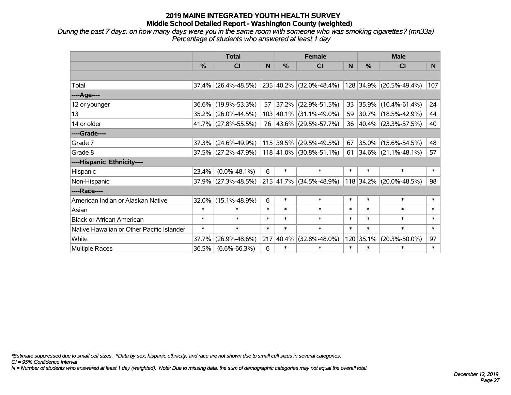*During the past 7 days, on how many days were you in the same room with someone who was smoking cigarettes? (mn33a) Percentage of students who answered at least 1 day*

|                                           | <b>Total</b> |                        |        |             | <b>Female</b>               |        | <b>Male</b> |                         |        |  |
|-------------------------------------------|--------------|------------------------|--------|-------------|-----------------------------|--------|-------------|-------------------------|--------|--|
|                                           | $\%$         | <b>CI</b>              | N      | $\%$        | <b>CI</b>                   | N      | $\%$        | <b>CI</b>               | N      |  |
|                                           |              |                        |        |             |                             |        |             |                         |        |  |
| Total                                     |              | $37.4\%$ (26.4%-48.5%) |        |             | 235 40.2% (32.0%-48.4%)     |        |             | 128 34.9% (20.5%-49.4%) | 107    |  |
| ----Age----                               |              |                        |        |             |                             |        |             |                         |        |  |
| 12 or younger                             | 36.6%        | $(19.9\% - 53.3\%)$    | 57     | $37.2\%$    | $(22.9\% - 51.5\%)$         | 33     | 35.9%       | $(10.4\% - 61.4\%)$     | 24     |  |
| 13                                        |              | 35.2% (26.0%-44.5%)    |        |             | 103 40.1% (31.1%-49.0%)     | 59     |             | 30.7% (18.5%-42.9%)     | 44     |  |
| 14 or older                               |              | 41.7% (27.8%-55.5%)    |        |             | 76 43.6% (29.5%-57.7%)      | 36     |             | $40.4\%$ (23.3%-57.5%)  | 40     |  |
| ----Grade----                             |              |                        |        |             |                             |        |             |                         |        |  |
| Grade 7                                   | 37.3%        | $(24.6\% - 49.9\%)$    |        | $115$ 39.5% | $(29.5\% - 49.5\%)$         | 67     |             | 35.0% (15.6%-54.5%)     | 48     |  |
| Grade 8                                   |              | $37.5\%$ (27.2%-47.9%) |        |             | $118 41.0\% $ (30.8%-51.1%) | 61     |             | $34.6\%$ (21.1%-48.1%)  | 57     |  |
| ----Hispanic Ethnicity----                |              |                        |        |             |                             |        |             |                         |        |  |
| Hispanic                                  | 23.4%        | $(0.0\% - 48.1\%)$     | 6      | $\ast$      | $\ast$                      | $\ast$ | $\ast$      | $\ast$                  | $\ast$ |  |
| Non-Hispanic                              | 37.9%        | $(27.3\% - 48.5\%)$    |        |             | 215 41.7% (34.5%-48.9%)     |        |             | 118 34.2% (20.0%-48.5%) | 98     |  |
| ----Race----                              |              |                        |        |             |                             |        |             |                         |        |  |
| American Indian or Alaskan Native         | 32.0%        | $(15.1\% - 48.9\%)$    | 6      | $\ast$      | $\ast$                      | $\ast$ | $\ast$      | $\ast$                  | $\ast$ |  |
| Asian                                     | $\ast$       | $\ast$                 | $\ast$ | $\ast$      | $\ast$                      | $\ast$ | $\ast$      | $\ast$                  | $\ast$ |  |
| <b>Black or African American</b>          | $\ast$       | $\ast$                 | $\ast$ | $\ast$      | $\ast$                      | $\ast$ | $\ast$      | $\ast$                  | $\ast$ |  |
| Native Hawaiian or Other Pacific Islander | $\ast$       | $\ast$                 | $\ast$ | $\ast$      | $\ast$                      | $\ast$ | $\ast$      | $\ast$                  | $\ast$ |  |
| White                                     | 37.7%        | $(26.9\% - 48.6\%)$    | 217    | $ 40.4\% $  | $(32.8\% - 48.0\%)$         |        | 120 35.1%   | $(20.3\% - 50.0\%)$     | 97     |  |
| <b>Multiple Races</b>                     | 36.5%        | $(6.6\% - 66.3\%)$     | 6      | $\ast$      | $\ast$                      | $\ast$ | $\ast$      | $\ast$                  | $\ast$ |  |

*\*Estimate suppressed due to small cell sizes. ^Data by sex, hispanic ethnicity, and race are not shown due to small cell sizes in several categories.*

*CI = 95% Confidence Interval*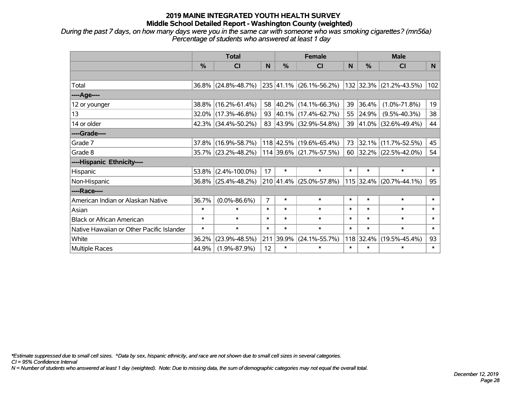*During the past 7 days, on how many days were you in the same car with someone who was smoking cigarettes? (mn56a) Percentage of students who answered at least 1 day*

|                                           | <b>Total</b> |                        |                |               | <b>Female</b>             |        | <b>Male</b> |                         |        |  |
|-------------------------------------------|--------------|------------------------|----------------|---------------|---------------------------|--------|-------------|-------------------------|--------|--|
|                                           | %            | <b>CI</b>              | N              | $\frac{0}{0}$ | <b>CI</b>                 | N      | %           | <b>CI</b>               | N      |  |
|                                           |              |                        |                |               |                           |        |             |                         |        |  |
| Total                                     |              | $36.8\%$ (24.8%-48.7%) |                |               | 235 41.1% (26.1%-56.2%)   |        |             | 132 32.3% (21.2%-43.5%) | 102    |  |
| ----Age----                               |              |                        |                |               |                           |        |             |                         |        |  |
| 12 or younger                             | $38.8\%$     | $(16.2\% - 61.4\%)$    | 58             |               | 40.2% (14.1%-66.3%)       | 39     | 36.4%       | $(1.0\% - 71.8\%)$      | 19     |  |
| 13                                        |              | $32.0\%$ (17.3%-46.8%) | 93             |               | 40.1% (17.4%-62.7%)       | 55     | 24.9%       | $(9.5\% - 40.3\%)$      | 38     |  |
| 14 or older                               |              | $42.3\%$ (34.4%-50.2%) |                |               | 83 43.9% (32.9%-54.8%)    | 39     |             | 41.0% (32.6%-49.4%)     | 44     |  |
| ----Grade----                             |              |                        |                |               |                           |        |             |                         |        |  |
| Grade 7                                   |              | 37.8% (16.9%-58.7%)    |                |               | $118$ 42.5% (19.6%-65.4%) | 73     | 32.1%       | $(11.7\% - 52.5\%)$     | 45     |  |
| Grade 8                                   |              | 35.7% (23.2%-48.2%)    |                |               | $114$ 39.6% (21.7%-57.5%) |        |             | 60 32.2% (22.5%-42.0%)  | 54     |  |
| ----Hispanic Ethnicity----                |              |                        |                |               |                           |        |             |                         |        |  |
| Hispanic                                  | 53.8%        | $(2.4\% - 100.0\%)$    | 17             | $\ast$        | $\ast$                    | $\ast$ | $\ast$      | $\ast$                  | $\ast$ |  |
| Non-Hispanic                              |              | $36.8\%$ (25.4%-48.2%) |                |               | 210 41.4% (25.0%-57.8%)   |        |             | 115 32.4% (20.7%-44.1%) | 95     |  |
| ----Race----                              |              |                        |                |               |                           |        |             |                         |        |  |
| American Indian or Alaskan Native         | 36.7%        | $(0.0\% - 86.6\%)$     | $\overline{7}$ | $\ast$        | $\ast$                    | $\ast$ | $\ast$      | $\ast$                  | $\ast$ |  |
| Asian                                     | $\ast$       | $\ast$                 | $\ast$         | $\ast$        | $\ast$                    | $\ast$ | $\ast$      | $\ast$                  | $\ast$ |  |
| <b>Black or African American</b>          | $\ast$       | $\ast$                 | $\ast$         | $\ast$        | $\ast$                    | $\ast$ | $\ast$      | $\ast$                  | $\ast$ |  |
| Native Hawaiian or Other Pacific Islander | $\ast$       | $\ast$                 | $\ast$         | $\ast$        | $\ast$                    | $\ast$ | $\ast$      | $\ast$                  | $\ast$ |  |
| White                                     | 36.2%        | $(23.9\% - 48.5\%)$    | 211            | 39.9%         | $(24.1\% - 55.7\%)$       | 118    | 32.4%       | $(19.5\% - 45.4\%)$     | 93     |  |
| Multiple Races                            | 44.9%        | $(1.9\% - 87.9\%)$     | 12             | $\ast$        | $\ast$                    | $\ast$ | $\ast$      | $\ast$                  | $\ast$ |  |

*\*Estimate suppressed due to small cell sizes. ^Data by sex, hispanic ethnicity, and race are not shown due to small cell sizes in several categories.*

*CI = 95% Confidence Interval*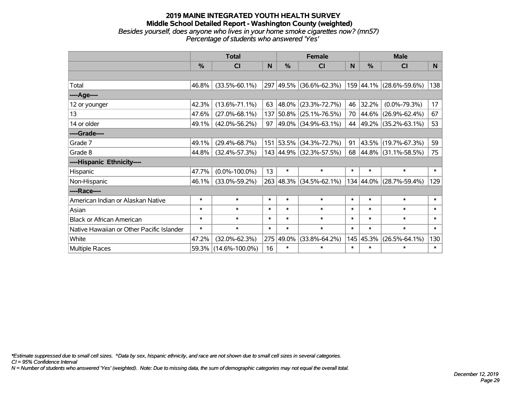#### **2019 MAINE INTEGRATED YOUTH HEALTH SURVEY Middle School Detailed Report - Washington County (weighted)** *Besides yourself, does anyone who lives in your home smoke cigarettes now? (mn57) Percentage of students who answered 'Yes'*

|                                           | <b>Total</b> |                      |        |           | <b>Female</b>           |        | <b>Male</b>   |                          |        |  |
|-------------------------------------------|--------------|----------------------|--------|-----------|-------------------------|--------|---------------|--------------------------|--------|--|
|                                           | %            | CI                   | N      | %         | CI                      | N      | $\frac{0}{0}$ | <b>CI</b>                | N.     |  |
|                                           |              |                      |        |           |                         |        |               |                          |        |  |
| Total                                     | 46.8%        | $(33.5\% - 60.1\%)$  |        |           | 297 49.5% (36.6%-62.3%) |        |               | 159 44.1% (28.6%-59.6%)  | 138    |  |
| ----Age----                               |              |                      |        |           |                         |        |               |                          |        |  |
| 12 or younger                             | 42.3%        | $(13.6\% - 71.1\%)$  | 63     | 48.0%     | $(23.3\% - 72.7\%)$     | 46     | 32.2%         | $(0.0\% - 79.3\%)$       | 17     |  |
| 13                                        | 47.6%        | $(27.0\% - 68.1\%)$  |        | 137 50.8% | $(25.1\% - 76.5\%)$     | 70     |               | $ 44.6\% $ (26.9%-62.4%) | 67     |  |
| 14 or older                               | 49.1%        | $(42.0\% - 56.2\%)$  | 97     |           | 49.0% (34.9%-63.1%)     | 44     |               | $ 49.2\% $ (35.2%-63.1%) | 53     |  |
| ----Grade----                             |              |                      |        |           |                         |        |               |                          |        |  |
| Grade 7                                   | 49.1%        | $(29.4\% - 68.7\%)$  |        | 151 53.5% | $(34.3\% - 72.7\%)$     | 91     |               | 43.5% (19.7%-67.3%)      | 59     |  |
| Grade 8                                   | 44.8%        | $(32.4\% - 57.3\%)$  |        |           | 143 44.9% (32.3%-57.5%) |        |               | 68 44.8% (31.1%-58.5%)   | 75     |  |
| ----Hispanic Ethnicity----                |              |                      |        |           |                         |        |               |                          |        |  |
| Hispanic                                  | 47.7%        | $(0.0\% - 100.0\%)$  | 13     | $\ast$    | $\ast$                  | $\ast$ | $\ast$        | $\ast$                   | $\ast$ |  |
| Non-Hispanic                              | 46.1%        | $(33.0\% - 59.2\%)$  |        | 263 48.3% | $(34.5\% - 62.1\%)$     |        |               | 134 44.0% (28.7%-59.4%)  | 129    |  |
| ----Race----                              |              |                      |        |           |                         |        |               |                          |        |  |
| American Indian or Alaskan Native         | $\ast$       | $\ast$               | $\ast$ | $\ast$    | $\ast$                  | $\ast$ | $\ast$        | $\ast$                   | $\ast$ |  |
| Asian                                     | $\ast$       | $\ast$               | $\ast$ | $\ast$    | $\ast$                  | $\ast$ | $\ast$        | $\ast$                   | $\ast$ |  |
| <b>Black or African American</b>          | $\ast$       | $\ast$               | $\ast$ | $\ast$    | $\ast$                  | $\ast$ | $\ast$        | $\ast$                   | $\ast$ |  |
| Native Hawaiian or Other Pacific Islander | $\ast$       | $\ast$               | $\ast$ | $\ast$    | $\ast$                  | $\ast$ | $\ast$        | $\ast$                   | $\ast$ |  |
| White                                     | 47.2%        | $(32.0\% - 62.3\%)$  | 275    | 49.0%     | $(33.8\% - 64.2\%)$     | 145    | 45.3%         | $(26.5\% - 64.1\%)$      | 130    |  |
| Multiple Races                            | 59.3%        | $(14.6\% - 100.0\%)$ | 16     | $\ast$    | $\ast$                  | $\ast$ | $\ast$        | $\ast$                   | $\ast$ |  |

*\*Estimate suppressed due to small cell sizes. ^Data by sex, hispanic ethnicity, and race are not shown due to small cell sizes in several categories.*

*CI = 95% Confidence Interval*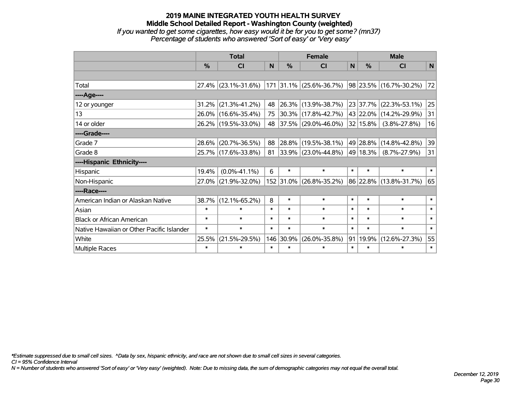#### **2019 MAINE INTEGRATED YOUTH HEALTH SURVEY Middle School Detailed Report - Washington County (weighted)** *If you wanted to get some cigarettes, how easy would it be for you to get some? (mn37) Percentage of students who answered 'Sort of easy' or 'Very easy'*

|                                           | <b>Total</b>  |                     |        |               | <b>Female</b>           |        | <b>Male</b>  |                        |        |  |
|-------------------------------------------|---------------|---------------------|--------|---------------|-------------------------|--------|--------------|------------------------|--------|--|
|                                           | $\frac{0}{0}$ | <b>CI</b>           | N      | $\frac{0}{0}$ | <b>CI</b>               | N      | %            | <b>CI</b>              | N      |  |
|                                           |               |                     |        |               |                         |        |              |                        |        |  |
| Total                                     |               | 27.4% (23.1%-31.6%) | 171    |               | $31.1\%$ (25.6%-36.7%)  |        |              | 98 23.5% (16.7%-30.2%) | 72     |  |
| ----Age----                               |               |                     |        |               |                         |        |              |                        |        |  |
| 12 or younger                             | 31.2%         | $(21.3\% - 41.2\%)$ | 48     |               | 26.3% (13.9%-38.7%)     |        | 23 37.7%     | $(22.3\% - 53.1\%)$    | 25     |  |
| 13                                        |               | 26.0% (16.6%-35.4%) | 75     |               | $30.3\%$ (17.8%-42.7%)  |        |              | 43 22.0% (14.2%-29.9%) | 31     |  |
| 14 or older                               |               | 26.2% (19.5%-33.0%) | 48     |               | 37.5% (29.0%-46.0%)     |        | $32 15.8\% $ | $(3.8\% - 27.8\%)$     | 16     |  |
| ----Grade----                             |               |                     |        |               |                         |        |              |                        |        |  |
| Grade 7                                   | 28.6%         | $(20.7\% - 36.5\%)$ | 88     |               | 28.8% (19.5%-38.1%)     |        |              | 49 28.8% (14.8%-42.8%) | 39     |  |
| Grade 8                                   |               | 25.7% (17.6%-33.8%) | 81     |               | 33.9% (23.0%-44.8%)     |        | 49 18.3%     | $(8.7\% - 27.9\%)$     | 31     |  |
| ----Hispanic Ethnicity----                |               |                     |        |               |                         |        |              |                        |        |  |
| Hispanic                                  | 19.4%         | $(0.0\% - 41.1\%)$  | 6      | $\ast$        | $\ast$                  | $\ast$ | $\ast$       | $\ast$                 | $\ast$ |  |
| Non-Hispanic                              | 27.0%         | $(21.9\% - 32.0\%)$ |        |               | 152 31.0% (26.8%-35.2%) |        |              | 86 22.8% (13.8%-31.7%) | 65     |  |
| ----Race----                              |               |                     |        |               |                         |        |              |                        |        |  |
| American Indian or Alaskan Native         | 38.7%         | $(12.1\% - 65.2\%)$ | 8      | $\ast$        | $\ast$                  | $\ast$ | $\ast$       | $\ast$                 | $\ast$ |  |
| Asian                                     | $\ast$        | $\ast$              | $\ast$ | $\ast$        | $\ast$                  | $\ast$ | $\ast$       | $\ast$                 | $\ast$ |  |
| <b>Black or African American</b>          | $\ast$        | $\ast$              | $\ast$ | $\ast$        | $\ast$                  | $\ast$ | $\ast$       | $\ast$                 | $\ast$ |  |
| Native Hawaiian or Other Pacific Islander | $\ast$        | $\ast$              | $\ast$ | $\ast$        | $\ast$                  | $\ast$ | $\ast$       | $\ast$                 | $\ast$ |  |
| White                                     | 25.5%         | $(21.5\% - 29.5\%)$ |        | 146 30.9%     | $(26.0\% - 35.8\%)$     | 91     | 19.9%        | $(12.6\% - 27.3\%)$    | 55     |  |
| <b>Multiple Races</b>                     | $\ast$        | $\ast$              | $\ast$ | $\ast$        | $\ast$                  | $\ast$ | $\ast$       | $\ast$                 | $\ast$ |  |

*\*Estimate suppressed due to small cell sizes. ^Data by sex, hispanic ethnicity, and race are not shown due to small cell sizes in several categories.*

*CI = 95% Confidence Interval*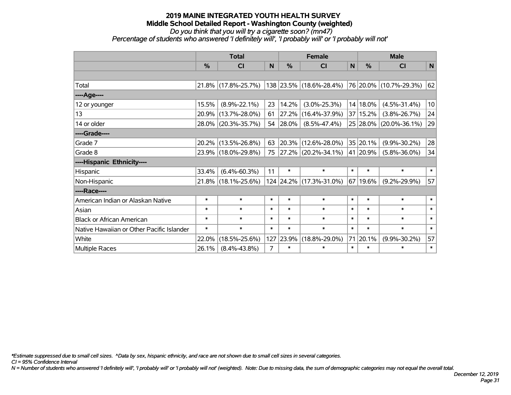*Do you think that you will try a cigarette soon? (mn47) Percentage of students who answered 'I definitely will', 'I probably will' or 'I probably will not'*

|                                           | <b>Total</b>  |                     |                |        | <b>Female</b>            |        | <b>Male</b> |                             |        |  |
|-------------------------------------------|---------------|---------------------|----------------|--------|--------------------------|--------|-------------|-----------------------------|--------|--|
|                                           | $\frac{0}{0}$ | <b>CI</b>           | N              | %      | <b>CI</b>                | N      | $\%$        | <b>CI</b>                   | N      |  |
|                                           |               |                     |                |        |                          |        |             |                             |        |  |
| Total                                     |               | 21.8% (17.8%-25.7%) |                |        | 138 23.5% (18.6%-28.4%)  |        |             | $ 76 20.0\% $ (10.7%-29.3%) | 62     |  |
| ----Age----                               |               |                     |                |        |                          |        |             |                             |        |  |
| 12 or younger                             | 15.5%         | $(8.9\% - 22.1\%)$  | 23             | 14.2%  | $(3.0\% - 25.3\%)$       |        | $14 18.0\%$ | $(4.5\% - 31.4\%)$          | 10     |  |
| 13                                        |               | 20.9% (13.7%-28.0%) | 61             | 27.2%  | $(16.4\% - 37.9\%)$      |        | 37 15.2%    | $(3.8\% - 26.7\%)$          | 24     |  |
| 14 or older                               |               | 28.0% (20.3%-35.7%) | 54             | 28.0%  | $(8.5\% - 47.4\%)$       |        |             | 25 28.0% (20.0%-36.1%)      | 29     |  |
| ----Grade----                             |               |                     |                |        |                          |        |             |                             |        |  |
| Grade 7                                   |               | 20.2% (13.5%-26.8%) | 63             |        | 20.3% (12.6%-28.0%)      |        | 35 20.1%    | $(9.9\% - 30.2\%)$          | 28     |  |
| Grade 8                                   |               | 23.9% (18.0%-29.8%) | 75             |        | $ 27.2\% $ (20.2%-34.1%) |        | 41 20.9%    | $(5.8\% - 36.0\%)$          | 34     |  |
| ----Hispanic Ethnicity----                |               |                     |                |        |                          |        |             |                             |        |  |
| Hispanic                                  | 33.4%         | $(6.4\% - 60.3\%)$  | 11             | $\ast$ | $\ast$                   | $\ast$ | $\ast$      | $\ast$                      | $\ast$ |  |
| Non-Hispanic                              |               | 21.8% (18.1%-25.6%) |                |        | 124 24.2% (17.3%-31.0%)  |        | 67 19.6%    | $(9.2\% - 29.9\%)$          | 57     |  |
| ----Race----                              |               |                     |                |        |                          |        |             |                             |        |  |
| American Indian or Alaskan Native         | $\ast$        | $\ast$              | $\ast$         | $\ast$ | $\ast$                   | $\ast$ | $\ast$      | $\ast$                      | $\ast$ |  |
| Asian                                     | $\ast$        | $\ast$              | $\ast$         | $\ast$ | $\ast$                   | $\ast$ | $\ast$      | $\ast$                      | $\ast$ |  |
| <b>Black or African American</b>          | $\ast$        | $\ast$              | $\ast$         | $\ast$ | $\ast$                   | $\ast$ | $\ast$      | $\ast$                      | $\ast$ |  |
| Native Hawaiian or Other Pacific Islander | $\ast$        | $\ast$              | $\ast$         | $\ast$ | $\ast$                   | $\ast$ | $\ast$      | $\ast$                      | $\ast$ |  |
| White                                     | 22.0%         | $(18.5\% - 25.6\%)$ | 127            | 23.9%  | $(18.8\% - 29.0\%)$      | 71     | 20.1%       | $(9.9\% - 30.2\%)$          | 57     |  |
| Multiple Races                            | 26.1%         | $(8.4\% - 43.8\%)$  | $\overline{7}$ | $\ast$ | $\ast$                   | $\ast$ | $\ast$      | $\ast$                      | $\ast$ |  |

*\*Estimate suppressed due to small cell sizes. ^Data by sex, hispanic ethnicity, and race are not shown due to small cell sizes in several categories.*

*CI = 95% Confidence Interval*

*N = Number of students who answered 'I definitely will', 'I probably will' or 'I probably will not' (weighted). Note: Due to missing data, the sum of demographic categories may not equal the overall total.*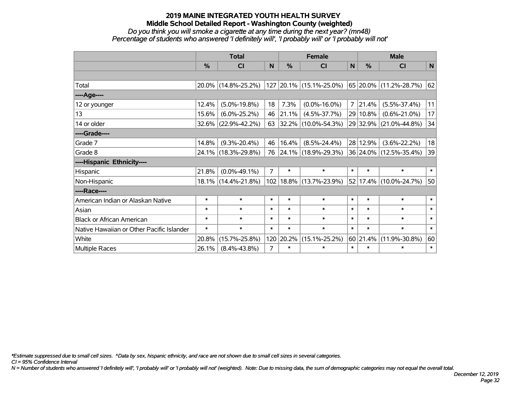#### *Do you think you will smoke a cigarette at any time during the next year? (mn48) Percentage of students who answered 'I definitely will', 'I probably will' or 'I probably will not'*

|                                           | <b>Total</b>  |                     |                |               | <b>Female</b>                       |                | <b>Male</b>   |                        |              |  |
|-------------------------------------------|---------------|---------------------|----------------|---------------|-------------------------------------|----------------|---------------|------------------------|--------------|--|
|                                           | $\frac{0}{0}$ | <b>CI</b>           | N              | $\frac{0}{0}$ | <b>CI</b>                           | N              | $\frac{0}{0}$ | <b>CI</b>              | $\mathsf{N}$ |  |
|                                           |               |                     |                |               |                                     |                |               |                        |              |  |
| Total                                     |               | 20.0% (14.8%-25.2%) | 127            |               | $\vert$ 20.1% $\vert$ (15.1%-25.0%) |                |               | 65 20.0% (11.2%-28.7%) | 62           |  |
| ----Age----                               |               |                     |                |               |                                     |                |               |                        |              |  |
| 12 or younger                             | 12.4%         | $(5.0\% - 19.8\%)$  | 18             | 7.3%          | $(0.0\% - 16.0\%)$                  | $\overline{7}$ | 21.4%         | $(5.5\% - 37.4\%)$     | 11           |  |
| 13                                        | 15.6%         | $(6.0\% - 25.2\%)$  | 46             | 21.1%         | $(4.5\% - 37.7\%)$                  |                | 29 10.8%      | $(0.6\% - 21.0\%)$     | 17           |  |
| 14 or older                               | $32.6\%$      | $(22.9\% - 42.2\%)$ | 63             |               | 32.2% (10.0%-54.3%)                 |                |               | 29 32.9% (21.0%-44.8%) | 34           |  |
| ----Grade----                             |               |                     |                |               |                                     |                |               |                        |              |  |
| Grade 7                                   | 14.8%         | $(9.3\% - 20.4\%)$  | 46             | 16.4%         | $(8.5\% - 24.4\%)$                  |                | 28 12.9%      | $(3.6\% - 22.2\%)$     | 18           |  |
| Grade 8                                   |               | 24.1% (18.3%-29.8%) | 76             |               | $ 24.1\% $ (18.9%-29.3%)            |                |               | 36 24.0% (12.5%-35.4%) | 39           |  |
| ----Hispanic Ethnicity----                |               |                     |                |               |                                     |                |               |                        |              |  |
| Hispanic                                  | 21.8%         | $(0.0\% - 49.1\%)$  | $\overline{7}$ | $\ast$        | $\ast$                              | $\ast$         | $\ast$        | $\ast$                 | $\ast$       |  |
| Non-Hispanic                              |               | 18.1% (14.4%-21.8%) |                |               | 102   18.8%   (13.7%-23.9%)         |                |               | 52 17.4% (10.0%-24.7%) | 50           |  |
| ----Race----                              |               |                     |                |               |                                     |                |               |                        |              |  |
| American Indian or Alaskan Native         | $\ast$        | $\ast$              | $\ast$         | $\ast$        | $\ast$                              | $\ast$         | $\ast$        | $\ast$                 | $\ast$       |  |
| Asian                                     | $\ast$        | $\ast$              | $\ast$         | $\ast$        | $\ast$                              | $\ast$         | $\ast$        | $\ast$                 | $\ast$       |  |
| <b>Black or African American</b>          | $\ast$        | $\ast$              | $\ast$         | $\ast$        | $\ast$                              | $\ast$         | $\ast$        | $\ast$                 | $\ast$       |  |
| Native Hawaiian or Other Pacific Islander | $\ast$        | $\ast$              | $\ast$         | $\ast$        | $\ast$                              | $\ast$         | $\ast$        | $\ast$                 | $\ast$       |  |
| White                                     | 20.8%         | $(15.7\% - 25.8\%)$ | 120            | 20.2%         | $(15.1\% - 25.2\%)$                 |                | 60 21.4%      | $(11.9\% - 30.8\%)$    | 60           |  |
| <b>Multiple Races</b>                     | 26.1%         | $(8.4\% - 43.8\%)$  | $\overline{7}$ | $\ast$        | $\ast$                              | $\ast$         | $\ast$        | $\ast$                 | $\ast$       |  |

*\*Estimate suppressed due to small cell sizes. ^Data by sex, hispanic ethnicity, and race are not shown due to small cell sizes in several categories.*

*CI = 95% Confidence Interval*

*N = Number of students who answered 'I definitely will', 'I probably will' or 'I probably will not' (weighted). Note: Due to missing data, the sum of demographic categories may not equal the overall total.*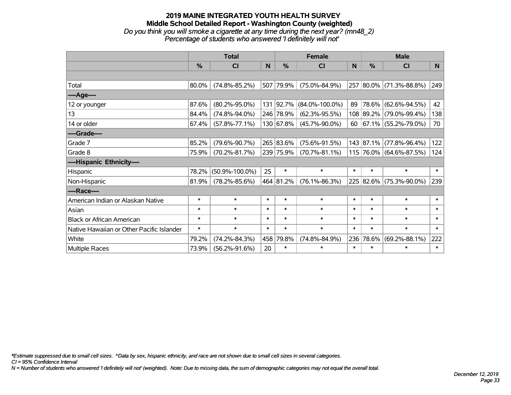#### **2019 MAINE INTEGRATED YOUTH HEALTH SURVEY Middle School Detailed Report - Washington County (weighted)** *Do you think you will smoke a cigarette at any time during the next year? (mn48\_2) Percentage of students who answered 'I definitely will not'*

|                                           | <b>Total</b>  |                      |        |           | <b>Female</b>        | <b>Male</b> |           |                             |        |
|-------------------------------------------|---------------|----------------------|--------|-----------|----------------------|-------------|-----------|-----------------------------|--------|
|                                           | $\frac{0}{0}$ | C <sub>l</sub>       | N      | %         | CI                   | N           | %         | <b>CI</b>                   | N      |
|                                           |               |                      |        |           |                      |             |           |                             |        |
| Total                                     | 80.0%         | $(74.8\% - 85.2\%)$  |        | 507 79.9% | $(75.0\% - 84.9\%)$  |             |           | 257 80.0% (71.3%-88.8%)     | 249    |
| ----Age----                               |               |                      |        |           |                      |             |           |                             |        |
| 12 or younger                             | 87.6%         | $(80.2\% - 95.0\%)$  |        | 131 92.7% | $(84.0\% - 100.0\%)$ | 89          |           | 78.6% (62.6%-94.5%)         | 42     |
| 13                                        | 84.4%         | $(74.8\% - 94.0\%)$  |        | 246 78.9% | $(62.3\% - 95.5\%)$  |             |           | 108 89.2% (79.0%-99.4%)     | 138    |
| 14 or older                               | 67.4%         | $(57.8\% - 77.1\%)$  |        | 130 67.8% | $(45.7\% - 90.0\%)$  |             |           | 60 $ 67.1\% $ (55.2%-79.0%) | 70     |
| ----Grade----                             |               |                      |        |           |                      |             |           |                             |        |
| Grade 7                                   | 85.2%         | $(79.6\% - 90.7\%)$  |        | 265 83.6% | $(75.6\% - 91.5\%)$  |             | 143 87.1% | $(77.8\% - 96.4\%)$         | 122    |
| Grade 8                                   | 75.9%         | $(70.2\% - 81.7\%)$  |        | 239 75.9% | $(70.7\% - 81.1\%)$  |             |           | 115 76.0% (64.6%-87.5%)     | 124    |
| ----Hispanic Ethnicity----                |               |                      |        |           |                      |             |           |                             |        |
| Hispanic                                  | 78.2%         | $(50.9\% - 100.0\%)$ | 25     | $\ast$    | $\ast$               | $\ast$      | $\ast$    | $\ast$                      | $\ast$ |
| Non-Hispanic                              | 81.9%         | $(78.2\% - 85.6\%)$  |        | 464 81.2% | $(76.1\% - 86.3\%)$  |             |           | 225 82.6% (75.3%-90.0%)     | 239    |
| ----Race----                              |               |                      |        |           |                      |             |           |                             |        |
| American Indian or Alaskan Native         | $\ast$        | $\ast$               | $\ast$ | $\ast$    | $\ast$               | $\ast$      | $\ast$    | $\ast$                      | $\ast$ |
| Asian                                     | $\ast$        | $\ast$               | $\ast$ | $\ast$    | $\ast$               | $\ast$      | $\ast$    | $\ast$                      | $\ast$ |
| <b>Black or African American</b>          | $\ast$        | $\ast$               | $\ast$ | $\ast$    | $\ast$               | $\ast$      | $\ast$    | $\ast$                      | $\ast$ |
| Native Hawaiian or Other Pacific Islander | $\ast$        | $\ast$               | $\ast$ | $\ast$    | $\ast$               | $\ast$      | $\ast$    | $\ast$                      | $\ast$ |
| White                                     | 79.2%         | $(74.2\% - 84.3\%)$  | 458    | 79.8%     | $(74.8\% - 84.9\%)$  | 236         | 78.6%     | $(69.2\% - 88.1\%)$         | 222    |
| <b>Multiple Races</b>                     | 73.9%         | $(56.2\% - 91.6\%)$  | 20     | $\ast$    | $\ast$               | $\ast$      | $\ast$    | $\ast$                      | $\ast$ |

*\*Estimate suppressed due to small cell sizes. ^Data by sex, hispanic ethnicity, and race are not shown due to small cell sizes in several categories.*

*CI = 95% Confidence Interval*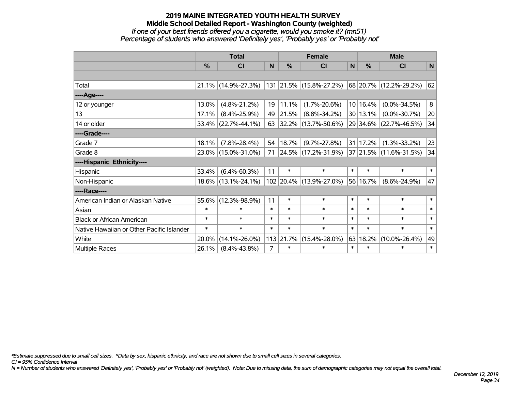#### **2019 MAINE INTEGRATED YOUTH HEALTH SURVEY Middle School Detailed Report - Washington County (weighted)** *If one of your best friends offered you a cigarette, would you smoke it? (mn51) Percentage of students who answered 'Definitely yes', 'Probably yes' or 'Probably not'*

|                                           | <b>Total</b>  |                                             |                |               | <b>Female</b>           |        | <b>Male</b> |                            |             |  |
|-------------------------------------------|---------------|---------------------------------------------|----------------|---------------|-------------------------|--------|-------------|----------------------------|-------------|--|
|                                           | $\frac{9}{6}$ | <b>CI</b>                                   | N              | $\frac{0}{0}$ | <b>CI</b>               | N      | $\%$        | <b>CI</b>                  | $\mathbf N$ |  |
|                                           |               |                                             |                |               |                         |        |             |                            |             |  |
| Total                                     |               | 21.1% (14.9%-27.3%) 131 21.5% (15.8%-27.2%) |                |               |                         |        |             | 68   20.7%   (12.2%-29.2%) | 62          |  |
| ----Age----                               |               |                                             |                |               |                         |        |             |                            |             |  |
| 12 or younger                             | 13.0%         | $(4.8\% - 21.2\%)$                          | 19             | 11.1%         | $(1.7\% - 20.6\%)$      |        | 10 16.4%    | $(0.0\% - 34.5\%)$         | 8           |  |
| 13                                        | 17.1%         | $(8.4\% - 25.9\%)$                          | 49             | 21.5%         | $(8.8\% - 34.2\%)$      |        | 30 13.1%    | $(0.0\% - 30.7\%)$         | 20          |  |
| 14 or older                               |               | $33.4\%$ (22.7%-44.1%)                      | 63             |               | 32.2% (13.7%-50.6%)     |        |             | 29 34.6% (22.7%-46.5%)     | 34          |  |
| ----Grade----                             |               |                                             |                |               |                         |        |             |                            |             |  |
| Grade 7                                   | 18.1%         | $(7.8\% - 28.4\%)$                          | 54             | 18.7%         | $(9.7\% - 27.8\%)$      |        | 31 17.2%    | $(1.3\% - 33.2\%)$         | 23          |  |
| Grade 8                                   |               | 23.0% (15.0%-31.0%)                         | 71             |               | 24.5% (17.2%-31.9%)     |        |             | 37 21.5% (11.6%-31.5%)     | 34          |  |
| ----Hispanic Ethnicity----                |               |                                             |                |               |                         |        |             |                            |             |  |
| Hispanic                                  | 33.4%         | $(6.4\% - 60.3\%)$                          | 11             | $\ast$        | $\ast$                  | $\ast$ | $\ast$      | $\ast$                     | $\ast$      |  |
| Non-Hispanic                              |               | 18.6% (13.1%-24.1%)                         |                |               | 102 20.4% (13.9%-27.0%) |        | 56 16.7%    | $(8.6\% - 24.9\%)$         | 47          |  |
| ----Race----                              |               |                                             |                |               |                         |        |             |                            |             |  |
| American Indian or Alaskan Native         | 55.6%         | $(12.3\% - 98.9\%)$                         | 11             | $\ast$        | $\ast$                  | $\ast$ | $\ast$      | $\ast$                     | $\ast$      |  |
| Asian                                     | $\ast$        | $\ast$                                      | $\ast$         | $\ast$        | $\ast$                  | $\ast$ | $\ast$      | $\ast$                     | $\ast$      |  |
| <b>Black or African American</b>          | $\ast$        | $\ast$                                      | $\ast$         | $\ast$        | $\ast$                  | $\ast$ | $\ast$      | $\ast$                     | $\ast$      |  |
| Native Hawaiian or Other Pacific Islander | $\ast$        | $\ast$                                      | $\ast$         | $\ast$        | $\ast$                  | $\ast$ | $\ast$      | $\ast$                     | $\ast$      |  |
| White                                     | 20.0%         | $(14.1\% - 26.0\%)$                         | 113            | 21.7%         | $(15.4\% - 28.0\%)$     | 63     | 18.2%       | $(10.0\% - 26.4\%)$        | 49          |  |
| <b>Multiple Races</b>                     | 26.1%         | $(8.4\% - 43.8\%)$                          | $\overline{7}$ | $\ast$        | $\ast$                  | $\ast$ | $\ast$      | $\ast$                     | $\ast$      |  |

*\*Estimate suppressed due to small cell sizes. ^Data by sex, hispanic ethnicity, and race are not shown due to small cell sizes in several categories.*

*CI = 95% Confidence Interval*

*N = Number of students who answered 'Definitely yes', 'Probably yes' or 'Probably not' (weighted). Note: Due to missing data, the sum of demographic categories may not equal the overall total.*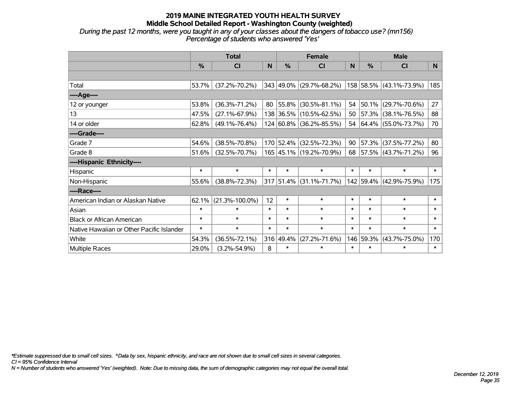#### **2019 MAINE INTEGRATED YOUTH HEALTH SURVEY Middle School Detailed Report - Washington County (weighted)** *During the past 12 months, were you taught in any of your classes about the dangers of tobacco use? (mn156)*

*Percentage of students who answered 'Yes'*

|                                           |               | <b>Total</b>         |        | <b>Female</b> |                         | <b>Male</b> |               |                          |        |
|-------------------------------------------|---------------|----------------------|--------|---------------|-------------------------|-------------|---------------|--------------------------|--------|
|                                           | $\frac{0}{0}$ | CI                   | N      | $\frac{0}{0}$ | <b>CI</b>               | N           | $\frac{0}{0}$ | <b>CI</b>                | N      |
|                                           |               |                      |        |               |                         |             |               |                          |        |
| Total                                     | 53.7%         | $(37.2\% - 70.2\%)$  |        |               | 343 49.0% (29.7%-68.2%) |             |               | 158 58.5% (43.1%-73.9%)  | 185    |
| ----Age----                               |               |                      |        |               |                         |             |               |                          |        |
| 12 or younger                             | 53.8%         | $(36.3\% - 71.2\%)$  | 80     | $ 55.8\% $    | $(30.5\% - 81.1\%)$     | 54          | 50.1%         | $(29.7\% - 70.6\%)$      | 27     |
| 13                                        | 47.5%         | $(27.1\% - 67.9\%)$  |        |               | 138 36.5% (10.5%-62.5%) | 50          |               | 57.3% (38.1%-76.5%)      | 88     |
| 14 or older                               | 62.8%         | $(49.1\% - 76.4\%)$  |        |               | 124 60.8% (36.2%-85.5%) | 54          |               | $ 64.4\% $ (55.0%-73.7%) | 70     |
| ----Grade----                             |               |                      |        |               |                         |             |               |                          |        |
| Grade 7                                   | 54.6%         | $(38.5\% - 70.8\%)$  |        |               | 170 52.4% (32.5%-72.3%) | 90          |               | 57.3% (37.5%-77.2%)      | 80     |
| Grade 8                                   | 51.6%         | $(32.5\% - 70.7\%)$  |        |               | 165 45.1% (19.2%-70.9%) | 68          |               | $ 57.5\% $ (43.7%-71.2%) | 96     |
| ----Hispanic Ethnicity----                |               |                      |        |               |                         |             |               |                          |        |
| Hispanic                                  | $\ast$        | $\ast$               | $\ast$ | $\ast$        | $\ast$                  | $\ast$      | $\ast$        | $\ast$                   | $\ast$ |
| Non-Hispanic                              | 55.6%         | $(38.8\% - 72.3\%)$  |        |               | 317 51.4% (31.1%-71.7%) |             |               | 142 59.4% (42.9%-75.9%)  | 175    |
| ----Race----                              |               |                      |        |               |                         |             |               |                          |        |
| American Indian or Alaskan Native         | 62.1%         | $(21.3\% - 100.0\%)$ | 12     | $\ast$        | $\ast$                  | $\ast$      | $\ast$        | $\ast$                   | $\ast$ |
| Asian                                     | $\ast$        | $\ast$               | $\ast$ | $\ast$        | $\ast$                  | $\ast$      | $\ast$        | $\ast$                   | $\ast$ |
| <b>Black or African American</b>          | $\ast$        | $\ast$               | $\ast$ | $\ast$        | $\ast$                  | $\ast$      | $\ast$        | $\ast$                   | $\ast$ |
| Native Hawaiian or Other Pacific Islander | $\ast$        | $\ast$               | $\ast$ | $\ast$        | $\ast$                  | $\ast$      | $\ast$        | $\ast$                   | $\ast$ |
| White                                     | 54.3%         | $(36.5\% - 72.1\%)$  |        | 316 49.4%     | $(27.2\% - 71.6\%)$     |             | 146 59.3%     | $(43.7\% - 75.0\%)$      | 170    |
| Multiple Races                            | 29.0%         | $(3.2\% - 54.9\%)$   | 8      | $\ast$        | $\ast$                  | $\ast$      | $\ast$        | $\ast$                   | $\ast$ |

*\*Estimate suppressed due to small cell sizes. ^Data by sex, hispanic ethnicity, and race are not shown due to small cell sizes in several categories.*

*CI = 95% Confidence Interval*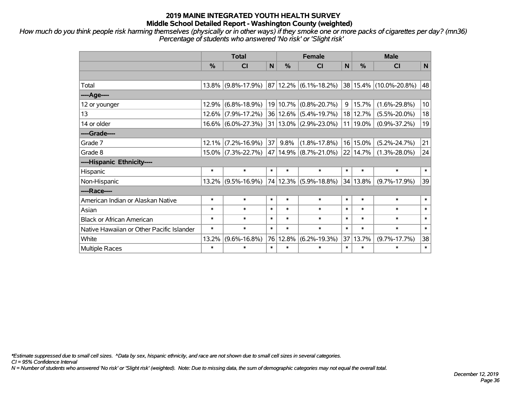*How much do you think people risk harming themselves (physically or in other ways) if they smoke one or more packs of cigarettes per day? (mn36) Percentage of students who answered 'No risk' or 'Slight risk'*

|                                           |        | <b>Total</b>          |        | <b>Female</b> |                                     | <b>Male</b> |               |                        |        |
|-------------------------------------------|--------|-----------------------|--------|---------------|-------------------------------------|-------------|---------------|------------------------|--------|
|                                           | %      | <b>CI</b>             | N      | %             | <b>CI</b>                           | N           | $\frac{0}{0}$ | <b>CI</b>              | N      |
|                                           |        |                       |        |               |                                     |             |               |                        |        |
| Total                                     |        | 13.8% (9.8%-17.9%)    |        |               | $ 87 12.2\%  (6.1\% - 18.2\%)$      |             |               | 38 15.4% (10.0%-20.8%) | 48     |
| ---- Age----                              |        |                       |        |               |                                     |             |               |                        |        |
| 12 or younger                             | 12.9%  | $(6.8\% - 18.9\%)$    |        | 19 10.7%      | $(0.8\% - 20.7\%)$                  | 9           | 15.7%         | $(1.6\% - 29.8\%)$     | 10     |
| 13                                        |        | $12.6\%$ (7.9%-17.2%) |        |               | 36 12.6% (5.4%-19.7%)               |             | 18 12.7%      | $(5.5\% - 20.0\%)$     | 18     |
| 14 or older                               |        | $16.6\%$ (6.0%-27.3%) |        |               | 31   13.0%   (2.9%-23.0%)           |             | 11 19.0%      | $(0.9\% - 37.2\%)$     | 19     |
| ----Grade----                             |        |                       |        |               |                                     |             |               |                        |        |
| Grade 7                                   | 12.1%  | $(7.2\% - 16.9\%)$    | 37     | 9.8%          | $(1.8\% - 17.8\%)$                  |             | 16 15.0%      | $(5.2\% - 24.7\%)$     | 21     |
| Grade 8                                   |        | 15.0% (7.3%-22.7%)    |        |               | $ 47 14.9\% $ (8.7%-21.0%) 22 14.7% |             |               | $(1.3\% - 28.0\%)$     | 24     |
| ----Hispanic Ethnicity----                |        |                       |        |               |                                     |             |               |                        |        |
| Hispanic                                  | $\ast$ | $\ast$                | $\ast$ | $\ast$        | $\ast$                              | $\ast$      | $\ast$        | $\ast$                 | $\ast$ |
| Non-Hispanic                              |        | $13.2\%$ (9.5%-16.9%) |        |               | 74 12.3% (5.9%-18.8%)               |             | 34 13.8%      | $(9.7\% - 17.9\%)$     | 39     |
| ----Race----                              |        |                       |        |               |                                     |             |               |                        |        |
| American Indian or Alaskan Native         | $\ast$ | $\ast$                | $\ast$ | $\ast$        | $\ast$                              | $\ast$      | $\ast$        | $\ast$                 | $\ast$ |
| Asian                                     | $\ast$ | $\ast$                | $\ast$ | $\ast$        | $\ast$                              | $\ast$      | $\ast$        | $\ast$                 | $\ast$ |
| <b>Black or African American</b>          | $\ast$ | $\ast$                | $\ast$ | $\ast$        | $\ast$                              | $\ast$      | $\ast$        | $\ast$                 | $\ast$ |
| Native Hawaiian or Other Pacific Islander | $\ast$ | $\ast$                | $\ast$ | $\ast$        | $\ast$                              | $\ast$      | $\ast$        | $\ast$                 | $\ast$ |
| White                                     | 13.2%  | $(9.6\% - 16.8\%)$    |        | 76 12.8%      | $(6.2\% - 19.3\%)$                  | 37          | 13.7%         | $(9.7\% - 17.7\%)$     | 38     |
| Multiple Races                            | $\ast$ | $\ast$                | $\ast$ | $\ast$        | $\ast$                              | $\ast$      | $\ast$        | $\ast$                 | $\ast$ |

*\*Estimate suppressed due to small cell sizes. ^Data by sex, hispanic ethnicity, and race are not shown due to small cell sizes in several categories.*

*CI = 95% Confidence Interval*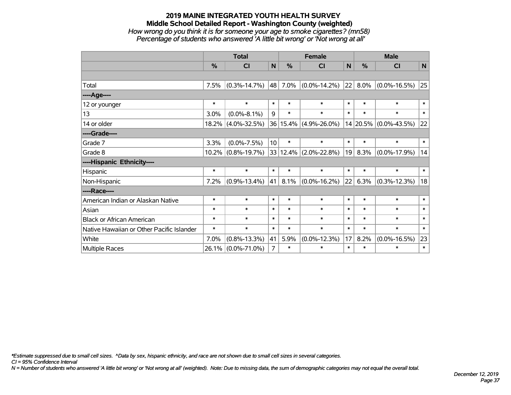### **2019 MAINE INTEGRATED YOUTH HEALTH SURVEY Middle School Detailed Report - Washington County (weighted)** *How wrong do you think it is for someone your age to smoke cigarettes? (mn58) Percentage of students who answered 'A little bit wrong' or 'Not wrong at all'*

|                                           | <b>Total</b> |                    |                 |               | <b>Female</b>         |        | <b>Male</b> |                    |        |  |
|-------------------------------------------|--------------|--------------------|-----------------|---------------|-----------------------|--------|-------------|--------------------|--------|--|
|                                           | %            | CI                 | N               | $\frac{0}{0}$ | <b>CI</b>             | N      | $\%$        | <b>CI</b>          | N      |  |
|                                           |              |                    |                 |               |                       |        |             |                    |        |  |
| Total                                     | 7.5%         | $(0.3\% - 14.7\%)$ | 48              | 7.0%          | $(0.0\% - 14.2\%)$    | 22     | 8.0%        | $(0.0\% - 16.5\%)$ | 25     |  |
| ----Age----                               |              |                    |                 |               |                       |        |             |                    |        |  |
| 12 or younger                             | $\ast$       | $\ast$             | $\ast$          | $\ast$        | $\ast$                | $\ast$ | $\ast$      | $\ast$             | $\ast$ |  |
| 13                                        | 3.0%         | $(0.0\% - 8.1\%)$  | 9               | $\ast$        | $\ast$                | $\ast$ | $\ast$      | $\ast$             | $\ast$ |  |
| 14 or older                               | 18.2%        | $(4.0\% - 32.5\%)$ |                 |               | 36 15.4% (4.9%-26.0%) |        | 14 20.5%    | $(0.0\% - 43.5\%)$ | 22     |  |
| ----Grade----                             |              |                    |                 |               |                       |        |             |                    |        |  |
| Grade 7                                   | 3.3%         | $(0.0\% - 7.5\%)$  | 10 <sup>1</sup> | $\ast$        | $\ast$                | $\ast$ | $\ast$      | $\ast$             | $\ast$ |  |
| Grade 8                                   | 10.2%        | $(0.8\% - 19.7\%)$ |                 |               | 33 12.4% (2.0%-22.8%) | 19     | 8.3%        | $(0.0\% - 17.9\%)$ | 14     |  |
| ----Hispanic Ethnicity----                |              |                    |                 |               |                       |        |             |                    |        |  |
| Hispanic                                  | $\ast$       | $\ast$             | $\ast$          | $\ast$        | $\ast$                | $\ast$ | $\ast$      | $\ast$             | $\ast$ |  |
| Non-Hispanic                              | 7.2%         | $(0.9\% - 13.4\%)$ | 41              | 8.1%          | $(0.0\% - 16.2\%)$    | 22     | 6.3%        | $(0.3\% - 12.3\%)$ | 18     |  |
| ----Race----                              |              |                    |                 |               |                       |        |             |                    |        |  |
| American Indian or Alaskan Native         | $\ast$       | $\ast$             | $\ast$          | $\ast$        | $\ast$                | $\ast$ | $\ast$      | $\ast$             | $\ast$ |  |
| Asian                                     | $\ast$       | $\ast$             | $\ast$          | $\ast$        | $\ast$                | $\ast$ | $\ast$      | $\ast$             | $\ast$ |  |
| <b>Black or African American</b>          | $\ast$       | $\ast$             | $\ast$          | $\ast$        | $\ast$                | $\ast$ | $\ast$      | $\ast$             | $\ast$ |  |
| Native Hawaiian or Other Pacific Islander | $\ast$       | $\ast$             | $\ast$          | $\ast$        | $\ast$                | $\ast$ | $\ast$      | $\ast$             | $\ast$ |  |
| White                                     | 7.0%         | $(0.8\% - 13.3\%)$ | 41              | 5.9%          | $(0.0\% - 12.3\%)$    | 17     | 8.2%        | $(0.0\% - 16.5\%)$ | 23     |  |
| <b>Multiple Races</b>                     | 26.1%        | $(0.0\% - 71.0\%)$ | 7               | $\ast$        | $\ast$                | $\ast$ | $\ast$      | $\ast$             | $\ast$ |  |

*\*Estimate suppressed due to small cell sizes. ^Data by sex, hispanic ethnicity, and race are not shown due to small cell sizes in several categories.*

*CI = 95% Confidence Interval*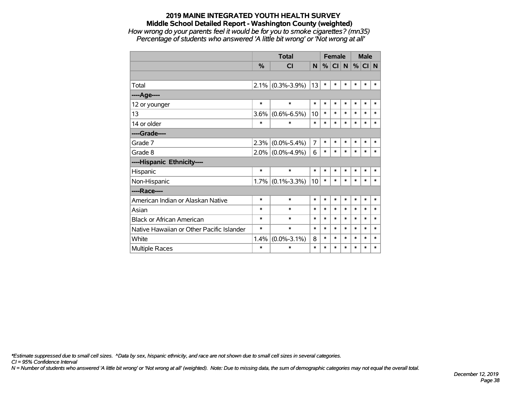*How wrong do your parents feel it would be for you to smoke cigarettes? (mn35) Percentage of students who answered 'A little bit wrong' or 'Not wrong at all'*

|                                           |               | <b>Total</b>        |                |        | <b>Female</b> |        | <b>Male</b> |        |        |
|-------------------------------------------|---------------|---------------------|----------------|--------|---------------|--------|-------------|--------|--------|
|                                           | $\frac{9}{6}$ | <b>CI</b>           | N              | %      | CI N          |        | $\%$        | CI N   |        |
|                                           |               |                     |                |        |               |        |             |        |        |
| Total                                     |               | $2.1\%$ (0.3%-3.9%) | 13             | $\ast$ | $\ast$        | $\ast$ | $\ast$      | $\ast$ | $\ast$ |
| ----Age----                               |               |                     |                |        |               |        |             |        |        |
| 12 or younger                             | $\ast$        | $\ast$              | $\ast$         | $\ast$ | $\ast$        | $\ast$ | $\ast$      | $\ast$ | $\ast$ |
| 13                                        | 3.6%          | $(0.6\% - 6.5\%)$   | 10             | $\ast$ | $\ast$        | $\ast$ | $\ast$      | $\ast$ | $\ast$ |
| 14 or older                               | $\ast$        | $\ast$              | $\ast$         | $\ast$ | $\ast$        | $\ast$ | $\ast$      | $\ast$ | $\ast$ |
| ----Grade----                             |               |                     |                |        |               |        |             |        |        |
| Grade 7                                   | 2.3%          | $(0.0\% - 5.4\%)$   | $\overline{7}$ | $\ast$ | $\ast$        | $\ast$ | *           | $\ast$ | $\ast$ |
| Grade 8                                   |               | $2.0\%$ (0.0%-4.9%) | 6              | $\ast$ | $\ast$        | $\ast$ | *           | $\ast$ | $\ast$ |
| ----Hispanic Ethnicity----                |               |                     |                |        |               |        |             |        |        |
| Hispanic                                  | $\ast$        | $\ast$              | $\ast$         | $\ast$ | *             | *      | *           | $\ast$ | $\ast$ |
| Non-Hispanic                              |               | $1.7\%$ (0.1%-3.3%) | 10             | $\ast$ | $\ast$        | *      | *           | $\ast$ | *      |
| ----Race----                              |               |                     |                |        |               |        |             |        |        |
| American Indian or Alaskan Native         | $\ast$        | $\ast$              | $\ast$         | $\ast$ | $\ast$        | $\ast$ | $\ast$      | $\ast$ | $\ast$ |
| Asian                                     | $\ast$        | $\ast$              | $\ast$         | $\ast$ | $\ast$        | $\ast$ | $\ast$      | $\ast$ | $\ast$ |
| <b>Black or African American</b>          | $\ast$        | $\ast$              | $\ast$         | $\ast$ | $\ast$        | $\ast$ | $\ast$      | $\ast$ | $\ast$ |
| Native Hawaiian or Other Pacific Islander | $\ast$        | $\ast$              | $\ast$         | $\ast$ | $\ast$        | $\ast$ | $\ast$      | $\ast$ | $\ast$ |
| White                                     | 1.4%          | $(0.0\% - 3.1\%)$   | 8              | $\ast$ | $\ast$        | $\ast$ | $\ast$      | $\ast$ | $\ast$ |
| <b>Multiple Races</b>                     | $\ast$        | $\ast$              | $\ast$         | $\ast$ | *             | $\ast$ | $\ast$      | $\ast$ | *      |

*\*Estimate suppressed due to small cell sizes. ^Data by sex, hispanic ethnicity, and race are not shown due to small cell sizes in several categories.*

*CI = 95% Confidence Interval*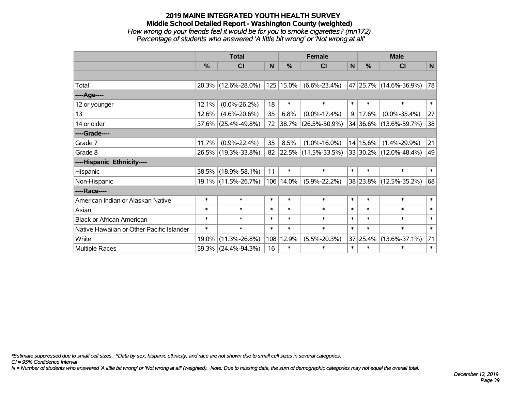### **2019 MAINE INTEGRATED YOUTH HEALTH SURVEY Middle School Detailed Report - Washington County (weighted)** *How wrong do your friends feel it would be for you to smoke cigarettes? (mn172) Percentage of students who answered 'A little bit wrong' or 'Not wrong at all'*

|                                           | <b>Total</b>  |                        |        | <b>Female</b> |                     | <b>Male</b> |               |                        |        |
|-------------------------------------------|---------------|------------------------|--------|---------------|---------------------|-------------|---------------|------------------------|--------|
|                                           | $\frac{0}{0}$ | CI                     | N      | %             | C <sub>1</sub>      | N           | $\frac{0}{0}$ | <b>CI</b>              | N      |
|                                           |               |                        |        |               |                     |             |               |                        |        |
| Total                                     |               | 20.3% (12.6%-28.0%)    |        | 125 15.0%     | $(6.6\% - 23.4\%)$  |             |               | 47 25.7% (14.6%-36.9%) | 78     |
| ----Age----                               |               |                        |        |               |                     |             |               |                        |        |
| 12 or younger                             | 12.1%         | $(0.0\% - 26.2\%)$     | 18     | $\ast$        | $\ast$              | $\ast$      | $\ast$        | $\ast$                 | $\ast$ |
| 13                                        | 12.6%         | $(4.6\% - 20.6\%)$     | 35     | 6.8%          | $(0.0\% - 17.4\%)$  | 9           | 17.6%         | $(0.0\% - 35.4\%)$     | 27     |
| 14 or older                               |               | $37.6\%$ (25.4%-49.8%) | 72     | 38.7%         | $(26.5\% - 50.9\%)$ |             |               | 34 36.6% (13.6%-59.7%) | 38     |
| ----Grade----                             |               |                        |        |               |                     |             |               |                        |        |
| Grade 7                                   | 11.7%         | $(0.9\% - 22.4\%)$     | 35     | 8.5%          | $(1.0\% - 16.0\%)$  |             | 14 15.6%      | $(1.4\% - 29.9\%)$     | 21     |
| Grade 8                                   |               | 26.5% (19.3%-33.8%)    | 82     |               | 22.5% (11.5%-33.5%) |             |               | 33 30.2% (12.0%-48.4%) | 49     |
| ----Hispanic Ethnicity----                |               |                        |        |               |                     |             |               |                        |        |
| Hispanic                                  | 38.5%         | $(18.9\% - 58.1\%)$    | 11     | $\ast$        | $\ast$              | $\ast$      | $\ast$        | $\ast$                 | $\ast$ |
| Non-Hispanic                              |               | 19.1% (11.5%-26.7%)    |        | 106 14.0%     | $(5.9\% - 22.2\%)$  |             |               | 38 23.8% (12.5%-35.2%) | 68     |
| ----Race----                              |               |                        |        |               |                     |             |               |                        |        |
| American Indian or Alaskan Native         | $\ast$        | $\ast$                 | $\ast$ | $\ast$        | $\ast$              | $\ast$      | $\ast$        | $\ast$                 | $\ast$ |
| Asian                                     | $\ast$        | $\ast$                 | $\ast$ | $\ast$        | $\ast$              | $\ast$      | $\ast$        | $\ast$                 | $\ast$ |
| <b>Black or African American</b>          | $\ast$        | $\ast$                 | $\ast$ | $\ast$        | $\ast$              | $\ast$      | $\ast$        | $\ast$                 | $\ast$ |
| Native Hawaiian or Other Pacific Islander | $\ast$        | $\ast$                 | $\ast$ | $\ast$        | $\ast$              | $\ast$      | $\ast$        | $\ast$                 | $\ast$ |
| White                                     | 19.0%         | $(11.3\% - 26.8\%)$    | 108    | 12.9%         | $(5.5\% - 20.3\%)$  |             | 37 25.4%      | $(13.6\% - 37.1\%)$    | 71     |
| Multiple Races                            |               | 59.3% (24.4%-94.3%)    | 16     | $\ast$        | $\ast$              | $\ast$      | $\ast$        | $\ast$                 | $\ast$ |

*\*Estimate suppressed due to small cell sizes. ^Data by sex, hispanic ethnicity, and race are not shown due to small cell sizes in several categories.*

*CI = 95% Confidence Interval*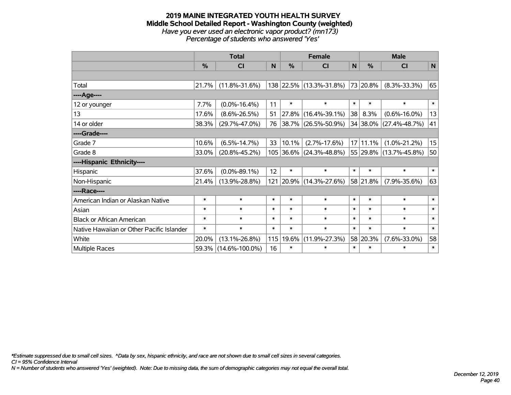#### **2019 MAINE INTEGRATED YOUTH HEALTH SURVEY Middle School Detailed Report - Washington County (weighted)** *Have you ever used an electronic vapor product? (mn173) Percentage of students who answered 'Yes'*

|                                           | <b>Total</b> |                      |        | <b>Female</b> |                         | <b>Male</b> |               |                            |        |
|-------------------------------------------|--------------|----------------------|--------|---------------|-------------------------|-------------|---------------|----------------------------|--------|
|                                           | %            | <b>CI</b>            | N      | $\frac{0}{0}$ | <b>CI</b>               | $\mathbf N$ | $\frac{0}{0}$ | <b>CI</b>                  | N      |
|                                           |              |                      |        |               |                         |             |               |                            |        |
| Total                                     | 21.7%        | $(11.8\% - 31.6\%)$  |        |               | 138 22.5% (13.3%-31.8%) |             | 73 20.8%      | $(8.3\% - 33.3\%)$         | 65     |
| ----Age----                               |              |                      |        |               |                         |             |               |                            |        |
| 12 or younger                             | 7.7%         | $(0.0\% - 16.4\%)$   | 11     | $\ast$        | $\ast$                  | $\ast$      | $\ast$        | $\ast$                     | $\ast$ |
| 13                                        | 17.6%        | $(8.6\% - 26.5\%)$   | 51     |               | 27.8% (16.4%-39.1%)     | 38          | 8.3%          | $(0.6\% - 16.0\%)$         | 13     |
| 14 or older                               | 38.3%        | $(29.7\% - 47.0\%)$  | 76     |               | 38.7% (26.5%-50.9%)     |             | 34 38.0%      | $(27.4\% - 48.7\%)$        | 41     |
| ----Grade----                             |              |                      |        |               |                         |             |               |                            |        |
| Grade 7                                   | 10.6%        | $(6.5\% - 14.7\%)$   | 33     | 10.1%         | $(2.7\% - 17.6\%)$      |             | 17 11.1%      | $(1.0\% - 21.2\%)$         | 15     |
| Grade 8                                   | 33.0%        | $(20.8\% - 45.2\%)$  |        |               | 105 36.6% (24.3%-48.8%) |             |               | 55   29.8%   (13.7%-45.8%) | 50     |
| ----Hispanic Ethnicity----                |              |                      |        |               |                         |             |               |                            |        |
| Hispanic                                  | 37.6%        | $(0.0\% - 89.1\%)$   | 12     | $\ast$        | $\ast$                  | $\ast$      | $\ast$        | $\ast$                     | $\ast$ |
| Non-Hispanic                              | 21.4%        | $(13.9\% - 28.8\%)$  |        |               | 121 20.9% (14.3%-27.6%) |             | 58 21.8%      | $(7.9\% - 35.6\%)$         | 63     |
| ----Race----                              |              |                      |        |               |                         |             |               |                            |        |
| American Indian or Alaskan Native         | $\ast$       | $\ast$               | $\ast$ | $\ast$        | $\ast$                  | $\ast$      | $\ast$        | $\ast$                     | $\ast$ |
| Asian                                     | $\ast$       | $\ast$               | $\ast$ | $\ast$        | $\ast$                  | $\ast$      | $\ast$        | $\ast$                     | $\ast$ |
| <b>Black or African American</b>          | $\ast$       | $\ast$               | $\ast$ | $\ast$        | $\ast$                  | $\ast$      | $\ast$        | $\ast$                     | $\ast$ |
| Native Hawaiian or Other Pacific Islander | $\ast$       | $\ast$               | $\ast$ | $\ast$        | $\ast$                  | $\ast$      | $\ast$        | $\ast$                     | $\ast$ |
| White                                     | 20.0%        | $(13.1\% - 26.8\%)$  | 115    | 19.6%         | $(11.9\% - 27.3\%)$     |             | 58 20.3%      | $(7.6\% - 33.0\%)$         | 58     |
| <b>Multiple Races</b>                     | 59.3%        | $(14.6\% - 100.0\%)$ | 16     | $\ast$        | $\ast$                  | $\ast$      | $\ast$        | $\ast$                     | $\ast$ |

*\*Estimate suppressed due to small cell sizes. ^Data by sex, hispanic ethnicity, and race are not shown due to small cell sizes in several categories.*

*CI = 95% Confidence Interval*

*N = Number of students who answered 'Yes' (weighted). Note: Due to missing data, the sum of demographic categories may not equal the overall total.*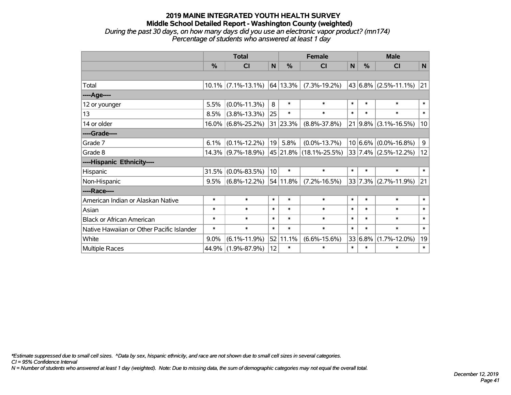### **2019 MAINE INTEGRATED YOUTH HEALTH SURVEY Middle School Detailed Report - Washington County (weighted)** *During the past 30 days, on how many days did you use an electronic vapor product? (mn174) Percentage of students who answered at least 1 day*

|                                           | <b>Total</b> |                       |        |          | <b>Female</b>          |              | <b>Male</b> |                                 |             |  |
|-------------------------------------------|--------------|-----------------------|--------|----------|------------------------|--------------|-------------|---------------------------------|-------------|--|
|                                           | %            | CI                    | N      | %        | <b>CI</b>              | $\mathsf{N}$ | %           | <b>CI</b>                       | $\mathbf N$ |  |
|                                           |              |                       |        |          |                        |              |             |                                 |             |  |
| Total                                     |              | $10.1\%$ (7.1%-13.1%) |        | 64 13.3% | $(7.3\% - 19.2\%)$     |              |             | 43 6.8% (2.5%-11.1%)            | 21          |  |
| ----Age----                               |              |                       |        |          |                        |              |             |                                 |             |  |
| 12 or younger                             | 5.5%         | $(0.0\% - 11.3\%)$    | 8      | $\ast$   | $\ast$                 | $\ast$       | $\ast$      | $\ast$                          | $\ast$      |  |
| 13                                        | 8.5%         | $(3.8\% - 13.3\%)$    | 25     | $\ast$   | $\ast$                 | $\ast$       | $\ast$      | $\ast$                          | $\ast$      |  |
| 14 or older                               | $16.0\%$     | $(6.8\% - 25.2\%)$    |        | 31 23.3% | $(8.8\% - 37.8\%)$     |              |             | $21   9.8\%   (3.1\% - 16.5\%)$ | 10          |  |
| ----Grade----                             |              |                       |        |          |                        |              |             |                                 |             |  |
| Grade 7                                   | 6.1%         | $(0.1\% - 12.2\%)$    | 19     | 5.8%     | $(0.0\% - 13.7\%)$     |              |             | $10 6.6\% $ (0.0%-16.8%)        | 9           |  |
| Grade 8                                   |              | $14.3\%$ (9.7%-18.9%) |        |          | 45 21.8% (18.1%-25.5%) |              |             | $33   7.4\%   (2.5\% - 12.2\%)$ | 12          |  |
| ----Hispanic Ethnicity----                |              |                       |        |          |                        |              |             |                                 |             |  |
| Hispanic                                  | 31.5%        | $(0.0\% - 83.5\%)$    | 10     | $\ast$   | $\ast$                 | $\ast$       | $\ast$      | $\ast$                          | $\ast$      |  |
| Non-Hispanic                              | 9.5%         | $(6.8\% - 12.2\%)$    |        | 54 11.8% | $(7.2\% - 16.5\%)$     |              |             | $33 7.3\% $ (2.7%-11.9%)        | 21          |  |
| ----Race----                              |              |                       |        |          |                        |              |             |                                 |             |  |
| American Indian or Alaskan Native         | $\ast$       | $\ast$                | $\ast$ | $\ast$   | $\ast$                 | $\ast$       | $\ast$      | $\ast$                          | $\ast$      |  |
| Asian                                     | $\ast$       | $\ast$                | $\ast$ | $\ast$   | $\ast$                 | $\ast$       | $\ast$      | $\ast$                          | $\ast$      |  |
| <b>Black or African American</b>          | $\ast$       | $\ast$                | $\ast$ | $\ast$   | $\ast$                 | $\ast$       | $\ast$      | $\ast$                          | $\ast$      |  |
| Native Hawaiian or Other Pacific Islander | $\ast$       | $\ast$                | $\ast$ | $\ast$   | $\ast$                 | $\ast$       | $\ast$      | $\ast$                          | $\ast$      |  |
| White                                     | 9.0%         | $(6.1\% - 11.9\%)$    |        | 52 11.1% | $(6.6\% - 15.6\%)$     |              | 33 6.8%     | $(1.7\% - 12.0\%)$              | 19          |  |
| <b>Multiple Races</b>                     | 44.9%        | $(1.9\% - 87.9\%)$    | 12     | $\ast$   | $\ast$                 | $\ast$       | $\ast$      | $\ast$                          | $\ast$      |  |

*\*Estimate suppressed due to small cell sizes. ^Data by sex, hispanic ethnicity, and race are not shown due to small cell sizes in several categories.*

*CI = 95% Confidence Interval*

*N = Number of students who answered at least 1 day (weighted). Note: Due to missing data, the sum of demographic categories may not equal the overall total.*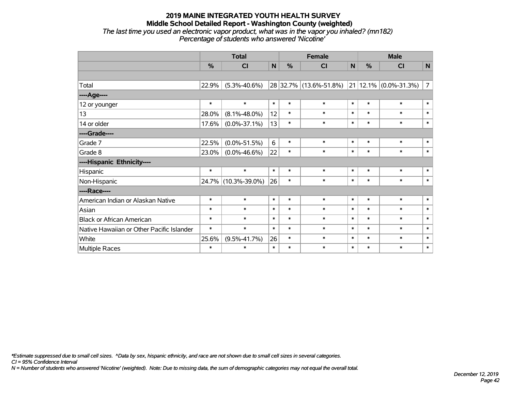## **2019 MAINE INTEGRATED YOUTH HEALTH SURVEY Middle School Detailed Report - Washington County (weighted)** *The last time you used an electronic vapor product, what was in the vapor you inhaled? (mn182)*

|   | Percentage of students who answered 'Nicotine' |   |               |  |             |   |  |   |
|---|------------------------------------------------|---|---------------|--|-------------|---|--|---|
|   | Total                                          |   | <b>Female</b> |  | <b>Male</b> |   |  |   |
| % |                                                | N | %             |  | N           | % |  | N |
|   |                                                |   |               |  |             |   |  |   |

| 22.9%  | $(5.3\% - 40.6\%)$ |                     |        |                |        |        |        | 7 <sup>1</sup>                                       |
|--------|--------------------|---------------------|--------|----------------|--------|--------|--------|------------------------------------------------------|
|        |                    |                     |        |                |        |        |        |                                                      |
| $\ast$ | $\ast$             | $\ast$              | $\ast$ | $\ast$         | $\ast$ | $\ast$ | $\ast$ | $\ast$                                               |
| 28.0%  | $(8.1\% - 48.0\%)$ | 12                  | $\ast$ | $\ast$         | $\ast$ | $\ast$ | $\ast$ | $\ast$                                               |
| 17.6%  | $(0.0\% - 37.1\%)$ |                     | $\ast$ | $\ast$         | $\ast$ | $\ast$ | $\ast$ | $\ast$                                               |
|        |                    |                     |        |                |        |        |        |                                                      |
| 22.5%  | $(0.0\% - 51.5\%)$ | 6                   | $\ast$ | $\ast$         | $\ast$ | $\ast$ | $\ast$ | $\ast$                                               |
| 23.0%  | $(0.0\% - 46.6\%)$ | 22                  | $\ast$ | $\ast$         | $\ast$ | $\ast$ | $\ast$ | $\ast$                                               |
|        |                    |                     |        |                |        |        |        |                                                      |
| $\ast$ | $\ast$             | $\ast$              | $\ast$ | $\ast$         | $\ast$ | $\ast$ | $\ast$ | $\ast$                                               |
|        |                    |                     | $\ast$ | $\ast$         | $\ast$ | $\ast$ | $\ast$ | $\ast$                                               |
|        |                    |                     |        |                |        |        |        |                                                      |
| $\ast$ | $\ast$             | $\ast$              | $\ast$ | $\ast$         | $\ast$ | $\ast$ | $\ast$ | $\ast$                                               |
| $\ast$ | $\ast$             | $\ast$              | $\ast$ | $\ast$         | $\ast$ | $\ast$ | $\ast$ | $\ast$                                               |
| $\ast$ | $\ast$             | $\ast$              | $\ast$ | $\ast$         | $\ast$ | $\ast$ | $\ast$ | $\ast$                                               |
| $\ast$ | $\ast$             | $\ast$              | $\ast$ | $\ast$         | $\ast$ | $\ast$ | $\ast$ | $\ast$                                               |
| 25.6%  | $(9.5\% - 41.7\%)$ |                     | $\ast$ | $\ast$         | $\ast$ | $\ast$ | $\ast$ | $\ast$                                               |
| $\ast$ | $\ast$             | $\ast$              | $\ast$ | $\ast$         | $\ast$ | $\ast$ | $\ast$ | $\ast$                                               |
|        |                    | 24.7% (10.3%-39.0%) |        | 13<br>26<br>26 |        |        |        | $\vert$ 28 32.7% (13.6%-51.8%) 21 12.1% (0.0%-31.3%) |

*\*Estimate suppressed due to small cell sizes. ^Data by sex, hispanic ethnicity, and race are not shown due to small cell sizes in several categories.*

*CI = 95% Confidence Interval*

*N = Number of students who answered 'Nicotine' (weighted). Note: Due to missing data, the sum of demographic categories may not equal the overall total.*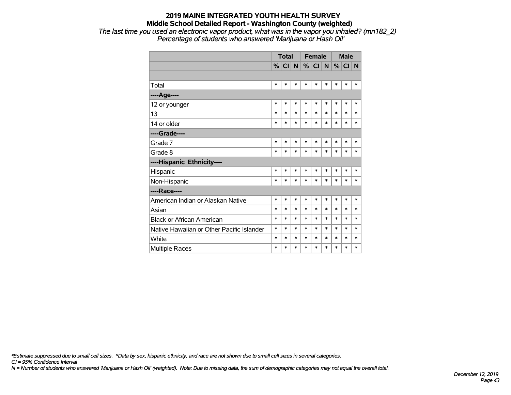*The last time you used an electronic vapor product, what was in the vapor you inhaled? (mn182\_2) Percentage of students who answered 'Marijuana or Hash Oil'*

|                                           |        | <b>Total</b> |        |        | <b>Female</b> |        |        | <b>Male</b> |        |
|-------------------------------------------|--------|--------------|--------|--------|---------------|--------|--------|-------------|--------|
|                                           |        | % CI N       |        |        | %  CI  N      |        | %      | CI N        |        |
|                                           |        |              |        |        |               |        |        |             |        |
| Total                                     | $\ast$ | *            | $\ast$ | $\ast$ | $\ast$        | *      | $\ast$ | $\ast$      | $\ast$ |
| ----Age----                               |        |              |        |        |               |        |        |             |        |
| 12 or younger                             | $\ast$ | *            | $\ast$ | $\ast$ | $\ast$        | $\ast$ | $\ast$ | $\ast$      | $\ast$ |
| 13                                        | $\ast$ | $\ast$       | $\ast$ | $\ast$ | $\ast$        | $\ast$ | $\ast$ | $\ast$      | $\ast$ |
| 14 or older                               | $\ast$ | *            | $\ast$ | $\ast$ | $\ast$        | $\ast$ | $\ast$ | *           | $\ast$ |
| ----Grade----                             |        |              |        |        |               |        |        |             |        |
| Grade 7                                   | $\ast$ | *            | $\ast$ | $\ast$ | $\ast$        | $\ast$ | *      | $\ast$      | *      |
| Grade 8                                   | ∗      | *            | $\ast$ | $\ast$ | $\ast$        | *      | $\ast$ | *           | *      |
| ----Hispanic Ethnicity----                |        |              |        |        |               |        |        |             |        |
| Hispanic                                  | $\ast$ | $\ast$       | $\ast$ | $\ast$ | $\ast$        | $\ast$ | $\ast$ | $\ast$      | *      |
| Non-Hispanic                              | $\ast$ | $\ast$       | $\ast$ | $\ast$ | $\ast$        | $\ast$ | $\ast$ | *           | *      |
| ----Race----                              |        |              |        |        |               |        |        |             |        |
| American Indian or Alaskan Native         | $\ast$ | $\ast$       | $\ast$ | $\ast$ | $\ast$        | $\ast$ | $\ast$ | $\ast$      | $\ast$ |
| Asian                                     | $\ast$ | $\ast$       | $\ast$ | $\ast$ | $\ast$        | $\ast$ | *      | $\ast$      | $\ast$ |
| <b>Black or African American</b>          | $\ast$ | *            | $\ast$ | $\ast$ | $\ast$        | $\ast$ | $\ast$ | $\ast$      | $\ast$ |
| Native Hawaiian or Other Pacific Islander | $\ast$ | $\ast$       | $\ast$ | $\ast$ | $\ast$        | $\ast$ | $\ast$ | $\ast$      | $\ast$ |
| White                                     | $\ast$ | *            | $\ast$ | *      | $\ast$        | $\ast$ | $\ast$ | *           | $\ast$ |
| <b>Multiple Races</b>                     | $\ast$ | $\ast$       | $\ast$ | $\ast$ | $\ast$        | $\ast$ | $\ast$ | $\ast$      | $\ast$ |

*\*Estimate suppressed due to small cell sizes. ^Data by sex, hispanic ethnicity, and race are not shown due to small cell sizes in several categories.*

*CI = 95% Confidence Interval*

*N = Number of students who answered 'Marijuana or Hash Oil' (weighted). Note: Due to missing data, the sum of demographic categories may not equal the overall total.*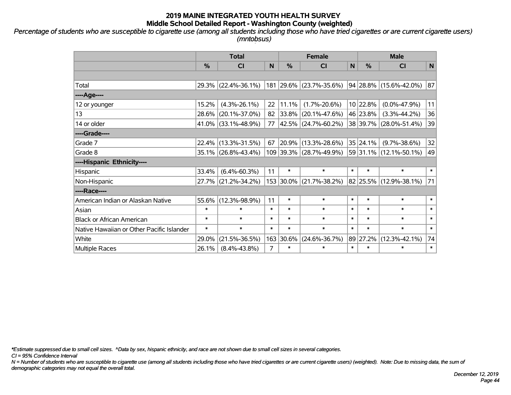*Percentage of students who are susceptible to cigarette use (among all students including those who have tried cigarettes or are current cigarette users) (mntobsus)*

|                                           | <b>Total</b>  |                     |        | <b>Female</b> |                         | <b>Male</b> |          |                        |        |
|-------------------------------------------|---------------|---------------------|--------|---------------|-------------------------|-------------|----------|------------------------|--------|
|                                           | $\frac{0}{0}$ | CI                  | N      | %             | <b>CI</b>               | N           | %        | <b>CI</b>              | N      |
|                                           |               |                     |        |               |                         |             |          |                        |        |
| Total                                     |               | 29.3% (22.4%-36.1%) |        |               | 181 29.6% (23.7%-35.6%) |             |          | 94 28.8% (15.6%-42.0%) | 87     |
| ----Age----                               |               |                     |        |               |                         |             |          |                        |        |
| 12 or younger                             | 15.2%         | $(4.3\% - 26.1\%)$  | 22     | 11.1%         | $(1.7\% - 20.6\%)$      |             | 10 22.8% | $(0.0\% - 47.9\%)$     | 11     |
| 13                                        | 28.6%         | $(20.1\% - 37.0\%)$ | 82     | $ 33.8\% $    | $(20.1\% - 47.6\%)$     |             | 46 23.8% | $(3.3\% - 44.2\%)$     | 36     |
| 14 or older                               |               | 41.0% (33.1%-48.9%) | 77     |               | 42.5% (24.7%-60.2%)     |             |          | 38 39.7% (28.0%-51.4%) | 39     |
| ----Grade----                             |               |                     |        |               |                         |             |          |                        |        |
| Grade 7                                   |               | 22.4% (13.3%-31.5%) | 67     |               | 20.9% (13.3%-28.6%)     |             | 35 24.1% | $(9.7\% - 38.6\%)$     | 32     |
| Grade 8                                   |               | 35.1% (26.8%-43.4%) |        |               | 109 39.3% (28.7%-49.9%) |             |          | 59 31.1% (12.1%-50.1%) | 49     |
| ----Hispanic Ethnicity----                |               |                     |        |               |                         |             |          |                        |        |
| Hispanic                                  | 33.4%         | $(6.4\% - 60.3\%)$  | 11     | $\ast$        | $\ast$                  | $\ast$      | $\ast$   | $\ast$                 | $\ast$ |
| Non-Hispanic                              |               | 27.7% (21.2%-34.2%) |        | 153 30.0%     | $(21.7\% - 38.2\%)$     |             |          | 82 25.5% (12.9%-38.1%) | 71     |
| ----Race----                              |               |                     |        |               |                         |             |          |                        |        |
| American Indian or Alaskan Native         | 55.6%         | $(12.3\% - 98.9\%)$ | 11     | $\ast$        | $\ast$                  | $\ast$      | $\ast$   | $\ast$                 | $\ast$ |
| Asian                                     | $\ast$        | $\ast$              | $\ast$ | $\ast$        | $\ast$                  | $\ast$      | $\ast$   | $\ast$                 | $\ast$ |
| <b>Black or African American</b>          | $\ast$        | $\ast$              | $\ast$ | $\ast$        | $\ast$                  | $\ast$      | $\ast$   | $\ast$                 | $\ast$ |
| Native Hawaiian or Other Pacific Islander | $\ast$        | $\ast$              | $\ast$ | $\ast$        | $\ast$                  | $\ast$      | $\ast$   | $\ast$                 | $\ast$ |
| White                                     | 29.0%         | $(21.5\% - 36.5\%)$ | 163    | 30.6%         | $(24.6\% - 36.7\%)$     |             | 89 27.2% | $(12.3\% - 42.1\%)$    | 74     |
| <b>Multiple Races</b>                     | 26.1%         | $(8.4\% - 43.8\%)$  | 7      | $\ast$        | $\ast$                  | $\ast$      | $\ast$   | $\ast$                 | $\ast$ |

*\*Estimate suppressed due to small cell sizes. ^Data by sex, hispanic ethnicity, and race are not shown due to small cell sizes in several categories.*

*CI = 95% Confidence Interval*

*N = Number of students who are susceptible to cigarette use (among all students including those who have tried cigarettes or are current cigarette users) (weighted). Note: Due to missing data, the sum of demographic categories may not equal the overall total.*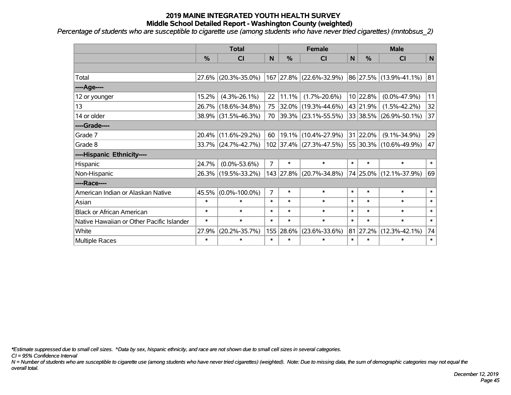*Percentage of students who are susceptible to cigarette use (among students who have never tried cigarettes) (mntobsus\_2)*

|                                           | <b>Total</b> |                     |                | <b>Female</b> |                          | <b>Male</b> |          |                        |        |
|-------------------------------------------|--------------|---------------------|----------------|---------------|--------------------------|-------------|----------|------------------------|--------|
|                                           | %            | <b>CI</b>           | N              | $\frac{9}{6}$ | <b>CI</b>                | N           | %        | <b>CI</b>              | N      |
|                                           |              |                     |                |               |                          |             |          |                        |        |
| Total                                     |              | 27.6% (20.3%-35.0%) |                |               | 167 27.8% (22.6%-32.9%)  |             |          | 86 27.5% (13.9%-41.1%) | 81     |
| ----Age----                               |              |                     |                |               |                          |             |          |                        |        |
| 12 or younger                             | 15.2%        | $(4.3\% - 26.1\%)$  | 22             | 11.1%         | $(1.7\% - 20.6\%)$       |             | 10 22.8% | $(0.0\% - 47.9\%)$     | 11     |
| 13                                        |              | 26.7% (18.6%-34.8%) | 75             |               | $ 32.0\% $ (19.3%-44.6%) |             | 43 21.9% | $(1.5\% - 42.2\%)$     | 32     |
| 14 or older                               |              | 38.9% (31.5%-46.3%) | 70             |               | $ 39.3\% $ (23.1%-55.5%) |             |          | 33 38.5% (26.9%-50.1%) | 37     |
| ----Grade----                             |              |                     |                |               |                          |             |          |                        |        |
| Grade 7                                   | $20.4\%$     | $(11.6\% - 29.2\%)$ | 60             |               | $19.1\%$ (10.4%-27.9%)   |             | 31 22.0% | $(9.1\% - 34.9\%)$     | 29     |
| Grade 8                                   |              | 33.7% (24.7%-42.7%) |                |               | 102 37.4% (27.3%-47.5%)  |             |          | 55 30.3% (10.6%-49.9%) | 47     |
| ----Hispanic Ethnicity----                |              |                     |                |               |                          |             |          |                        |        |
| Hispanic                                  | 24.7%        | $(0.0\% - 53.6\%)$  | $\overline{7}$ | $\ast$        | $\ast$                   | $\ast$      | $\ast$   | $\ast$                 | $\ast$ |
| Non-Hispanic                              |              | 26.3% (19.5%-33.2%) |                |               | 143 27.8% (20.7%-34.8%)  |             |          | 74 25.0% (12.1%-37.9%) | 69     |
| ----Race----                              |              |                     |                |               |                          |             |          |                        |        |
| American Indian or Alaskan Native         | 45.5%        | $(0.0\% - 100.0\%)$ | $\overline{7}$ | $\ast$        | $\ast$                   | $\ast$      | $\ast$   | $\ast$                 | $\ast$ |
| Asian                                     | $\ast$       | $\ast$              | $\ast$         | $\ast$        | $\ast$                   | $\ast$      | $\ast$   | $\ast$                 | $\ast$ |
| <b>Black or African American</b>          | $\ast$       | $\ast$              | $\ast$         | $\ast$        | $\ast$                   | $\ast$      | $\ast$   | $\ast$                 | $\ast$ |
| Native Hawaiian or Other Pacific Islander | $\ast$       | $\ast$              | $\ast$         | $\ast$        | $\ast$                   | $\ast$      | $\ast$   | $\ast$                 | $\ast$ |
| White                                     | 27.9%        | $(20.2\% - 35.7\%)$ |                | 155 28.6%     | $(23.6\% - 33.6\%)$      | 81          | 27.2%    | $(12.3\% - 42.1\%)$    | 74     |
| Multiple Races                            | $\ast$       | $\ast$              | $\ast$         | $\ast$        | $\ast$                   | $\ast$      | $\ast$   | $\ast$                 | $\ast$ |

*\*Estimate suppressed due to small cell sizes. ^Data by sex, hispanic ethnicity, and race are not shown due to small cell sizes in several categories.*

*CI = 95% Confidence Interval*

*N = Number of students who are susceptible to cigarette use (among students who have never tried cigarettes) (weighted). Note: Due to missing data, the sum of demographic categories may not equal the overall total.*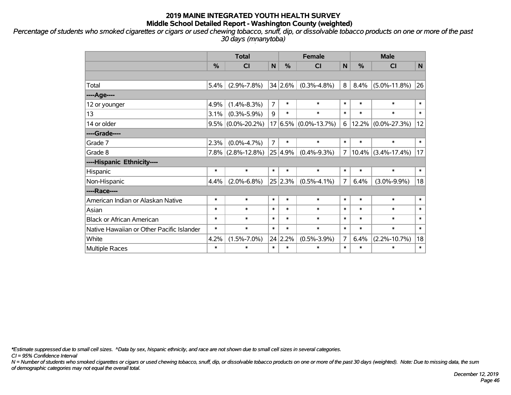*Percentage of students who smoked cigarettes or cigars or used chewing tobacco, snuff, dip, or dissolvable tobacco products on one or more of the past 30 days (mnanytoba)*

|                                           | <b>Total</b> |                      |                |               | <b>Female</b>            |                | <b>Male</b>   |                       |        |  |
|-------------------------------------------|--------------|----------------------|----------------|---------------|--------------------------|----------------|---------------|-----------------------|--------|--|
|                                           | %            | C <sub>l</sub>       | N              | $\frac{0}{0}$ | <b>CI</b>                | N              | $\frac{9}{6}$ | <b>CI</b>             | N      |  |
|                                           |              |                      |                |               |                          |                |               |                       |        |  |
| Total                                     | 5.4%         | $(2.9\% - 7.8\%)$    |                | 34 2.6%       | $(0.3\% - 4.8\%)$        | 8              | 8.4%          | $(5.0\% - 11.8\%)$    | 26     |  |
| ----Age----                               |              |                      |                |               |                          |                |               |                       |        |  |
| 12 or younger                             | 4.9%         | $(1.4\% - 8.3\%)$    | $\overline{7}$ | $\ast$        | $\ast$                   | $\ast$         | $\ast$        | $\ast$                | $\ast$ |  |
| 13                                        | 3.1%         | $(0.3\% - 5.9\%)$    | 9              | $\ast$        | $\ast$                   | $\ast$         | $\ast$        | $\ast$                | $\ast$ |  |
| 14 or older                               |              | $9.5\%$ (0.0%-20.2%) |                |               | $17 6.5\% $ (0.0%-13.7%) | 6              |               | $12.2\%$ (0.0%-27.3%) | 12     |  |
| ----Grade----                             |              |                      |                |               |                          |                |               |                       |        |  |
| Grade 7                                   | 2.3%         | $(0.0\% - 4.7\%)$    | $\overline{7}$ | $\ast$        | $\ast$                   | $\ast$         | $\ast$        | $\ast$                | $\ast$ |  |
| Grade 8                                   |              | $7.8\%$ (2.8%-12.8%) |                | 25 4.9%       | $(0.4\% - 9.3\%)$        | $\overline{7}$ |               | $10.4\%$ (3.4%-17.4%) | 17     |  |
| ----Hispanic Ethnicity----                |              |                      |                |               |                          |                |               |                       |        |  |
| Hispanic                                  | $\ast$       | $\ast$               | $\ast$         | $\ast$        | $\ast$                   | $\ast$         | $\ast$        | $\ast$                | $\ast$ |  |
| Non-Hispanic                              | 4.4%         | $(2.0\% - 6.8\%)$    |                | 25 2.3%       | $(0.5\% - 4.1\%)$        | $\overline{7}$ | 6.4%          | $(3.0\% - 9.9\%)$     | 18     |  |
| ----Race----                              |              |                      |                |               |                          |                |               |                       |        |  |
| American Indian or Alaskan Native         | $\ast$       | $\ast$               | $\ast$         | $\ast$        | $\ast$                   | $\ast$         | $\ast$        | $\ast$                | $\ast$ |  |
| Asian                                     | $\ast$       | $\ast$               | $\ast$         | $\ast$        | $\ast$                   | $\ast$         | $\ast$        | $\ast$                | $\ast$ |  |
| <b>Black or African American</b>          | $\ast$       | $\ast$               | $\ast$         | $\ast$        | $\ast$                   | $\ast$         | $\ast$        | $\ast$                | $\ast$ |  |
| Native Hawaiian or Other Pacific Islander | $\ast$       | $\ast$               | $\ast$         | $\ast$        | $\ast$                   | $\ast$         | $\ast$        | $\ast$                | $\ast$ |  |
| White                                     | 4.2%         | $(1.5\% - 7.0\%)$    | 24             | 2.2%          | $(0.5\% - 3.9\%)$        | $\overline{7}$ | 6.4%          | $(2.2\% - 10.7\%)$    | 18     |  |
| Multiple Races                            | $\ast$       | $\ast$               | $\ast$         | $\ast$        | $\ast$                   | $\ast$         | $\ast$        | $\ast$                | $\ast$ |  |

*\*Estimate suppressed due to small cell sizes. ^Data by sex, hispanic ethnicity, and race are not shown due to small cell sizes in several categories.*

*CI = 95% Confidence Interval*

*N = Number of students who smoked cigarettes or cigars or used chewing tobacco, snuff, dip, or dissolvable tobacco products on one or more of the past 30 days (weighted). Note: Due to missing data, the sum of demographic categories may not equal the overall total.*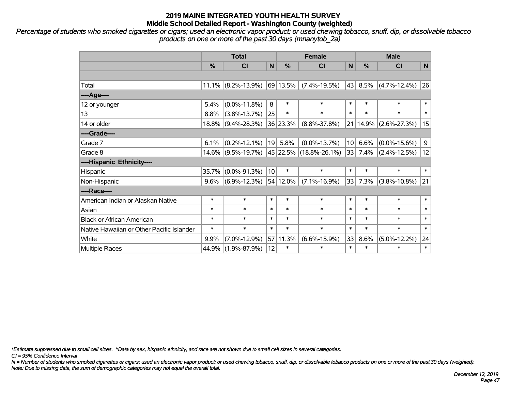*Percentage of students who smoked cigarettes or cigars; used an electronic vapor product; or used chewing tobacco, snuff, dip, or dissolvable tobacco products on one or more of the past 30 days (mnanytob\_2a)*

|                                           | <b>Total</b> |                    |                 | <b>Female</b> |                             | <b>Male</b>     |        |                    |             |
|-------------------------------------------|--------------|--------------------|-----------------|---------------|-----------------------------|-----------------|--------|--------------------|-------------|
|                                           | %            | CI                 | $\mathsf{N}$    | %             | <b>CI</b>                   | N               | %      | <b>CI</b>          | $\mathbf N$ |
|                                           |              |                    |                 |               |                             |                 |        |                    |             |
| Total                                     | $11.1\%$     | $(8.2\% - 13.9\%)$ |                 | 69 13.5%      | $(7.4\% - 19.5\%)$          | 43              | 8.5%   | $(4.7\% - 12.4\%)$ | 26          |
| ---- Age----                              |              |                    |                 |               |                             |                 |        |                    |             |
| 12 or younger                             | 5.4%         | $(0.0\% - 11.8\%)$ | 8               | $\ast$        | $\ast$                      | $\ast$          | $\ast$ | $\ast$             | $\ast$      |
| 13                                        | 8.8%         | $(3.8\% - 13.7\%)$ | 25              | $\ast$        | $\ast$                      | $\ast$          | $\ast$ | $\ast$             | $\ast$      |
| 14 or older                               | 18.8%        | $(9.4\% - 28.3\%)$ |                 | 36 23.3%      | $(8.8\% - 37.8\%)$          | 21              | 14.9%  | $(2.6\% - 27.3\%)$ | 15          |
| ----Grade----                             |              |                    |                 |               |                             |                 |        |                    |             |
| Grade 7                                   | 6.1%         | $(0.2\% - 12.1\%)$ | 19              | 5.8%          | $(0.0\% - 13.7\%)$          | 10 <sup>1</sup> | 6.6%   | $(0.0\% - 15.6\%)$ | 9           |
| Grade 8                                   | $14.6\%$     | $(9.5\% - 19.7\%)$ |                 |               | $ 45 22.5\% $ (18.8%-26.1%) | 33              | 7.4%   | $(2.4\% - 12.5\%)$ | 12          |
| ----Hispanic Ethnicity----                |              |                    |                 |               |                             |                 |        |                    |             |
| Hispanic                                  | 35.7%        | $(0.0\% - 91.3\%)$ | 10 <sup>1</sup> | $\ast$        | $\ast$                      | $\ast$          | $\ast$ | $\ast$             | $\ast$      |
| Non-Hispanic                              | 9.6%         | $(6.9\% - 12.3\%)$ |                 | 54 12.0%      | $(7.1\% - 16.9\%)$          | 33              | 7.3%   | $(3.8\% - 10.8\%)$ | 21          |
| ----Race----                              |              |                    |                 |               |                             |                 |        |                    |             |
| American Indian or Alaskan Native         | $\ast$       | $\ast$             | $\ast$          | $\ast$        | $\ast$                      | $\ast$          | $\ast$ | $\ast$             | $\ast$      |
| Asian                                     | $\ast$       | $\ast$             | $\ast$          | $\ast$        | $\ast$                      | $\ast$          | $\ast$ | $\ast$             | $\ast$      |
| <b>Black or African American</b>          | $\ast$       | $\ast$             | $\ast$          | $\ast$        | $\ast$                      | $\ast$          | $\ast$ | $\ast$             | $\ast$      |
| Native Hawaiian or Other Pacific Islander | $\ast$       | $\ast$             | $\ast$          | $\ast$        | $\ast$                      | $\ast$          | $\ast$ | $\ast$             | $\ast$      |
| White                                     | 9.9%         | $(7.0\% - 12.9\%)$ | 57              | 11.3%         | $(6.6\% - 15.9\%)$          | 33              | 8.6%   | $(5.0\% - 12.2\%)$ | 24          |
| Multiple Races                            | 44.9%        | $(1.9\% - 87.9\%)$ | 12              | $\ast$        | $\ast$                      | $\ast$          | $\ast$ | $\ast$             | $\ast$      |

*\*Estimate suppressed due to small cell sizes. ^Data by sex, hispanic ethnicity, and race are not shown due to small cell sizes in several categories.*

*CI = 95% Confidence Interval*

*N = Number of students who smoked cigarettes or cigars; used an electronic vapor product; or used chewing tobacco, snuff, dip, or dissolvable tobacco products on one or more of the past 30 days (weighted). Note: Due to missing data, the sum of demographic categories may not equal the overall total.*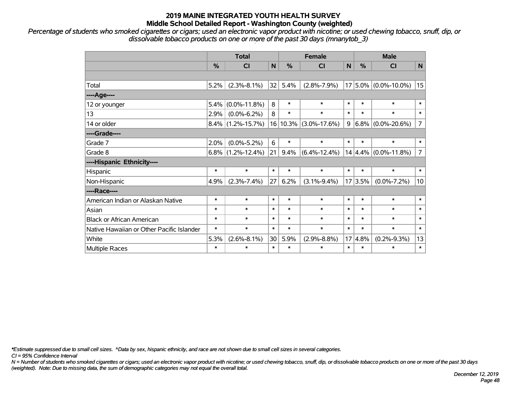*Percentage of students who smoked cigarettes or cigars; used an electronic vapor product with nicotine; or used chewing tobacco, snuff, dip, or dissolvable tobacco products on one or more of the past 30 days (mnanytob\_3)*

|                                           | <b>Total</b>  |                      |        |               | <b>Female</b>      | <b>Male</b> |               |                          |                |
|-------------------------------------------|---------------|----------------------|--------|---------------|--------------------|-------------|---------------|--------------------------|----------------|
|                                           | $\frac{9}{6}$ | C <sub>l</sub>       | N      | $\frac{0}{2}$ | C <sub>l</sub>     | N           | $\frac{0}{0}$ | <b>CI</b>                | N              |
|                                           |               |                      |        |               |                    |             |               |                          |                |
| Total                                     | 5.2%          | $(2.3\% - 8.1\%)$    | 32     | 5.4%          | $(2.8\% - 7.9\%)$  |             |               | $17 5.0\% $ (0.0%-10.0%) | 15             |
| ---- Age----                              |               |                      |        |               |                    |             |               |                          |                |
| 12 or younger                             | 5.4%          | $(0.0\% - 11.8\%)$   | 8      | $\ast$        | $\ast$             | $\ast$      | $\ast$        | $\ast$                   | $\ast$         |
| 13                                        | 2.9%          | $(0.0\% - 6.2\%)$    | 8      | $\ast$        | $\ast$             | $\ast$      | $\ast$        | $\ast$                   | $\ast$         |
| 14 or older                               | $8.4\%$       | $(1.2\% - 15.7\%)$   | 16     | 10.3%         | $(3.0\% - 17.6\%)$ | 9           |               | $6.8\%$ (0.0%-20.6%)     | $\overline{7}$ |
| ----Grade----                             |               |                      |        |               |                    |             |               |                          |                |
| Grade 7                                   | 2.0%          | $(0.0\% - 5.2\%)$    | 6      | $\ast$        | $\ast$             | $\ast$      | $\ast$        | $\ast$                   | $\ast$         |
| Grade 8                                   |               | $6.8\%$ (1.2%-12.4%) | 21     | 9.4%          | $(6.4\% - 12.4\%)$ |             |               | $14 4.4\% $ (0.0%-11.8%) | $\overline{7}$ |
| ----Hispanic Ethnicity----                |               |                      |        |               |                    |             |               |                          |                |
| Hispanic                                  | $\ast$        | $\ast$               | $\ast$ | $\ast$        | $\ast$             | $\ast$      | $\ast$        | $\ast$                   | $\ast$         |
| Non-Hispanic                              | 4.9%          | $(2.3\% - 7.4\%)$    | 27     | 6.2%          | $(3.1\% - 9.4\%)$  |             | 17 3.5%       | $(0.0\% - 7.2\%)$        | 10             |
| ----Race----                              |               |                      |        |               |                    |             |               |                          |                |
| American Indian or Alaskan Native         | $\ast$        | $\ast$               | $\ast$ | $\ast$        | $\ast$             | $\ast$      | $\ast$        | $\ast$                   | $\ast$         |
| Asian                                     | $\ast$        | $\ast$               | $\ast$ | $\ast$        | $\ast$             | $\ast$      | $\ast$        | $\ast$                   | $\ast$         |
| <b>Black or African American</b>          | $\ast$        | $\ast$               | $\ast$ | $\ast$        | $\ast$             | $\ast$      | $\ast$        | $\ast$                   | $\ast$         |
| Native Hawaiian or Other Pacific Islander | $\ast$        | $\ast$               | $\ast$ | $\ast$        | $\ast$             | $\ast$      | $\ast$        | $\ast$                   | $\ast$         |
| White                                     | 5.3%          | $(2.6\% - 8.1\%)$    | 30     | 5.9%          | $(2.9\% - 8.8\%)$  |             | 17 4.8%       | $(0.2\% - 9.3\%)$        | 13             |
| Multiple Races                            | $\ast$        | $\ast$               | $\ast$ | $\ast$        | $\ast$             | $\ast$      | $\ast$        | $\ast$                   | $\ast$         |

*\*Estimate suppressed due to small cell sizes. ^Data by sex, hispanic ethnicity, and race are not shown due to small cell sizes in several categories.*

*CI = 95% Confidence Interval*

*N = Number of students who smoked cigarettes or cigars; used an electronic vapor product with nicotine; or used chewing tobacco, snuff, dip, or dissolvable tobacco products on one or more of the past 30 days (weighted). Note: Due to missing data, the sum of demographic categories may not equal the overall total.*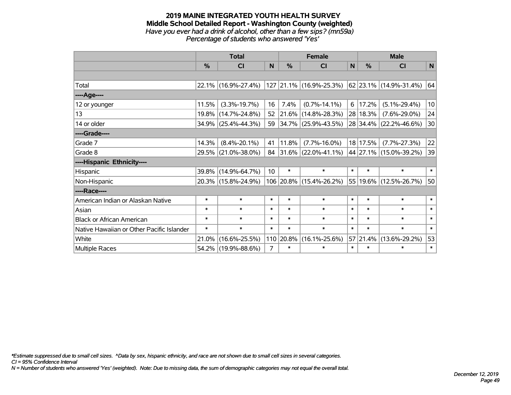#### **2019 MAINE INTEGRATED YOUTH HEALTH SURVEY Middle School Detailed Report - Washington County (weighted)** *Have you ever had a drink of alcohol, other than a few sips? (mn59a) Percentage of students who answered 'Yes'*

|                                           | <b>Total</b>  |                     |        |           | <b>Female</b>            |              | <b>Male</b>   |                            |        |  |
|-------------------------------------------|---------------|---------------------|--------|-----------|--------------------------|--------------|---------------|----------------------------|--------|--|
|                                           | $\frac{0}{0}$ | CI                  | N      | %         | <b>CI</b>                | $\mathsf{N}$ | $\frac{0}{0}$ | <b>CI</b>                  | N      |  |
|                                           |               |                     |        |           |                          |              |               |                            |        |  |
| Total                                     |               | 22.1% (16.9%-27.4%) |        |           | 127 21.1% (16.9%-25.3%)  |              |               | 62   23.1%   (14.9%-31.4%) | 64     |  |
| ---- Age----                              |               |                     |        |           |                          |              |               |                            |        |  |
| 12 or younger                             | 11.5%         | $(3.3\% - 19.7\%)$  | 16     | 7.4%      | $(0.7\% - 14.1\%)$       | 6            | 17.2%         | $(5.1\% - 29.4\%)$         | 10     |  |
| 13                                        | 19.8%         | $(14.7\% - 24.8\%)$ | 52     |           | $ 21.6\% $ (14.8%-28.3%) |              | 28 18.3%      | $(7.6\% - 29.0\%)$         | 24     |  |
| 14 or older                               |               | 34.9% (25.4%-44.3%) | 59     |           | $ 34.7\% $ (25.9%-43.5%) |              |               | 28 34.4% (22.2%-46.6%)     | 30     |  |
| ----Grade----                             |               |                     |        |           |                          |              |               |                            |        |  |
| Grade 7                                   | 14.3%         | $(8.4\% - 20.1\%)$  | 41     | 11.8%     | $(7.7\% - 16.0\%)$       |              | 18 17.5%      | $(7.7\% - 27.3\%)$         | 22     |  |
| Grade 8                                   |               | 29.5% (21.0%-38.0%) | 84     |           | $ 31.6\% $ (22.0%-41.1%) |              |               | 44 27.1% (15.0%-39.2%)     | 39     |  |
| ----Hispanic Ethnicity----                |               |                     |        |           |                          |              |               |                            |        |  |
| Hispanic                                  |               | 39.8% (14.9%-64.7%) | 10     | $\ast$    | $\ast$                   | $\ast$       | $\ast$        | $\ast$                     | $\ast$ |  |
| Non-Hispanic                              |               | 20.3% (15.8%-24.9%) |        |           | 106 20.8% (15.4%-26.2%)  | 55           |               | 19.6% (12.5%-26.7%)        | 50     |  |
| ----Race----                              |               |                     |        |           |                          |              |               |                            |        |  |
| American Indian or Alaskan Native         | $\ast$        | $\ast$              | $\ast$ | $\ast$    | $\ast$                   | $\ast$       | $\ast$        | $\ast$                     | $\ast$ |  |
| Asian                                     | $\ast$        | $\ast$              | $\ast$ | $\ast$    | $\ast$                   | $\ast$       | $\ast$        | $\ast$                     | $\ast$ |  |
| <b>Black or African American</b>          | $\ast$        | $\ast$              | $\ast$ | $\ast$    | $\ast$                   | $\ast$       | $\ast$        | $\ast$                     | $\ast$ |  |
| Native Hawaiian or Other Pacific Islander | $\ast$        | $\ast$              | $\ast$ | $\ast$    | $\ast$                   | $\ast$       | $\ast$        | $\ast$                     | $\ast$ |  |
| White                                     | 21.0%         | $(16.6\% - 25.5\%)$ |        | 110 20.8% | $(16.1\% - 25.6\%)$      |              | 57 21.4%      | $(13.6\% - 29.2\%)$        | 53     |  |
| Multiple Races                            |               | 54.2% (19.9%-88.6%) | 7      | $\ast$    | $\ast$                   | $\ast$       | $\ast$        | $\ast$                     | $\ast$ |  |

*\*Estimate suppressed due to small cell sizes. ^Data by sex, hispanic ethnicity, and race are not shown due to small cell sizes in several categories.*

*CI = 95% Confidence Interval*

*N = Number of students who answered 'Yes' (weighted). Note: Due to missing data, the sum of demographic categories may not equal the overall total.*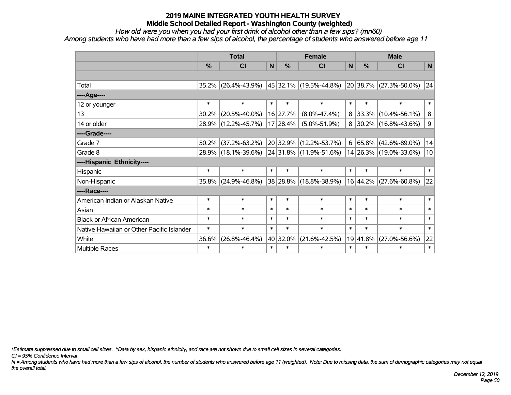*How old were you when you had your first drink of alcohol other than a few sips? (mn60) Among students who have had more than a few sips of alcohol, the percentage of students who answered before age 11*

|                                           | <b>Total</b>  |                     |        |               | <b>Female</b>                  | <b>Male</b> |               |                          |                 |
|-------------------------------------------|---------------|---------------------|--------|---------------|--------------------------------|-------------|---------------|--------------------------|-----------------|
|                                           | $\frac{0}{0}$ | <b>CI</b>           | N      | $\frac{0}{0}$ | <b>CI</b>                      | N           | $\frac{0}{0}$ | <b>CI</b>                | N               |
|                                           |               |                     |        |               |                                |             |               |                          |                 |
| Total                                     | $35.2\%$      | $(26.4\% - 43.9\%)$ |        |               | $ 45 32.1\% $ (19.5%-44.8%)    |             |               | 20 38.7% (27.3%-50.0%)   | 24              |
| ----Age----                               |               |                     |        |               |                                |             |               |                          |                 |
| 12 or younger                             | $\ast$        | $\ast$              | $\ast$ | $\ast$        | $\ast$                         | $\ast$      | $\ast$        | $\ast$                   | $\ast$          |
| 13                                        | 30.2%         | $(20.5\% - 40.0\%)$ |        | 16 27.7%      | $(8.0\% - 47.4\%)$             | 8           |               | 33.3% (10.4%-56.1%)      | 8               |
| 14 or older                               | $28.9\%$      | $(12.2\% - 45.7\%)$ |        | 17 28.4%      | $(5.0\% - 51.9\%)$             | 8           |               | $ 30.2\% $ (16.8%-43.6%) | $\mathsf 9$     |
| ----Grade----                             |               |                     |        |               |                                |             |               |                          |                 |
| Grade 7                                   | 50.2%         | $(37.2\% - 63.2\%)$ |        | 20 32.9%      | $(12.2\% - 53.7\%)$            | 6           |               | $ 65.8\% $ (42.6%-89.0%) | 14              |
| Grade 8                                   |               | 28.9% (18.1%-39.6%) |        |               | $ 24 31.8\% (11.9\% - 51.6\%)$ |             |               | 14 26.3% (19.0%-33.6%)   | 10 <sup>1</sup> |
| ----Hispanic Ethnicity----                |               |                     |        |               |                                |             |               |                          |                 |
| Hispanic                                  | $\ast$        | $\ast$              | $\ast$ | $\ast$        | $\ast$                         | $\ast$      | $\ast$        | $\ast$                   | $\ast$          |
| Non-Hispanic                              | 35.8%         | $(24.9\% - 46.8\%)$ |        |               | 38 28.8% (18.8%-38.9%)         |             | $16 44.2\% $  | $(27.6\% - 60.8\%)$      | 22              |
| ----Race----                              |               |                     |        |               |                                |             |               |                          |                 |
| American Indian or Alaskan Native         | $\ast$        | $\ast$              | $\ast$ | $\ast$        | $\ast$                         | $\ast$      | $\ast$        | $\ast$                   | $\ast$          |
| Asian                                     | *             | $\ast$              | $\ast$ | $\ast$        | $\ast$                         | $\ast$      | $\ast$        | $\ast$                   | $\ast$          |
| <b>Black or African American</b>          | $\ast$        | $\ast$              | $\ast$ | $\ast$        | $\ast$                         | $\ast$      | $\ast$        | $\ast$                   | $\ast$          |
| Native Hawaiian or Other Pacific Islander | $\ast$        | $\ast$              | $\ast$ | $\ast$        | $\ast$                         | $\ast$      | $\ast$        | $\ast$                   | $\ast$          |
| White                                     | 36.6%         | $(26.8\% - 46.4\%)$ |        | 40 32.0%      | $(21.6\% - 42.5\%)$            | 19          | 41.8%         | $(27.0\% - 56.6\%)$      | 22              |
| Multiple Races                            | $\ast$        | $\ast$              | $\ast$ | $\ast$        | $\ast$                         | $\ast$      | $\ast$        | $\ast$                   | $\ast$          |

*\*Estimate suppressed due to small cell sizes. ^Data by sex, hispanic ethnicity, and race are not shown due to small cell sizes in several categories.*

*CI = 95% Confidence Interval*

*N = Among students who have had more than a few sips of alcohol, the number of students who answered before age 11 (weighted). Note: Due to missing data, the sum of demographic categories may not equal the overall total.*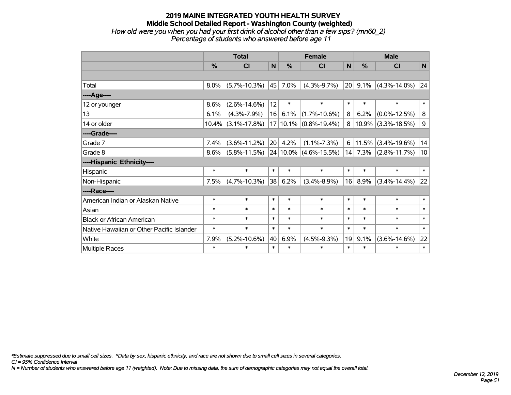#### **2019 MAINE INTEGRATED YOUTH HEALTH SURVEY Middle School Detailed Report - Washington County (weighted)** *How old were you when you had your first drink of alcohol other than a few sips? (mn60\_2) Percentage of students who answered before age 11*

|                                           | <b>Total</b> |                    |        |        | <b>Female</b>             |                 | <b>Male</b>   |                    |             |  |
|-------------------------------------------|--------------|--------------------|--------|--------|---------------------------|-----------------|---------------|--------------------|-------------|--|
|                                           | %            | CI                 | N      | %      | CI                        | $\mathsf{N}$    | $\frac{9}{6}$ | CI                 | N           |  |
|                                           |              |                    |        |        |                           |                 |               |                    |             |  |
| Total                                     | 8.0%         | $(5.7\% - 10.3\%)$ | 45     | 7.0%   | $(4.3\% - 9.7\%)$         | 20 <sup>°</sup> | 9.1%          | $(4.3\% - 14.0\%)$ | 24          |  |
| ---- Age----                              |              |                    |        |        |                           |                 |               |                    |             |  |
| 12 or younger                             | 8.6%         | $(2.6\% - 14.6\%)$ | 12     | $\ast$ | $\ast$                    | $\ast$          | $\ast$        | $\ast$             | $\ast$      |  |
| 13                                        | 6.1%         | $(4.3\% - 7.9\%)$  | 16     | 6.1%   | $(1.7\% - 10.6\%)$        | 8               | 6.2%          | $(0.0\% - 12.5\%)$ | 8           |  |
| 14 or older                               | $10.4\%$     | $(3.1\% - 17.8\%)$ |        |        | $17 10.1\% $ (0.8%-19.4%) | 8               | 10.9%         | $(3.3\% - 18.5\%)$ | $\mathsf 9$ |  |
| ----Grade----                             |              |                    |        |        |                           |                 |               |                    |             |  |
| Grade 7                                   | 7.4%         | $(3.6\% - 11.2\%)$ | 20     | 4.2%   | $(1.1\% - 7.3\%)$         | 6               | 11.5%         | $(3.4\% - 19.6\%)$ | 14          |  |
| Grade 8                                   | 8.6%         | $(5.8\% - 11.5\%)$ |        |        | $24 10.0\% $ (4.6%-15.5%) | 14              | 7.3%          | $(2.8\% - 11.7\%)$ | 10          |  |
| ----Hispanic Ethnicity----                |              |                    |        |        |                           |                 |               |                    |             |  |
| Hispanic                                  | $\ast$       | $\ast$             | $\ast$ | $\ast$ | $\ast$                    | $\ast$          | $\ast$        | $\ast$             | $\ast$      |  |
| Non-Hispanic                              | 7.5%         | $(4.7\% - 10.3\%)$ | 38     | 6.2%   | $(3.4\% - 8.9\%)$         | 16              | 8.9%          | $(3.4\% - 14.4\%)$ | 22          |  |
| ----Race----                              |              |                    |        |        |                           |                 |               |                    |             |  |
| American Indian or Alaskan Native         | $\ast$       | $\ast$             | $\ast$ | $\ast$ | $\ast$                    | $\ast$          | $\ast$        | $\ast$             | $\ast$      |  |
| Asian                                     | $\ast$       | $\ast$             | $\ast$ | $\ast$ | $\ast$                    | $\ast$          | $\ast$        | $\ast$             | $\ast$      |  |
| <b>Black or African American</b>          | $\ast$       | $\ast$             | $\ast$ | $\ast$ | $\ast$                    | $\ast$          | $\ast$        | $\ast$             | $\ast$      |  |
| Native Hawaiian or Other Pacific Islander | $\ast$       | $\ast$             | $\ast$ | $\ast$ | $\ast$                    | $\ast$          | $\ast$        | $\ast$             | $\ast$      |  |
| White                                     | 7.9%         | $(5.2\% - 10.6\%)$ | 40     | 6.9%   | $(4.5\% - 9.3\%)$         | 19              | 9.1%          | $(3.6\% - 14.6\%)$ | 22          |  |
| <b>Multiple Races</b>                     | $\ast$       | $\ast$             | $\ast$ | $\ast$ | $\ast$                    | $\ast$          | $\ast$        | $\ast$             | $\ast$      |  |

*\*Estimate suppressed due to small cell sizes. ^Data by sex, hispanic ethnicity, and race are not shown due to small cell sizes in several categories.*

*CI = 95% Confidence Interval*

*N = Number of students who answered before age 11 (weighted). Note: Due to missing data, the sum of demographic categories may not equal the overall total.*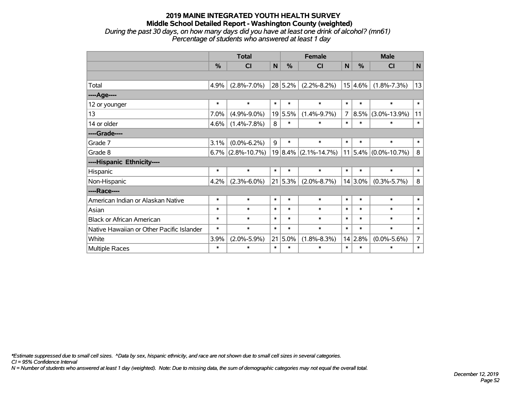#### **2019 MAINE INTEGRATED YOUTH HEALTH SURVEY Middle School Detailed Report - Washington County (weighted)** *During the past 30 days, on how many days did you have at least one drink of alcohol? (mn61) Percentage of students who answered at least 1 day*

|                                           | <b>Total</b> |                      |        |            | <b>Female</b>            |                | <b>Male</b>   |                              |                |  |
|-------------------------------------------|--------------|----------------------|--------|------------|--------------------------|----------------|---------------|------------------------------|----------------|--|
|                                           | %            | <b>CI</b>            | N      | $\%$       | <b>CI</b>                | N              | $\frac{0}{0}$ | <b>CI</b>                    | $\mathsf{N}$   |  |
|                                           |              |                      |        |            |                          |                |               |                              |                |  |
| Total                                     | 4.9%         | $(2.8\% - 7.0\%)$    |        | 28 5.2%    | $(2.2\% - 8.2\%)$        |                | $15 4.6\% $   | $(1.8\% - 7.3\%)$            | 13             |  |
| ---- Age----                              |              |                      |        |            |                          |                |               |                              |                |  |
| 12 or younger                             | $\ast$       | $\ast$               | $\ast$ | $\ast$     | $\ast$                   | $\ast$         | $\ast$        | $\ast$                       | $\ast$         |  |
| 13                                        | 7.0%         | $(4.9\% - 9.0\%)$    |        | 19 5.5%    | $(1.4\% - 9.7\%)$        | $\overline{7}$ | $ 8.5\% $     | $(3.0\% - 13.9\%)$           | 11             |  |
| 14 or older                               | 4.6%         | $(1.4\% - 7.8\%)$    | 8      | $\ast$     | $\ast$                   | $\ast$         | $\ast$        | $\ast$                       | $\ast$         |  |
| ----Grade----                             |              |                      |        |            |                          |                |               |                              |                |  |
| Grade 7                                   | 3.1%         | $(0.0\% - 6.2\%)$    | 9      | $\ast$     | $\ast$                   | $\ast$         | $\ast$        | $\ast$                       | $\ast$         |  |
| Grade 8                                   |              | $6.7\%$ (2.8%-10.7%) |        |            | $19 8.4\% $ (2.1%-14.7%) |                |               | $11 5.4\%  (0.0\% - 10.7\%)$ | 8              |  |
| ----Hispanic Ethnicity----                |              |                      |        |            |                          |                |               |                              |                |  |
| Hispanic                                  | $\ast$       | $\ast$               | $\ast$ | $\ast$     | $\ast$                   | $\ast$         | $\ast$        | $\ast$                       | $\ast$         |  |
| Non-Hispanic                              | 4.2%         | $(2.3\% - 6.0\%)$    |        | 21 5.3%    | $(2.0\% - 8.7\%)$        |                | $14 3.0\% $   | $(0.3\% - 5.7\%)$            | 8              |  |
| ----Race----                              |              |                      |        |            |                          |                |               |                              |                |  |
| American Indian or Alaskan Native         | $\ast$       | $\ast$               | $\ast$ | $\ast$     | $\ast$                   | $\ast$         | $\ast$        | $\ast$                       | $\ast$         |  |
| Asian                                     | $\ast$       | $\ast$               | $\ast$ | $\ast$     | $\ast$                   | $\ast$         | $\ast$        | $\ast$                       | $\ast$         |  |
| <b>Black or African American</b>          | $\ast$       | $\ast$               | $\ast$ | $\ast$     | $\ast$                   | $\ast$         | $\ast$        | $\ast$                       | $\ast$         |  |
| Native Hawaiian or Other Pacific Islander | $\ast$       | $\ast$               | $\ast$ | $\ast$     | $\ast$                   | $\ast$         | $\ast$        | $\ast$                       | $\ast$         |  |
| White                                     | 3.9%         | $(2.0\% - 5.9\%)$    |        | $21 5.0\%$ | $(1.8\% - 8.3\%)$        |                | 14 2.8%       | $(0.0\% - 5.6\%)$            | $\overline{7}$ |  |
| <b>Multiple Races</b>                     | $\ast$       | $\ast$               | $\ast$ | $\ast$     | $\ast$                   | $\ast$         | $\ast$        | $\ast$                       | $\ast$         |  |

*\*Estimate suppressed due to small cell sizes. ^Data by sex, hispanic ethnicity, and race are not shown due to small cell sizes in several categories.*

*CI = 95% Confidence Interval*

*N = Number of students who answered at least 1 day (weighted). Note: Due to missing data, the sum of demographic categories may not equal the overall total.*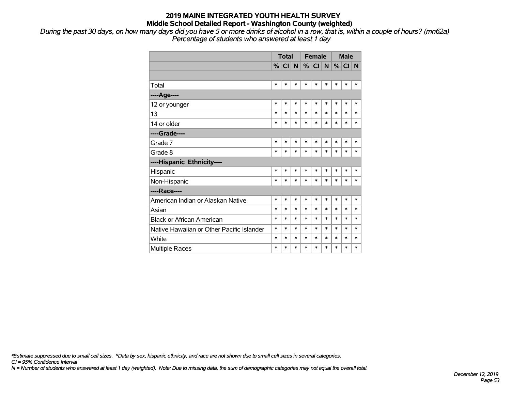*During the past 30 days, on how many days did you have 5 or more drinks of alcohol in a row, that is, within a couple of hours? (mn62a) Percentage of students who answered at least 1 day*

|                                           |        | <b>Total</b> |        | <b>Female</b> |          |        | <b>Male</b> |          |        |
|-------------------------------------------|--------|--------------|--------|---------------|----------|--------|-------------|----------|--------|
|                                           | $\%$   | CI N         |        |               | %  CI  N |        |             | $%$ CI N |        |
|                                           |        |              |        |               |          |        |             |          |        |
| Total                                     | $\ast$ | $\ast$       | $\ast$ | $\ast$        | $\ast$   | *      | $\ast$      | $\ast$   | $\ast$ |
| ----Age----                               |        |              |        |               |          |        |             |          |        |
| 12 or younger                             | *      | *            | *      | $\ast$        | $\ast$   | *      | $\ast$      | *        | *      |
| 13                                        | $\ast$ | $\ast$       | *      | $\ast$        | $\ast$   | $\ast$ | $\ast$      | $\ast$   | *      |
| 14 or older                               | $\ast$ | $\ast$       | *      | $\ast$        | $\ast$   | $\ast$ | $\ast$      | $\ast$   | $\ast$ |
| ----Grade----                             |        |              |        |               |          |        |             |          |        |
| Grade 7                                   | *      | $\ast$       | $\ast$ | $\ast$        | $\ast$   | $\ast$ | $\ast$      | $\ast$   | $\ast$ |
| Grade 8                                   | $\ast$ | $\ast$       | *      | $\ast$        | $\ast$   | $\ast$ | $\ast$      | $\ast$   | $\ast$ |
| ----Hispanic Ethnicity----                |        |              |        |               |          |        |             |          |        |
| Hispanic                                  | *      | *            | $\ast$ | $\ast$        | $\ast$   | $\ast$ | $\ast$      | *        | $\ast$ |
| Non-Hispanic                              | $\ast$ | $\ast$       | *      | $\ast$        | $\ast$   | $\ast$ | $\ast$      | $\ast$   | $\ast$ |
| ----Race----                              |        |              |        |               |          |        |             |          |        |
| American Indian or Alaskan Native         | $\ast$ | $\ast$       | *      | $\ast$        | $\ast$   | $\ast$ | $\ast$      | $\ast$   | $\ast$ |
| Asian                                     | $\ast$ | $\ast$       | *      | $\ast$        | $\ast$   | $\ast$ | $\ast$      | $\ast$   | $\ast$ |
| <b>Black or African American</b>          | $\ast$ | $\ast$       | *      | $\ast$        | $\ast$   | $\ast$ | $\ast$      | $\ast$   | $\ast$ |
| Native Hawaiian or Other Pacific Islander | $\ast$ | $\ast$       | *      | $\ast$        | $\ast$   | $\ast$ | $\ast$      | $\ast$   | $\ast$ |
| White                                     | $\ast$ | $\ast$       | *      | $\ast$        | $\ast$   | $\ast$ | $\ast$      | $\ast$   | $\ast$ |
| <b>Multiple Races</b>                     | $\ast$ | $\ast$       | *      | $\ast$        | $\ast$   | $\ast$ | $\ast$      | $\ast$   | $\ast$ |

*\*Estimate suppressed due to small cell sizes. ^Data by sex, hispanic ethnicity, and race are not shown due to small cell sizes in several categories.*

*CI = 95% Confidence Interval*

*N = Number of students who answered at least 1 day (weighted). Note: Due to missing data, the sum of demographic categories may not equal the overall total.*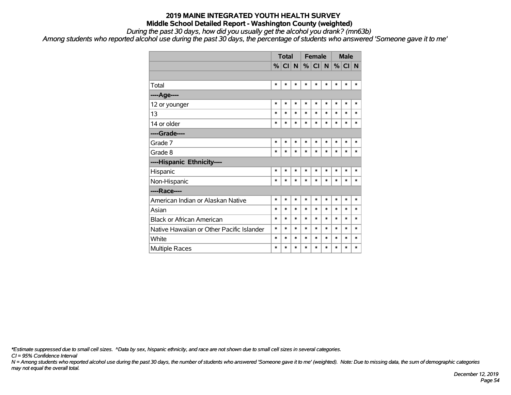*During the past 30 days, how did you usually get the alcohol you drank? (mn63b)*

*Among students who reported alcohol use during the past 30 days, the percentage of students who answered 'Someone gave it to me'*

|                                           | <b>Total</b> |        |        |        | <b>Female</b> |        | <b>Male</b> |        |        |
|-------------------------------------------|--------------|--------|--------|--------|---------------|--------|-------------|--------|--------|
|                                           | %            | CI N   |        |        | %  CI  N      |        | $\%$        | CI N   |        |
|                                           |              |        |        |        |               |        |             |        |        |
| Total                                     | $\ast$       | $\ast$ | $\ast$ | $\ast$ | $\ast$        | $\ast$ | $\ast$      | $\ast$ | $\ast$ |
| ----Age----                               |              |        |        |        |               |        |             |        |        |
| 12 or younger                             | $\ast$       | $\ast$ | *      | $\ast$ | $\ast$        | $\ast$ | $\ast$      | $\ast$ | *      |
| 13                                        | $\ast$       | $\ast$ | *      | $\ast$ | $\ast$        | $\ast$ | *           | $\ast$ | $\ast$ |
| 14 or older                               | $\ast$       | $\ast$ | $\ast$ | $\ast$ | $\ast$        | $\ast$ | $\ast$      | $\ast$ | $\ast$ |
| ----Grade----                             |              |        |        |        |               |        |             |        |        |
| Grade 7                                   | $\ast$       | $\ast$ | *      | $\ast$ | $\ast$        | $\ast$ | $\ast$      | *      | *      |
| Grade 8                                   | *            | $\ast$ | *      | $\ast$ | $\ast$        | $\ast$ | $\ast$      | $\ast$ | *      |
| ----Hispanic Ethnicity----                |              |        |        |        |               |        |             |        |        |
| Hispanic                                  | $\ast$       | $\ast$ | *      | $\ast$ | $\ast$        | $\ast$ | *           | *      | $\ast$ |
| Non-Hispanic                              | $\ast$       | $\ast$ | $\ast$ | $\ast$ | $\ast$        | $\ast$ | $\ast$      | $\ast$ | *      |
| ----Race----                              |              |        |        |        |               |        |             |        |        |
| American Indian or Alaskan Native         | ∗            | *      | *      | $\ast$ | $\ast$        | $\ast$ | *           | $\ast$ | $\ast$ |
| Asian                                     | $\ast$       | $\ast$ | *      | $\ast$ | $\ast$        | $\ast$ | *           | *      | $\ast$ |
| <b>Black or African American</b>          | $\ast$       | $\ast$ | $\ast$ | $\ast$ | $\ast$        | $\ast$ | $\ast$      | $\ast$ | *      |
| Native Hawaiian or Other Pacific Islander | $\ast$       | $\ast$ | $\ast$ | $\ast$ | $\ast$        | $\ast$ | $\ast$      | $\ast$ | *      |
| White                                     | $\ast$       | $\ast$ | *      | $\ast$ | $\ast$        | $\ast$ | $\ast$      | $\ast$ | $\ast$ |
| <b>Multiple Races</b>                     | $\ast$       | $\ast$ | $\ast$ | $\ast$ | $\ast$        | $\ast$ | $\ast$      | $\ast$ | $\ast$ |

*\*Estimate suppressed due to small cell sizes. ^Data by sex, hispanic ethnicity, and race are not shown due to small cell sizes in several categories.*

*CI = 95% Confidence Interval*

*N = Among students who reported alcohol use during the past 30 days, the number of students who answered 'Someone gave it to me' (weighted). Note: Due to missing data, the sum of demographic categories may not equal the overall total.*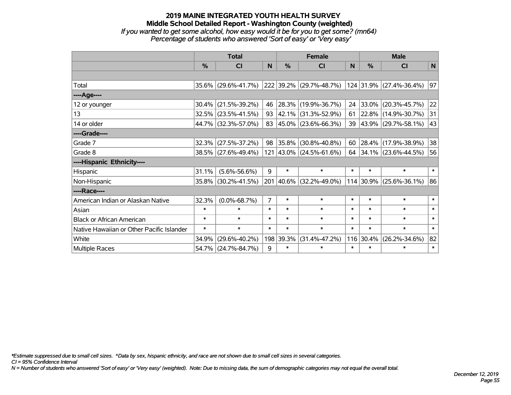### **2019 MAINE INTEGRATED YOUTH HEALTH SURVEY Middle School Detailed Report - Washington County (weighted)** *If you wanted to get some alcohol, how easy would it be for you to get some? (mn64) Percentage of students who answered 'Sort of easy' or 'Very easy'*

|                                           | <b>Total</b>  |                     |                |               | <b>Female</b>            |          | <b>Male</b>   |                          |        |  |
|-------------------------------------------|---------------|---------------------|----------------|---------------|--------------------------|----------|---------------|--------------------------|--------|--|
|                                           | $\frac{0}{0}$ | CI                  | N              | $\frac{9}{6}$ | <b>CI</b>                | <b>N</b> | $\frac{0}{0}$ | <b>CI</b>                | N      |  |
|                                           |               |                     |                |               |                          |          |               |                          |        |  |
| Total                                     | 35.6%         | $(29.6\% - 41.7\%)$ |                |               | 222 39.2% (29.7%-48.7%)  |          |               | 124 31.9% (27.4%-36.4%)  | 97     |  |
| ----Age----                               |               |                     |                |               |                          |          |               |                          |        |  |
| 12 or younger                             | 30.4%         | $(21.5\% - 39.2\%)$ | 46             | 28.3%         | $(19.9\% - 36.7\%)$      | 24       |               | $ 33.0\% $ (20.3%-45.7%) | 22     |  |
| 13                                        | 32.5%         | $(23.5\% - 41.5\%)$ | 93             | 42.1%         | $(31.3\% - 52.9\%)$      | 61       |               | 22.8% (14.9%-30.7%)      | 31     |  |
| 14 or older                               |               | 44.7% (32.3%-57.0%) | 83             |               | $ 45.0\% $ (23.6%-66.3%) |          |               | 39 43.9% (29.7%-58.1%)   | 43     |  |
| ----Grade----                             |               |                     |                |               |                          |          |               |                          |        |  |
| Grade 7                                   | 32.3%         | $(27.5\% - 37.2\%)$ | 98             | 35.8%         | $(30.8\% - 40.8\%)$      | 60       |               | 28.4% (17.9%-38.9%)      | 38     |  |
| Grade 8                                   |               | 38.5% (27.6%-49.4%) |                |               | 121 43.0% (24.5%-61.6%)  | 64       |               | $ 34.1\% $ (23.6%-44.5%) | 56     |  |
| ----Hispanic Ethnicity----                |               |                     |                |               |                          |          |               |                          |        |  |
| Hispanic                                  | 31.1%         | $(5.6\% - 56.6\%)$  | 9              | $\ast$        | $\ast$                   | $\ast$   | $\ast$        | $\ast$                   | $\ast$ |  |
| Non-Hispanic                              | 35.8%         | $(30.2\% - 41.5\%)$ |                |               | 201 40.6% (32.2%-49.0%)  |          | $114 30.9\% $ | $(25.6\% - 36.1\%)$      | 86     |  |
| ----Race----                              |               |                     |                |               |                          |          |               |                          |        |  |
| American Indian or Alaskan Native         | 32.3%         | $(0.0\% - 68.7\%)$  | $\overline{7}$ | $\ast$        | $\ast$                   | $\ast$   | $\ast$        | $\ast$                   | $\ast$ |  |
| Asian                                     | $\ast$        | $\ast$              | $\ast$         | $\ast$        | $\ast$                   | $\ast$   | $\ast$        | $\ast$                   | $\ast$ |  |
| <b>Black or African American</b>          | $\ast$        | $\ast$              | $\ast$         | $\ast$        | $\ast$                   | $\ast$   | $\ast$        | $\ast$                   | $\ast$ |  |
| Native Hawaiian or Other Pacific Islander | $\ast$        | $\ast$              | $\ast$         | $\ast$        | $\ast$                   | $\ast$   | $\ast$        | $\ast$                   | $\ast$ |  |
| White                                     | 34.9%         | $(29.6\% - 40.2\%)$ |                | 198 39.3%     | $(31.4\% - 47.2\%)$      |          | 116 30.4%     | $(26.2\% - 34.6\%)$      | 82     |  |
| <b>Multiple Races</b>                     | 54.7%         | $(24.7\% - 84.7\%)$ | 9              | $\ast$        | $\ast$                   | $\ast$   | $\ast$        | $\ast$                   | $\ast$ |  |

*\*Estimate suppressed due to small cell sizes. ^Data by sex, hispanic ethnicity, and race are not shown due to small cell sizes in several categories.*

*CI = 95% Confidence Interval*

*N = Number of students who answered 'Sort of easy' or 'Very easy' (weighted). Note: Due to missing data, the sum of demographic categories may not equal the overall total.*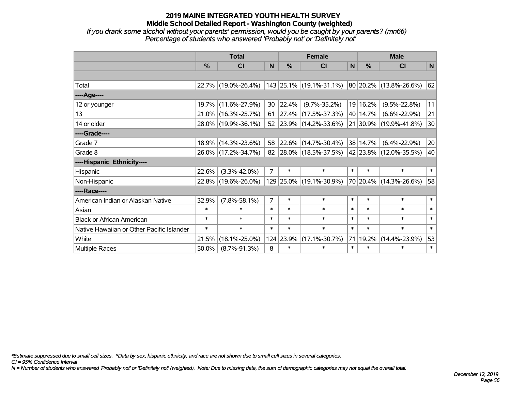*If you drank some alcohol without your parents' permission, would you be caught by your parents? (mn66) Percentage of students who answered 'Probably not' or 'Definitely not'*

|                                           | <b>Total</b>  |                     |                |           | <b>Female</b>                                  |              | <b>Male</b> |                        |        |  |
|-------------------------------------------|---------------|---------------------|----------------|-----------|------------------------------------------------|--------------|-------------|------------------------|--------|--|
|                                           | $\frac{0}{0}$ | <b>CI</b>           | N              | %         | <b>CI</b>                                      | $\mathsf{N}$ | $\%$        | <b>CI</b>              | N      |  |
|                                           |               |                     |                |           |                                                |              |             |                        |        |  |
| Total                                     |               | 22.7% (19.0%-26.4%) |                |           | 143 25.1% (19.1%-31.1%) 80 20.2% (13.8%-26.6%) |              |             |                        | 62     |  |
| ----Age----                               |               |                     |                |           |                                                |              |             |                        |        |  |
| 12 or younger                             | 19.7%         | $(11.6\% - 27.9\%)$ | 30             | 22.4%     | $(9.7\% - 35.2\%)$                             |              | 19 16.2%    | $(9.5\% - 22.8\%)$     | 11     |  |
| 13                                        |               | 21.0% (16.3%-25.7%) | 61             |           | 27.4% (17.5%-37.3%)                            |              | 40 14.7%    | $(6.6\% - 22.9\%)$     | 21     |  |
| 14 or older                               |               | 28.0% (19.9%-36.1%) | 52             |           | $ 23.9\% $ (14.2%-33.6%)                       |              |             | 21 30.9% (19.9%-41.8%) | 30     |  |
| ----Grade----                             |               |                     |                |           |                                                |              |             |                        |        |  |
| Grade 7                                   | 18.9%         | $(14.3\% - 23.6\%)$ | 58             |           | 22.6% (14.7%-30.4%)                            |              | 38 14.7%    | $(6.4\% - 22.9\%)$     | 20     |  |
| Grade 8                                   |               | 26.0% (17.2%-34.7%) | 82             |           | $ 28.0\% $ (18.5%-37.5%)                       |              |             | 42 23.8% (12.0%-35.5%) | 40     |  |
| ----Hispanic Ethnicity----                |               |                     |                |           |                                                |              |             |                        |        |  |
| Hispanic                                  | 22.6%         | $(3.3\% - 42.0\%)$  | $\overline{7}$ | $\ast$    | $\ast$                                         | $\ast$       | $\ast$      | $\ast$                 | $\ast$ |  |
| Non-Hispanic                              |               | 22.8% (19.6%-26.0%) |                |           | 129 25.0% (19.1%-30.9%)                        |              |             | 70 20.4% (14.3%-26.6%) | 58     |  |
| ----Race----                              |               |                     |                |           |                                                |              |             |                        |        |  |
| American Indian or Alaskan Native         | 32.9%         | $(7.8\% - 58.1\%)$  | $\overline{7}$ | $\ast$    | $\ast$                                         | $\ast$       | $\ast$      | $\ast$                 | $\ast$ |  |
| Asian                                     | $\ast$        | $\ast$              | $\ast$         | $\ast$    | $\ast$                                         | $\ast$       | $\ast$      | $\ast$                 | $\ast$ |  |
| <b>Black or African American</b>          | $\ast$        | $\ast$              | $\ast$         | $\ast$    | $\ast$                                         | $\ast$       | $\ast$      | $\ast$                 | $\ast$ |  |
| Native Hawaiian or Other Pacific Islander | $\ast$        | $\ast$              | $\ast$         | $\ast$    | $\ast$                                         | $\ast$       | $\ast$      | $\ast$                 | $\ast$ |  |
| White                                     | 21.5%         | $(18.1\% - 25.0\%)$ |                | 124 23.9% | $(17.1\% - 30.7\%)$                            | 71           | $ 19.2\% $  | $(14.4\% - 23.9\%)$    | 53     |  |
| Multiple Races                            | 50.0%         | $(8.7\% - 91.3\%)$  | 8              | $\ast$    | $\ast$                                         | $\ast$       | $\ast$      | $\ast$                 | $\ast$ |  |

*\*Estimate suppressed due to small cell sizes. ^Data by sex, hispanic ethnicity, and race are not shown due to small cell sizes in several categories.*

*CI = 95% Confidence Interval*

*N = Number of students who answered 'Probably not' or 'Definitely not' (weighted). Note: Due to missing data, the sum of demographic categories may not equal the overall total.*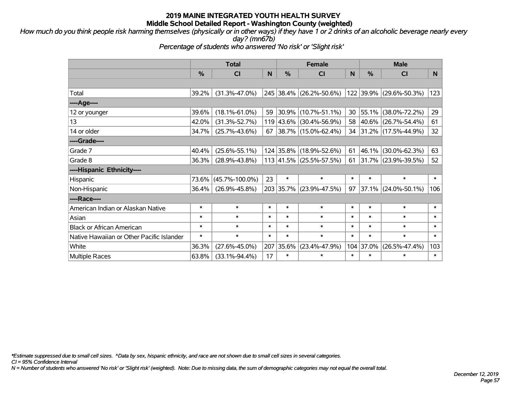*How much do you think people risk harming themselves (physically or in other ways) if they have 1 or 2 drinks of an alcoholic beverage nearly every day? (mn67b)*

*Percentage of students who answered 'No risk' or 'Slight risk'*

|                                           | <b>Total</b>  |                      |        |               | <b>Female</b>            |        | <b>Male</b>   |                          |              |  |
|-------------------------------------------|---------------|----------------------|--------|---------------|--------------------------|--------|---------------|--------------------------|--------------|--|
|                                           | $\frac{0}{0}$ | <b>CI</b>            | N      | $\frac{0}{0}$ | C <sub>l</sub>           | N      | $\frac{0}{0}$ | <b>CI</b>                | N.           |  |
|                                           |               |                      |        |               |                          |        |               |                          |              |  |
| Total                                     | 39.2%         | $(31.3\% - 47.0\%)$  |        |               | 245 38.4% (26.2%-50.6%)  |        |               | 122 39.9% (29.6%-50.3%)  | 123          |  |
| ----Age----                               |               |                      |        |               |                          |        |               |                          |              |  |
| 12 or younger                             | 39.6%         | $(18.1\% - 61.0\%)$  | 59     |               | 30.9% (10.7%-51.1%)      | 30     |               | 55.1% (38.0%-72.2%)      | 29           |  |
| 13                                        | 42.0%         | $(31.3\% - 52.7\%)$  |        |               | 119 43.6% (30.4%-56.9%)  | 58     |               | 40.6% (26.7%-54.4%)      | 61           |  |
| 14 or older                               | 34.7%         | $(25.7\% - 43.6\%)$  | 67     |               | $ 38.7\% $ (15.0%-62.4%) | 34     |               | $ 31.2\% $ (17.5%-44.9%) | 32           |  |
| ----Grade----                             |               |                      |        |               |                          |        |               |                          |              |  |
| Grade 7                                   | 40.4%         | $(25.6\% - 55.1\%)$  |        |               | 124 35.8% (18.9%-52.6%)  | 61     |               | 46.1% (30.0%-62.3%)      | 63           |  |
| Grade 8                                   | 36.3%         | $(28.9\% - 43.8\%)$  |        |               | 113 41.5% (25.5%-57.5%)  | 61     |               | 31.7% (23.9%-39.5%)      | 52           |  |
| ----Hispanic Ethnicity----                |               |                      |        |               |                          |        |               |                          |              |  |
| Hispanic                                  | 73.6%         | $(45.7\% - 100.0\%)$ | 23     | $\ast$        | $\ast$                   | $\ast$ | $\ast$        | $\ast$                   | $\ast$       |  |
| Non-Hispanic                              | 36.4%         | $(26.9\% - 45.8\%)$  |        |               | 203 35.7% (23.9%-47.5%)  | 97     |               | 37.1% (24.0%-50.1%)      | 106          |  |
| ----Race----                              |               |                      |        |               |                          |        |               |                          |              |  |
| American Indian or Alaskan Native         | $\ast$        | $\ast$               | $\ast$ | $\ast$        | $\ast$                   | $\ast$ | $\ast$        | $\ast$                   | $\ast$       |  |
| Asian                                     | $\ast$        | $\ast$               | $\ast$ | $\ast$        | $\ast$                   | $\ast$ | $\ast$        | $\ast$                   | $\ast$       |  |
| <b>Black or African American</b>          | $\ast$        | $\ast$               | $\ast$ | $\ast$        | $\ast$                   | $\ast$ | $\ast$        | $\ast$                   | $\ast$       |  |
| Native Hawaiian or Other Pacific Islander | $\ast$        | $\ast$               | $\ast$ | $\ast$        | $\ast$                   | $\ast$ | $\ast$        | $\ast$                   | $\pmb{\ast}$ |  |
| White                                     | 36.3%         | $(27.6\% - 45.0\%)$  | 207    | 35.6%         | $(23.4\% - 47.9\%)$      |        | 104 37.0%     | $(26.5\% - 47.4\%)$      | 103          |  |
| <b>Multiple Races</b>                     | 63.8%         | $(33.1\% - 94.4\%)$  | 17     | $\ast$        | $\ast$                   | $\ast$ | $\ast$        | $\ast$                   | $\ast$       |  |

*\*Estimate suppressed due to small cell sizes. ^Data by sex, hispanic ethnicity, and race are not shown due to small cell sizes in several categories.*

*CI = 95% Confidence Interval*

*N = Number of students who answered 'No risk' or 'Slight risk' (weighted). Note: Due to missing data, the sum of demographic categories may not equal the overall total.*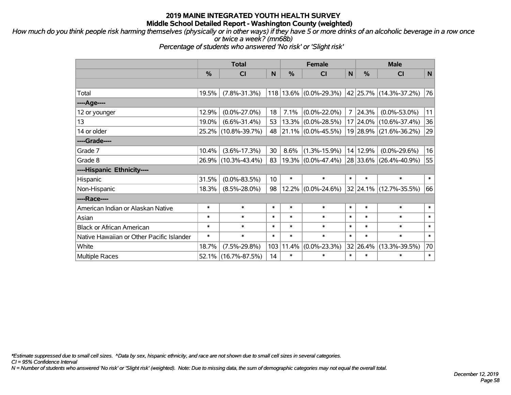*How much do you think people risk harming themselves (physically or in other ways) if they have 5 or more drinks of an alcoholic beverage in a row once or twice a week? (mn68b)*

*Percentage of students who answered 'No risk' or 'Slight risk'*

|                                           | <b>Total</b> |                     |                 |        | <b>Female</b>         |                | <b>Male</b>   |                             |              |  |
|-------------------------------------------|--------------|---------------------|-----------------|--------|-----------------------|----------------|---------------|-----------------------------|--------------|--|
|                                           | %            | <b>CI</b>           | N.              | $\%$   | <b>CI</b>             | N              | $\frac{0}{0}$ | <b>CI</b>                   | $\mathsf{N}$ |  |
|                                           |              |                     |                 |        |                       |                |               |                             |              |  |
| Total                                     | 19.5%        | $(7.8\% - 31.3\%)$  | 118             |        | 13.6% (0.0%-29.3%)    |                |               | $ 42 25.7\% $ (14.3%-37.2%) | 76           |  |
| ----Age----                               |              |                     |                 |        |                       |                |               |                             |              |  |
| 12 or younger                             | 12.9%        | $(0.0\% - 27.0\%)$  | 18              | 7.1%   | $(0.0\% - 22.0\%)$    | $\overline{7}$ | 24.3%         | $(0.0\% - 53.0\%)$          | 11           |  |
| 13                                        | 19.0%        | $(6.6\% - 31.4\%)$  | 53              | 13.3%  | $(0.0\% - 28.5\%)$    |                |               | 17 24.0% (10.6%-37.4%)      | 36           |  |
| 14 or older                               |              | 25.2% (10.8%-39.7%) | 48              |        | $21.1\%$ (0.0%-45.5%) |                |               | 19 28.9% (21.6%-36.2%)      | 29           |  |
| ----Grade----                             |              |                     |                 |        |                       |                |               |                             |              |  |
| Grade 7                                   | 10.4%        | $(3.6\% - 17.3\%)$  | 30              | 8.6%   | $(1.3\% - 15.9\%)$    |                | 14 12.9%      | $(0.0\% - 29.6\%)$          | 16           |  |
| Grade 8                                   |              | 26.9% (10.3%-43.4%) | 83              |        | $19.3\%$ (0.0%-47.4%) |                |               | 28 33.6% (26.4%-40.9%)      | 55           |  |
| ----Hispanic Ethnicity----                |              |                     |                 |        |                       |                |               |                             |              |  |
| Hispanic                                  | 31.5%        | $(0.0\% - 83.5\%)$  | 10 <sup>1</sup> | $\ast$ | $\ast$                | $\ast$         | $\ast$        | $\ast$                      | $\ast$       |  |
| Non-Hispanic                              | 18.3%        | $(8.5\% - 28.0\%)$  | 98              | 12.2%  | $(0.0\% - 24.6\%)$    |                |               | 32 24.1% (12.7%-35.5%)      | 66           |  |
| ----Race----                              |              |                     |                 |        |                       |                |               |                             |              |  |
| American Indian or Alaskan Native         | $\ast$       | $\ast$              | $\ast$          | $\ast$ | $\ast$                | $\ast$         | $\ast$        | $\ast$                      | $\ast$       |  |
| Asian                                     | $\ast$       | $\ast$              | $\ast$          | $\ast$ | $\ast$                | $\ast$         | $\ast$        | $\ast$                      | $\ast$       |  |
| <b>Black or African American</b>          | $\ast$       | $\ast$              | $\ast$          | $\ast$ | $\ast$                | $\ast$         | $\ast$        | $\ast$                      | $\ast$       |  |
| Native Hawaiian or Other Pacific Islander | $\ast$       | $\ast$              | $\ast$          | $\ast$ | $\ast$                | $\ast$         | $\ast$        | $\ast$                      | $\ast$       |  |
| White                                     | 18.7%        | $(7.5\% - 29.8\%)$  | 103             | 11.4%  | $(0.0\% - 23.3\%)$    |                | 32 26.4%      | $(13.3\% - 39.5\%)$         | 70           |  |
| <b>Multiple Races</b>                     | $52.1\%$     | $(16.7\% - 87.5\%)$ | 14              | $\ast$ | $\ast$                | $\ast$         | $\ast$        | $\ast$                      | $\ast$       |  |

*\*Estimate suppressed due to small cell sizes. ^Data by sex, hispanic ethnicity, and race are not shown due to small cell sizes in several categories.*

*CI = 95% Confidence Interval*

*N = Number of students who answered 'No risk' or 'Slight risk' (weighted). Note: Due to missing data, the sum of demographic categories may not equal the overall total.*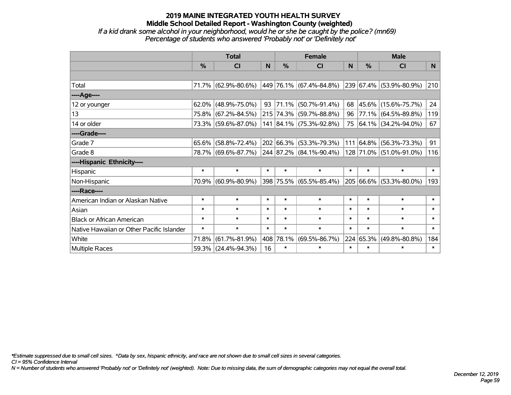#### **2019 MAINE INTEGRATED YOUTH HEALTH SURVEY Middle School Detailed Report - Washington County (weighted)** *If a kid drank some alcohol in your neighborhood, would he or she be caught by the police? (mn69)*

*Percentage of students who answered 'Probably not' or 'Definitely not'*

|                                           | <b>Total</b>  |                                                           |        |               | <b>Female</b>           |           | <b>Male</b>   |                                  |        |  |
|-------------------------------------------|---------------|-----------------------------------------------------------|--------|---------------|-------------------------|-----------|---------------|----------------------------------|--------|--|
|                                           | $\frac{0}{0}$ | <b>CI</b>                                                 | N      | $\frac{0}{0}$ | <b>CI</b>               | N         | $\frac{0}{0}$ | <b>CI</b>                        | N.     |  |
|                                           |               |                                                           |        |               |                         |           |               |                                  |        |  |
| Total                                     |               | 71.7% $(62.9\% - 80.6\%)$ $(449.76.1\%)(67.4\% - 84.8\%)$ |        |               |                         |           |               | $ 239 67.4\%  (53.9\% - 80.9\%)$ | 210    |  |
| ----Age----                               |               |                                                           |        |               |                         |           |               |                                  |        |  |
| 12 or younger                             | $62.0\%$      | $(48.9\% - 75.0\%)$                                       | 93     | 71.1%         | $(50.7\% - 91.4\%)$     | 68        | $ 45.6\% $    | $(15.6\% - 75.7\%)$              | 24     |  |
| 13                                        | 75.8%         | $(67.2\% - 84.5\%)$                                       |        |               | 215 74.3% (59.7%-88.8%) | $96 \mid$ |               | 77.1% (64.5%-89.8%)              | 119    |  |
| 14 or older                               |               | 73.3% (59.6%-87.0%)                                       |        |               | 141 84.1% (75.3%-92.8%) |           |               | 75 64.1% (34.2%-94.0%)           | 67     |  |
| ----Grade----                             |               |                                                           |        |               |                         |           |               |                                  |        |  |
| Grade 7                                   | $65.6\%$      | $(58.8\% - 72.4\%)$                                       |        |               | 202 66.3% (53.3%-79.3%) |           | 111 64.8%     | $(56.3\% - 73.3\%)$              | 91     |  |
| Grade 8                                   |               | 78.7% (69.6%-87.7%) 244 87.2% (84.1%-90.4%)               |        |               |                         |           |               | 128 71.0% (51.0%-91.0%)          | 116    |  |
| ----Hispanic Ethnicity----                |               |                                                           |        |               |                         |           |               |                                  |        |  |
| Hispanic                                  | $\ast$        | $\ast$                                                    | $\ast$ | $\ast$        | $\ast$                  | $\ast$    | $\ast$        | $\ast$                           | $\ast$ |  |
| Non-Hispanic                              | 70.9%         | $(60.9\% - 80.9\%)$                                       |        |               | 398 75.5% (65.5%-85.4%) |           | 205 66.6%     | $(53.3\% - 80.0\%)$              | 193    |  |
| ----Race----                              |               |                                                           |        |               |                         |           |               |                                  |        |  |
| American Indian or Alaskan Native         | $\ast$        | $\ast$                                                    | $\ast$ | $\ast$        | $\ast$                  | $\ast$    | $\ast$        | $\ast$                           | $\ast$ |  |
| Asian                                     | $\ast$        | $\ast$                                                    | $\ast$ | $\ast$        | $\ast$                  | $\ast$    | $\ast$        | $\ast$                           | $\ast$ |  |
| <b>Black or African American</b>          | $\ast$        | $\ast$                                                    | $\ast$ | $\ast$        | $\ast$                  | $\ast$    | $\ast$        | $\ast$                           | $\ast$ |  |
| Native Hawaiian or Other Pacific Islander | $\ast$        | $\ast$                                                    | $\ast$ | $\ast$        | $\ast$                  | $\ast$    | $\ast$        | $\ast$                           | $\ast$ |  |
| White                                     | 71.8%         | $(61.7\% - 81.9\%)$                                       | 408    | 78.1%         | $(69.5\% - 86.7\%)$     |           | 224 65.3%     | $(49.8\% - 80.8\%)$              | 184    |  |
| <b>Multiple Races</b>                     |               | 59.3% (24.4%-94.3%)                                       | 16     | $\ast$        | $\ast$                  | $\ast$    | $\ast$        | $\ast$                           | $\ast$ |  |

*\*Estimate suppressed due to small cell sizes. ^Data by sex, hispanic ethnicity, and race are not shown due to small cell sizes in several categories.*

*CI = 95% Confidence Interval*

*N = Number of students who answered 'Probably not' or 'Definitely not' (weighted). Note: Due to missing data, the sum of demographic categories may not equal the overall total.*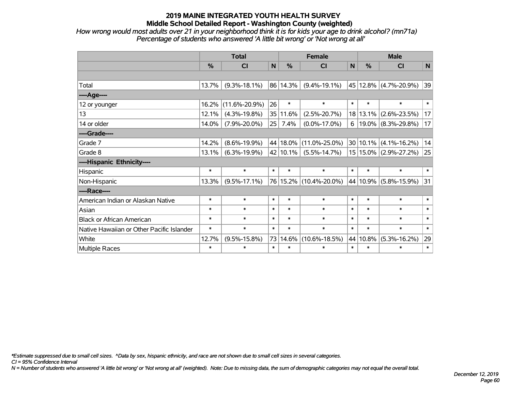*How wrong would most adults over 21 in your neighborhood think it is for kids your age to drink alcohol? (mn71a) Percentage of students who answered 'A little bit wrong' or 'Not wrong at all'*

|                                           | <b>Total</b>  |                     |        |               | <b>Female</b>              |              | <b>Male</b> |                                          |        |  |
|-------------------------------------------|---------------|---------------------|--------|---------------|----------------------------|--------------|-------------|------------------------------------------|--------|--|
|                                           | $\frac{0}{0}$ | <b>CI</b>           | N      | $\frac{0}{0}$ | CI                         | $\mathsf{N}$ | %           | CI                                       | N      |  |
|                                           |               |                     |        |               |                            |              |             |                                          |        |  |
| Total                                     | 13.7%         | $(9.3\% - 18.1\%)$  |        | 86 14.3%      | $(9.4\% - 19.1\%)$         |              |             | 45 12.8% (4.7%-20.9%)                    | 39     |  |
| ----Age----                               |               |                     |        |               |                            |              |             |                                          |        |  |
| 12 or younger                             | 16.2%         | $(11.6\% - 20.9\%)$ | 26     | $\ast$        | $\ast$                     | $\ast$       | $\ast$      | $\ast$                                   | $\ast$ |  |
| 13                                        | 12.1%         | $(4.3\% - 19.8\%)$  |        | 35 11.6%      | $(2.5\% - 20.7\%)$         |              | 18 13.1%    | $(2.6\% - 23.5\%)$                       | 17     |  |
| 14 or older                               | 14.0%         | $(7.9\% - 20.0\%)$  | 25     | 7.4%          | $(0.0\% - 17.0\%)$         |              |             | 6   19.0%   $(8.3\text{%}-29.8\text{%)}$ | 17     |  |
| ----Grade----                             |               |                     |        |               |                            |              |             |                                          |        |  |
| Grade 7                                   | 14.2%         | $(8.6\% - 19.9\%)$  |        |               | 44   18.0%   (11.0%-25.0%) |              | 30 10.1%    | $(4.1\% - 16.2\%)$                       | 14     |  |
| Grade 8                                   | 13.1%         | $(6.3\% - 19.9\%)$  |        | 42 10.1%      | $(5.5\% - 14.7\%)$         |              |             | 15 15.0% (2.9%-27.2%)                    | 25     |  |
| ----Hispanic Ethnicity----                |               |                     |        |               |                            |              |             |                                          |        |  |
| Hispanic                                  | $\ast$        | $\ast$              | $\ast$ | $\ast$        | $\ast$                     | $\ast$       | $\ast$      | $\ast$                                   | $\ast$ |  |
| Non-Hispanic                              | 13.3%         | $(9.5\% - 17.1\%)$  |        |               | 76 15.2% (10.4%-20.0%)     |              | 44 10.9%    | $(5.8\% - 15.9\%)$                       | 31     |  |
| ----Race----                              |               |                     |        |               |                            |              |             |                                          |        |  |
| American Indian or Alaskan Native         | $\ast$        | $\ast$              | $\ast$ | $\ast$        | $\ast$                     | $\ast$       | $\ast$      | $\ast$                                   | $\ast$ |  |
| Asian                                     | $\ast$        | $\ast$              | $\ast$ | $\ast$        | $\ast$                     | $\ast$       | $\ast$      | $\ast$                                   | $\ast$ |  |
| <b>Black or African American</b>          | $\ast$        | $\ast$              | $\ast$ | $\ast$        | $\ast$                     | $\ast$       | $\ast$      | $\ast$                                   | $\ast$ |  |
| Native Hawaiian or Other Pacific Islander | $\ast$        | $\ast$              | $\ast$ | $\ast$        | $\ast$                     | $\ast$       | $\ast$      | $\ast$                                   | $\ast$ |  |
| White                                     | 12.7%         | $(9.5\% - 15.8\%)$  | 73     | 14.6%         | $(10.6\% - 18.5\%)$        |              | 44 10.8%    | $(5.3\% - 16.2\%)$                       | 29     |  |
| Multiple Races                            | $\ast$        | $\ast$              | $\ast$ | $\ast$        | $\ast$                     | $\ast$       | $\ast$      | $\ast$                                   | $\ast$ |  |

*\*Estimate suppressed due to small cell sizes. ^Data by sex, hispanic ethnicity, and race are not shown due to small cell sizes in several categories.*

*CI = 95% Confidence Interval*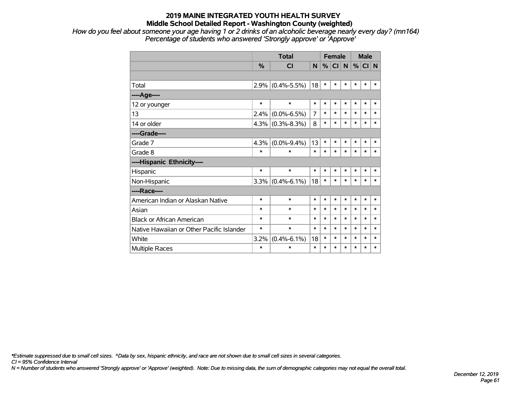*How do you feel about someone your age having 1 or 2 drinks of an alcoholic beverage nearly every day? (mn164) Percentage of students who answered 'Strongly approve' or 'Approve'*

|                                           |               | <b>Total</b>        | <b>Female</b> |        |        |        | <b>Male</b> |        |        |
|-------------------------------------------|---------------|---------------------|---------------|--------|--------|--------|-------------|--------|--------|
|                                           | $\frac{0}{0}$ | <b>CI</b>           | N             | %      | CI N   |        | %           | CI N   |        |
|                                           |               |                     |               |        |        |        |             |        |        |
| Total                                     | $2.9\%$       | $(0.4\% - 5.5\%)$   | 18            | $\ast$ | $\ast$ | $\ast$ | *           | $\ast$ | $\ast$ |
| ----Age----                               |               |                     |               |        |        |        |             |        |        |
| 12 or younger                             | $\ast$        | $\ast$              | $\ast$        | $\ast$ | $\ast$ | $\ast$ | $\ast$      | $\ast$ | $\ast$ |
| 13                                        | 2.4%          | $(0.0\% - 6.5\%)$   | 7             | *      | *      | $\ast$ | $\ast$      | $\ast$ | $\ast$ |
| 14 or older                               |               | $4.3\%$ (0.3%-8.3%) | 8             | $\ast$ | $\ast$ | $\ast$ | $\ast$      | $\ast$ | $\ast$ |
| ----Grade----                             |               |                     |               |        |        |        |             |        |        |
| Grade 7                                   | 4.3%          | $(0.0\% - 9.4\%)$   | 13            | $\ast$ | $\ast$ | $\ast$ | $\ast$      | $\ast$ | $\ast$ |
| Grade 8                                   | $\ast$        | $\ast$              | $\ast$        | $\ast$ | $\ast$ | $\ast$ | *           | $\ast$ | $\ast$ |
| ----Hispanic Ethnicity----                |               |                     |               |        |        |        |             |        |        |
| Hispanic                                  | $\ast$        | $\ast$              | $\ast$        | $\ast$ | $\ast$ | $\ast$ | $\ast$      | $\ast$ | $\ast$ |
| Non-Hispanic                              |               | $3.3\%$ (0.4%-6.1%) | 18            | $\ast$ | $\ast$ | $\ast$ | $\ast$      | $\ast$ | $\ast$ |
| ----Race----                              |               |                     |               |        |        |        |             |        |        |
| American Indian or Alaskan Native         | $\ast$        | $\ast$              | $\ast$        | $\ast$ | *      | $\ast$ | *           | $\ast$ | $\ast$ |
| Asian                                     | $\ast$        | $\ast$              | $\ast$        | $\ast$ | $\ast$ | *      | $\ast$      | $\ast$ | $\ast$ |
| <b>Black or African American</b>          | $\ast$        | $\ast$              | $\ast$        | *      | $\ast$ | $\ast$ | $\ast$      | $\ast$ | $\ast$ |
| Native Hawaiian or Other Pacific Islander | $\ast$        | $\ast$              | $\ast$        | *      | *      | $\ast$ | $\ast$      | $\ast$ | $\ast$ |
| White                                     | 3.2%          | $(0.4\% - 6.1\%)$   | 18            | *      | $\ast$ | $\ast$ | $\ast$      | $\ast$ | $\ast$ |
| <b>Multiple Races</b>                     | $\ast$        | $\ast$              | $\ast$        | $\ast$ | *      | $\ast$ | $\ast$      | $\ast$ | $\ast$ |

*\*Estimate suppressed due to small cell sizes. ^Data by sex, hispanic ethnicity, and race are not shown due to small cell sizes in several categories.*

*CI = 95% Confidence Interval*

*N = Number of students who answered 'Strongly approve' or 'Approve' (weighted). Note: Due to missing data, the sum of demographic categories may not equal the overall total.*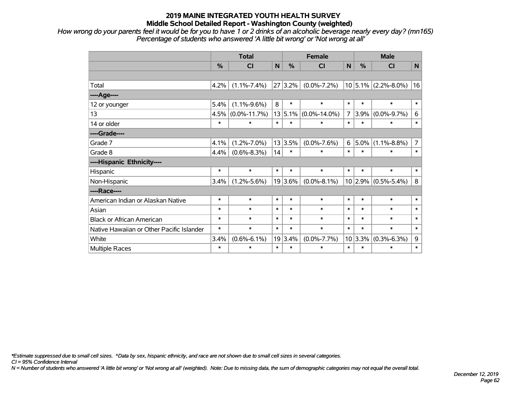*How wrong do your parents feel it would be for you to have 1 or 2 drinks of an alcoholic beverage nearly every day? (mn165) Percentage of students who answered 'A little bit wrong' or 'Not wrong at all'*

|                                           | <b>Total</b> |                    |        |         | <b>Female</b>      |                | <b>Male</b> |                         |                |  |
|-------------------------------------------|--------------|--------------------|--------|---------|--------------------|----------------|-------------|-------------------------|----------------|--|
|                                           | %            | <b>CI</b>          | N      | %       | <b>CI</b>          | N              | %           | <b>CI</b>               | N              |  |
|                                           |              |                    |        |         |                    |                |             |                         |                |  |
| Total                                     | 4.2%         | $(1.1\% - 7.4\%)$  | 27     | 3.2%    | $(0.0\% - 7.2\%)$  |                |             | $10 5.1\% $ (2.2%-8.0%) | 16             |  |
| ----Age----                               |              |                    |        |         |                    |                |             |                         |                |  |
| 12 or younger                             | 5.4%         | $(1.1\% - 9.6\%)$  | 8      | $\ast$  | $\ast$             | $\ast$         | $\ast$      | $\ast$                  | $\ast$         |  |
| 13                                        | 4.5%         | $(0.0\% - 11.7\%)$ |        | 13 5.1% | $(0.0\% - 14.0\%)$ | $\overline{7}$ | 3.9%        | $(0.0\% - 9.7\%)$       | 6              |  |
| 14 or older                               | $\ast$       | $\ast$             | $\ast$ | $\ast$  | $\ast$             | $\ast$         | $\ast$      | $\ast$                  | $\ast$         |  |
| ----Grade----                             |              |                    |        |         |                    |                |             |                         |                |  |
| Grade 7                                   | 4.1%         | $(1.2\% - 7.0\%)$  |        | 13 3.5% | $(0.0\% - 7.6\%)$  | 6              | 5.0%        | $(1.1\% - 8.8\%)$       | $\overline{7}$ |  |
| Grade 8                                   | 4.4%         | $(0.6\% - 8.3\%)$  | 14     | $\ast$  | $\ast$             | $\ast$         | $\ast$      | $\ast$                  | $\ast$         |  |
| ----Hispanic Ethnicity----                |              |                    |        |         |                    |                |             |                         |                |  |
| Hispanic                                  | $\ast$       | $\ast$             | $\ast$ | $\ast$  | $\ast$             | $\ast$         | $\ast$      | $\ast$                  | $\ast$         |  |
| Non-Hispanic                              | 3.4%         | $(1.2\% - 5.6\%)$  |        | 19 3.6% | $(0.0\% - 8.1\%)$  |                | 10 2.9%     | $(0.5\% - 5.4\%)$       | 8              |  |
| ----Race----                              |              |                    |        |         |                    |                |             |                         |                |  |
| American Indian or Alaskan Native         | $\ast$       | $\ast$             | $\ast$ | $\ast$  | $\ast$             | $\ast$         | $\ast$      | $\ast$                  | $\ast$         |  |
| Asian                                     | $\ast$       | $\ast$             | $\ast$ | $\ast$  | $\ast$             | $\ast$         | $\ast$      | $\ast$                  | $\ast$         |  |
| <b>Black or African American</b>          | $\ast$       | $\ast$             | $\ast$ | $\ast$  | $\ast$             | $\ast$         | $\ast$      | $\ast$                  | $\ast$         |  |
| Native Hawaiian or Other Pacific Islander | $\ast$       | $\ast$             | $\ast$ | $\ast$  | $\ast$             | $\ast$         | $\ast$      | $\ast$                  | $\ast$         |  |
| White                                     | 3.4%         | $(0.6\% - 6.1\%)$  | 19     | 3.4%    | $(0.0\% - 7.7\%)$  |                | 10 3.3%     | $(0.3\% - 6.3\%)$       | 9              |  |
| <b>Multiple Races</b>                     | $\ast$       | $\ast$             | $\ast$ | $\ast$  | $\ast$             | $\ast$         | $\ast$      | $\ast$                  | $\ast$         |  |

*\*Estimate suppressed due to small cell sizes. ^Data by sex, hispanic ethnicity, and race are not shown due to small cell sizes in several categories.*

*CI = 95% Confidence Interval*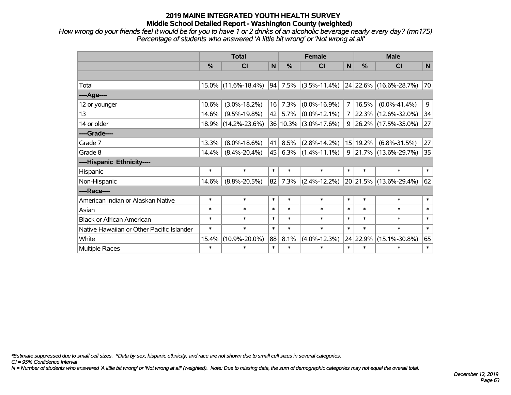*How wrong do your friends feel it would be for you to have 1 or 2 drinks of an alcoholic beverage nearly every day? (mn175) Percentage of students who answered 'A little bit wrong' or 'Not wrong at all'*

|                                           | <b>Total</b>  |                     |        |               | <b>Female</b>         |                | <b>Male</b>   |                             |        |  |
|-------------------------------------------|---------------|---------------------|--------|---------------|-----------------------|----------------|---------------|-----------------------------|--------|--|
|                                           | $\frac{0}{0}$ | <b>CI</b>           | N      | $\frac{0}{0}$ | CI                    | N              | $\frac{0}{0}$ | <b>CI</b>                   | N      |  |
|                                           |               |                     |        |               |                       |                |               |                             |        |  |
| Total                                     | $15.0\%$      | $(11.6\% - 18.4\%)$ | 94     | 7.5%          | $(3.5\% - 11.4\%)$    |                |               | $ 24 22.6\% $ (16.6%-28.7%) | 70     |  |
| ---- Age----                              |               |                     |        |               |                       |                |               |                             |        |  |
| 12 or younger                             | 10.6%         | $(3.0\% - 18.2\%)$  | 16     | 7.3%          | $(0.0\% - 16.9\%)$    | $7^{\circ}$    | 16.5%         | $(0.0\% - 41.4\%)$          | 9      |  |
| 13                                        | 14.6%         | $(9.5\% - 19.8\%)$  | 42     | 5.7%          | $(0.0\% - 12.1\%)$    |                |               | $7$   22.3%   (12.6%-32.0%) | 34     |  |
| 14 or older                               | $18.9\%$      | $(14.2\% - 23.6\%)$ |        |               | 36 10.3% (3.0%-17.6%) | 9 <sup>1</sup> |               | 26.2% (17.5%-35.0%)         | 27     |  |
| ----Grade----                             |               |                     |        |               |                       |                |               |                             |        |  |
| Grade 7                                   | 13.3%         | $(8.0\% - 18.6\%)$  | 41     | 8.5%          | $(2.8\% - 14.2\%)$    |                | 15 19.2%      | $(6.8\% - 31.5\%)$          | 27     |  |
| Grade 8                                   | 14.4%         | $(8.4\% - 20.4\%)$  | 45     | 6.3%          | $(1.4\% - 11.1\%)$    |                |               | $9$ 21.7% (13.6%-29.7%)     | 35     |  |
| ----Hispanic Ethnicity----                |               |                     |        |               |                       |                |               |                             |        |  |
| <b>Hispanic</b>                           | $\ast$        | $\ast$              | $\ast$ | $\ast$        | $\ast$                | $\ast$         | $\ast$        | $\ast$                      | $\ast$ |  |
| Non-Hispanic                              | 14.6%         | $(8.8\% - 20.5\%)$  | 82     | 7.3%          | $(2.4\% - 12.2\%)$    |                |               | 20 21.5% (13.6%-29.4%)      | 62     |  |
| ----Race----                              |               |                     |        |               |                       |                |               |                             |        |  |
| American Indian or Alaskan Native         | $\ast$        | $\ast$              | $\ast$ | $\ast$        | $\ast$                | $\ast$         | $\ast$        | $\ast$                      | $\ast$ |  |
| Asian                                     | $\ast$        | $\ast$              | $\ast$ | $\ast$        | $\ast$                | $\ast$         | $\ast$        | $\ast$                      | $\ast$ |  |
| <b>Black or African American</b>          | $\ast$        | $\ast$              | $\ast$ | $\ast$        | $\ast$                | $\ast$         | $\ast$        | $\ast$                      | $\ast$ |  |
| Native Hawaiian or Other Pacific Islander | $\ast$        | $\ast$              | $\ast$ | $\ast$        | $\ast$                | $\ast$         | $\ast$        | $\ast$                      | $\ast$ |  |
| White                                     | 15.4%         | $(10.9\% - 20.0\%)$ | 88     | 8.1%          | $(4.0\% - 12.3\%)$    |                | 24 22.9%      | $(15.1\% - 30.8\%)$         | 65     |  |
| Multiple Races                            | $\ast$        | $\ast$              | $\ast$ | $\ast$        | $\ast$                | $\ast$         | $\ast$        | $\ast$                      | $\ast$ |  |

*\*Estimate suppressed due to small cell sizes. ^Data by sex, hispanic ethnicity, and race are not shown due to small cell sizes in several categories.*

*CI = 95% Confidence Interval*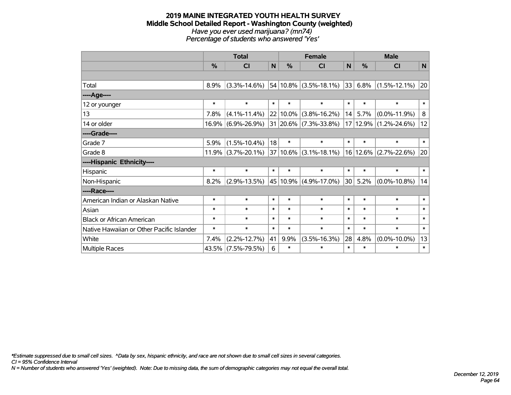#### **2019 MAINE INTEGRATED YOUTH HEALTH SURVEY Middle School Detailed Report - Washington County (weighted)** *Have you ever used marijuana? (mn74) Percentage of students who answered 'Yes'*

|                                           | <b>Total</b> |                       |        |          | <b>Female</b>                            |        | <b>Male</b> |                    |             |  |
|-------------------------------------------|--------------|-----------------------|--------|----------|------------------------------------------|--------|-------------|--------------------|-------------|--|
|                                           | %            | <b>CI</b>             | N      | %        | <b>CI</b>                                | N      | %           | <b>CI</b>          | $\mathbf N$ |  |
|                                           |              |                       |        |          |                                          |        |             |                    |             |  |
| Total                                     | 8.9%         | $(3.3\% - 14.6\%)$    |        |          | $54 10.8\% $ (3.5%-18.1%)                |        | 33  6.8%    | $(1.5\% - 12.1\%)$ | 20          |  |
| ----Age----                               |              |                       |        |          |                                          |        |             |                    |             |  |
| 12 or younger                             | $\ast$       | $\ast$                | $\ast$ | $\ast$   | $\ast$                                   | $\ast$ | $\ast$      | $\ast$             | $\ast$      |  |
| 13                                        | 7.8%         | $(4.1\% - 11.4\%)$    |        | 22 10.0% | $(3.8\% - 16.2\%)$                       | 14     | 5.7%        | $(0.0\% - 11.9\%)$ | 8           |  |
| 14 or older                               |              | $16.9\%$ (6.9%-26.9%) |        |          | 31 20.6% (7.3%-33.8%)                    |        | 17 12.9%    | $(1.2\% - 24.6\%)$ | 12          |  |
| ----Grade----                             |              |                       |        |          |                                          |        |             |                    |             |  |
| Grade 7                                   | 5.9%         | $(1.5\% - 10.4\%)$    | 18     | $\ast$   | $\ast$                                   | $\ast$ | $\ast$      | $\ast$             | $\ast$      |  |
| Grade 8                                   |              | $11.9\%$ (3.7%-20.1%) |        |          | $ 37 10.6\% $ (3.1%-18.1%) $ 16 12.6\% $ |        |             | $(2.7\% - 22.6\%)$ | 20          |  |
| ----Hispanic Ethnicity----                |              |                       |        |          |                                          |        |             |                    |             |  |
| Hispanic                                  | $\ast$       | $\ast$                | $\ast$ | $\ast$   | $\ast$                                   | $\ast$ | $\ast$      | $\ast$             | $\ast$      |  |
| Non-Hispanic                              | 8.2%         | $(2.9\% - 13.5\%)$    |        | 45 10.9% | $(4.9\% - 17.0\%)$                       | 30     | 5.2%        | $(0.0\% - 10.8\%)$ | 14          |  |
| ----Race----                              |              |                       |        |          |                                          |        |             |                    |             |  |
| American Indian or Alaskan Native         | $\ast$       | $\ast$                | $\ast$ | $\ast$   | $\ast$                                   | $\ast$ | $\ast$      | $\ast$             | $\ast$      |  |
| Asian                                     | $\ast$       | $\ast$                | $\ast$ | $\ast$   | $\ast$                                   | $\ast$ | $\ast$      | $\ast$             | $\ast$      |  |
| <b>Black or African American</b>          | $\ast$       | $\ast$                | $\ast$ | $\ast$   | $\ast$                                   | $\ast$ | $\ast$      | $\ast$             | $\ast$      |  |
| Native Hawaiian or Other Pacific Islander | $\ast$       | $\ast$                | $\ast$ | $\ast$   | $\ast$                                   | $\ast$ | $\ast$      | $\ast$             | $\ast$      |  |
| White                                     | 7.4%         | $(2.2\% - 12.7\%)$    | 41     | 9.9%     | $(3.5\% - 16.3\%)$                       | 28     | 4.8%        | $(0.0\% - 10.0\%)$ | 13          |  |
| <b>Multiple Races</b>                     |              | 43.5% (7.5%-79.5%)    | 6      | $\ast$   | $\ast$                                   | $\ast$ | $\ast$      | $\ast$             | $\ast$      |  |

*\*Estimate suppressed due to small cell sizes. ^Data by sex, hispanic ethnicity, and race are not shown due to small cell sizes in several categories.*

*CI = 95% Confidence Interval*

*N = Number of students who answered 'Yes' (weighted). Note: Due to missing data, the sum of demographic categories may not equal the overall total.*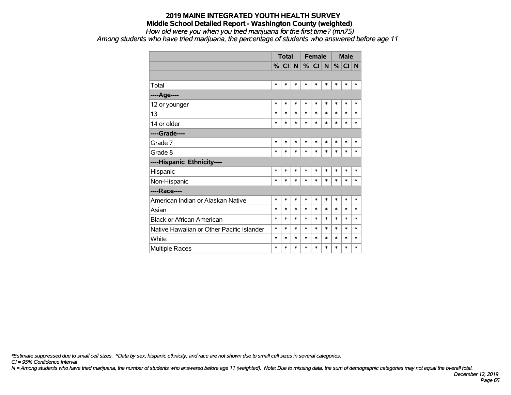#### **2019 MAINE INTEGRATED YOUTH HEALTH SURVEY Middle School Detailed Report - Washington County (weighted)** *How old were you when you tried marijuana for the first time? (mn75)*

*Among students who have tried marijuana, the percentage of students who answered before age 11*

|                                           |        | <b>Total</b> |        |        | <b>Female</b> |        | <b>Male</b> |        |        |
|-------------------------------------------|--------|--------------|--------|--------|---------------|--------|-------------|--------|--------|
|                                           |        | $\%$ CI      | N      |        | %  C  N       |        | %           | CI N   |        |
|                                           |        |              |        |        |               |        |             |        |        |
| Total                                     | $\ast$ | $\ast$       | $\ast$ | $\ast$ | $\ast$        | $\ast$ | $\ast$      | $\ast$ | $\ast$ |
| ----Age----                               |        |              |        |        |               |        |             |        |        |
| 12 or younger                             | $\ast$ | $\ast$       | $\ast$ | $\ast$ | $\ast$        | $\ast$ | $\ast$      | $\ast$ | $\ast$ |
| 13                                        | $\ast$ | $\ast$       | $\ast$ | $\ast$ | $\ast$        | $\ast$ | $\ast$      | $\ast$ | $\ast$ |
| 14 or older                               | $\ast$ | $\ast$       | $\ast$ | $\ast$ | $\ast$        | $\ast$ | $\ast$      | $\ast$ | $\ast$ |
| ----Grade----                             |        |              |        |        |               |        |             |        |        |
| Grade 7                                   | $\ast$ | $\ast$       | $\ast$ | $\ast$ | $\ast$        | $\ast$ | $\ast$      | $\ast$ | $\ast$ |
| Grade 8                                   | $\ast$ | $\ast$       | $\ast$ | $\ast$ | $\ast$        | $\ast$ | $\ast$      | $\ast$ | $\ast$ |
| ----Hispanic Ethnicity----                |        |              |        |        |               |        |             |        |        |
| Hispanic                                  | $\ast$ | $\ast$       | $\ast$ | $\ast$ | $\ast$        | $\ast$ | $\ast$      | $\ast$ | $\ast$ |
| Non-Hispanic                              | $\ast$ | $\ast$       | $\ast$ | $\ast$ | $\ast$        | $\ast$ | $\ast$      | $\ast$ | $\ast$ |
| ----Race----                              |        |              |        |        |               |        |             |        |        |
| American Indian or Alaskan Native         | $\ast$ | $\ast$       | $\ast$ | $\ast$ | $\ast$        | $\ast$ | $\ast$      | $\ast$ | $\ast$ |
| Asian                                     | $\ast$ | $\ast$       | $\ast$ | $\ast$ | $\ast$        | $\ast$ | $\ast$      | $\ast$ | $\ast$ |
| <b>Black or African American</b>          | $\ast$ | $\ast$       | *      | $\ast$ | $\ast$        | $\ast$ | $\ast$      | $\ast$ | $\ast$ |
| Native Hawaiian or Other Pacific Islander | $\ast$ | $\ast$       | *      | $\ast$ | $\ast$        | $\ast$ | $\ast$      | $\ast$ | $\ast$ |
| White                                     | $\ast$ | $\ast$       | $\ast$ | $\ast$ | $\ast$        | $\ast$ | $\ast$      | $\ast$ | $\ast$ |
| <b>Multiple Races</b>                     | $\ast$ | $\ast$       | *      | $\ast$ | $\ast$        | $\ast$ | $\ast$      | $\ast$ | $\ast$ |

*\*Estimate suppressed due to small cell sizes. ^Data by sex, hispanic ethnicity, and race are not shown due to small cell sizes in several categories.*

*CI = 95% Confidence Interval*

*N = Among students who have tried marijuana, the number of students who answered before age 11 (weighted). Note: Due to missing data, the sum of demographic categories may not equal the overall total.*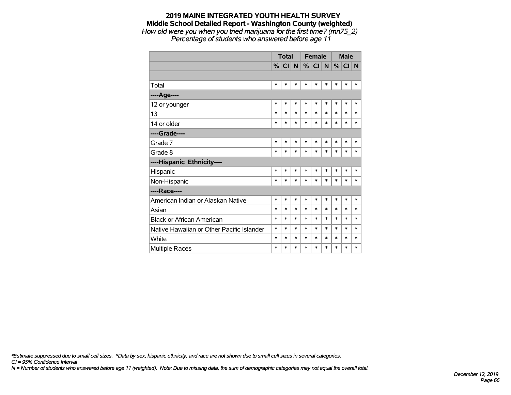#### **2019 MAINE INTEGRATED YOUTH HEALTH SURVEY Middle School Detailed Report - Washington County (weighted)** *How old were you when you tried marijuana for the first time? (mn75\_2)*

*Percentage of students who answered before age 11*

|                                           |        | Total   |        |        | <b>Female</b>   |             | <b>Male</b> |        |        |
|-------------------------------------------|--------|---------|--------|--------|-----------------|-------------|-------------|--------|--------|
|                                           |        | $\%$ CI | N      | %      | Cl <sub>1</sub> | $\mathbf N$ |             | % CI N |        |
|                                           |        |         |        |        |                 |             |             |        |        |
| Total                                     | $\ast$ | $\ast$  | $\ast$ | $\ast$ | $\ast$          | $\ast$      | $\ast$      | $\ast$ | $\ast$ |
| ----Age----                               |        |         |        |        |                 |             |             |        |        |
| 12 or younger                             | $\ast$ | $\ast$  | $\ast$ | $\ast$ | $\ast$          | $\ast$      | $\ast$      | $\ast$ | $\ast$ |
| 13                                        | $\ast$ | $\ast$  | $\ast$ | $\ast$ | $\ast$          | $\ast$      | *           | $\ast$ | $\ast$ |
| 14 or older                               | $\ast$ | $\ast$  | $\ast$ | $\ast$ | $\ast$          | $\ast$      | $\ast$      | $\ast$ | $\ast$ |
| ----Grade----                             |        |         |        |        |                 |             |             |        |        |
| Grade 7                                   | $\ast$ | *       | $\ast$ | $\ast$ | $\ast$          | *           | $\ast$      | $\ast$ | $\ast$ |
| Grade 8                                   | $\ast$ | *       | $\ast$ | $\ast$ | $\ast$          | *           | $\ast$      | $\ast$ | $\ast$ |
| ----Hispanic Ethnicity----                |        |         |        |        |                 |             |             |        |        |
| Hispanic                                  | $\ast$ | *       | $\ast$ | $\ast$ | $\ast$          | *           | $\ast$      | $\ast$ | *      |
| Non-Hispanic                              | $\ast$ | *       | $\ast$ | $\ast$ | $\ast$          | $\ast$      | $\ast$      | $\ast$ | $\ast$ |
| ----Race----                              |        |         |        |        |                 |             |             |        |        |
| American Indian or Alaskan Native         | $\ast$ | $\ast$  | $\ast$ | $\ast$ | $\ast$          | $\ast$      | $\ast$      | $\ast$ | $\ast$ |
| Asian                                     | $\ast$ | $\ast$  | $\ast$ | $\ast$ | $\ast$          | $\ast$      | $\ast$      | $\ast$ | $\ast$ |
| <b>Black or African American</b>          | $\ast$ | $\ast$  | $\ast$ | $\ast$ | $\ast$          | *           | $\ast$      | $\ast$ | $\ast$ |
| Native Hawaiian or Other Pacific Islander | $\ast$ | $\ast$  | $\ast$ | $\ast$ | $\ast$          | $\ast$      | $\ast$      | $\ast$ | $\ast$ |
| White                                     | $\ast$ | $\ast$  | $\ast$ | $\ast$ | $\ast$          | $\ast$      | *           | $\ast$ | $\ast$ |
| Multiple Races                            | $\ast$ | $\ast$  | $\ast$ | $\ast$ | $\ast$          | $\ast$      | $\ast$      | $\ast$ | $\ast$ |

*\*Estimate suppressed due to small cell sizes. ^Data by sex, hispanic ethnicity, and race are not shown due to small cell sizes in several categories.*

*CI = 95% Confidence Interval*

*N = Number of students who answered before age 11 (weighted). Note: Due to missing data, the sum of demographic categories may not equal the overall total.*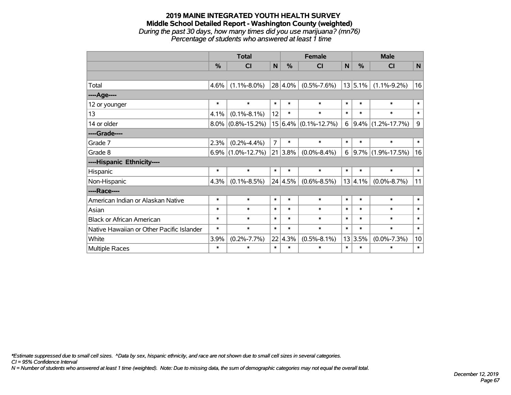## **2019 MAINE INTEGRATED YOUTH HEALTH SURVEY Middle School Detailed Report - Washington County (weighted)** *During the past 30 days, how many times did you use marijuana? (mn76)*

*Percentage of students who answered at least 1 time*

|                                           | <b>Total</b>  |                      |                |                 | <b>Female</b>                | <b>Male</b> |         |                        |        |
|-------------------------------------------|---------------|----------------------|----------------|-----------------|------------------------------|-------------|---------|------------------------|--------|
|                                           | $\frac{0}{0}$ | <b>CI</b>            | N              | $\%$            | <b>CI</b>                    | N           | $\%$    | <b>CI</b>              | N      |
|                                           |               |                      |                |                 |                              |             |         |                        |        |
| Total                                     | 4.6%          | $(1.1\% - 8.0\%)$    |                | 28 4.0%         | $(0.5\% - 7.6\%)$            |             | 13 5.1% | $(1.1\% - 9.2\%)$      | 16     |
| ----Age----                               |               |                      |                |                 |                              |             |         |                        |        |
| 12 or younger                             | $\ast$        | $\ast$               | $\ast$         | $\ast$          | $\ast$                       | $\ast$      | $\ast$  | $\ast$                 | $\ast$ |
| 13                                        | 4.1%          | $(0.1\% - 8.1\%)$    | 12             | $\ast$          | $\ast$                       | $\ast$      | $\ast$  | $\ast$                 | $\ast$ |
| 14 or older                               | $8.0\%$       | $(0.8\% - 15.2\%)$   |                |                 | $15 6.4\%  (0.1\% - 12.7\%)$ | 6           |         | $ 9.4\% $ (1.2%-17.7%) | 9      |
| ----Grade----                             |               |                      |                |                 |                              |             |         |                        |        |
| Grade 7                                   | 2.3%          | $(0.2\% - 4.4\%)$    | $\overline{7}$ | $\ast$          | $\ast$                       | $\ast$      | $\ast$  | $\ast$                 | $\ast$ |
| Grade 8                                   |               | $6.9\%$ (1.0%-12.7%) |                | 21 3.8%         | $(0.0\% - 8.4\%)$            | 6           |         | $ 9.7\% $ (1.9%-17.5%) | 16     |
| ----Hispanic Ethnicity----                |               |                      |                |                 |                              |             |         |                        |        |
| Hispanic                                  | $\ast$        | $\ast$               | $\ast$         | $\ast$          | $\ast$                       | $\ast$      | $\ast$  | $\ast$                 | $\ast$ |
| Non-Hispanic                              | 4.3%          | $(0.1\% - 8.5\%)$    |                | $24 \mid 4.5\%$ | $(0.6\% - 8.5\%)$            |             | 13 4.1% | $(0.0\% - 8.7\%)$      | 11     |
| ----Race----                              |               |                      |                |                 |                              |             |         |                        |        |
| American Indian or Alaskan Native         | $\ast$        | $\ast$               | $\ast$         | $\ast$          | $\ast$                       | $\ast$      | $\ast$  | $\ast$                 | $\ast$ |
| Asian                                     | $\ast$        | $\ast$               | $\ast$         | $\ast$          | $\ast$                       | $\ast$      | $\ast$  | $\ast$                 | $\ast$ |
| <b>Black or African American</b>          | $\ast$        | $\ast$               | $\ast$         | $\ast$          | $\ast$                       | $\ast$      | $\ast$  | $\ast$                 | $\ast$ |
| Native Hawaiian or Other Pacific Islander | $\ast$        | $\ast$               | $\ast$         | $\ast$          | $\ast$                       | $\ast$      | $\ast$  | $\ast$                 | $\ast$ |
| White                                     | 3.9%          | $(0.2\% - 7.7\%)$    |                | $22 \mid 4.3\%$ | $(0.5\% - 8.1\%)$            |             | 13 3.5% | $(0.0\% - 7.3\%)$      | 10     |
| Multiple Races                            | $\ast$        | $\ast$               | $\ast$         | $\ast$          | $\ast$                       | $\ast$      | $\ast$  | $\ast$                 | $\ast$ |

*\*Estimate suppressed due to small cell sizes. ^Data by sex, hispanic ethnicity, and race are not shown due to small cell sizes in several categories.*

*CI = 95% Confidence Interval*

*N = Number of students who answered at least 1 time (weighted). Note: Due to missing data, the sum of demographic categories may not equal the overall total.*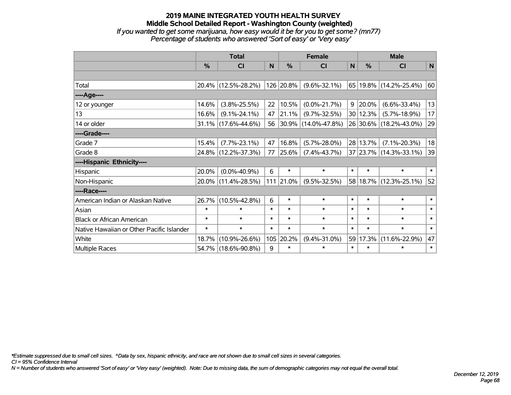#### **2019 MAINE INTEGRATED YOUTH HEALTH SURVEY Middle School Detailed Report - Washington County (weighted)** *If you wanted to get some marijuana, how easy would it be for you to get some? (mn77)*

*Percentage of students who answered 'Sort of easy' or 'Very easy'*

|                                           | <b>Total</b>  |                     |        |               | <b>Female</b>       |              | <b>Male</b>   |                        |        |  |
|-------------------------------------------|---------------|---------------------|--------|---------------|---------------------|--------------|---------------|------------------------|--------|--|
|                                           | $\frac{0}{0}$ | <b>CI</b>           | N      | $\frac{0}{0}$ | <b>CI</b>           | $\mathsf{N}$ | $\frac{0}{0}$ | <b>CI</b>              | N      |  |
|                                           |               |                     |        |               |                     |              |               |                        |        |  |
| Total                                     |               | 20.4% (12.5%-28.2%) |        | 126 20.8%     | $(9.6\% - 32.1\%)$  |              |               | 65 19.8% (14.2%-25.4%) | 60     |  |
| ----Age----                               |               |                     |        |               |                     |              |               |                        |        |  |
| 12 or younger                             | 14.6%         | $(3.8\% - 25.5\%)$  | 22     | 10.5%         | $(0.0\% - 21.7\%)$  | 9            | 20.0%         | $(6.6\% - 33.4\%)$     | 13     |  |
| 13                                        | 16.6%         | $(9.1\% - 24.1\%)$  | 47     | 21.1%         | $(9.7\% - 32.5\%)$  |              | 30 12.3%      | $(5.7\% - 18.9\%)$     | 17     |  |
| 14 or older                               |               | 31.1% (17.6%-44.6%) | 56     |               | 30.9% (14.0%-47.8%) |              |               | 26 30.6% (18.2%-43.0%) | 29     |  |
| ----Grade----                             |               |                     |        |               |                     |              |               |                        |        |  |
| Grade 7                                   | 15.4%         | $(7.7\% - 23.1\%)$  | 47     | 16.8%         | $(5.7\% - 28.0\%)$  |              | 28 13.7%      | $(7.1\% - 20.3\%)$     | 18     |  |
| Grade 8                                   |               | 24.8% (12.2%-37.3%) | 77     | 25.6%         | $(7.4\% - 43.7\%)$  |              |               | 37 23.7% (14.3%-33.1%) | 39     |  |
| ----Hispanic Ethnicity----                |               |                     |        |               |                     |              |               |                        |        |  |
| Hispanic                                  | 20.0%         | $(0.0\% - 40.9\%)$  | 6      | $\ast$        | $\ast$              | $\ast$       | $\ast$        | $\ast$                 | $\ast$ |  |
| Non-Hispanic                              |               | 20.0% (11.4%-28.5%) | 111    | 21.0%         | $(9.5\% - 32.5\%)$  |              |               | 58 18.7% (12.3%-25.1%) | 52     |  |
| ----Race----                              |               |                     |        |               |                     |              |               |                        |        |  |
| American Indian or Alaskan Native         | 26.7%         | $(10.5\% - 42.8\%)$ | 6      | $\ast$        | $\ast$              | $\ast$       | $\ast$        | $\ast$                 | $\ast$ |  |
| Asian                                     | $\ast$        | $\ast$              | $\ast$ | $\ast$        | $\ast$              | $\ast$       | $\ast$        | $\ast$                 | $\ast$ |  |
| <b>Black or African American</b>          | $\ast$        | $\ast$              | $\ast$ | $\ast$        | $\ast$              | $\ast$       | $\ast$        | $\ast$                 | $\ast$ |  |
| Native Hawaiian or Other Pacific Islander | $\ast$        | $\ast$              | $\ast$ | $\ast$        | $\ast$              | $\ast$       | $\ast$        | $\ast$                 | $\ast$ |  |
| White                                     | 18.7%         | $(10.9\% - 26.6\%)$ | 105    | 20.2%         | $(9.4\% - 31.0\%)$  | 59           | 17.3%         | $(11.6\% - 22.9\%)$    | 47     |  |
| Multiple Races                            |               | 54.7% (18.6%-90.8%) | 9      | $\ast$        | $\ast$              | $\ast$       | $\ast$        | $\ast$                 | $\ast$ |  |

*\*Estimate suppressed due to small cell sizes. ^Data by sex, hispanic ethnicity, and race are not shown due to small cell sizes in several categories.*

*CI = 95% Confidence Interval*

*N = Number of students who answered 'Sort of easy' or 'Very easy' (weighted). Note: Due to missing data, the sum of demographic categories may not equal the overall total.*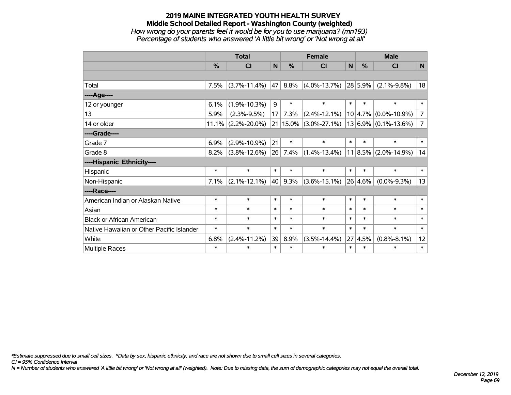### **2019 MAINE INTEGRATED YOUTH HEALTH SURVEY Middle School Detailed Report - Washington County (weighted)** *How wrong do your parents feel it would be for you to use marijuana? (mn193) Percentage of students who answered 'A little bit wrong' or 'Not wrong at all'*

|                                           | <b>Total</b>  |                       |        |               | <b>Female</b>             |        | <b>Male</b> |                          |                |  |
|-------------------------------------------|---------------|-----------------------|--------|---------------|---------------------------|--------|-------------|--------------------------|----------------|--|
|                                           | $\frac{0}{0}$ | CI                    | N      | $\frac{9}{6}$ | <b>CI</b>                 | N      | %           | <b>CI</b>                | N              |  |
|                                           |               |                       |        |               |                           |        |             |                          |                |  |
| Total                                     | 7.5%          | $(3.7\% - 11.4\%)$    | 47     | 8.8%          | $(4.0\% - 13.7\%)$        |        | 28 5.9%     | $(2.1\% - 9.8\%)$        | 18             |  |
| ----Age----                               |               |                       |        |               |                           |        |             |                          |                |  |
| 12 or younger                             | 6.1%          | $(1.9\% - 10.3\%)$    | 9      | $\ast$        | $\ast$                    | $\ast$ | $\ast$      | $\ast$                   | $\ast$         |  |
| 13                                        | 5.9%          | $(2.3\% - 9.5\%)$     | 17     | 7.3%          | $(2.4\% - 12.1\%)$        |        | 10 4.7%     | $(0.0\% - 10.9\%)$       | 7              |  |
| 14 or older                               |               | $11.1\%$ (2.2%-20.0%) |        |               | $21 15.0\% $ (3.0%-27.1%) |        |             | $13 6.9\% $ (0.1%-13.6%) | $\overline{7}$ |  |
| ----Grade----                             |               |                       |        |               |                           |        |             |                          |                |  |
| Grade 7                                   | 6.9%          | $(2.9\% - 10.9\%)$    | 21     | $\ast$        | $\ast$                    | $\ast$ | $\ast$      | $\ast$                   | $\ast$         |  |
| Grade 8                                   | 8.2%          | $(3.8\% - 12.6\%)$    | 26     | 7.4%          | $(1.4\% - 13.4\%)$        |        |             | $11 8.5\% $ (2.0%-14.9%) | 14             |  |
| ----Hispanic Ethnicity----                |               |                       |        |               |                           |        |             |                          |                |  |
| Hispanic                                  | $\ast$        | $\ast$                | $\ast$ | $\ast$        | $\ast$                    | $\ast$ | $\ast$      | $\ast$                   | $\ast$         |  |
| Non-Hispanic                              | 7.1%          | $(2.1\% - 12.1\%)$    | 40     | 9.3%          | $(3.6\% - 15.1\%)$        |        | 26 4.6%     | $(0.0\% - 9.3\%)$        | 13             |  |
| ----Race----                              |               |                       |        |               |                           |        |             |                          |                |  |
| American Indian or Alaskan Native         | $\ast$        | $\ast$                | $\ast$ | $\ast$        | $\ast$                    | $\ast$ | $\ast$      | $\ast$                   | $\ast$         |  |
| Asian                                     | $\ast$        | $\ast$                | $\ast$ | $\ast$        | $\ast$                    | $\ast$ | $\ast$      | $\ast$                   | $\ast$         |  |
| <b>Black or African American</b>          | $\ast$        | $\ast$                | $\ast$ | $\ast$        | $\ast$                    | $\ast$ | $\ast$      | $\ast$                   | $\ast$         |  |
| Native Hawaiian or Other Pacific Islander | $\ast$        | $\ast$                | $\ast$ | $\ast$        | $\ast$                    | $\ast$ | $\ast$      | $\ast$                   | $\ast$         |  |
| White                                     | 6.8%          | $(2.4\% - 11.2\%)$    | 39     | 8.9%          | $(3.5\% - 14.4\%)$        | 27     | 4.5%        | $(0.8\% - 8.1\%)$        | 12             |  |
| Multiple Races                            | $\ast$        | $\ast$                | $\ast$ | $\ast$        | $\ast$                    | $\ast$ | $\ast$      | $\ast$                   | $\ast$         |  |

*\*Estimate suppressed due to small cell sizes. ^Data by sex, hispanic ethnicity, and race are not shown due to small cell sizes in several categories.*

*CI = 95% Confidence Interval*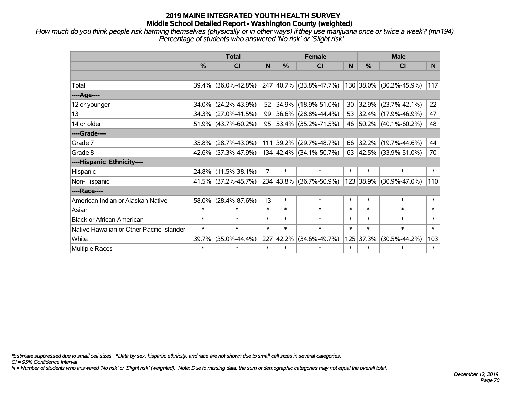*How much do you think people risk harming themselves (physically or in other ways) if they use marijuana once or twice a week? (mn194) Percentage of students who answered 'No risk' or 'Slight risk'*

|                                           | <b>Total</b>  |                        |                |        | <b>Female</b>            |        | <b>Male</b> |                          |                |  |  |
|-------------------------------------------|---------------|------------------------|----------------|--------|--------------------------|--------|-------------|--------------------------|----------------|--|--|
|                                           | $\frac{0}{0}$ | <b>CI</b>              | N              | $\%$   | <b>CI</b>                | N      | %           | <b>CI</b>                | N <sub>1</sub> |  |  |
|                                           |               |                        |                |        |                          |        |             |                          |                |  |  |
| Total                                     |               | 39.4% (36.0%-42.8%)    |                |        | 247 40.7% (33.8%-47.7%)  |        |             | 130 38.0% (30.2%-45.9%)  | 117            |  |  |
| ----Age----                               |               |                        |                |        |                          |        |             |                          |                |  |  |
| 12 or younger                             | 34.0%         | $(24.2\% - 43.9\%)$    | 52             |        | $ 34.9\% $ (18.9%-51.0%) | 30     | 32.9%       | $(23.7\% - 42.1\%)$      | 22             |  |  |
| 13                                        |               | 34.3% (27.0%-41.5%)    | 99             |        | $36.6\%$ (28.8%-44.4%)   |        |             | 53 32.4% (17.9%-46.9%)   | 47             |  |  |
| 14 or older                               |               | $51.9\%$ (43.7%-60.2%) | 95             |        | 53.4% (35.2%-71.5%)      |        |             | 46 50.2% (40.1%-60.2%)   | 48             |  |  |
| ----Grade----                             |               |                        |                |        |                          |        |             |                          |                |  |  |
| Grade 7                                   | $35.8\%$      | $(28.7\% - 43.0\%)$    |                |        | 111 39.2% (29.7%-48.7%)  | 66     | $32.2\%$    | $(19.7\% - 44.6\%)$      | 44             |  |  |
| Grade 8                                   |               | 42.6% (37.3%-47.9%)    |                |        | 134 42.4% (34.1%-50.7%)  | 63     |             | $ 42.5\% $ (33.9%-51.0%) | 70             |  |  |
| ----Hispanic Ethnicity----                |               |                        |                |        |                          |        |             |                          |                |  |  |
| Hispanic                                  | 24.8%         | $(11.5\% - 38.1\%)$    | $\overline{7}$ | $\ast$ | $\ast$                   | $\ast$ | $\ast$      | $\ast$                   | $\ast$         |  |  |
| Non-Hispanic                              |               | 41.5% (37.2%-45.7%)    |                |        | 234 43.8% (36.7%-50.9%)  |        | 123 38.9%   | $(30.9\% - 47.0\%)$      | 110            |  |  |
| ----Race----                              |               |                        |                |        |                          |        |             |                          |                |  |  |
| American Indian or Alaskan Native         | 58.0%         | $(28.4\% - 87.6\%)$    | 13             | $\ast$ | $\ast$                   | $\ast$ | $\ast$      | $\ast$                   | $\ast$         |  |  |
| Asian                                     | $\ast$        | $\ast$                 | $\ast$         | $\ast$ | $\ast$                   | $\ast$ | $\ast$      | $\ast$                   | $\ast$         |  |  |
| <b>Black or African American</b>          | $\ast$        | $\ast$                 | $\ast$         | $\ast$ | $\ast$                   | $\ast$ | $\ast$      | $\ast$                   | $\ast$         |  |  |
| Native Hawaiian or Other Pacific Islander | $\ast$        | $\ast$                 | $\ast$         | $\ast$ | $\ast$                   | $\ast$ | $\ast$      | $\ast$                   | $\ast$         |  |  |
| White                                     | 39.7%         | $(35.0\% - 44.4\%)$    | 227            | 42.2%  | $(34.6\% - 49.7\%)$      | 125    | 37.3%       | $(30.5\% - 44.2\%)$      | 103            |  |  |
| <b>Multiple Races</b>                     | $\ast$        | $\ast$                 | $\ast$         | $\ast$ | $\ast$                   | $\ast$ | $\ast$      | $\ast$                   | $\ast$         |  |  |

*\*Estimate suppressed due to small cell sizes. ^Data by sex, hispanic ethnicity, and race are not shown due to small cell sizes in several categories.*

*CI = 95% Confidence Interval*

*N = Number of students who answered 'No risk' or 'Slight risk' (weighted). Note: Due to missing data, the sum of demographic categories may not equal the overall total.*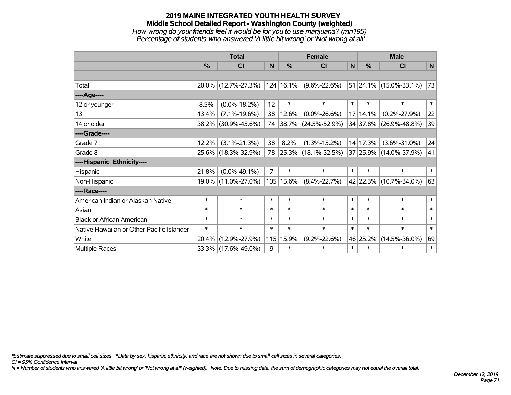### **2019 MAINE INTEGRATED YOUTH HEALTH SURVEY Middle School Detailed Report - Washington County (weighted)** *How wrong do your friends feel it would be for you to use marijuana? (mn195) Percentage of students who answered 'A little bit wrong' or 'Not wrong at all'*

|                                           | <b>Total</b> |                     |                |               | <b>Female</b>            |        | <b>Male</b> |                          |        |  |
|-------------------------------------------|--------------|---------------------|----------------|---------------|--------------------------|--------|-------------|--------------------------|--------|--|
|                                           | $\%$         | <b>CI</b>           | N              | $\frac{0}{0}$ | <b>CI</b>                | N      | $\%$        | <b>CI</b>                | N      |  |
|                                           |              |                     |                |               |                          |        |             |                          |        |  |
| Total                                     |              | 20.0% (12.7%-27.3%) |                | 124 16.1%     | $(9.6\% - 22.6\%)$       |        |             | $51$ 24.1% (15.0%-33.1%) | 73     |  |
| ----Age----                               |              |                     |                |               |                          |        |             |                          |        |  |
| 12 or younger                             | 8.5%         | $(0.0\% - 18.2\%)$  | 12             | $\ast$        | $\ast$                   | $\ast$ | $\ast$      | $\ast$                   | $\ast$ |  |
| 13                                        | 13.4%        | $(7.1\% - 19.6\%)$  | 38             | 12.6%         | $(0.0\% - 26.6\%)$       |        | 17 14.1%    | $(0.2\% - 27.9\%)$       | 22     |  |
| 14 or older                               |              | 38.2% (30.9%-45.6%) | 74             |               | $ 38.7\% $ (24.5%-52.9%) |        |             | 34 37.8% (26.9%-48.8%)   | 39     |  |
| ----Grade----                             |              |                     |                |               |                          |        |             |                          |        |  |
| Grade 7                                   | 12.2%        | $(3.1\% - 21.3\%)$  | 38             | 8.2%          | $(1.3\% - 15.2\%)$       |        | 14 17.3%    | $(3.6\% - 31.0\%)$       | 24     |  |
| Grade 8                                   |              | 25.6% (18.3%-32.9%) | 78             |               | $ 25.3\% $ (18.1%-32.5%) |        |             | 37 25.9% (14.0%-37.9%)   | 41     |  |
| ----Hispanic Ethnicity----                |              |                     |                |               |                          |        |             |                          |        |  |
| Hispanic                                  | 21.8%        | $(0.0\% - 49.1\%)$  | $\overline{7}$ | $\ast$        | $\ast$                   | $\ast$ | $\ast$      | $\ast$                   | $\ast$ |  |
| Non-Hispanic                              |              | 19.0% (11.0%-27.0%) |                | 105 15.6%     | $(8.4\% - 22.7\%)$       |        |             | 42 22.3% (10.7%-34.0%)   | 63     |  |
| ----Race----                              |              |                     |                |               |                          |        |             |                          |        |  |
| American Indian or Alaskan Native         | $\ast$       | $\ast$              | $\ast$         | $\ast$        | $\ast$                   | $\ast$ | $\ast$      | $\ast$                   | $\ast$ |  |
| Asian                                     | $\ast$       | $\ast$              | $\ast$         | $\ast$        | $\ast$                   | $\ast$ | $\ast$      | $\ast$                   | $\ast$ |  |
| <b>Black or African American</b>          | $\ast$       | $\ast$              | $\ast$         | $\ast$        | $\ast$                   | $\ast$ | $\ast$      | $\ast$                   | $\ast$ |  |
| Native Hawaiian or Other Pacific Islander | $\ast$       | $\ast$              | $\ast$         | $\ast$        | $\ast$                   | $\ast$ | $\ast$      | $\ast$                   | $\ast$ |  |
| White                                     | 20.4%        | $(12.9\% - 27.9\%)$ | 115            | 15.9%         | $(9.2\% - 22.6\%)$       |        | 46 25.2%    | $(14.5\% - 36.0\%)$      | 69     |  |
| Multiple Races                            |              | 33.3% (17.6%-49.0%) | 9              | $\ast$        | $\ast$                   | $\ast$ | $\ast$      | $\ast$                   | $\ast$ |  |

*\*Estimate suppressed due to small cell sizes. ^Data by sex, hispanic ethnicity, and race are not shown due to small cell sizes in several categories.*

*CI = 95% Confidence Interval*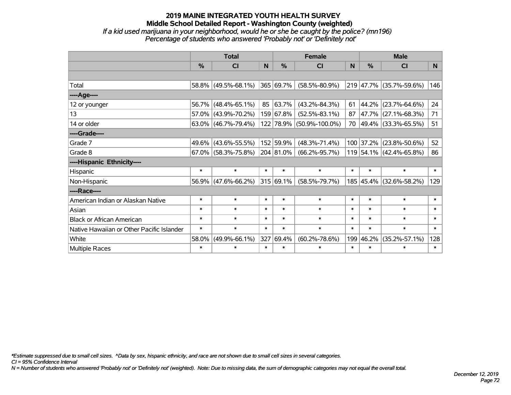#### **2019 MAINE INTEGRATED YOUTH HEALTH SURVEY Middle School Detailed Report - Washington County (weighted)** *If a kid used marijuana in your neighborhood, would he or she be caught by the police? (mn196) Percentage of students who answered 'Probably not' or 'Definitely not'*

|                                           | <b>Total</b> |                        |        | <b>Female</b>  |                      |        | <b>Male</b>   |                         |        |
|-------------------------------------------|--------------|------------------------|--------|----------------|----------------------|--------|---------------|-------------------------|--------|
|                                           | %            | CI                     | N      | %              | CI                   | N      | $\frac{0}{0}$ | <b>CI</b>               | N      |
|                                           |              |                        |        |                |                      |        |               |                         |        |
| Total                                     |              | 58.8% (49.5%-68.1%)    |        | 365 69.7%      | $(58.5\% - 80.9\%)$  |        |               | 219 47.7% (35.7%-59.6%) | 146    |
| ---- Age----                              |              |                        |        |                |                      |        |               |                         |        |
| 12 or younger                             | 56.7%        | $(48.4\% - 65.1\%)$    | 85     | 63.7%          | $(43.2\% - 84.3\%)$  | 61     |               | 44.2% (23.7%-64.6%)     | 24     |
| 13                                        | 57.0%        | $(43.9\% - 70.2\%)$    |        | 159 67.8%      | $(52.5\% - 83.1\%)$  | 87     |               | 47.7% (27.1%-68.3%)     | 71     |
| 14 or older                               |              | 63.0% (46.7%-79.4%)    |        | 122 78.9%      | $(50.9\% - 100.0\%)$ |        |               | 70 49.4% (33.3%-65.5%)  | 51     |
| ----Grade----                             |              |                        |        |                |                      |        |               |                         |        |
| Grade 7                                   |              | 49.6% (43.6%-55.5%)    |        | 152 59.9%      | $(48.3\% - 71.4\%)$  |        |               | 100 37.2% (23.8%-50.6%) | 52     |
| Grade 8                                   |              | $67.0\%$ (58.3%-75.8%) |        | $ 204 81.0\% $ | $(66.2\% - 95.7\%)$  |        |               | 119 54.1% (42.4%-65.8%) | 86     |
| ----Hispanic Ethnicity----                |              |                        |        |                |                      |        |               |                         |        |
| Hispanic                                  | $\ast$       | $\ast$                 | $\ast$ | $\ast$         | $\ast$               | $\ast$ | $\ast$        | $\ast$                  | $\ast$ |
| Non-Hispanic                              |              | 56.9% (47.6%-66.2%)    |        | 315 69.1%      | $(58.5\% - 79.7\%)$  |        |               | 185 45.4% (32.6%-58.2%) | 129    |
| ----Race----                              |              |                        |        |                |                      |        |               |                         |        |
| American Indian or Alaskan Native         | $\ast$       | $\ast$                 | $\ast$ | $\ast$         | $\ast$               | $\ast$ | $\ast$        | $\ast$                  | $\ast$ |
| Asian                                     | $\ast$       | $\ast$                 | $\ast$ | $\ast$         | $\ast$               | $\ast$ | $\ast$        | $\ast$                  | $\ast$ |
| <b>Black or African American</b>          | $\ast$       | $\ast$                 | $\ast$ | $\ast$         | $\ast$               | $\ast$ | $\ast$        | $\ast$                  | $\ast$ |
| Native Hawaiian or Other Pacific Islander | $\ast$       | $\ast$                 | $\ast$ | $\ast$         | $\ast$               | $\ast$ | $\ast$        | $\ast$                  | $\ast$ |
| White                                     | 58.0%        | $(49.9\% - 66.1\%)$    | 327    | 69.4%          | $(60.2\% - 78.6\%)$  | 199    | 46.2%         | $(35.2\% - 57.1\%)$     | 128    |
| Multiple Races                            | $\ast$       | $\ast$                 | $\ast$ | $\ast$         | $\ast$               | $\ast$ | $\ast$        | $\ast$                  | $\ast$ |

*\*Estimate suppressed due to small cell sizes. ^Data by sex, hispanic ethnicity, and race are not shown due to small cell sizes in several categories.*

*CI = 95% Confidence Interval*

*N = Number of students who answered 'Probably not' or 'Definitely not' (weighted). Note: Due to missing data, the sum of demographic categories may not equal the overall total.*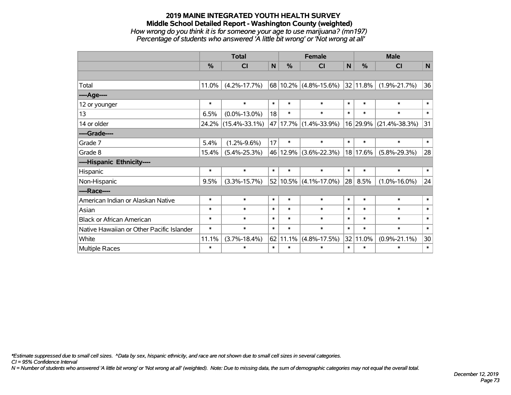#### **2019 MAINE INTEGRATED YOUTH HEALTH SURVEY Middle School Detailed Report - Washington County (weighted)** *How wrong do you think it is for someone your age to use marijuana? (mn197) Percentage of students who answered 'A little bit wrong' or 'Not wrong at all'*

|                                           | <b>Total</b>  |                     |        |               | <b>Female</b>                      |              | <b>Male</b>   |                     |              |  |
|-------------------------------------------|---------------|---------------------|--------|---------------|------------------------------------|--------------|---------------|---------------------|--------------|--|
|                                           | $\frac{0}{0}$ | <b>CI</b>           | N      | $\frac{0}{0}$ | <b>CI</b>                          | $\mathsf{N}$ | $\frac{0}{0}$ | <b>CI</b>           | $\mathsf{N}$ |  |
|                                           |               |                     |        |               |                                    |              |               |                     |              |  |
| Total                                     | 11.0%         | $(4.2\% - 17.7\%)$  |        |               | $68 10.2\% $ (4.8%-15.6%) 32 11.8% |              |               | $(1.9\% - 21.7\%)$  | 36           |  |
| ----Age----                               |               |                     |        |               |                                    |              |               |                     |              |  |
| 12 or younger                             | $\ast$        | $\ast$              | $\ast$ | $\ast$        | $\ast$                             | $\ast$       | $\ast$        | $\ast$              | $\ast$       |  |
| 13                                        | 6.5%          | $(0.0\% - 13.0\%)$  | 18     | $\ast$        | $\ast$                             | $\ast$       | $\ast$        | $\ast$              | $\ast$       |  |
| 14 or older                               | 24.2%         | $(15.4\% - 33.1\%)$ |        |               | 47 17.7% (1.4%-33.9%)              |              | 16 29.9%      | $(21.4\% - 38.3\%)$ | 31           |  |
| ----Grade----                             |               |                     |        |               |                                    |              |               |                     |              |  |
| Grade 7                                   | 5.4%          | $(1.2\% - 9.6\%)$   | 17     | $\ast$        | $\ast$                             | $\ast$       | $\ast$        | $\ast$              | $\ast$       |  |
| Grade 8                                   | 15.4%         | $(5.4\% - 25.3\%)$  |        |               | 46 12.9% (3.6%-22.3%)              |              | 18 17.6%      | $(5.8\% - 29.3\%)$  | 28           |  |
| ----Hispanic Ethnicity----                |               |                     |        |               |                                    |              |               |                     |              |  |
| Hispanic                                  | $\ast$        | $\ast$              | $\ast$ | $\ast$        | $\ast$                             | $\ast$       | $\ast$        | $\ast$              | $\ast$       |  |
| Non-Hispanic                              | 9.5%          | $(3.3\% - 15.7\%)$  |        |               | $52 10.5\% $ (4.1%-17.0%)          | 28           | 8.5%          | $(1.0\% - 16.0\%)$  | 24           |  |
| ----Race----                              |               |                     |        |               |                                    |              |               |                     |              |  |
| American Indian or Alaskan Native         | $\ast$        | $\ast$              | $\ast$ | $\ast$        | $\ast$                             | $\ast$       | $\ast$        | $\ast$              | $\ast$       |  |
| Asian                                     | $\ast$        | $\ast$              | $\ast$ | $\ast$        | $\ast$                             | $\ast$       | $\ast$        | $\ast$              | $\ast$       |  |
| <b>Black or African American</b>          | $\ast$        | $\ast$              | $\ast$ | $\ast$        | $\ast$                             | $\ast$       | $\ast$        | $\ast$              | $\ast$       |  |
| Native Hawaiian or Other Pacific Islander | $\ast$        | $\ast$              | $\ast$ | $\ast$        | $\ast$                             | $\ast$       | $\ast$        | $\ast$              | $\ast$       |  |
| White                                     | 11.1%         | $(3.7\% - 18.4\%)$  |        | 62 11.1%      | $(4.8\% - 17.5\%)$                 |              | $32 11.0\%$   | $(0.9\% - 21.1\%)$  | 30           |  |
| <b>Multiple Races</b>                     | $\ast$        | $\ast$              | $\ast$ | $\ast$        | $\ast$                             | $\ast$       | $\ast$        | $\ast$              | $\ast$       |  |

*\*Estimate suppressed due to small cell sizes. ^Data by sex, hispanic ethnicity, and race are not shown due to small cell sizes in several categories.*

*CI = 95% Confidence Interval*

*N = Number of students who answered 'A little bit wrong' or 'Not wrong at all' (weighted). Note: Due to missing data, the sum of demographic categories may not equal the overall total.*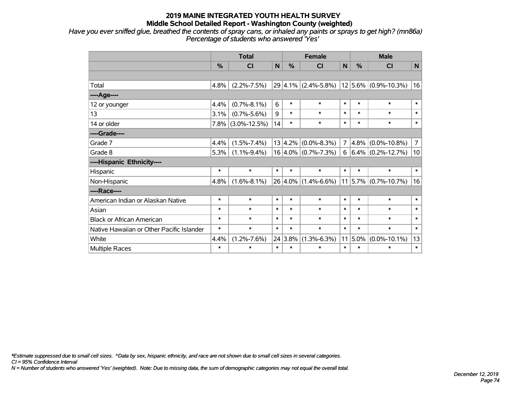*Have you ever sniffed glue, breathed the contents of spray cans, or inhaled any paints or sprays to get high? (mn86a) Percentage of students who answered 'Yes'*

|                                           | <b>Total</b> |                    |             |               | <b>Female</b>           |                | <b>Male</b>   |                                          |                |  |
|-------------------------------------------|--------------|--------------------|-------------|---------------|-------------------------|----------------|---------------|------------------------------------------|----------------|--|
|                                           | %            | <b>CI</b>          | $\mathbf N$ | $\frac{0}{0}$ | <b>CI</b>               | N              | $\frac{0}{0}$ | <b>CI</b>                                | $\mathbf N$    |  |
|                                           |              |                    |             |               |                         |                |               |                                          |                |  |
| Total                                     | 4.8%         | $(2.2\% - 7.5\%)$  |             |               |                         |                |               | 29 4.1% (2.4%-5.8%) 12 5.6% (0.9%-10.3%) | 16             |  |
| ----Age----                               |              |                    |             |               |                         |                |               |                                          |                |  |
| 12 or younger                             | 4.4%         | $(0.7\% - 8.1\%)$  | 6           | $\ast$        | $\ast$                  | $\ast$         | $\ast$        | $\ast$                                   | $\ast$         |  |
| 13                                        | 3.1%         | $(0.7\% - 5.6\%)$  | 9           | $\ast$        | $\ast$                  | $\ast$         | $\ast$        | $\ast$                                   | $\ast$         |  |
| 14 or older                               | $7.8\%$      | $(3.0\% - 12.5\%)$ | 14          | $\ast$        | $\ast$                  | $\ast$         | $\ast$        | $\ast$                                   | $\ast$         |  |
| ----Grade----                             |              |                    |             |               |                         |                |               |                                          |                |  |
| Grade 7                                   | 4.4%         | $(1.5\% - 7.4\%)$  |             |               | $13 4.2\% $ (0.0%-8.3%) | $\overline{7}$ |               | $4.8\%$ (0.0%-10.8%)                     | $\overline{7}$ |  |
| Grade 8                                   | 5.3%         | $(1.1\% - 9.4\%)$  |             |               | $16 4.0\% $ (0.7%-7.3%) | 6              |               | $ 6.4\% $ (0.2%-12.7%)                   | 10             |  |
| ----Hispanic Ethnicity----                |              |                    |             |               |                         |                |               |                                          |                |  |
| Hispanic                                  | $\ast$       | $\ast$             | $\ast$      | $\ast$        | $\ast$                  | $\ast$         | $\ast$        | $\ast$                                   | $\ast$         |  |
| Non-Hispanic                              | 4.8%         | $(1.6\% - 8.1\%)$  |             |               | $26 4.0\% $ (1.4%-6.6%) |                |               | $11 5.7\% $ (0.7%-10.7%)                 | 16             |  |
| ----Race----                              |              |                    |             |               |                         |                |               |                                          |                |  |
| American Indian or Alaskan Native         | $\ast$       | $\ast$             | $\ast$      | $\ast$        | $\ast$                  | $\ast$         | $\ast$        | $\ast$                                   | $\ast$         |  |
| Asian                                     | $\ast$       | $\ast$             | $\ast$      | $\ast$        | $\ast$                  | $\ast$         | $\ast$        | $\ast$                                   | $\ast$         |  |
| <b>Black or African American</b>          | $\ast$       | $\ast$             | $\ast$      | $\ast$        | $\ast$                  | $\ast$         | $\ast$        | $\ast$                                   | $\ast$         |  |
| Native Hawaiian or Other Pacific Islander | $\ast$       | $\ast$             | $\ast$      | $\ast$        | $\ast$                  | $\ast$         | $\ast$        | $\ast$                                   | $\ast$         |  |
| White                                     | 4.4%         | $(1.2\% - 7.6\%)$  |             | 24 3.8%       | $(1.3\% - 6.3\%)$       | 11             | 5.0%          | $(0.0\% - 10.1\%)$                       | 13             |  |
| Multiple Races                            | $\ast$       | $\ast$             | $\ast$      | $\ast$        | $\ast$                  | $\ast$         | $\ast$        | $\ast$                                   | $\ast$         |  |

*\*Estimate suppressed due to small cell sizes. ^Data by sex, hispanic ethnicity, and race are not shown due to small cell sizes in several categories.*

*CI = 95% Confidence Interval*

*N = Number of students who answered 'Yes' (weighted). Note: Due to missing data, the sum of demographic categories may not equal the overall total.*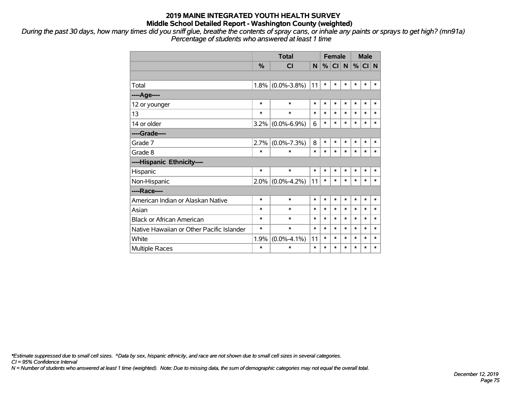*During the past 30 days, how many times did you sniff glue, breathe the contents of spray cans, or inhale any paints or sprays to get high? (mn91a) Percentage of students who answered at least 1 time*

|                                           |               | <b>Total</b>      |        |        | <b>Female</b> |              |        | <b>Male</b> |        |  |
|-------------------------------------------|---------------|-------------------|--------|--------|---------------|--------------|--------|-------------|--------|--|
|                                           | $\frac{0}{0}$ | <b>CI</b>         | N.     | %      | CI            | $\mathsf{N}$ | %      | $CI$ N      |        |  |
|                                           |               |                   |        |        |               |              |        |             |        |  |
| Total                                     | 1.8%          | $(0.0\% - 3.8\%)$ | 11     | $\ast$ | $\ast$        | $\ast$       | $\ast$ | $\ast$      | $\ast$ |  |
| ----Age----                               |               |                   |        |        |               |              |        |             |        |  |
| 12 or younger                             | $\ast$        | $\ast$            | $\ast$ | $\ast$ | $\ast$        | $\ast$       | $\ast$ | $\ast$      | $\ast$ |  |
| 13                                        | $\ast$        | $\ast$            | $\ast$ | *      | $\ast$        | $\ast$       | $\ast$ | $\ast$      | $\ast$ |  |
| 14 or older                               | 3.2%          | $(0.0\% - 6.9\%)$ | 6      | $\ast$ | $\ast$        | $\ast$       | $\ast$ | $\ast$      | $\ast$ |  |
| ----Grade----                             |               |                   |        |        |               |              |        |             |        |  |
| Grade 7                                   | 2.7%          | $(0.0\% - 7.3\%)$ | 8      | $\ast$ | $\ast$        | $\ast$       | $\ast$ | $\ast$      | $\ast$ |  |
| Grade 8                                   | $\ast$        | $\ast$            | $\ast$ | $\ast$ | $\ast$        | $\ast$       | $\ast$ | $\ast$      | $\ast$ |  |
| ----Hispanic Ethnicity----                |               |                   |        |        |               |              |        |             |        |  |
| Hispanic                                  | $\ast$        | $\ast$            | $\ast$ | *      | *             | $\ast$       | $\ast$ | *           | ∗      |  |
| Non-Hispanic                              | 2.0%          | $(0.0\% - 4.2\%)$ | 11     | $\ast$ | $\ast$        | $\ast$       | $\ast$ | $\ast$      | $\ast$ |  |
| ----Race----                              |               |                   |        |        |               |              |        |             |        |  |
| American Indian or Alaskan Native         | $\ast$        | $\ast$            | $\ast$ | *      | $\ast$        | $\ast$       | $\ast$ | $\ast$      | $\ast$ |  |
| Asian                                     | $\ast$        | $\ast$            | $\ast$ | *      | $\ast$        | $\ast$       | $\ast$ | $\ast$      | $\ast$ |  |
| <b>Black or African American</b>          | $\ast$        | $\ast$            | $\ast$ | $\ast$ | $\ast$        | $\ast$       | $\ast$ | $\ast$      | $\ast$ |  |
| Native Hawaiian or Other Pacific Islander | $\ast$        | $\ast$            | $\ast$ | $\ast$ | $\ast$        | $\ast$       | $\ast$ | $\ast$      | $\ast$ |  |
| White                                     | 1.9%          | $(0.0\% - 4.1\%)$ | 11     | $\ast$ | $\ast$        | $\ast$       | $\ast$ | $\ast$      | $\ast$ |  |
| <b>Multiple Races</b>                     | $\ast$        | $\ast$            | $\ast$ | $\ast$ | $\ast$        | $\ast$       | $\ast$ | $\ast$      | $\ast$ |  |

*\*Estimate suppressed due to small cell sizes. ^Data by sex, hispanic ethnicity, and race are not shown due to small cell sizes in several categories.*

*CI = 95% Confidence Interval*

*N = Number of students who answered at least 1 time (weighted). Note: Due to missing data, the sum of demographic categories may not equal the overall total.*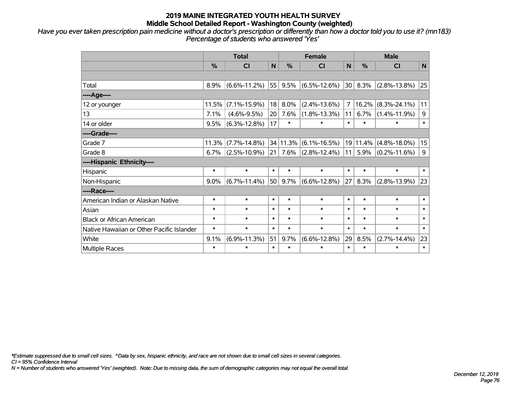*Have you ever taken prescription pain medicine without a doctor's prescription or differently than how a doctor told you to use it? (mn183) Percentage of students who answered 'Yes'*

|                                           | <b>Total</b>  |                    |                 |               | <b>Female</b>                   |              | <b>Male</b> |                    |             |  |
|-------------------------------------------|---------------|--------------------|-----------------|---------------|---------------------------------|--------------|-------------|--------------------|-------------|--|
|                                           | $\frac{0}{0}$ | CI                 | $\mathsf{N}$    | $\frac{0}{0}$ | <b>CI</b>                       | N            | %           | <b>CI</b>          | $\mathbf N$ |  |
|                                           |               |                    |                 |               |                                 |              |             |                    |             |  |
| Total                                     | 8.9%          | $(6.6\% - 11.2\%)$ | 55              | 9.5%          | $(6.5\% - 12.6\%)$              | 30           | 8.3%        | $(2.8\% - 13.8\%)$ | 25          |  |
| ----Age----                               |               |                    |                 |               |                                 |              |             |                    |             |  |
| 12 or younger                             | 11.5%         | $(7.1\% - 15.9\%)$ | 18              | 8.0%          | $(2.4\% - 13.6\%)$              | 7            | 16.2%       | $(8.3\% - 24.1\%)$ | 11          |  |
| 13                                        | 7.1%          | $(4.6\% - 9.5\%)$  | 20 <sub>1</sub> | 7.6%          | $(1.8\% - 13.3\%)$              | 11           | 6.7%        | $(1.4\% - 11.9\%)$ | 9           |  |
| 14 or older                               | 9.5%          | $(6.3\% - 12.8\%)$ | 17              | $\ast$        | $\ast$                          | $\ast$       | $\ast$      | $\ast$             | $\ast$      |  |
| ----Grade----                             |               |                    |                 |               |                                 |              |             |                    |             |  |
| Grade 7                                   | 11.3%         | $(7.7\% - 14.8\%)$ |                 |               | $34 11.3\% $ (6.1%-16.5%)       |              | 19 11.4%    | $(4.8\% - 18.0\%)$ | 15          |  |
| Grade 8                                   | 6.7%          | $(2.5\% - 10.9\%)$ |                 |               | $21$   7.6% $ (2.8\% - 12.4\%)$ | $ 11\rangle$ | 5.9%        | $(0.2\% - 11.6\%)$ | $9\,$       |  |
| ----Hispanic Ethnicity----                |               |                    |                 |               |                                 |              |             |                    |             |  |
| Hispanic                                  | $\ast$        | $\ast$             | $\ast$          | $\ast$        | $\ast$                          | $\ast$       | $\ast$      | $\ast$             | $\ast$      |  |
| Non-Hispanic                              | 9.0%          | $(6.7\% - 11.4\%)$ | 50 <sub>1</sub> | 9.7%          | $(6.6\% - 12.8\%)$              | 27           | 8.3%        | $(2.8\% - 13.9\%)$ | 23          |  |
| ----Race----                              |               |                    |                 |               |                                 |              |             |                    |             |  |
| American Indian or Alaskan Native         | $\ast$        | $\ast$             | $\ast$          | $\ast$        | $\ast$                          | $\ast$       | $\ast$      | $\ast$             | $\ast$      |  |
| Asian                                     | $\ast$        | $\ast$             | $\ast$          | $\ast$        | $\ast$                          | $\ast$       | $\ast$      | $\ast$             | $\ast$      |  |
| <b>Black or African American</b>          | $\ast$        | $\ast$             | $\ast$          | $\ast$        | $\ast$                          | $\ast$       | $\ast$      | $\ast$             | $\ast$      |  |
| Native Hawaiian or Other Pacific Islander | $\ast$        | $\ast$             | $\ast$          | $\ast$        | $\ast$                          | $\ast$       | $\ast$      | $\ast$             | $\ast$      |  |
| White                                     | 9.1%          | $(6.9\% - 11.3\%)$ | 51              | 9.7%          | $(6.6\% - 12.8\%)$              | 29           | 8.5%        | $(2.7\% - 14.4\%)$ | 23          |  |
| Multiple Races                            | $\ast$        | $\ast$             | $\ast$          | $\ast$        | $\ast$                          | $\ast$       | $\ast$      | $\ast$             | $\ast$      |  |

*\*Estimate suppressed due to small cell sizes. ^Data by sex, hispanic ethnicity, and race are not shown due to small cell sizes in several categories.*

*CI = 95% Confidence Interval*

*N = Number of students who answered 'Yes' (weighted). Note: Due to missing data, the sum of demographic categories may not equal the overall total.*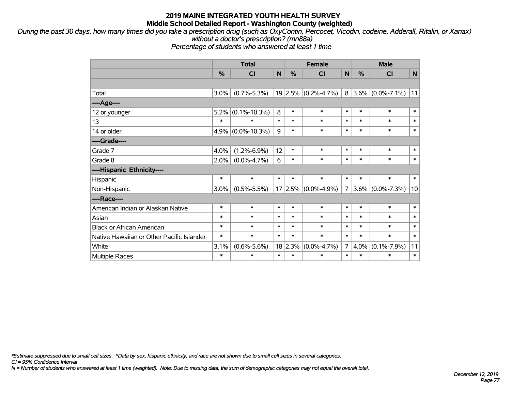*During the past 30 days, how many times did you take a prescription drug (such as OxyContin, Percocet, Vicodin, codeine, Adderall, Ritalin, or Xanax) without a doctor's prescription? (mn88a)*

*Percentage of students who answered at least 1 time*

|                                           | <b>Total</b>  |                      |        |             | <b>Female</b>     |                | <b>Male</b>   |                     |              |  |
|-------------------------------------------|---------------|----------------------|--------|-------------|-------------------|----------------|---------------|---------------------|--------------|--|
|                                           | $\frac{0}{0}$ | CI                   | N      | %           | <b>CI</b>         | N              | $\frac{0}{0}$ | <b>CI</b>           | $\mathsf{N}$ |  |
|                                           |               |                      |        |             |                   |                |               |                     |              |  |
| Total                                     | 3.0%          | $(0.7\% - 5.3\%)$    |        | $19 2.5\% $ | $(0.2\% - 4.7\%)$ | 8              |               | $3.6\%$ (0.0%-7.1%) | 11           |  |
| ----Age----                               |               |                      |        |             |                   |                |               |                     |              |  |
| 12 or younger                             | 5.2%          | $(0.1\% - 10.3\%)$   | 8      | $\ast$      | $\ast$            | $\ast$         | $\ast$        | $\ast$              | $\ast$       |  |
| 13                                        | $\ast$        | $\ast$               | $\ast$ | $\ast$      | $\ast$            | $\ast$         | $\ast$        | $\ast$              | $\ast$       |  |
| 14 or older                               |               | $4.9\%$ (0.0%-10.3%) | 9      | $\ast$      | $\ast$            | $\ast$         | $\ast$        | $\ast$              | $\ast$       |  |
| ----Grade----                             |               |                      |        |             |                   |                |               |                     |              |  |
| Grade 7                                   | 4.0%          | $(1.2\% - 6.9\%)$    | 12     | $\ast$      | $\ast$            | $\ast$         | $\ast$        | $\ast$              | $\ast$       |  |
| Grade 8                                   | $2.0\%$       | $(0.0\% - 4.7\%)$    | 6      | $\ast$      | $\ast$            | $\ast$         | $\ast$        | $\ast$              | $\ast$       |  |
| ----Hispanic Ethnicity----                |               |                      |        |             |                   |                |               |                     |              |  |
| Hispanic                                  | $\ast$        | $\ast$               | $\ast$ | $\ast$      | $\ast$            | $\ast$         | $\ast$        | $\ast$              | $\ast$       |  |
| Non-Hispanic                              | 3.0%          | $(0.5\% - 5.5\%)$    |        | 17 2.5%     | $(0.0\% - 4.9\%)$ | $\overline{7}$ |               | $3.6\%$ (0.0%-7.3%) | 10           |  |
| ----Race----                              |               |                      |        |             |                   |                |               |                     |              |  |
| American Indian or Alaskan Native         | $\ast$        | $\ast$               | $\ast$ | $\ast$      | $\ast$            | $\ast$         | $\ast$        | $\ast$              | $\ast$       |  |
| Asian                                     | $\ast$        | $\ast$               | $\ast$ | $\ast$      | $\ast$            | $\ast$         | $\ast$        | $\ast$              | $\ast$       |  |
| <b>Black or African American</b>          | *             | $\ast$               | $\ast$ | $\ast$      | $\ast$            | $\ast$         | $\ast$        | $\ast$              | $\ast$       |  |
| Native Hawaiian or Other Pacific Islander | $\ast$        | $\ast$               | $\ast$ | $\ast$      | $\ast$            | $\ast$         | $\ast$        | $\ast$              | $\ast$       |  |
| White                                     | 3.1%          | $(0.6\% - 5.6\%)$    |        | 18 2.3%     | $(0.0\% - 4.7\%)$ | $\overline{7}$ | 4.0%          | $(0.1\% - 7.9\%)$   | 11           |  |
| <b>Multiple Races</b>                     | $\ast$        | $\ast$               | $\ast$ | $\ast$      | $\ast$            | $\ast$         | $\ast$        | $\ast$              | $\ast$       |  |

*\*Estimate suppressed due to small cell sizes. ^Data by sex, hispanic ethnicity, and race are not shown due to small cell sizes in several categories.*

*CI = 95% Confidence Interval*

*N = Number of students who answered at least 1 time (weighted). Note: Due to missing data, the sum of demographic categories may not equal the overall total.*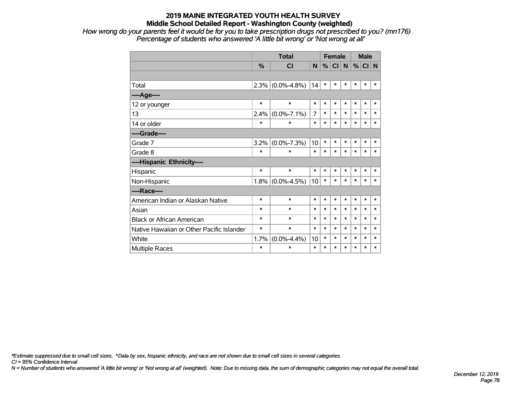*How wrong do your parents feel it would be for you to take prescription drugs not prescribed to you? (mn176) Percentage of students who answered 'A little bit wrong' or 'Not wrong at all'*

|                                           |               | <b>Total</b>        |        |        | <b>Female</b> |        | <b>Male</b> |          |        |  |
|-------------------------------------------|---------------|---------------------|--------|--------|---------------|--------|-------------|----------|--------|--|
|                                           | $\frac{0}{0}$ | <b>CI</b>           | N      | %      | CI            | N      |             | $%$ CI N |        |  |
|                                           |               |                     |        |        |               |        |             |          |        |  |
| Total                                     |               | $2.3\%$ (0.0%-4.8%) | 14     | $\ast$ | $\ast$        | $\ast$ | *           | $\ast$   | $\ast$ |  |
| ----Age----                               |               |                     |        |        |               |        |             |          |        |  |
| 12 or younger                             | $\ast$        | $\ast$              | $\ast$ | $\ast$ | $\ast$        | $\ast$ | $\ast$      | $\ast$   | $\ast$ |  |
| 13                                        | 2.4%          | $(0.0\% - 7.1\%)$   | 7      | $\ast$ | $\ast$        | $\ast$ | *           | $\ast$   | $\ast$ |  |
| 14 or older                               | $\ast$        | $\ast$              | $\ast$ | $\ast$ | *             | *      | $\ast$      | $\ast$   | $\ast$ |  |
| ----Grade----                             |               |                     |        |        |               |        |             |          |        |  |
| Grade 7                                   | 3.2%          | $(0.0\% - 7.3\%)$   | 10     | $\ast$ | $\ast$        | $\ast$ | *           | $\ast$   | $\ast$ |  |
| Grade 8                                   | $\ast$        | $\ast$              | $\ast$ | $\ast$ | $\ast$        | $\ast$ | *           | $\ast$   | $\ast$ |  |
| ----Hispanic Ethnicity----                |               |                     |        |        |               |        |             |          |        |  |
| Hispanic                                  | $\ast$        | $\ast$              | $\ast$ | $\ast$ | $\ast$        | *      | *           | $\ast$   | $\ast$ |  |
| Non-Hispanic                              |               | $1.8\%$ (0.0%-4.5%) | 10     | $\ast$ | $\ast$        | $\ast$ | $\ast$      | $\ast$   | $\ast$ |  |
| ----Race----                              |               |                     |        |        |               |        |             |          |        |  |
| American Indian or Alaskan Native         | $\ast$        | $\ast$              | $\ast$ | $\ast$ | $\ast$        | $\ast$ | $\ast$      | $\ast$   | $\ast$ |  |
| Asian                                     | $\ast$        | $\ast$              | $\ast$ | $\ast$ | $\ast$        | $\ast$ | *           | $\ast$   | $\ast$ |  |
| <b>Black or African American</b>          | $\ast$        | $\ast$              | $\ast$ | $\ast$ | $\ast$        | $\ast$ | *           | $\ast$   | $\ast$ |  |
| Native Hawaiian or Other Pacific Islander | $\ast$        | $\ast$              | $\ast$ | $\ast$ | $\ast$        | $\ast$ | $\ast$      | $\ast$   | $\ast$ |  |
| White                                     | 1.7%          | $(0.0\% - 4.4\%)$   | 10     | $\ast$ | $\ast$        | *      | *           | $\ast$   | $\ast$ |  |
| <b>Multiple Races</b>                     | $\ast$        | $\ast$              | $\ast$ | *      | *             | $\ast$ | *           | $\ast$   | $\ast$ |  |

*\*Estimate suppressed due to small cell sizes. ^Data by sex, hispanic ethnicity, and race are not shown due to small cell sizes in several categories.*

*CI = 95% Confidence Interval*

*N = Number of students who answered 'A little bit wrong' or 'Not wrong at all' (weighted). Note: Due to missing data, the sum of demographic categories may not equal the overall total.*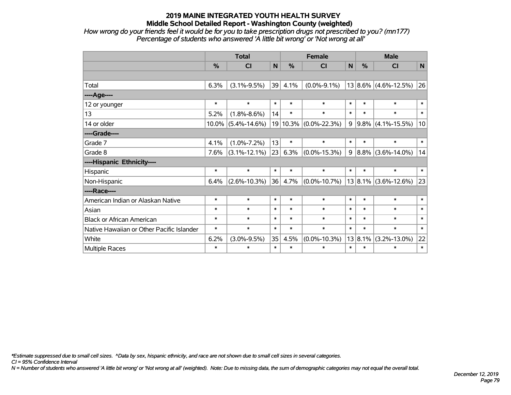*How wrong do your friends feel it would be for you to take prescription drugs not prescribed to you? (mn177) Percentage of students who answered 'A little bit wrong' or 'Not wrong at all'*

|                                           | <b>Total</b> |                    |        |               | <b>Female</b>      |        | <b>Male</b> |                          |              |  |
|-------------------------------------------|--------------|--------------------|--------|---------------|--------------------|--------|-------------|--------------------------|--------------|--|
|                                           | %            | CI                 | N      | $\frac{0}{0}$ | C <sub>1</sub>     | N      | %           | CI                       | $\mathsf{N}$ |  |
|                                           |              |                    |        |               |                    |        |             |                          |              |  |
| Total                                     | 6.3%         | $(3.1\% - 9.5\%)$  | 39     | 4.1%          | $(0.0\% - 9.1\%)$  |        |             | $13 8.6\% $ (4.6%-12.5%) | 26           |  |
| ----Age----                               |              |                    |        |               |                    |        |             |                          |              |  |
| 12 or younger                             | $\ast$       | $\ast$             | $\ast$ | $\ast$        | $\ast$             | $\ast$ | $\ast$      | $\ast$                   | $\ast$       |  |
| 13                                        | 5.2%         | $(1.8\% - 8.6\%)$  | 14     | $\ast$        | $\ast$             | $\ast$ | $\ast$      | $\ast$                   | $\ast$       |  |
| 14 or older                               | $10.0\%$     | $(5.4\% - 14.6\%)$ |        | 19 10.3%      | $(0.0\% - 22.3\%)$ | 9      |             | $9.8\%$ (4.1%-15.5%)     | 10           |  |
| ----Grade----                             |              |                    |        |               |                    |        |             |                          |              |  |
| Grade 7                                   | 4.1%         | $(1.0\% - 7.2\%)$  | 13     | $\ast$        | $\ast$             | $\ast$ | $\ast$      | $\ast$                   | $\ast$       |  |
| Grade 8                                   | 7.6%         | $(3.1\% - 12.1\%)$ | 23     | 6.3%          | $(0.0\% - 15.3\%)$ | 9      |             | $ 8.8\% $ (3.6%-14.0%)   | 14           |  |
| ----Hispanic Ethnicity----                |              |                    |        |               |                    |        |             |                          |              |  |
| Hispanic                                  | $\ast$       | $\ast$             | $\ast$ | $\ast$        | $\ast$             | $\ast$ | $\ast$      | $\ast$                   | $\ast$       |  |
| Non-Hispanic                              | 6.4%         | $(2.6\% - 10.3\%)$ | 36     | 4.7%          | $(0.0\% - 10.7\%)$ |        | 13 8.1%     | $(3.6\% - 12.6\%)$       | 23           |  |
| ----Race----                              |              |                    |        |               |                    |        |             |                          |              |  |
| American Indian or Alaskan Native         | $\ast$       | $\ast$             | $\ast$ | $\ast$        | $\ast$             | $\ast$ | $\ast$      | $\ast$                   | $\ast$       |  |
| Asian                                     | $\ast$       | $\ast$             | $\ast$ | $\ast$        | $\ast$             | $\ast$ | $\ast$      | $\ast$                   | $\ast$       |  |
| <b>Black or African American</b>          | $\ast$       | $\ast$             | $\ast$ | $\ast$        | $\ast$             | $\ast$ | $\ast$      | $\ast$                   | $\ast$       |  |
| Native Hawaiian or Other Pacific Islander | $\ast$       | $\ast$             | $\ast$ | $\ast$        | $\ast$             | $\ast$ | $\ast$      | $\ast$                   | $\ast$       |  |
| White                                     | 6.2%         | $(3.0\% - 9.5\%)$  | 35     | 4.5%          | $(0.0\% - 10.3\%)$ |        | 13 8.1%     | $(3.2\% - 13.0\%)$       | 22           |  |
| Multiple Races                            | $\ast$       | $\ast$             | $\ast$ | $\ast$        | $\ast$             | $\ast$ | $\ast$      | $\ast$                   | $\ast$       |  |

*\*Estimate suppressed due to small cell sizes. ^Data by sex, hispanic ethnicity, and race are not shown due to small cell sizes in several categories.*

*CI = 95% Confidence Interval*

*N = Number of students who answered 'A little bit wrong' or 'Not wrong at all' (weighted). Note: Due to missing data, the sum of demographic categories may not equal the overall total.*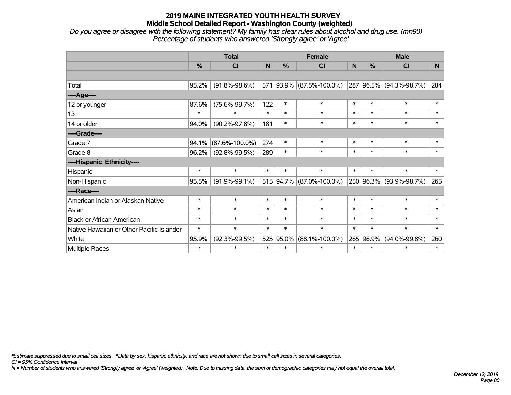*Do you agree or disagree with the following statement? My family has clear rules about alcohol and drug use. (mn90) Percentage of students who answered 'Strongly agree' or 'Agree'*

|                                           |               | <b>Total</b>         |        |               | <b>Female</b>            |        | <b>Male</b>   |                         |        |  |
|-------------------------------------------|---------------|----------------------|--------|---------------|--------------------------|--------|---------------|-------------------------|--------|--|
|                                           | $\frac{0}{0}$ | C <sub>l</sub>       | N      | $\frac{0}{0}$ | CI                       | N      | $\frac{0}{0}$ | <b>CI</b>               | N      |  |
|                                           |               |                      |        |               |                          |        |               |                         |        |  |
| Total                                     | 95.2%         | $(91.8\% - 98.6\%)$  |        |               | 571 93.9% (87.5%-100.0%) |        |               | 287 96.5% (94.3%-98.7%) | 284    |  |
| ----Age----                               |               |                      |        |               |                          |        |               |                         |        |  |
| 12 or younger                             | 87.6%         | $(75.6\% - 99.7\%)$  | 122    | $\ast$        | $\ast$                   | $\ast$ | $\ast$        | $\ast$                  | $\ast$ |  |
| 13                                        | $\ast$        | $\ast$               | $\ast$ | $\ast$        | $\ast$                   | $\ast$ | $\ast$        | $\ast$                  | $\ast$ |  |
| 14 or older                               | 94.0%         | $(90.2\% - 97.8\%)$  | 181    | $\ast$        | $\ast$                   | $\ast$ | $\ast$        | $\ast$                  | $\ast$ |  |
| ----Grade----                             |               |                      |        |               |                          |        |               |                         |        |  |
| Grade 7                                   | 94.1%         | $(87.6\% - 100.0\%)$ | 274    | $\ast$        | $\ast$                   | $\ast$ | $\ast$        | $\ast$                  | $\ast$ |  |
| Grade 8                                   | 96.2%         | $(92.8\% - 99.5\%)$  | 289    | $\ast$        | $\ast$                   | $\ast$ | $\ast$        | $\ast$                  | $\ast$ |  |
| ----Hispanic Ethnicity----                |               |                      |        |               |                          |        |               |                         |        |  |
| Hispanic                                  | $\ast$        | $\ast$               | $\ast$ | $\ast$        | $\ast$                   | $\ast$ | $\ast$        | $\ast$                  | $\ast$ |  |
| Non-Hispanic                              | 95.5%         | $(91.9\% - 99.1\%)$  |        |               | 515 94.7% (87.0%-100.0%) |        |               | 250 96.3% (93.9%-98.7%) | 265    |  |
| ----Race----                              |               |                      |        |               |                          |        |               |                         |        |  |
| American Indian or Alaskan Native         | $\ast$        | $\ast$               | $\ast$ | $\ast$        | $\ast$                   | $\ast$ | $\ast$        | $\ast$                  | $\ast$ |  |
| Asian                                     | $\ast$        | $\ast$               | $\ast$ | $\ast$        | $\ast$                   | $\ast$ | $\ast$        | $\ast$                  | $\ast$ |  |
| <b>Black or African American</b>          | $\ast$        | $\ast$               | $\ast$ | $\ast$        | $\ast$                   | $\ast$ | $\ast$        | $\ast$                  | $\ast$ |  |
| Native Hawaiian or Other Pacific Islander | $\ast$        | $\ast$               | $\ast$ | $\ast$        | $\ast$                   | $\ast$ | $\ast$        | $\ast$                  | $\ast$ |  |
| White                                     | 95.9%         | $(92.3\% - 99.5\%)$  |        | 525 95.0%     | $(88.1\% - 100.0\%)$     | 265    | 96.9%         | $(94.0\% - 99.8\%)$     | 260    |  |
| Multiple Races                            | $\ast$        | $\ast$               | $\ast$ | $\ast$        | $\ast$                   | $\ast$ | $\ast$        | $\ast$                  | $\ast$ |  |

*\*Estimate suppressed due to small cell sizes. ^Data by sex, hispanic ethnicity, and race are not shown due to small cell sizes in several categories.*

*CI = 95% Confidence Interval*

*N = Number of students who answered 'Strongly agree' or 'Agree' (weighted). Note: Due to missing data, the sum of demographic categories may not equal the overall total.*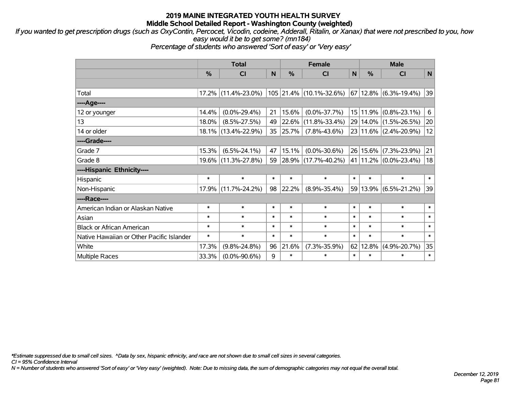*If you wanted to get prescription drugs (such as OxyContin, Percocet, Vicodin, codeine, Adderall, Ritalin, or Xanax) that were not prescribed to you, how easy would it be to get some? (mn184)*

*Percentage of students who answered 'Sort of easy' or 'Very easy'*

|                                           | <b>Total</b>  |                     |        | <b>Female</b> |                         |                 | <b>Male</b> |                           |             |  |
|-------------------------------------------|---------------|---------------------|--------|---------------|-------------------------|-----------------|-------------|---------------------------|-------------|--|
|                                           | $\frac{0}{0}$ | <b>CI</b>           | N      | $\frac{0}{0}$ | <b>CI</b>               | N               | %           | <b>CI</b>                 | $\mathbf N$ |  |
|                                           |               |                     |        |               |                         |                 |             |                           |             |  |
| Total                                     |               | 17.2% (11.4%-23.0%) |        |               | 105 21.4% (10.1%-32.6%) |                 |             | 67   12.8%   (6.3%-19.4%) | 39          |  |
| ----Age----                               |               |                     |        |               |                         |                 |             |                           |             |  |
| 12 or younger                             | 14.4%         | $(0.0\% - 29.4\%)$  | 21     | 15.6%         | $(0.0\% - 37.7\%)$      |                 | 15 11.9%    | $(0.8\% - 23.1\%)$        | 6           |  |
| 13                                        | 18.0%         | $(8.5\% - 27.5\%)$  | 49     | 22.6%         | $(11.8\% - 33.4\%)$     |                 |             | 29 14.0% (1.5%-26.5%)     | 20          |  |
| 14 or older                               |               | 18.1% (13.4%-22.9%) | 35     | 25.7%         | $(7.8\% - 43.6\%)$      |                 |             | $23 11.6\% $ (2.4%-20.9%) | 12          |  |
| ----Grade----                             |               |                     |        |               |                         |                 |             |                           |             |  |
| Grade 7                                   | 15.3%         | $(6.5\% - 24.1\%)$  | 47     | 15.1%         | $(0.0\% - 30.6\%)$      | 26 <sup>1</sup> | 15.6%       | $(7.3\% - 23.9\%)$        | 21          |  |
| Grade 8                                   |               | 19.6% (11.3%-27.8%) | 59     |               | 28.9% (17.7%-40.2%)     |                 |             | 41   11.2%   (0.0%-23.4%) | 18          |  |
| ----Hispanic Ethnicity----                |               |                     |        |               |                         |                 |             |                           |             |  |
| Hispanic                                  | $\ast$        | $\ast$              | $\ast$ | $\ast$        | $\ast$                  | $\ast$          | $\ast$      | $\ast$                    | $\ast$      |  |
| Non-Hispanic                              |               | 17.9% (11.7%-24.2%) | 98     | 22.2%         | $(8.9\% - 35.4\%)$      | 59              |             | $13.9\%$ (6.5%-21.2%)     | 39          |  |
| ----Race----                              |               |                     |        |               |                         |                 |             |                           |             |  |
| American Indian or Alaskan Native         | $\ast$        | $\ast$              | $\ast$ | $\ast$        | $\ast$                  | $\ast$          | $\ast$      | $\ast$                    | $\ast$      |  |
| Asian                                     | $\ast$        | $\ast$              | $\ast$ | $\ast$        | $\ast$                  | $\ast$          | $\ast$      | $\ast$                    | $\ast$      |  |
| <b>Black or African American</b>          | $\ast$        | $\ast$              | $\ast$ | $\ast$        | $\ast$                  | $\ast$          | $\ast$      | $\ast$                    | $\ast$      |  |
| Native Hawaiian or Other Pacific Islander | $\ast$        | $\ast$              | $\ast$ | $\ast$        | $\ast$                  | $\ast$          | $\ast$      | $\ast$                    | $\ast$      |  |
| White                                     | 17.3%         | $(9.8\% - 24.8\%)$  | 96     | 21.6%         | $(7.3\% - 35.9\%)$      | 62              | 12.8%       | $(4.9\% - 20.7\%)$        | 35          |  |
| <b>Multiple Races</b>                     | 33.3%         | $(0.0\% - 90.6\%)$  | 9      | *             | $\ast$                  | $\ast$          | $\ast$      | $\ast$                    | $\ast$      |  |

*\*Estimate suppressed due to small cell sizes. ^Data by sex, hispanic ethnicity, and race are not shown due to small cell sizes in several categories.*

*CI = 95% Confidence Interval*

*N = Number of students who answered 'Sort of easy' or 'Very easy' (weighted). Note: Due to missing data, the sum of demographic categories may not equal the overall total.*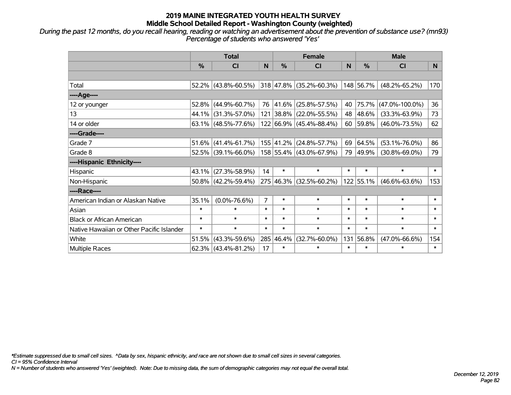*During the past 12 months, do you recall hearing, reading or watching an advertisement about the prevention of substance use? (mn93) Percentage of students who answered 'Yes'*

|                                           |        | <b>Total</b>           |                |           | <b>Female</b>                |        | <b>Male</b>   |                      |        |  |
|-------------------------------------------|--------|------------------------|----------------|-----------|------------------------------|--------|---------------|----------------------|--------|--|
|                                           | %      | CI                     | N <sub>1</sub> | %         | C <sub>l</sub>               | N      | $\frac{0}{0}$ | <b>CI</b>            | N.     |  |
|                                           |        |                        |                |           |                              |        |               |                      |        |  |
| Total                                     |        | $52.2\%$ (43.8%-60.5%) |                |           | $ 318 47.8\% $ (35.2%-60.3%) |        | 148 56.7%     | $(48.2\% - 65.2\%)$  | 170    |  |
| ----Age----                               |        |                        |                |           |                              |        |               |                      |        |  |
| 12 or younger                             | 52.8%  | $(44.9\% - 60.7\%)$    |                | 76 41.6%  | $(25.8\% - 57.5\%)$          | 40     | 75.7%         | $(47.0\% - 100.0\%)$ | 36     |  |
| 13                                        | 44.1%  | $(31.3\% - 57.0\%)$    |                | 121 38.8% | $(22.0\% - 55.5\%)$          | 48     | $ 48.6\% $    | $(33.3\% - 63.9\%)$  | 73     |  |
| 14 or older                               |        | $63.1\%$ (48.5%-77.6%) |                |           | 122 66.9% (45.4%-88.4%)      |        | $60$ 59.8%    | $(46.0\% - 73.5\%)$  | 62     |  |
| ----Grade----                             |        |                        |                |           |                              |        |               |                      |        |  |
| Grade 7                                   | 51.6%  | $(41.4\% - 61.7\%)$    |                | 155 41.2% | $(24.8\% - 57.7\%)$          | 69     | 64.5%         | $(53.1\% - 76.0\%)$  | 86     |  |
| Grade 8                                   |        | $52.5\%$ (39.1%-66.0%) |                |           | 158 55.4% (43.0%-67.9%)      | 79     | $ 49.9\% $    | $(30.8\% - 69.0\%)$  | 79     |  |
| ----Hispanic Ethnicity----                |        |                        |                |           |                              |        |               |                      |        |  |
| Hispanic                                  | 43.1%  | $(27.3\% - 58.9\%)$    | 14             | $\ast$    | $\ast$                       | $\ast$ | $\ast$        | $\ast$               | $\ast$ |  |
| Non-Hispanic                              |        | $50.8\%$ (42.2%-59.4%) |                | 275 46.3% | $(32.5\% - 60.2\%)$          |        | 122 55.1%     | $(46.6\% - 63.6\%)$  | 153    |  |
| ----Race----                              |        |                        |                |           |                              |        |               |                      |        |  |
| American Indian or Alaskan Native         | 35.1%  | $(0.0\% - 76.6\%)$     | $\overline{7}$ | $\ast$    | $\ast$                       | $\ast$ | $\ast$        | $\ast$               | $\ast$ |  |
| Asian                                     | $\ast$ | $\ast$                 | $\ast$         | $\ast$    | $\ast$                       | $\ast$ | $\ast$        | $\ast$               | $\ast$ |  |
| <b>Black or African American</b>          | $\ast$ | $\ast$                 | $\ast$         | $\ast$    | $\ast$                       | $\ast$ | $\ast$        | $\ast$               | $\ast$ |  |
| Native Hawaiian or Other Pacific Islander | $\ast$ | $\ast$                 | $\ast$         | $\ast$    | $\ast$                       | $\ast$ | $\ast$        | $\ast$               | $\ast$ |  |
| White                                     | 51.5%  | $(43.3\% - 59.6\%)$    |                | 285 46.4% | $(32.7\% - 60.0\%)$          | 131    | 56.8%         | $(47.0\% - 66.6\%)$  | 154    |  |
| Multiple Races                            |        | $62.3\%$ (43.4%-81.2%) | 17             | $\ast$    | $\ast$                       | $\ast$ | $\ast$        | $\ast$               | $\ast$ |  |

*\*Estimate suppressed due to small cell sizes. ^Data by sex, hispanic ethnicity, and race are not shown due to small cell sizes in several categories.*

*CI = 95% Confidence Interval*

*N = Number of students who answered 'Yes' (weighted). Note: Due to missing data, the sum of demographic categories may not equal the overall total.*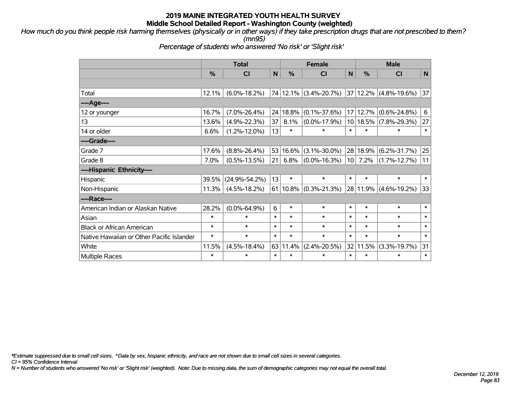*How much do you think people risk harming themselves (physically or in other ways) if they take prescription drugs that are not prescribed to them? (mn95)*

*Percentage of students who answered 'No risk' or 'Slight risk'*

|                                           | <b>Total</b> |                     |        |               | <b>Female</b>                     |                 | <b>Male</b> |                    |              |  |
|-------------------------------------------|--------------|---------------------|--------|---------------|-----------------------------------|-----------------|-------------|--------------------|--------------|--|
|                                           | %            | CI                  | N      | $\frac{0}{0}$ | CI                                | $\mathsf{N}$    | %           | <b>CI</b>          | $\mathsf{N}$ |  |
|                                           |              |                     |        |               |                                   |                 |             |                    |              |  |
| Total                                     | 12.1%        | $(6.0\% - 18.2\%)$  |        |               | 74 12.1% (3.4%-20.7%)             |                 | 37 12.2%    | $(4.8\% - 19.6\%)$ | 37           |  |
| ----Age----                               |              |                     |        |               |                                   |                 |             |                    |              |  |
| 12 or younger                             | 16.7%        | $(7.0\% - 26.4\%)$  |        | 24 18.8%      | $(0.1\% - 37.6\%)$                | 17 <sup>1</sup> | 12.7%       | $(0.6\% - 24.8\%)$ | 6            |  |
| 13                                        | 13.6%        | $(4.9\% - 22.3\%)$  | 37     | 8.1%          | $(0.0\% - 17.9\%)$                |                 | 10 18.5%    | $(7.8\% - 29.3\%)$ | 27           |  |
| 14 or older                               | 6.6%         | $(1.2\% - 12.0\%)$  | 13     | $\ast$        | $\ast$                            | $\ast$          | $\ast$      | $\ast$             | $\ast$       |  |
| ----Grade----                             |              |                     |        |               |                                   |                 |             |                    |              |  |
| Grade 7                                   | 17.6%        | $(8.8\% - 26.4\%)$  |        | 53 16.6%      | $(3.1\% - 30.0\%)$                |                 | 28 18.9%    | $(6.2\% - 31.7\%)$ | 25           |  |
| Grade 8                                   | 7.0%         | $(0.5\% - 13.5\%)$  | 21     | 6.8%          | $(0.0\% - 16.3\%)$                | 10 <sup>1</sup> | 7.2%        | $(1.7\% - 12.7\%)$ | 11           |  |
| ----Hispanic Ethnicity----                |              |                     |        |               |                                   |                 |             |                    |              |  |
| Hispanic                                  | 39.5%        | $(24.9\% - 54.2\%)$ | 13     | $\ast$        | $\ast$                            | $\ast$          | $\ast$      | $\ast$             | $\ast$       |  |
| Non-Hispanic                              | 11.3%        | $(4.5\% - 18.2\%)$  |        |               | 61   10.8% $(0.3\text{%-21.3\%)}$ |                 | 28 11.9%    | $(4.6\% - 19.2\%)$ | 33           |  |
| ----Race----                              |              |                     |        |               |                                   |                 |             |                    |              |  |
| American Indian or Alaskan Native         | 28.2%        | $(0.0\% - 64.9\%)$  | 6      | $\ast$        | $\ast$                            | $\ast$          | $\ast$      | $\ast$             | $\ast$       |  |
| Asian                                     | $\ast$       | $\ast$              | $\ast$ | $\ast$        | $\ast$                            | $\ast$          | $\ast$      | $\ast$             | $\ast$       |  |
| <b>Black or African American</b>          | $\ast$       | $\ast$              | $\ast$ | $\ast$        | $\ast$                            | $\ast$          | $\ast$      | $\ast$             | $\ast$       |  |
| Native Hawaiian or Other Pacific Islander | $\ast$       | $\ast$              | $\ast$ | $\ast$        | $\ast$                            | $\ast$          | $\ast$      | $\ast$             | $\ast$       |  |
| White                                     | 11.5%        | $(4.5\% - 18.4\%)$  | 63     | 11.4%         | $(2.4\% - 20.5\%)$                |                 | 32 11.5%    | $(3.3\% - 19.7\%)$ | 31           |  |
| <b>Multiple Races</b>                     | $\ast$       | $\ast$              | $\ast$ | $\ast$        | $\ast$                            | $\ast$          | *           | $\ast$             | $\ast$       |  |

*\*Estimate suppressed due to small cell sizes. ^Data by sex, hispanic ethnicity, and race are not shown due to small cell sizes in several categories.*

*CI = 95% Confidence Interval*

*N = Number of students who answered 'No risk' or 'Slight risk' (weighted). Note: Due to missing data, the sum of demographic categories may not equal the overall total.*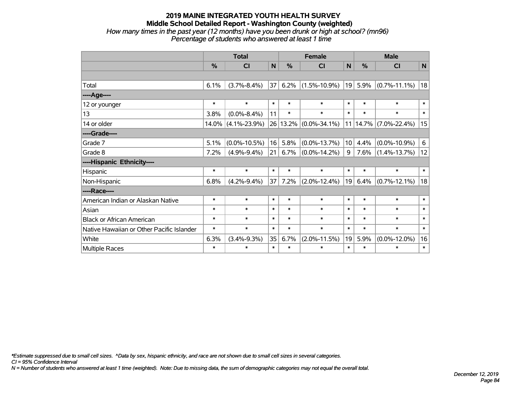#### **2019 MAINE INTEGRATED YOUTH HEALTH SURVEY Middle School Detailed Report - Washington County (weighted)** *How many times in the past year (12 months) have you been drunk or high at school? (mn96) Percentage of students who answered at least 1 time*

|                                           | <b>Total</b> |                    |        |               | <b>Female</b>      | <b>Male</b>     |        |                    |              |
|-------------------------------------------|--------------|--------------------|--------|---------------|--------------------|-----------------|--------|--------------------|--------------|
|                                           | %            | <b>CI</b>          | N      | $\frac{0}{0}$ | <b>CI</b>          | N               | %      | <b>CI</b>          | $\mathsf{N}$ |
|                                           |              |                    |        |               |                    |                 |        |                    |              |
| Total                                     | 6.1%         | $(3.7\% - 8.4\%)$  | 37     | 6.2%          | $(1.5\% - 10.9\%)$ | 19              | 5.9%   | $(0.7\% - 11.1\%)$ | 18           |
| ----Age----                               |              |                    |        |               |                    |                 |        |                    |              |
| 12 or younger                             | $\ast$       | $\ast$             | $\ast$ | $\ast$        | $\ast$             | $\ast$          | $\ast$ | $\ast$             | $\ast$       |
| 13                                        | 3.8%         | $(0.0\% - 8.4\%)$  | 11     | $\ast$        | $\ast$             | $\ast$          | $\ast$ | $\ast$             | $\ast$       |
| 14 or older                               | 14.0%        | $(4.1\% - 23.9\%)$ |        | 26 13.2%      | $(0.0\% - 34.1\%)$ | 11 <sup>1</sup> | 14.7%  | $(7.0\% - 22.4\%)$ | 15           |
| ----Grade----                             |              |                    |        |               |                    |                 |        |                    |              |
| Grade 7                                   | 5.1%         | $(0.0\% - 10.5\%)$ | 16     | 5.8%          | $(0.0\% - 13.7\%)$ | 10              | 4.4%   | $(0.0\% - 10.9\%)$ | 6            |
| Grade 8                                   | 7.2%         | $(4.9\% - 9.4\%)$  | 21     | $6.7\%$       | $(0.0\% - 14.2\%)$ | 9               | 7.6%   | $(1.4\% - 13.7\%)$ | 12           |
| ----Hispanic Ethnicity----                |              |                    |        |               |                    |                 |        |                    |              |
| Hispanic                                  | $\ast$       | $\ast$             | $\ast$ | $\ast$        | $\ast$             | $\ast$          | $\ast$ | $\ast$             | $\ast$       |
| Non-Hispanic                              | 6.8%         | $(4.2\% - 9.4\%)$  | 37     | 7.2%          | $(2.0\% - 12.4\%)$ | 19              | 6.4%   | $(0.7\% - 12.1\%)$ | 18           |
| ----Race----                              |              |                    |        |               |                    |                 |        |                    |              |
| American Indian or Alaskan Native         | $\ast$       | $\ast$             | $\ast$ | $\ast$        | $\ast$             | $\ast$          | $\ast$ | $\ast$             | $\ast$       |
| Asian                                     | $\ast$       | $\ast$             | $\ast$ | $\ast$        | $\ast$             | $\ast$          | $\ast$ | $\ast$             | $\ast$       |
| <b>Black or African American</b>          | $\ast$       | $\ast$             | $\ast$ | $\ast$        | $\ast$             | $\ast$          | $\ast$ | $\ast$             | $\ast$       |
| Native Hawaiian or Other Pacific Islander | $\ast$       | $\ast$             | $\ast$ | $\ast$        | $\ast$             | $\ast$          | $\ast$ | $\ast$             | $\ast$       |
| White                                     | 6.3%         | $(3.4\% - 9.3\%)$  | 35     | 6.7%          | $(2.0\% - 11.5\%)$ | 19              | 5.9%   | $(0.0\% - 12.0\%)$ | 16           |
| <b>Multiple Races</b>                     | $\ast$       | $\ast$             | $\ast$ | $\ast$        | $\ast$             | $\ast$          | $\ast$ | $\ast$             | $\ast$       |

*\*Estimate suppressed due to small cell sizes. ^Data by sex, hispanic ethnicity, and race are not shown due to small cell sizes in several categories.*

*CI = 95% Confidence Interval*

*N = Number of students who answered at least 1 time (weighted). Note: Due to missing data, the sum of demographic categories may not equal the overall total.*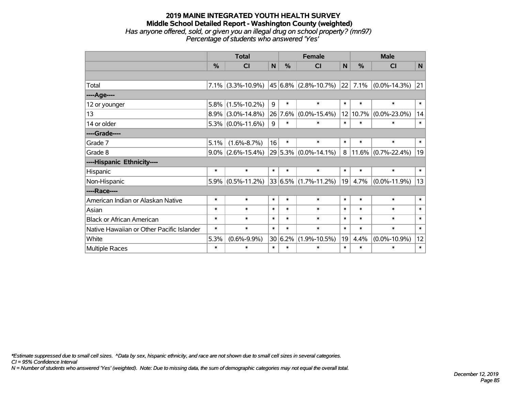#### **2019 MAINE INTEGRATED YOUTH HEALTH SURVEY Middle School Detailed Report - Washington County (weighted)** *Has anyone offered, sold, or given you an illegal drug on school property? (mn97) Percentage of students who answered 'Yes'*

|                                           | <b>Total</b>  |                      |        |         | <b>Female</b>                             |        | <b>Male</b> |                       |        |  |
|-------------------------------------------|---------------|----------------------|--------|---------|-------------------------------------------|--------|-------------|-----------------------|--------|--|
|                                           | $\frac{0}{0}$ | <b>CI</b>            | N      | $\%$    | <b>CI</b>                                 | N      | $\%$        | <b>CI</b>             | N      |  |
|                                           |               |                      |        |         |                                           |        |             |                       |        |  |
| Total                                     |               |                      |        |         | 7.1% (3.3%-10.9%) 45 6.8% (2.8%-10.7%) 22 |        | 7.1%        | $(0.0\% - 14.3\%)$    | 21     |  |
| ----Age----                               |               |                      |        |         |                                           |        |             |                       |        |  |
| 12 or younger                             | 5.8%          | $(1.5\% - 10.2\%)$   | 9      | $\ast$  | $\ast$                                    | $\ast$ | $\ast$      | $\ast$                | $\ast$ |  |
| 13                                        |               | $8.9\%$ (3.0%-14.8%) |        | 26 7.6% | $(0.0\% - 15.4\%)$                        | 12     |             | $10.7\%$ (0.0%-23.0%) | 14     |  |
| 14 or older                               |               | $5.3\%$ (0.0%-11.6%) | 9      | $\ast$  | $\ast$                                    | $\ast$ | $\ast$      | $\ast$                | $\ast$ |  |
| ----Grade----                             |               |                      |        |         |                                           |        |             |                       |        |  |
| Grade 7                                   | 5.1%          | $(1.6\% - 8.7\%)$    | 16     | $\ast$  | $\ast$                                    | $\ast$ | $\ast$      | $\ast$                | $\ast$ |  |
| Grade 8                                   |               | $9.0\%$ (2.6%-15.4%) |        |         | $ 29 5.3\% $ (0.0%-14.1%)                 | 8      |             | $11.6\%$ (0.7%-22.4%) | 19     |  |
| ----Hispanic Ethnicity----                |               |                      |        |         |                                           |        |             |                       |        |  |
| Hispanic                                  | $\ast$        | $\ast$               | $\ast$ | $\ast$  | $\ast$                                    | $\ast$ | $\ast$      | $\ast$                | $\ast$ |  |
| Non-Hispanic                              |               | $5.9\%$ (0.5%-11.2%) |        |         | $33 6.5\% (1.7\% - 11.2\%)$               | 19     | 4.7%        | $(0.0\% - 11.9\%)$    | 13     |  |
| ----Race----                              |               |                      |        |         |                                           |        |             |                       |        |  |
| American Indian or Alaskan Native         | $\ast$        | $\ast$               | $\ast$ | $\ast$  | $\ast$                                    | $\ast$ | $\ast$      | $\ast$                | $\ast$ |  |
| Asian                                     | $\ast$        | $\ast$               | $\ast$ | $\ast$  | $\ast$                                    | $\ast$ | $\ast$      | $\ast$                | $\ast$ |  |
| <b>Black or African American</b>          | $\ast$        | $\ast$               | $\ast$ | $\ast$  | $\ast$                                    | $\ast$ | $\ast$      | $\ast$                | $\ast$ |  |
| Native Hawaiian or Other Pacific Islander | $\ast$        | $\ast$               | $\ast$ | $\ast$  | $\ast$                                    | $\ast$ | $\ast$      | $\ast$                | $\ast$ |  |
| White                                     | 5.3%          | $(0.6\% - 9.9\%)$    | 30     | 6.2%    | $(1.9\% - 10.5\%)$                        | 19     | 4.4%        | $(0.0\% - 10.9\%)$    | 12     |  |
| Multiple Races                            | $\ast$        | $\ast$               | $\ast$ | $\ast$  | $\ast$                                    | $\ast$ | $\ast$      | $\ast$                | $\ast$ |  |

*\*Estimate suppressed due to small cell sizes. ^Data by sex, hispanic ethnicity, and race are not shown due to small cell sizes in several categories.*

*CI = 95% Confidence Interval*

*N = Number of students who answered 'Yes' (weighted). Note: Due to missing data, the sum of demographic categories may not equal the overall total.*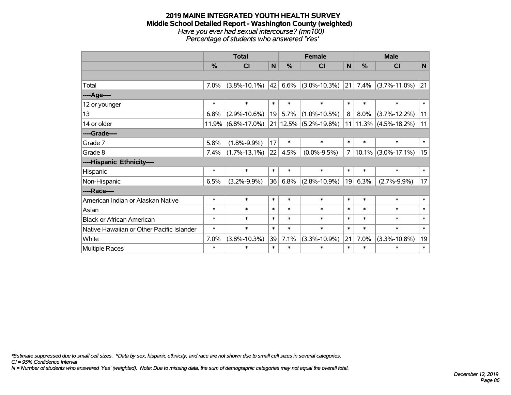#### **2019 MAINE INTEGRATED YOUTH HEALTH SURVEY Middle School Detailed Report - Washington County (weighted)** *Have you ever had sexual intercourse? (mn100) Percentage of students who answered 'Yes'*

|                                           | <b>Total</b> |                       |        |          | <b>Female</b>      | <b>Male</b>    |        |                    |             |
|-------------------------------------------|--------------|-----------------------|--------|----------|--------------------|----------------|--------|--------------------|-------------|
|                                           | %            | C <sub>l</sub>        | N      | %        | <b>CI</b>          | $\mathsf{N}$   | %      | <b>CI</b>          | $\mathbf N$ |
|                                           |              |                       |        |          |                    |                |        |                    |             |
| Total                                     | 7.0%         | $(3.8\% - 10.1\%)$    | 42     | 6.6%     | $(3.0\% - 10.3\%)$ | 21             | 7.4%   | $(3.7\% - 11.0\%)$ | 21          |
| ---- Age----                              |              |                       |        |          |                    |                |        |                    |             |
| 12 or younger                             | $\ast$       | $\ast$                | $\ast$ | $\ast$   | $\ast$             | $\ast$         | $\ast$ | $\ast$             | $\ast$      |
| 13                                        | 6.8%         | $(2.9\% - 10.6\%)$    | 19     | 5.7%     | $(1.0\% - 10.5\%)$ | 8              | 8.0%   | $(3.7\% - 12.2\%)$ | 11          |
| 14 or older                               |              | $11.9\%$ (6.8%-17.0%) |        | 21 12.5% | $(5.2\% - 19.8\%)$ | 11             | 11.3%  | $(4.5\% - 18.2\%)$ | 11          |
| ----Grade----                             |              |                       |        |          |                    |                |        |                    |             |
| Grade 7                                   | 5.8%         | $(1.8\% - 9.9\%)$     | 17     | $\ast$   | $\ast$             | $\ast$         | $\ast$ | $\ast$             | $\ast$      |
| Grade 8                                   | 7.4%         | $(1.7\% - 13.1\%)$    | 22     | 4.5%     | $(0.0\% - 9.5\%)$  | $\overline{7}$ | 10.1%  | $(3.0\% - 17.1\%)$ | 15          |
| ----Hispanic Ethnicity----                |              |                       |        |          |                    |                |        |                    |             |
| Hispanic                                  | $\ast$       | $\ast$                | $\ast$ | $\ast$   | $\ast$             | $\ast$         | $\ast$ | $\ast$             | $\ast$      |
| Non-Hispanic                              | 6.5%         | $(3.2\% - 9.9\%)$     | 36     | 6.8%     | $(2.8\% - 10.9\%)$ | 19             | 6.3%   | $(2.7\% - 9.9\%)$  | 17          |
| ----Race----                              |              |                       |        |          |                    |                |        |                    |             |
| American Indian or Alaskan Native         | $\ast$       | $\ast$                | $\ast$ | $\ast$   | $\ast$             | $\ast$         | $\ast$ | $\ast$             | $\ast$      |
| Asian                                     | $\ast$       | $\ast$                | $\ast$ | $\ast$   | $\ast$             | $\ast$         | $\ast$ | $\ast$             | $\ast$      |
| <b>Black or African American</b>          | $\ast$       | $\ast$                | $\ast$ | $\ast$   | $\ast$             | $\ast$         | $\ast$ | $\ast$             | $\ast$      |
| Native Hawaiian or Other Pacific Islander | $\ast$       | $\ast$                | $\ast$ | $\ast$   | $\ast$             | $\ast$         | $\ast$ | $\ast$             | $\ast$      |
| White                                     | 7.0%         | $(3.8\% - 10.3\%)$    | 39     | 7.1%     | $(3.3\% - 10.9\%)$ | 21             | 7.0%   | $(3.3\% - 10.8\%)$ | 19          |
| <b>Multiple Races</b>                     | $\ast$       | $\ast$                | $\ast$ | $\ast$   | $\ast$             | $\ast$         | $\ast$ | $\ast$             | $\ast$      |

*\*Estimate suppressed due to small cell sizes. ^Data by sex, hispanic ethnicity, and race are not shown due to small cell sizes in several categories.*

*CI = 95% Confidence Interval*

*N = Number of students who answered 'Yes' (weighted). Note: Due to missing data, the sum of demographic categories may not equal the overall total.*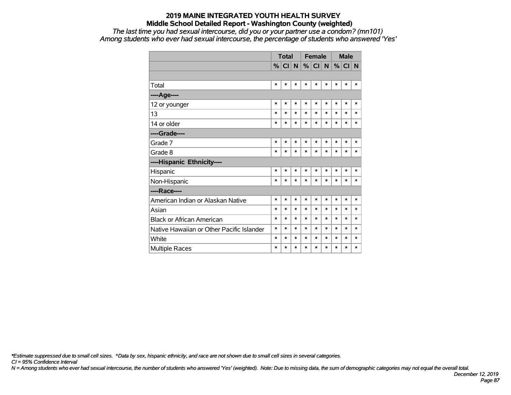*The last time you had sexual intercourse, did you or your partner use a condom? (mn101) Among students who ever had sexual intercourse, the percentage of students who answered 'Yes'*

|                                           |        | <b>Total</b> |        |        | <b>Female</b> |        | <b>Male</b> |        |        |
|-------------------------------------------|--------|--------------|--------|--------|---------------|--------|-------------|--------|--------|
|                                           |        | $%$ CI N     |        |        | $\%$ CI       | N      | %           | CI     | N      |
|                                           |        |              |        |        |               |        |             |        |        |
| Total                                     | $\ast$ | $\ast$       | *      | $\ast$ | *             | *      | $\ast$      | $\ast$ | *      |
| ----Age----                               |        |              |        |        |               |        |             |        |        |
| 12 or younger                             | $\ast$ | *            | *      | $\ast$ | $\ast$        | *      | $\ast$      | $\ast$ | $\ast$ |
| 13                                        | $\ast$ | $\ast$       | $\ast$ | $\ast$ | $\ast$        | $\ast$ | $\ast$      | $\ast$ | $\ast$ |
| 14 or older                               | $\ast$ | *            | $\ast$ | $\ast$ | $\ast$        | $\ast$ | $\ast$      | $\ast$ | $\ast$ |
| ----Grade----                             |        |              |        |        |               |        |             |        |        |
| Grade 7                                   | $\ast$ | $\ast$       | $\ast$ | $\ast$ | $\ast$        | $\ast$ | $\ast$      | $\ast$ | $\ast$ |
| Grade 8                                   | $\ast$ | $\ast$       | $\ast$ | $\ast$ | $\ast$        | $\ast$ | $\ast$      | $\ast$ | $\ast$ |
| ----Hispanic Ethnicity----                |        |              |        |        |               |        |             |        |        |
| Hispanic                                  | $\ast$ | $\ast$       | *      | $\ast$ | $\ast$        | $\ast$ | $\ast$      | $\ast$ | $\ast$ |
| Non-Hispanic                              | $\ast$ | $\ast$       | $\ast$ | $\ast$ | $\ast$        | $\ast$ | $\ast$      | $\ast$ | $\ast$ |
| ----Race----                              |        |              |        |        |               |        |             |        |        |
| American Indian or Alaskan Native         | $\ast$ | $\ast$       | $\ast$ | $\ast$ | $\ast$        | $\ast$ | $\ast$      | $\ast$ | $\ast$ |
| Asian                                     | $\ast$ | $\ast$       | $\ast$ | $\ast$ | *             | $\ast$ | $\ast$      | $\ast$ | $\ast$ |
| <b>Black or African American</b>          | $\ast$ | $\ast$       | *      | $\ast$ | $\ast$        | $\ast$ | $\ast$      | $\ast$ | $\ast$ |
| Native Hawaiian or Other Pacific Islander | $\ast$ | $\ast$       | *      | $\ast$ | $\ast$        | $\ast$ | $\ast$      | $\ast$ | $\ast$ |
| White                                     | $\ast$ | $\ast$       | *      | $\ast$ | $\ast$        | $\ast$ | $\ast$      | $\ast$ | $\ast$ |
| Multiple Races                            | $\ast$ | $\ast$       | *      | $\ast$ | $\ast$        | $\ast$ | $\ast$      | $\ast$ | $\ast$ |

*\*Estimate suppressed due to small cell sizes. ^Data by sex, hispanic ethnicity, and race are not shown due to small cell sizes in several categories.*

*CI = 95% Confidence Interval*

*N = Among students who ever had sexual intercourse, the number of students who answered 'Yes' (weighted). Note: Due to missing data, the sum of demographic categories may not equal the overall total.*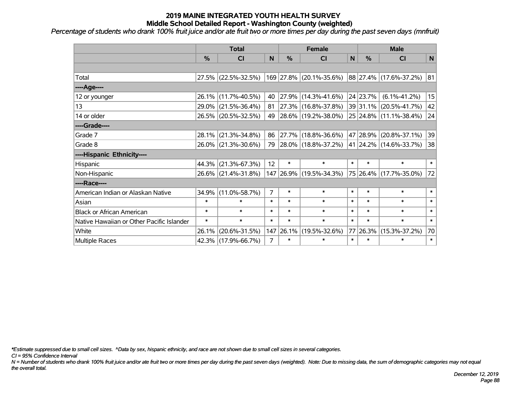*Percentage of students who drank 100% fruit juice and/or ate fruit two or more times per day during the past seven days (mnfruit)*

|                                           | <b>Total</b> |                     |                |               | <b>Female</b>           |        | <b>Male</b>   |                        |        |  |
|-------------------------------------------|--------------|---------------------|----------------|---------------|-------------------------|--------|---------------|------------------------|--------|--|
|                                           | %            | <b>CI</b>           | N              | $\frac{0}{0}$ | <b>CI</b>               | N      | $\frac{0}{0}$ | <b>CI</b>              | N      |  |
|                                           |              |                     |                |               |                         |        |               |                        |        |  |
| Total                                     |              | 27.5% (22.5%-32.5%) |                |               | 169 27.8% (20.1%-35.6%) |        |               | 88 27.4% (17.6%-37.2%) | 81     |  |
| ---- Age----                              |              |                     |                |               |                         |        |               |                        |        |  |
| 12 or younger                             |              | 26.1% (11.7%-40.5%) | 40             | 27.9%         | $(14.3\% - 41.6\%)$     |        | 24 23.7%      | $(6.1\% - 41.2\%)$     | 15     |  |
| 13                                        |              | 29.0% (21.5%-36.4%) | 81             |               | 27.3% (16.8%-37.8%)     |        |               | 39 31.1% (20.5%-41.7%) | 42     |  |
| 14 or older                               |              | 26.5% (20.5%-32.5%) | 49             |               | 28.6% (19.2%-38.0%)     |        |               | 25 24.8% (11.1%-38.4%) | 24     |  |
| ----Grade----                             |              |                     |                |               |                         |        |               |                        |        |  |
| Grade 7                                   | 28.1%        | $(21.3\% - 34.8\%)$ | 86             | 27.7%         | $(18.8\% - 36.6\%)$     |        |               | 47 28.9% (20.8%-37.1%) | 39     |  |
| Grade 8                                   |              | 26.0% (21.3%-30.6%) | 79             |               | 28.0% (18.8%-37.2%)     |        |               | 41 24.2% (14.6%-33.7%) | 38     |  |
| ----Hispanic Ethnicity----                |              |                     |                |               |                         |        |               |                        |        |  |
| Hispanic                                  | 44.3%        | $(21.3\% - 67.3\%)$ | 12             | $\ast$        | $\ast$                  | $\ast$ | $\ast$        | $\ast$                 | $\ast$ |  |
| Non-Hispanic                              |              | 26.6% (21.4%-31.8%) |                |               | 147 26.9% (19.5%-34.3%) |        |               | 75 26.4% (17.7%-35.0%) | 72     |  |
| ----Race----                              |              |                     |                |               |                         |        |               |                        |        |  |
| American Indian or Alaskan Native         | 34.9%        | $(11.0\% - 58.7\%)$ | $\overline{7}$ | $\ast$        | $\ast$                  | $\ast$ | $\ast$        | $\ast$                 | $\ast$ |  |
| Asian                                     | $\ast$       | $\ast$              | $\ast$         | $\ast$        | $\ast$                  | $\ast$ | $\ast$        | $\ast$                 | $\ast$ |  |
| <b>Black or African American</b>          | $\ast$       | $\ast$              | $\ast$         | $\ast$        | $\ast$                  | $\ast$ | $\ast$        | $\ast$                 | $\ast$ |  |
| Native Hawaiian or Other Pacific Islander | $\ast$       | $\ast$              | $\ast$         | $\ast$        | $\ast$                  | $\ast$ | $\ast$        | $\ast$                 | $\ast$ |  |
| White                                     | 26.1%        | $(20.6\% - 31.5\%)$ | 147            | 26.1%         | $(19.5\% - 32.6\%)$     | 77     | $ 26.3\% $    | $(15.3\% - 37.2\%)$    | 70     |  |
| Multiple Races                            |              | 42.3% (17.9%-66.7%) | 7              | $\ast$        | $\ast$                  | $\ast$ | $\ast$        | $\ast$                 | $\ast$ |  |

*\*Estimate suppressed due to small cell sizes. ^Data by sex, hispanic ethnicity, and race are not shown due to small cell sizes in several categories.*

*CI = 95% Confidence Interval*

*N = Number of students who drank 100% fruit juice and/or ate fruit two or more times per day during the past seven days (weighted). Note: Due to missing data, the sum of demographic categories may not equal the overall total.*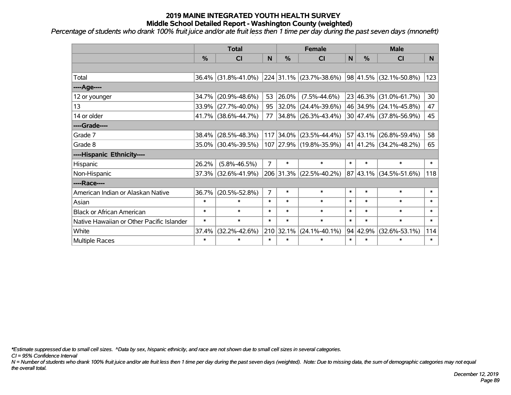*Percentage of students who drank 100% fruit juice and/or ate fruit less then 1 time per day during the past seven days (mnonefrt)*

|                                           | <b>Total</b> |                     |                |               | <b>Female</b>            |        | <b>Male</b>      |                        |        |  |
|-------------------------------------------|--------------|---------------------|----------------|---------------|--------------------------|--------|------------------|------------------------|--------|--|
|                                           | %            | CI                  | N              | $\frac{9}{6}$ | <b>CI</b>                | N      | $\frac{0}{0}$    | <b>CI</b>              | N      |  |
|                                           |              |                     |                |               |                          |        |                  |                        |        |  |
| Total                                     | 36.4%        | $(31.8\% - 41.0\%)$ |                |               | 224 31.1% (23.7%-38.6%)  |        | 98 41.5%         | $(32.1\% - 50.8\%)$    | 123    |  |
| ----Age----                               |              |                     |                |               |                          |        |                  |                        |        |  |
| 12 or younger                             | 34.7%        | $(20.9\% - 48.6\%)$ | 53             | 26.0%         | $(7.5\% - 44.6\%)$       |        | 23 46.3%         | $(31.0\% - 61.7\%)$    | 30     |  |
| 13                                        | 33.9%        | $(27.7\% - 40.0\%)$ | 95             | 32.0%         | $(24.4\% - 39.6\%)$      |        | 46 34.9%         | $(24.1\% - 45.8\%)$    | 47     |  |
| 14 or older                               |              | 41.7% (38.6%-44.7%) | 77             |               | $ 34.8\% $ (26.3%-43.4%) |        |                  | 30 47.4% (37.8%-56.9%) | 45     |  |
| ----Grade----                             |              |                     |                |               |                          |        |                  |                        |        |  |
| Grade 7                                   | 38.4%        | $(28.5\% - 48.3\%)$ |                | 117 34.0%     | $(23.5\% - 44.4\%)$      |        | 57 43.1%         | $(26.8\% - 59.4\%)$    | 58     |  |
| Grade 8                                   |              | 35.0% (30.4%-39.5%) |                |               | 107 27.9% (19.8%-35.9%)  |        |                  | 41 41.2% (34.2%-48.2%) | 65     |  |
| ----Hispanic Ethnicity----                |              |                     |                |               |                          |        |                  |                        |        |  |
| Hispanic                                  | 26.2%        | $(5.8\% - 46.5\%)$  | $\overline{7}$ | $\ast$        | $\ast$                   | $\ast$ | $\ast$           | $\ast$                 | $\ast$ |  |
| Non-Hispanic                              | 37.3%        | $(32.6\% - 41.9\%)$ |                | 206 31.3%     | $(22.5\% - 40.2\%)$      |        | 87 43.1%         | $(34.5\% - 51.6\%)$    | 118    |  |
| ----Race----                              |              |                     |                |               |                          |        |                  |                        |        |  |
| American Indian or Alaskan Native         | 36.7%        | $(20.5\% - 52.8\%)$ | 7              | $\ast$        | $\ast$                   | $\ast$ | $\ast$           | $\ast$                 | $\ast$ |  |
| Asian                                     | $\ast$       | $\ast$              | $\ast$         | $\ast$        | $\ast$                   | $\ast$ | $\ast$           | $\ast$                 | $\ast$ |  |
| <b>Black or African American</b>          | $\ast$       | $\ast$              | $\ast$         | $\ast$        | $\ast$                   | $\ast$ | $\ast$           | $\ast$                 | $\ast$ |  |
| Native Hawaiian or Other Pacific Islander | $\ast$       | $\ast$              | $\ast$         | $\ast$        | $\ast$                   | $\ast$ | $\ast$           | $\ast$                 | $\ast$ |  |
| White                                     | 37.4%        | $(32.2\% - 42.6\%)$ | 210            | 32.1%         | $(24.1\% - 40.1\%)$      |        | $94 \mid 42.9\%$ | $(32.6\% - 53.1\%)$    | 114    |  |
| <b>Multiple Races</b>                     | $\ast$       | $\ast$              | $\ast$         | $\ast$        | $\ast$                   | $\ast$ | $\ast$           | $\ast$                 | $\ast$ |  |

*\*Estimate suppressed due to small cell sizes. ^Data by sex, hispanic ethnicity, and race are not shown due to small cell sizes in several categories.*

*CI = 95% Confidence Interval*

*N = Number of students who drank 100% fruit juice and/or ate fruit less then 1 time per day during the past seven days (weighted). Note: Due to missing data, the sum of demographic categories may not equal the overall total.*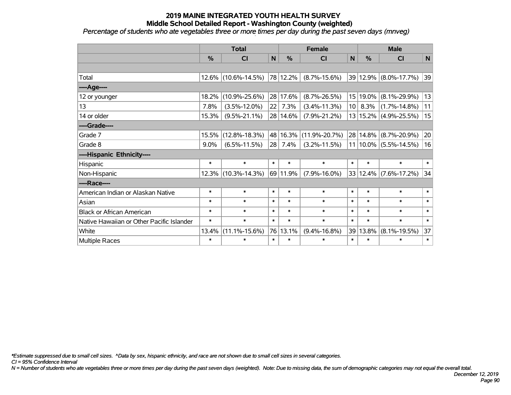*Percentage of students who ate vegetables three or more times per day during the past seven days (mnveg)*

|                                           | <b>Total</b>  |                     |        |               | <b>Female</b>          |                 |               | <b>Male</b>               |        |  |  |
|-------------------------------------------|---------------|---------------------|--------|---------------|------------------------|-----------------|---------------|---------------------------|--------|--|--|
|                                           | $\frac{0}{0}$ | <b>CI</b>           | N      | $\frac{0}{0}$ | CI                     | N               | $\frac{0}{0}$ | <b>CI</b>                 | N      |  |  |
|                                           |               |                     |        |               |                        |                 |               |                           |        |  |  |
| Total                                     | $12.6\%$      | $(10.6\% - 14.5\%)$ |        | 78 12.2%      | $(8.7\% - 15.6\%)$     |                 |               | 39 12.9% (8.0%-17.7%)     | 39     |  |  |
| ---- Age----                              |               |                     |        |               |                        |                 |               |                           |        |  |  |
| 12 or younger                             | 18.2%         | $(10.9\% - 25.6\%)$ |        | 28 17.6%      | $(8.7\% - 26.5\%)$     |                 | 15 19.0%      | $(8.1\% - 29.9\%)$        | 13     |  |  |
| 13                                        | 7.8%          | $(3.5\% - 12.0\%)$  | 22     | 7.3%          | $(3.4\% - 11.3\%)$     | 10 <sup>1</sup> | 8.3%          | $(1.7\% - 14.8\%)$        | 11     |  |  |
| 14 or older                               | 15.3%         | $(9.5\% - 21.1\%)$  |        | 28 14.6%      | $(7.9\% - 21.2\%)$     |                 |               | 13   15.2%   (4.9%-25.5%) | 15     |  |  |
| ----Grade----                             |               |                     |        |               |                        |                 |               |                           |        |  |  |
| Grade 7                                   | 15.5%         | $(12.8\% - 18.3\%)$ |        |               | 48 16.3% (11.9%-20.7%) |                 | 28 14.8%      | $(8.7\% - 20.9\%)$        | 20     |  |  |
| Grade 8                                   | $9.0\%$       | $(6.5\% - 11.5\%)$  | 28     | 7.4%          | $(3.2\% - 11.5\%)$     |                 |               | $11 10.0\% $ (5.5%-14.5%) | 16     |  |  |
| ----Hispanic Ethnicity----                |               |                     |        |               |                        |                 |               |                           |        |  |  |
| Hispanic                                  | $\ast$        | $\ast$              | $\ast$ | $\ast$        | $\ast$                 | $\ast$          | $\ast$        | $\ast$                    | $\ast$ |  |  |
| Non-Hispanic                              | 12.3%         | $(10.3\% - 14.3\%)$ |        | 69 11.9%      | $(7.9\% - 16.0\%)$     |                 | 33 12.4%      | $(7.6\% - 17.2\%)$        | 34     |  |  |
| ----Race----                              |               |                     |        |               |                        |                 |               |                           |        |  |  |
| American Indian or Alaskan Native         | $\ast$        | $\ast$              | $\ast$ | $\ast$        | $\ast$                 | $\ast$          | $\ast$        | $\ast$                    | $\ast$ |  |  |
| Asian                                     | $\ast$        | $\ast$              | $\ast$ | $\ast$        | $\ast$                 | $\ast$          | $\ast$        | $\ast$                    | $\ast$ |  |  |
| <b>Black or African American</b>          | $\ast$        | $\ast$              | $\ast$ | $\ast$        | $\ast$                 | $\ast$          | $\ast$        | $\ast$                    | $\ast$ |  |  |
| Native Hawaiian or Other Pacific Islander | $\ast$        | $\ast$              | $\ast$ | $\ast$        | $\ast$                 | $\ast$          | $\ast$        | $\ast$                    | $\ast$ |  |  |
| White                                     | 13.4%         | $(11.1\% - 15.6\%)$ | 76     | 13.1%         | $(9.4\% - 16.8\%)$     |                 | 39 13.8%      | $(8.1\% - 19.5\%)$        | 37     |  |  |
| Multiple Races                            | $\ast$        | $\ast$              | $\ast$ | $\ast$        | $\ast$                 | $\ast$          | $\ast$        | $\ast$                    | $\ast$ |  |  |

*\*Estimate suppressed due to small cell sizes. ^Data by sex, hispanic ethnicity, and race are not shown due to small cell sizes in several categories.*

*CI = 95% Confidence Interval*

*N = Number of students who ate vegetables three or more times per day during the past seven days (weighted). Note: Due to missing data, the sum of demographic categories may not equal the overall total.*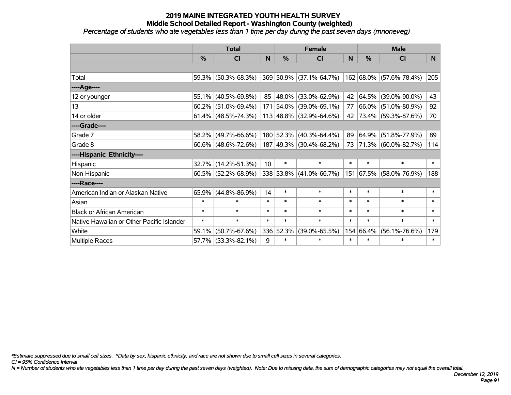*Percentage of students who ate vegetables less than 1 time per day during the past seven days (mnoneveg)*

|                                           | <b>Total</b>  |                           |                 |               | <b>Female</b>                      |        | <b>Male</b> |                         |        |  |
|-------------------------------------------|---------------|---------------------------|-----------------|---------------|------------------------------------|--------|-------------|-------------------------|--------|--|
|                                           | $\frac{0}{0}$ | CI                        | N               | $\frac{9}{6}$ | <b>CI</b>                          | N      | %           | <b>CI</b>               | N.     |  |
|                                           |               |                           |                 |               |                                    |        |             |                         |        |  |
| Total                                     |               | 59.3% (50.3%-68.3%)       |                 |               | 369 50.9% (37.1%-64.7%)            |        |             | 162 68.0% (57.6%-78.4%) | 205    |  |
| ----Age----                               |               |                           |                 |               |                                    |        |             |                         |        |  |
| 12 or younger                             | 55.1%         | $(40.5\% - 69.8\%)$       | 85              |               | 48.0% (33.0%-62.9%)                | 42     | 64.5%       | $(39.0\% - 90.0\%)$     | 43     |  |
| 13                                        | 60.2%         | $(51.0\% - 69.4\%)$       |                 |               | 171 54.0% (39.0%-69.1%)            | 77     | 66.0%       | $(51.0\% - 80.9\%)$     | 92     |  |
| 14 or older                               |               | 61.4% $(48.5\% - 74.3\%)$ |                 |               | $113   48.8\%   (32.9\% - 64.6\%)$ | 42     |             | 73.4% (59.3%-87.6%)     | 70     |  |
| ----Grade----                             |               |                           |                 |               |                                    |        |             |                         |        |  |
| Grade 7                                   | 58.2%         | $(49.7\% - 66.6\%)$       |                 |               | 180 52.3% (40.3%-64.4%)            | 89     | 64.9%       | $(51.8\% - 77.9\%)$     | 89     |  |
| Grade 8                                   |               | $60.6\%$ (48.6%-72.6%)    |                 |               | 187 49.3% (30.4%-68.2%)            |        |             | 73 71.3% (60.0%-82.7%)  | 114    |  |
| ----Hispanic Ethnicity----                |               |                           |                 |               |                                    |        |             |                         |        |  |
| Hispanic                                  | 32.7%         | $(14.2\% - 51.3\%)$       | 10 <sup>1</sup> | $\ast$        | $\ast$                             | $\ast$ | $\ast$      | $\ast$                  | $\ast$ |  |
| Non-Hispanic                              |               | $60.5\%$ (52.2%-68.9%)    |                 |               | 338 53.8% (41.0%-66.7%)            |        |             | 151 67.5% (58.0%-76.9%) | 188    |  |
| ----Race----                              |               |                           |                 |               |                                    |        |             |                         |        |  |
| American Indian or Alaskan Native         | 65.9%         | $(44.8\% - 86.9\%)$       | 14              | $\ast$        | $\ast$                             | $\ast$ | $\ast$      | $\ast$                  | $\ast$ |  |
| Asian                                     | $\ast$        | $\ast$                    | $\ast$          | $\ast$        | $\ast$                             | $\ast$ | $\ast$      | $\ast$                  | $\ast$ |  |
| <b>Black or African American</b>          | $\ast$        | $\ast$                    | $\ast$          | $\ast$        | $\ast$                             | $\ast$ | $\ast$      | $\ast$                  | $\ast$ |  |
| Native Hawaiian or Other Pacific Islander | $\ast$        | $\ast$                    | $\ast$          | $\ast$        | $\ast$                             | $\ast$ | $\ast$      | $\ast$                  | $\ast$ |  |
| White                                     | 59.1%         | $(50.7\% - 67.6\%)$       |                 | 336 52.3%     | $(39.0\% - 65.5\%)$                | 154    | 66.4%       | $(56.1\% - 76.6\%)$     | 179    |  |
| Multiple Races                            |               | 57.7% (33.3%-82.1%)       | 9               | $\ast$        | $\ast$                             | $\ast$ | $\ast$      | *                       | $\ast$ |  |

*\*Estimate suppressed due to small cell sizes. ^Data by sex, hispanic ethnicity, and race are not shown due to small cell sizes in several categories.*

*CI = 95% Confidence Interval*

*N = Number of students who ate vegetables less than 1 time per day during the past seven days (weighted). Note: Due to missing data, the sum of demographic categories may not equal the overall total.*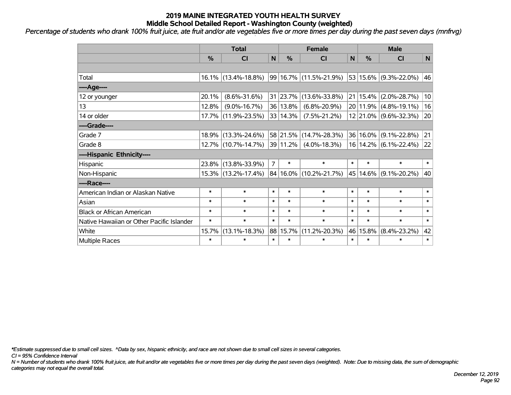*Percentage of students who drank 100% fruit juice, ate fruit and/or ate vegetables five or more times per day during the past seven days (mnfrvg) '*

|                                           | <b>Total</b>  |                        |                |               | <b>Female</b>          |              | <b>Male</b>   |                       |        |  |
|-------------------------------------------|---------------|------------------------|----------------|---------------|------------------------|--------------|---------------|-----------------------|--------|--|
|                                           | $\frac{0}{0}$ | <b>CI</b>              | N              | $\frac{0}{0}$ | CI                     | $\mathsf{N}$ | $\frac{0}{0}$ | <b>CI</b>             | N      |  |
|                                           |               |                        |                |               |                        |              |               |                       |        |  |
| Total                                     |               | $16.1\%$ (13.4%-18.8%) |                |               | 99 16.7% (11.5%-21.9%) |              |               | 53 15.6% (9.3%-22.0%) | 46     |  |
| ----Age----                               |               |                        |                |               |                        |              |               |                       |        |  |
| 12 or younger                             | 20.1%         | $(8.6\% - 31.6\%)$     |                |               | 31 23.7% (13.6%-33.8%) |              | 21 15.4%      | $(2.0\% - 28.7\%)$    | 10     |  |
| 13                                        | 12.8%         | $(9.0\% - 16.7\%)$     |                | 36   13.8%    | $(6.8\% - 20.9\%)$     |              | 20 11.9%      | $(4.8\% - 19.1\%)$    | 16     |  |
| 14 or older                               | $17.7\%$      | $(11.9\% - 23.5\%)$    |                | 33 14.3%      | $(7.5\% - 21.2\%)$     |              |               | 12 21.0% (9.6%-32.3%) | 20     |  |
| ----Grade----                             |               |                        |                |               |                        |              |               |                       |        |  |
| Grade 7                                   | 18.9%         | $(13.3\% - 24.6\%)$    |                |               | 58 21.5% (14.7%-28.3%) |              | 36 16.0%      | $(9.1\% - 22.8\%)$    | 21     |  |
| Grade 8                                   |               | 12.7% (10.7%-14.7%)    |                | 39 11.2%      | $(4.0\% - 18.3\%)$     |              |               | 16 14.2% (6.1%-22.4%) | 22     |  |
| ----Hispanic Ethnicity----                |               |                        |                |               |                        |              |               |                       |        |  |
| Hispanic                                  | 23.8%         | $(13.8\% - 33.9\%)$    | $\overline{7}$ | $\ast$        | $\ast$                 | $\ast$       | $\ast$        | $\ast$                | $\ast$ |  |
| Non-Hispanic                              |               | 15.3% (13.2%-17.4%)    |                |               | 84 16.0% (10.2%-21.7%) |              | 45 14.6%      | $(9.1\% - 20.2\%)$    | 40     |  |
| ----Race----                              |               |                        |                |               |                        |              |               |                       |        |  |
| American Indian or Alaskan Native         | $\ast$        | $\ast$                 | $\ast$         | $\ast$        | $\ast$                 | $\ast$       | $\ast$        | $\ast$                | $\ast$ |  |
| Asian                                     | $\ast$        | $\ast$                 | $\ast$         | $\ast$        | $\ast$                 | $\ast$       | $\ast$        | $\ast$                | $\ast$ |  |
| <b>Black or African American</b>          | $\ast$        | $\ast$                 | $\ast$         | $\ast$        | $\ast$                 | $\ast$       | $\ast$        | $\ast$                | $\ast$ |  |
| Native Hawaiian or Other Pacific Islander | $\ast$        | $\ast$                 | $\ast$         | $\ast$        | $\ast$                 | $\ast$       | $\ast$        | $\ast$                | $\ast$ |  |
| White                                     | 15.7%         | $(13.1\% - 18.3\%)$    |                | 88 15.7%      | $(11.2\% - 20.3\%)$    |              | 46 15.8%      | $(8.4\% - 23.2\%)$    | 42     |  |
| Multiple Races                            | $\ast$        | $\ast$                 | $\ast$         | $\ast$        | $\ast$                 | $\ast$       | $\ast$        | $\ast$                | $\ast$ |  |

*\*Estimate suppressed due to small cell sizes. ^Data by sex, hispanic ethnicity, and race are not shown due to small cell sizes in several categories.*

*CI = 95% Confidence Interval*

*N = Number of students who drank 100% fruit juice, ate fruit and/or ate vegetables five or more times per day during the past seven days (weighted). Note: Due to missing data, the sum of demographic categories may not equal the overall total.*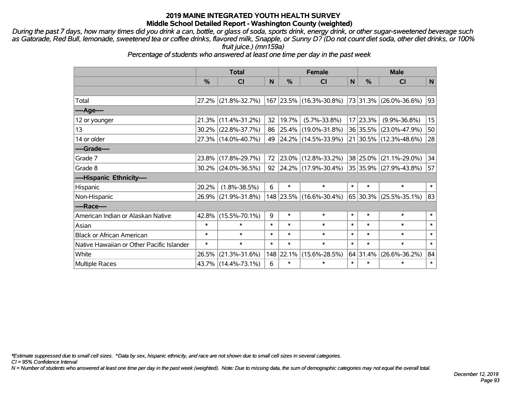*During the past 7 days, how many times did you drink a can, bottle, or glass of soda, sports drink, energy drink, or other sugar-sweetened beverage such as Gatorade, Red Bull, lemonade, sweetened tea or coffee drinks, flavored milk, Snapple, or Sunny D? (Do not count diet soda, other diet drinks, or 100% fruit juice.) (mn159a)*

*Percentage of students who answered at least one time per day in the past week*

|                                           | <b>Total</b>  |                        |        |               | <b>Female</b>           | <b>Male</b> |               |                        |        |
|-------------------------------------------|---------------|------------------------|--------|---------------|-------------------------|-------------|---------------|------------------------|--------|
|                                           | $\frac{0}{0}$ | C <sub>l</sub>         | N      | $\frac{0}{0}$ | CI                      | N           | $\frac{0}{0}$ | <b>CI</b>              | N      |
|                                           |               |                        |        |               |                         |             |               |                        |        |
| Total                                     |               | 27.2% (21.8%-32.7%)    |        |               | 167 23.5% (16.3%-30.8%) |             |               | 73 31.3% (26.0%-36.6%) | 93     |
| ----Age----                               |               |                        |        |               |                         |             |               |                        |        |
| 12 or younger                             | 21.3%         | $(11.4\% - 31.2\%)$    | 32     | 19.7%         | $(5.7\% - 33.8\%)$      |             | 17 23.3%      | $(9.9\% - 36.8\%)$     | 15     |
| 13                                        |               | $30.2\%$ (22.8%-37.7%) | 86     |               | 25.4% (19.0%-31.8%)     |             |               | 36 35.5% (23.0%-47.9%) | 50     |
| 14 or older                               |               | 27.3% (14.0%-40.7%)    | 49     |               | 24.2% (14.5%-33.9%)     |             |               | 21 30.5% (12.3%-48.6%) | 28     |
| ----Grade----                             |               |                        |        |               |                         |             |               |                        |        |
| Grade 7                                   | 23.8%         | $(17.8\% - 29.7\%)$    | 72     |               | $23.0\%$ (12.8%-33.2%)  |             |               | 38 25.0% (21.1%-29.0%) | 34     |
| Grade 8                                   |               | $30.2\%$ (24.0%-36.5%) | 92     |               | 24.2% (17.9%-30.4%)     |             |               | 35 35.9% (27.9%-43.8%) | 57     |
| ----Hispanic Ethnicity----                |               |                        |        |               |                         |             |               |                        |        |
| Hispanic                                  | 20.2%         | $(1.8\% - 38.5\%)$     | 6      | $\ast$        | $\ast$                  | $\ast$      | $\ast$        | $\ast$                 | $\ast$ |
| Non-Hispanic                              |               | 26.9% (21.9%-31.8%)    |        |               | 148 23.5% (16.6%-30.4%) |             |               | 65 30.3% (25.5%-35.1%) | 83     |
| ----Race----                              |               |                        |        |               |                         |             |               |                        |        |
| American Indian or Alaskan Native         | 42.8%         | $(15.5\% - 70.1\%)$    | 9      | $\ast$        | $\ast$                  | $\ast$      | $\ast$        | $\ast$                 | $\ast$ |
| Asian                                     | $\ast$        | $\ast$                 | $\ast$ | $\ast$        | $\ast$                  | $\ast$      | $\ast$        | $\ast$                 | $\ast$ |
| <b>Black or African American</b>          | $\ast$        | $\ast$                 | $\ast$ | $\ast$        | $\ast$                  | $\ast$      | $\ast$        | $\ast$                 | $\ast$ |
| Native Hawaiian or Other Pacific Islander | $\ast$        | $\ast$                 | $\ast$ | $\ast$        | $\ast$                  | $\ast$      | $\ast$        | $\ast$                 | $\ast$ |
| White                                     | 26.5%         | $(21.3\% - 31.6\%)$    |        | 148 22.1%     | $(15.6\% - 28.5\%)$     |             | 64 31.4%      | $(26.6\% - 36.2\%)$    | 84     |
| Multiple Races                            |               | 43.7% (14.4%-73.1%)    | 6      | $\ast$        | $\ast$                  | $\ast$      | $\ast$        | $\ast$                 | $\ast$ |

*\*Estimate suppressed due to small cell sizes. ^Data by sex, hispanic ethnicity, and race are not shown due to small cell sizes in several categories.*

*CI = 95% Confidence Interval*

*N = Number of students who answered at least one time per day in the past week (weighted). Note: Due to missing data, the sum of demographic categories may not equal the overall total.*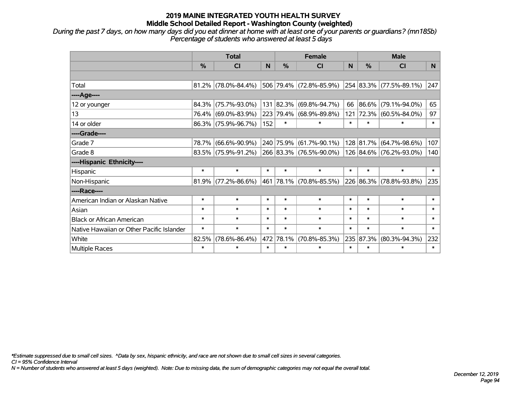*During the past 7 days, on how many days did you eat dinner at home with at least one of your parents or guardians? (mn185b) Percentage of students who answered at least 5 days*

|                                           | <b>Total</b> |                        |        |           | <b>Female</b>           |              | <b>Male</b> |                         |        |  |
|-------------------------------------------|--------------|------------------------|--------|-----------|-------------------------|--------------|-------------|-------------------------|--------|--|
|                                           | %            | <b>CI</b>              | N      | %         | <b>CI</b>               | <sub>N</sub> | %           | <b>CI</b>               | N.     |  |
|                                           |              |                        |        |           |                         |              |             |                         |        |  |
| Total                                     |              | $81.2\%$ (78.0%-84.4%) |        |           | 506 79.4% (72.8%-85.9%) |              |             | 254 83.3% (77.5%-89.1%) | 247    |  |
| ----Age----                               |              |                        |        |           |                         |              |             |                         |        |  |
| 12 or younger                             |              | 84.3% (75.7%-93.0%)    | 131    | 82.3%     | $(69.8\% - 94.7\%)$     | 66           | 86.6%       | $(79.1\% - 94.0\%)$     | 65     |  |
| 13                                        |              | 76.4% (69.0%-83.9%)    |        |           | 223 79.4% (68.9%-89.8%) | 121          | 72.3%       | $(60.5\% - 84.0\%)$     | 97     |  |
| 14 or older                               |              | 86.3% (75.9%-96.7%)    | 152    | $\ast$    | $\ast$                  | $\ast$       | $\ast$      | $\ast$                  | $\ast$ |  |
| ----Grade----                             |              |                        |        |           |                         |              |             |                         |        |  |
| Grade 7                                   | 78.7%        | $(66.6\% - 90.9\%)$    |        |           | 240 75.9% (61.7%-90.1%) |              | 128 81.7%   | $(64.7\% - 98.6\%)$     | 107    |  |
| Grade 8                                   |              | 83.5% (75.9%-91.2%)    |        |           | 266 83.3% (76.5%-90.0%) |              |             | 126 84.6% (76.2%-93.0%) | 140    |  |
| ----Hispanic Ethnicity----                |              |                        |        |           |                         |              |             |                         |        |  |
| Hispanic                                  | $\ast$       | $\ast$                 | $\ast$ | $\ast$    | $\ast$                  | $\ast$       | $\ast$      | $\ast$                  | $\ast$ |  |
| Non-Hispanic                              |              | $81.9\%$ (77.2%-86.6%) |        |           | 461 78.1% (70.8%-85.5%) |              | 226 86.3%   | $(78.8\% - 93.8\%)$     | 235    |  |
| ----Race----                              |              |                        |        |           |                         |              |             |                         |        |  |
| American Indian or Alaskan Native         | $\ast$       | $\ast$                 | $\ast$ | $\ast$    | $\ast$                  | $\ast$       | $\ast$      | $\ast$                  | $\ast$ |  |
| Asian                                     | $\ast$       | $\ast$                 | $\ast$ | $\ast$    | $\ast$                  | $\ast$       | $\ast$      | $\ast$                  | $\ast$ |  |
| <b>Black or African American</b>          | $\ast$       | $\ast$                 | $\ast$ | $\ast$    | $\ast$                  | $\ast$       | $\ast$      | $\ast$                  | $\ast$ |  |
| Native Hawaiian or Other Pacific Islander | $\ast$       | $\ast$                 | $\ast$ | $\ast$    | $\ast$                  | $\ast$       | $\ast$      | $\ast$                  | $\ast$ |  |
| White                                     | 82.5%        | $(78.6\% - 86.4\%)$    |        | 472 78.1% | $(70.8\% - 85.3\%)$     | 235          | 87.3%       | $(80.3\% - 94.3\%)$     | 232    |  |
| Multiple Races                            | $\ast$       | $\ast$                 | $\ast$ | $\ast$    | $\ast$                  | $\ast$       | $\ast$      | $\ast$                  | $\ast$ |  |

*\*Estimate suppressed due to small cell sizes. ^Data by sex, hispanic ethnicity, and race are not shown due to small cell sizes in several categories.*

*CI = 95% Confidence Interval*

*N = Number of students who answered at least 5 days (weighted). Note: Due to missing data, the sum of demographic categories may not equal the overall total.*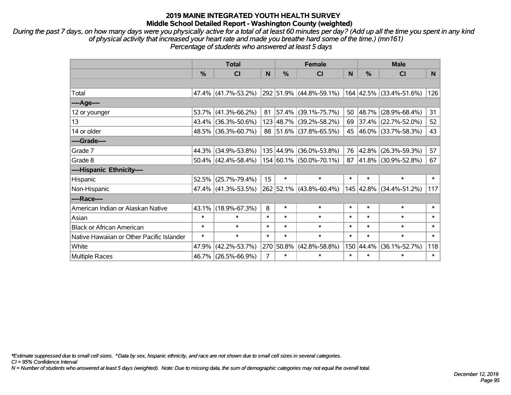*During the past 7 days, on how many days were you physically active for a total of at least 60 minutes per day? (Add up all the time you spent in any kind of physical activity that increased your heart rate and made you breathe hard some of the time.) (mn161) Percentage of students who answered at least 5 days*

|                                           | <b>Total</b>  |                        |        |               | <b>Female</b>           |        | <b>Male</b>   |                        |        |  |
|-------------------------------------------|---------------|------------------------|--------|---------------|-------------------------|--------|---------------|------------------------|--------|--|
|                                           | $\frac{0}{0}$ | <b>CI</b>              | N      | $\frac{0}{0}$ | <b>CI</b>               | N      | $\frac{0}{0}$ | <b>CI</b>              | N.     |  |
|                                           |               |                        |        |               |                         |        |               |                        |        |  |
| Total                                     |               | 47.4% (41.7%-53.2%)    |        |               | 292 51.9% (44.8%-59.1%) |        | 164 42.5%     | $(33.4\% - 51.6\%)$    | 126    |  |
| ----Age----                               |               |                        |        |               |                         |        |               |                        |        |  |
| 12 or younger                             |               | $53.7\%$ (41.3%-66.2%) | 81     |               | 57.4% (39.1%-75.7%)     | 50     | 48.7%         | $(28.9\% - 68.4\%)$    | 31     |  |
| 13                                        |               | 43.4% (36.3%-50.6%)    |        |               | 123 48.7% (39.2%-58.2%) | 69     | 37.4%         | $(22.7\% - 52.0\%)$    | 52     |  |
| 14 or older                               |               | 48.5% (36.3%-60.7%)    |        |               | 88 51.6% (37.8%-65.5%)  |        |               | 45 46.0% (33.7%-58.3%) | 43     |  |
| ----Grade----                             |               |                        |        |               |                         |        |               |                        |        |  |
| Grade 7                                   |               | 44.3% (34.9%-53.8%)    |        | 135 44.9%     | $(36.0\% - 53.8\%)$     | 76     | 42.8%         | $(26.3\% - 59.3\%)$    | 57     |  |
| Grade 8                                   |               | $50.4\%$ (42.4%-58.4%) |        |               | 154 60.1% (50.0%-70.1%) | 87     | $ 41.8\% $    | $(30.9\% - 52.8\%)$    | 67     |  |
| ----Hispanic Ethnicity----                |               |                        |        |               |                         |        |               |                        |        |  |
| Hispanic                                  | 52.5%         | $(25.7\% - 79.4\%)$    | 15     | $\ast$        | $\ast$                  | $\ast$ | $\ast$        | $\ast$                 | $\ast$ |  |
| Non-Hispanic                              |               | $47.4\%$ (41.3%-53.5%) |        |               | 262 52.1% (43.8%-60.4%) |        | 145 42.8%     | $(34.4\% - 51.2\%)$    | 117    |  |
| ----Race----                              |               |                        |        |               |                         |        |               |                        |        |  |
| American Indian or Alaskan Native         |               | 43.1% (18.9%-67.3%)    | 8      | $\ast$        | $\ast$                  | $\ast$ | $\ast$        | $\ast$                 | $\ast$ |  |
| Asian                                     | $\ast$        | $\ast$                 | $\ast$ | $\ast$        | $\ast$                  | $\ast$ | $\ast$        | $\ast$                 | $\ast$ |  |
| <b>Black or African American</b>          | $\ast$        | $\ast$                 | $\ast$ | $\ast$        | $\ast$                  | $\ast$ | $\ast$        | $\ast$                 | $\ast$ |  |
| Native Hawaiian or Other Pacific Islander | $\ast$        | $\ast$                 | $\ast$ | $\ast$        | $\ast$                  | $\ast$ | $\ast$        | $\ast$                 | $\ast$ |  |
| White                                     | 47.9%         | $(42.2\% - 53.7\%)$    |        | 270 50.8%     | $(42.8\% - 58.8\%)$     |        | 150 44.4%     | $(36.1\% - 52.7\%)$    | 118    |  |
| <b>Multiple Races</b>                     |               | 46.7% (26.5%-66.9%)    | 7      | $\ast$        | $\ast$                  | $\ast$ | $\ast$        | *                      | $\ast$ |  |

*\*Estimate suppressed due to small cell sizes. ^Data by sex, hispanic ethnicity, and race are not shown due to small cell sizes in several categories.*

*CI = 95% Confidence Interval*

*N = Number of students who answered at least 5 days (weighted). Note: Due to missing data, the sum of demographic categories may not equal the overall total.*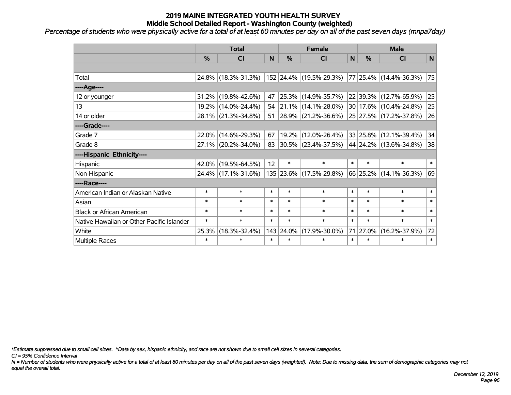*Percentage of students who were physically active for a total of at least 60 minutes per day on all of the past seven days (mnpa7day)*

|                                           | <b>Total</b>  |                     |        |               | <b>Female</b>           | <b>Male</b> |          |                        |        |
|-------------------------------------------|---------------|---------------------|--------|---------------|-------------------------|-------------|----------|------------------------|--------|
|                                           | $\frac{0}{0}$ | <b>CI</b>           | N      | $\frac{0}{0}$ | <b>CI</b>               | N           | %        | <b>CI</b>              | N      |
|                                           |               |                     |        |               |                         |             |          |                        |        |
| Total                                     |               | 24.8% (18.3%-31.3%) |        |               | 152 24.4% (19.5%-29.3%) |             |          | 77 25.4% (14.4%-36.3%) | 75     |
| ----Age----                               |               |                     |        |               |                         |             |          |                        |        |
| 12 or younger                             | 31.2%         | $(19.8\% - 42.6\%)$ | 47     |               | 25.3% (14.9%-35.7%)     |             | 22 39.3% | $(12.7\% - 65.9\%)$    | 25     |
| 13                                        |               | 19.2% (14.0%-24.4%) | 54     |               | $21.1\%$ (14.1%-28.0%)  |             |          | 30 17.6% (10.4%-24.8%) | 25     |
| 14 or older                               |               | 28.1% (21.3%-34.8%) | 51     |               | 28.9% (21.2%-36.6%)     |             |          | 25 27.5% (17.2%-37.8%) | 26     |
| ----Grade----                             |               |                     |        |               |                         |             |          |                        |        |
| Grade 7                                   | 22.0%         | $(14.6\% - 29.3\%)$ | 67     |               | 19.2% (12.0%-26.4%)     |             | 33 25.8% | $(12.1\% - 39.4\%)$    | 34     |
| Grade 8                                   |               | 27.1% (20.2%-34.0%) | 83     |               | 30.5% (23.4%-37.5%)     |             |          | 44 24.2% (13.6%-34.8%) | 38     |
| ----Hispanic Ethnicity----                |               |                     |        |               |                         |             |          |                        |        |
| Hispanic                                  | 42.0%         | $(19.5\% - 64.5\%)$ | 12     | $\ast$        | $\ast$                  | $\ast$      | $\ast$   | $\ast$                 | $\ast$ |
| Non-Hispanic                              |               | 24.4% (17.1%-31.6%) |        |               | 135 23.6% (17.5%-29.8%) |             |          | 66 25.2% (14.1%-36.3%) | 69     |
| ----Race----                              |               |                     |        |               |                         |             |          |                        |        |
| American Indian or Alaskan Native         | $\ast$        | $\ast$              | $\ast$ | $\ast$        | $\ast$                  | $\ast$      | $\ast$   | $\ast$                 | $\ast$ |
| Asian                                     | $\ast$        | $\ast$              | $\ast$ | $\ast$        | $\ast$                  | $\ast$      | $\ast$   | $\ast$                 | $\ast$ |
| <b>Black or African American</b>          | $\ast$        | $\ast$              | $\ast$ | $\ast$        | $\ast$                  | $\ast$      | $\ast$   | $\ast$                 | $\ast$ |
| Native Hawaiian or Other Pacific Islander | $\ast$        | $\ast$              | $\ast$ | $\ast$        | $\ast$                  | $\ast$      | $\ast$   | $\ast$                 | $\ast$ |
| White                                     | 25.3%         | $(18.3\% - 32.4\%)$ | 143    | 24.0%         | $(17.9\% - 30.0\%)$     | 71          | 27.0%    | $(16.2\% - 37.9\%)$    | 72     |
| Multiple Races                            | $\ast$        | $\ast$              | $\ast$ | $\ast$        | $\ast$                  | $\ast$      | $\ast$   | $\ast$                 | $\ast$ |

*\*Estimate suppressed due to small cell sizes. ^Data by sex, hispanic ethnicity, and race are not shown due to small cell sizes in several categories.*

*CI = 95% Confidence Interval*

*N = Number of students who were physically active for a total of at least 60 minutes per day on all of the past seven days (weighted). Note: Due to missing data, the sum of demographic categories may not equal the overall total.*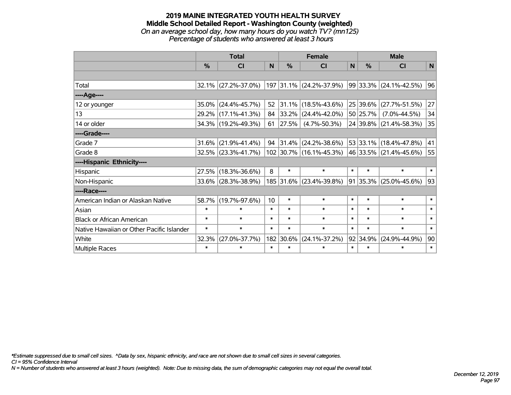#### **2019 MAINE INTEGRATED YOUTH HEALTH SURVEY Middle School Detailed Report - Washington County (weighted)** *On an average school day, how many hours do you watch TV? (mn125) Percentage of students who answered at least 3 hours*

|                                           | <b>Total</b>  |                        |                 | <b>Female</b> |                         |              | <b>Male</b>   |                            |        |  |
|-------------------------------------------|---------------|------------------------|-----------------|---------------|-------------------------|--------------|---------------|----------------------------|--------|--|
|                                           | $\frac{0}{0}$ | <b>CI</b>              | N               | $\frac{0}{0}$ | <b>CI</b>               | $\mathsf{N}$ | $\frac{0}{0}$ | <b>CI</b>                  | N      |  |
|                                           |               |                        |                 |               |                         |              |               |                            |        |  |
| Total                                     |               | $32.1\%$ (27.2%-37.0%) |                 |               | 197 31.1% (24.2%-37.9%) |              |               | 99 33.3% (24.1%-42.5%)     | 96     |  |
| ----Age----                               |               |                        |                 |               |                         |              |               |                            |        |  |
| 12 or younger                             | 35.0%         | $(24.4\% - 45.7\%)$    | 52              | 31.1%         | $(18.5\% - 43.6\%)$     |              | 25 39.6%      | $(27.7\% - 51.5\%)$        | 27     |  |
| 13                                        |               | 29.2% (17.1%-41.3%)    | 84              | 33.2%         | $(24.4\% - 42.0\%)$     |              | 50 25.7%      | $(7.0\% - 44.5\%)$         | 34     |  |
| 14 or older                               |               | 34.3% (19.2%-49.3%)    | 61              | 27.5%         | $(4.7\% - 50.3\%)$      |              |               | 24 39.8% (21.4%-58.3%)     | 35     |  |
| ----Grade----                             |               |                        |                 |               |                         |              |               |                            |        |  |
| Grade 7                                   | 31.6%         | $(21.9\% - 41.4\%)$    | 94              | 31.4%         | $(24.2\% - 38.6\%)$     |              |               | 53 33.1% (18.4%-47.8%)     | 41     |  |
| Grade 8                                   |               | $32.5\%$ (23.3%-41.7%) |                 |               | 102 30.7% (16.1%-45.3%) |              |               | 46 33.5% (21.4%-45.6%)     | 55     |  |
| ----Hispanic Ethnicity----                |               |                        |                 |               |                         |              |               |                            |        |  |
| Hispanic                                  | 27.5%         | $(18.3\% - 36.6\%)$    | 8               | $\ast$        | $\ast$                  | $\ast$       | $\ast$        | $\ast$                     | $\ast$ |  |
| Non-Hispanic                              | 33.6%         | $(28.3\% - 38.9\%)$    |                 |               | 185 31.6% (23.4%-39.8%) |              |               | $91 35.3\% $ (25.0%-45.6%) | 93     |  |
| ----Race----                              |               |                        |                 |               |                         |              |               |                            |        |  |
| American Indian or Alaskan Native         | 58.7%         | $(19.7\% - 97.6\%)$    | 10 <sup>1</sup> | $\ast$        | $\ast$                  | $\ast$       | $\ast$        | $\ast$                     | $\ast$ |  |
| Asian                                     | $\ast$        | $\ast$                 | $\ast$          | $\ast$        | $\ast$                  | $\ast$       | $\ast$        | $\ast$                     | $\ast$ |  |
| <b>Black or African American</b>          | $\ast$        | $\ast$                 | $\ast$          | $\ast$        | $\ast$                  | $\ast$       | $\ast$        | $\ast$                     | $\ast$ |  |
| Native Hawaiian or Other Pacific Islander | $\ast$        | $\ast$                 | $\ast$          | $\ast$        | $\ast$                  | $\ast$       | $\ast$        | $\ast$                     | $\ast$ |  |
| White                                     | 32.3%         | $(27.0\% - 37.7\%)$    |                 | 182 30.6%     | $(24.1\% - 37.2\%)$     |              | 92 34.9%      | $(24.9\% - 44.9\%)$        | 90     |  |
| <b>Multiple Races</b>                     | $\ast$        | $\ast$                 | $\ast$          | $\ast$        | $\ast$                  | $\ast$       | $\ast$        | $\ast$                     | $\ast$ |  |

*\*Estimate suppressed due to small cell sizes. ^Data by sex, hispanic ethnicity, and race are not shown due to small cell sizes in several categories.*

*CI = 95% Confidence Interval*

*N = Number of students who answered at least 3 hours (weighted). Note: Due to missing data, the sum of demographic categories may not equal the overall total.*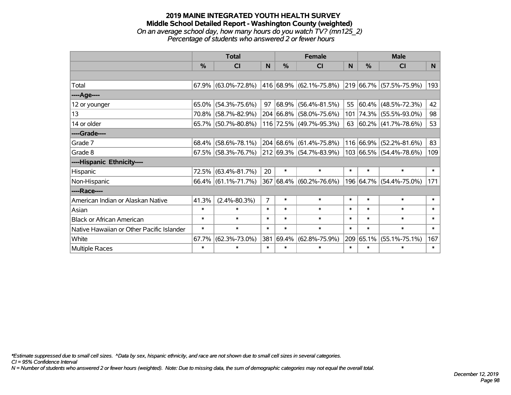#### **2019 MAINE INTEGRATED YOUTH HEALTH SURVEY Middle School Detailed Report - Washington County (weighted)** *On an average school day, how many hours do you watch TV? (mn125\_2) Percentage of students who answered 2 or fewer hours*

|                                           | <b>Total</b> |                        |                |               | <b>Female</b>           | <b>Male</b> |        |                          |              |
|-------------------------------------------|--------------|------------------------|----------------|---------------|-------------------------|-------------|--------|--------------------------|--------------|
|                                           | %            | <b>CI</b>              | N              | $\frac{0}{0}$ | <b>CI</b>               | N           | %      | <b>CI</b>                | <sub>N</sub> |
|                                           |              |                        |                |               |                         |             |        |                          |              |
| Total                                     |              | 67.9% (63.0%-72.8%)    |                |               | 416 68.9% (62.1%-75.8%) |             |        | 219 66.7% (57.5%-75.9%)  | 193          |
| ----Age----                               |              |                        |                |               |                         |             |        |                          |              |
| 12 or younger                             | $65.0\%$     | $(54.3\% - 75.6\%)$    | 97             |               | 68.9% (56.4%-81.5%)     | 55          |        | $60.4\%$ (48.5%-72.3%)   | 42           |
| 13                                        |              | 70.8% (58.7%-82.9%)    |                |               | 204 66.8% (58.0%-75.6%) |             |        | 101 74.3% (55.5%-93.0%)  | 98           |
| 14 or older                               |              | $65.7\%$ (50.7%-80.8%) |                |               | 116 72.5% (49.7%-95.3%) | 63          |        | $ 60.2\% $ (41.7%-78.6%) | 53           |
| ----Grade----                             |              |                        |                |               |                         |             |        |                          |              |
| Grade 7                                   | 68.4%        | $(58.6\% - 78.1\%)$    |                |               | 204 68.6% (61.4%-75.8%) |             |        | 116 66.9% (52.2%-81.6%)  | 83           |
| Grade 8                                   |              | $67.5\%$ (58.3%-76.7%) |                |               | 212 69.3% (54.7%-83.9%) |             |        | 103 66.5% (54.4%-78.6%)  | 109          |
| ----Hispanic Ethnicity----                |              |                        |                |               |                         |             |        |                          |              |
| Hispanic                                  | 72.5%        | $(63.4\% - 81.7\%)$    | 20             | $\ast$        | $\ast$                  | $\ast$      | $\ast$ | $\ast$                   | $\ast$       |
| Non-Hispanic                              |              | $66.4\%$ (61.1%-71.7%) |                |               | 367 68.4% (60.2%-76.6%) |             |        | 196 64.7% (54.4%-75.0%)  | 171          |
| ----Race----                              |              |                        |                |               |                         |             |        |                          |              |
| American Indian or Alaskan Native         | 41.3%        | $(2.4\% - 80.3\%)$     | $\overline{7}$ | $\ast$        | $\ast$                  | $\ast$      | $\ast$ | $\ast$                   | $\ast$       |
| Asian                                     | $\ast$       | $\ast$                 | $\ast$         | $\ast$        | $\ast$                  | $\ast$      | $\ast$ | $\ast$                   | $\ast$       |
| <b>Black or African American</b>          | $\ast$       | $\ast$                 | $\ast$         | $\ast$        | $\ast$                  | $\ast$      | $\ast$ | $\ast$                   | $\ast$       |
| Native Hawaiian or Other Pacific Islander | $\ast$       | $\ast$                 | $\ast$         | $\ast$        | $\ast$                  | $\ast$      | $\ast$ | $\ast$                   | $\ast$       |
| White                                     | 67.7%        | $(62.3\% - 73.0\%)$    | 381            | 69.4%         | $(62.8\% - 75.9\%)$     | 209         | 65.1%  | $(55.1\% - 75.1\%)$      | 167          |
| Multiple Races                            | $\ast$       | $\ast$                 | $\ast$         | $\ast$        | $\ast$                  | $\ast$      | $\ast$ | $\ast$                   | $\ast$       |

*\*Estimate suppressed due to small cell sizes. ^Data by sex, hispanic ethnicity, and race are not shown due to small cell sizes in several categories.*

*CI = 95% Confidence Interval*

*N = Number of students who answered 2 or fewer hours (weighted). Note: Due to missing data, the sum of demographic categories may not equal the overall total.*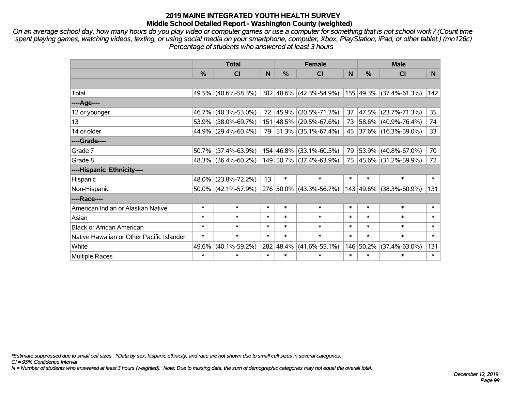*On an average school day, how many hours do you play video or computer games or use a computer for something that is not school work? (Count time spent playing games, watching videos, texting, or using social media on your smartphone, computer, Xbox, PlayStation, iPad, or other tablet.) (mn126c) Percentage of students who answered at least 3 hours*

|                                           | <b>Total</b>  |                        |        | <b>Female</b> | <b>Male</b>                 |        |           |                         |        |
|-------------------------------------------|---------------|------------------------|--------|---------------|-----------------------------|--------|-----------|-------------------------|--------|
|                                           | $\frac{0}{0}$ | <b>CI</b>              | N      | $\%$          | <b>CI</b>                   | N      | %         | <b>CI</b>               | N.     |
|                                           |               |                        |        |               |                             |        |           |                         |        |
| Total                                     |               | 49.5% (40.6%-58.3%)    |        |               | $302 48.6\% $ (42.3%-54.9%) |        |           | 155 49.3% (37.4%-61.3%) | 142    |
| ----Age----                               |               |                        |        |               |                             |        |           |                         |        |
| 12 or younger                             |               | 46.7% (40.3%-53.0%)    | 72     | 45.9%         | $(20.5\% - 71.3\%)$         | 37     | 47.5%     | $(23.7\% - 71.3\%)$     | 35     |
| 13                                        |               | 53.9% (38.0%-69.7%)    |        |               | 151 48.5% (29.5%-67.6%)     | 73     |           | 58.6% (40.9%-76.4%)     | 74     |
| 14 or older                               |               | 44.9% (29.4%-60.4%)    |        |               | 79 51.3% (35.1%-67.4%)      |        |           | 45 37.6% (16.3%-59.0%)  | 33     |
| ----Grade----                             |               |                        |        |               |                             |        |           |                         |        |
| Grade 7                                   | 50.7%         | $(37.4\% - 63.9\%)$    |        | 154 46.8%     | $(33.1\% - 60.5\%)$         | 79     | 53.9%     | $(40.8\% - 67.0\%)$     | 70     |
| Grade 8                                   |               | 48.3% (36.4%-60.2%)    |        |               | 149 50.7% (37.4%-63.9%)     |        |           | 75 45.6% (31.2%-59.9%)  | 72     |
| ----Hispanic Ethnicity----                |               |                        |        |               |                             |        |           |                         |        |
| Hispanic                                  |               | 48.0% (23.8%-72.2%)    | 13     | $\ast$        | $\ast$                      | $\ast$ | $\ast$    | $\ast$                  | $\ast$ |
| Non-Hispanic                              |               | $50.0\%$ (42.1%-57.9%) |        |               | 276 50.0% (43.3%-56.7%)     |        | 143 49.6% | $(38.3\% - 60.9\%)$     | 131    |
| ----Race----                              |               |                        |        |               |                             |        |           |                         |        |
| American Indian or Alaskan Native         | $\ast$        | $\ast$                 | $\ast$ | $\ast$        | $\ast$                      | $\ast$ | $\ast$    | $\ast$                  | $\ast$ |
| Asian                                     | $\ast$        | $\ast$                 | $\ast$ | $\ast$        | $\ast$                      | $\ast$ | $\ast$    | $\ast$                  | $\ast$ |
| <b>Black or African American</b>          | $\ast$        | $\ast$                 | $\ast$ | $\ast$        | $\ast$                      | $\ast$ | $\ast$    | $\ast$                  | $\ast$ |
| Native Hawaiian or Other Pacific Islander | $\ast$        | $\ast$                 | $\ast$ | $\ast$        | $\ast$                      | $\ast$ | $\ast$    | $\ast$                  | $\ast$ |
| White                                     | 49.6%         | $(40.1\% - 59.2\%)$    |        | 282 48.4%     | $(41.6\% - 55.1\%)$         | 146    | 50.2%     | $(37.4\% - 63.0\%)$     | 131    |
| Multiple Races                            | $\ast$        | $\ast$                 | $\ast$ | $\ast$        | $\ast$                      | $\ast$ | $\ast$    | $\ast$                  | $\ast$ |

*\*Estimate suppressed due to small cell sizes. ^Data by sex, hispanic ethnicity, and race are not shown due to small cell sizes in several categories.*

*CI = 95% Confidence Interval*

*N = Number of students who answered at least 3 hours (weighted). Note: Due to missing data, the sum of demographic categories may not equal the overall total.*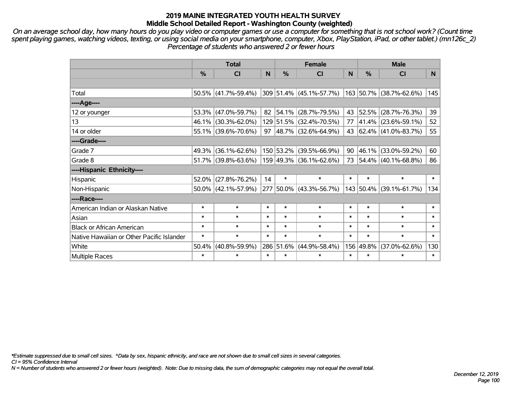*On an average school day, how many hours do you play video or computer games or use a computer for something that is not school work? (Count time spent playing games, watching videos, texting, or using social media on your smartphone, computer, Xbox, PlayStation, iPad, or other tablet.) (mn126c\_2) Percentage of students who answered 2 or fewer hours*

|                                           | <b>Total</b>  |                        | <b>Female</b> |           |                           | <b>Male</b> |           |                              |        |
|-------------------------------------------|---------------|------------------------|---------------|-----------|---------------------------|-------------|-----------|------------------------------|--------|
|                                           | $\frac{0}{0}$ | <b>CI</b>              | N             | $\%$      | <b>CI</b>                 | N           | %         | <b>CI</b>                    | N.     |
|                                           |               |                        |               |           |                           |             |           |                              |        |
| Total                                     |               | $50.5\%$ (41.7%-59.4%) |               |           | $309$ 51.4% (45.1%-57.7%) |             |           | $ 163 50.7\% $ (38.7%-62.6%) | 145    |
| $---Age---$                               |               |                        |               |           |                           |             |           |                              |        |
| 12 or younger                             |               | 53.3% (47.0%-59.7%)    |               | 82 54.1%  | $(28.7\% - 79.5\%)$       | 43          | 52.5%     | $(28.7\% - 76.3\%)$          | 39     |
| 13                                        |               | 46.1% (30.3%-62.0%)    |               |           | 129 51.5% (32.4%-70.5%)   | 77          |           | $ 41.4\% $ (23.6%-59.1%)     | 52     |
| 14 or older                               |               | 55.1% (39.6%-70.6%)    | 97            |           | $ 48.7\% $ (32.6%-64.9%)  |             |           | 43 62.4% (41.0%-83.7%)       | 55     |
| ----Grade----                             |               |                        |               |           |                           |             |           |                              |        |
| Grade 7                                   | 49.3%         | $(36.1\% - 62.6\%)$    |               | 150 53.2% | $(39.5\% - 66.9\%)$       | 90          | 46.1%     | $(33.0\% - 59.2\%)$          | 60     |
| Grade 8                                   |               | $51.7\%$ (39.8%-63.6%) |               |           | 159 49.3% (36.1%-62.6%)   |             |           | 73 54.4% (40.1%-68.8%)       | 86     |
| ----Hispanic Ethnicity----                |               |                        |               |           |                           |             |           |                              |        |
| Hispanic                                  | 52.0%         | $(27.8\% - 76.2\%)$    | 14            | $\ast$    | $\ast$                    | $\ast$      | $\ast$    | $\ast$                       | $\ast$ |
| Non-Hispanic                              |               | $50.0\%$ (42.1%-57.9%) |               |           | 277 50.0% (43.3%-56.7%)   |             | 143 50.4% | $(39.1\% - 61.7\%)$          | 134    |
| ----Race----                              |               |                        |               |           |                           |             |           |                              |        |
| American Indian or Alaskan Native         | $\ast$        | $\ast$                 | $\ast$        | $\ast$    | $\ast$                    | $\ast$      | $\ast$    | $\ast$                       | $\ast$ |
| Asian                                     | $\ast$        | $\ast$                 | $\ast$        | $\ast$    | $\ast$                    | $\ast$      | $\ast$    | $\ast$                       | $\ast$ |
| <b>Black or African American</b>          | $\ast$        | $\ast$                 | $\ast$        | $\ast$    | $\ast$                    | $\ast$      | $\ast$    | $\ast$                       | $\ast$ |
| Native Hawaiian or Other Pacific Islander | $\ast$        | $\ast$                 | $\ast$        | $\ast$    | $\ast$                    | $\ast$      | $\ast$    | $\ast$                       | $\ast$ |
| White                                     | 50.4%         | $(40.8\% - 59.9\%)$    |               | 286 51.6% | $(44.9\% - 58.4\%)$       | 156         | 49.8%     | $(37.0\% - 62.6\%)$          | 130    |
| Multiple Races                            | $\ast$        | $\ast$                 | $\ast$        | $\ast$    | $\ast$                    | $\ast$      | $\ast$    | $\ast$                       | $\ast$ |

*\*Estimate suppressed due to small cell sizes. ^Data by sex, hispanic ethnicity, and race are not shown due to small cell sizes in several categories.*

*CI = 95% Confidence Interval*

*N = Number of students who answered 2 or fewer hours (weighted). Note: Due to missing data, the sum of demographic categories may not equal the overall total.*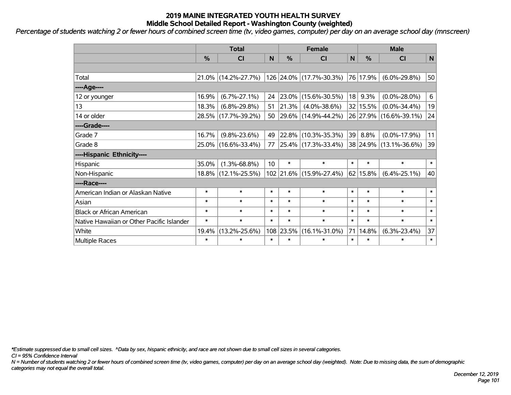*Percentage of students watching 2 or fewer hours of combined screen time (tv, video games, computer) per day on an average school day (mnscreen)*

|                                           | <b>Total</b> |                     |                 | <b>Female</b> |                         |             | <b>Male</b> |                        |              |
|-------------------------------------------|--------------|---------------------|-----------------|---------------|-------------------------|-------------|-------------|------------------------|--------------|
|                                           | %            | <b>CI</b>           | N               | $\frac{0}{0}$ | <b>CI</b>               | $\mathbf N$ | %           | <b>CI</b>              | $\mathsf{N}$ |
|                                           |              |                     |                 |               |                         |             |             |                        |              |
| Total                                     |              | 21.0% (14.2%-27.7%) |                 |               | 126 24.0% (17.7%-30.3%) |             | 76 17.9%    | $(6.0\% - 29.8\%)$     | 50           |
| ----Age----                               |              |                     |                 |               |                         |             |             |                        |              |
| 12 or younger                             | 16.9%        | $(6.7\% - 27.1\%)$  | 24              | 23.0%         | $(15.6\% - 30.5\%)$     | 18          | 9.3%        | $(0.0\% - 28.0\%)$     | 6            |
| 13                                        | 18.3%        | $(6.8\% - 29.8\%)$  | 51              | 21.3%         | $(4.0\% - 38.6\%)$      |             | 32   15.5%  | $(0.0\% - 34.4\%)$     | 19           |
| 14 or older                               |              | 28.5% (17.7%-39.2%) | 50              |               | 29.6% (14.9%-44.2%)     |             |             | 26 27.9% (16.6%-39.1%) | 24           |
| ----Grade----                             |              |                     |                 |               |                         |             |             |                        |              |
| Grade 7                                   | 16.7%        | $(9.8\% - 23.6\%)$  | 49              |               | 22.8% (10.3%-35.3%)     | 39          | 8.8%        | $(0.0\% - 17.9\%)$     | 11           |
| Grade 8                                   |              | 25.0% (16.6%-33.4%) | 77              |               | 25.4% (17.3%-33.4%)     |             |             | 38 24.9% (13.1%-36.6%) | 39           |
| ----Hispanic Ethnicity----                |              |                     |                 |               |                         |             |             |                        |              |
| Hispanic                                  | 35.0%        | $(1.3\% - 68.8\%)$  | 10 <sup>°</sup> | $\ast$        | $\ast$                  | $\ast$      | $\ast$      | $\ast$                 | $\ast$       |
| Non-Hispanic                              |              | 18.8% (12.1%-25.5%) |                 |               | 102 21.6% (15.9%-27.4%) |             | 62 15.8%    | $(6.4\% - 25.1\%)$     | 40           |
| ----Race----                              |              |                     |                 |               |                         |             |             |                        |              |
| American Indian or Alaskan Native         | $\ast$       | $\ast$              | $\ast$          | $\ast$        | $\ast$                  | $\ast$      | $\ast$      | $\ast$                 | $\ast$       |
| Asian                                     | $\ast$       | $\ast$              | $\ast$          | $\ast$        | $\ast$                  | $\ast$      | $\ast$      | $\ast$                 | $\ast$       |
| <b>Black or African American</b>          | $\ast$       | $\ast$              | $\ast$          | $\ast$        | $\ast$                  | $\ast$      | $\ast$      | $\ast$                 | $\ast$       |
| Native Hawaiian or Other Pacific Islander | $\ast$       | $\ast$              | $\ast$          | $\ast$        | $\ast$                  | $\ast$      | $\ast$      | $\ast$                 | $\ast$       |
| White                                     | 19.4%        | $(13.2\% - 25.6\%)$ |                 | 108 23.5%     | $(16.1\% - 31.0\%)$     | 71          | 14.8%       | $(6.3\% - 23.4\%)$     | 37           |
| Multiple Races                            | $\ast$       | $\ast$              | $\ast$          | $\ast$        | $\ast$                  | $\ast$      | $\ast$      | $\ast$                 | $\ast$       |

*\*Estimate suppressed due to small cell sizes. ^Data by sex, hispanic ethnicity, and race are not shown due to small cell sizes in several categories.*

*CI = 95% Confidence Interval*

*N = Number of students watching 2 or fewer hours of combined screen time (tv, video games, computer) per day on an average school day (weighted). Note: Due to missing data, the sum of demographic categories may not equal the overall total.*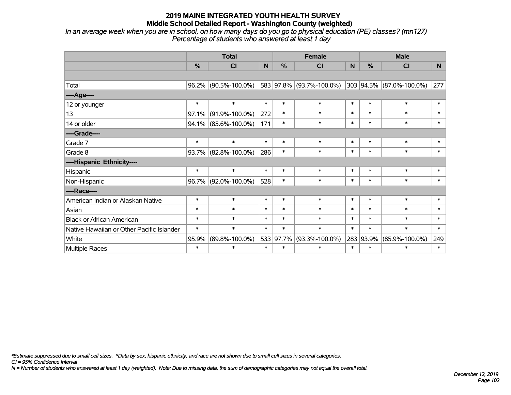*In an average week when you are in school, on how many days do you go to physical education (PE) classes? (mn127) Percentage of students who answered at least 1 day*

|                                           | <b>Total</b>  |                      |        | <b>Female</b> |                          |        | <b>Male</b> |                          |          |  |
|-------------------------------------------|---------------|----------------------|--------|---------------|--------------------------|--------|-------------|--------------------------|----------|--|
|                                           | $\frac{0}{0}$ | CI                   | N      | $\frac{0}{0}$ | CI                       | N      | $\%$        | <b>CI</b>                | <b>N</b> |  |
|                                           |               |                      |        |               |                          |        |             |                          |          |  |
| Total                                     |               | 96.2% (90.5%-100.0%) |        |               | 583 97.8% (93.7%-100.0%) |        |             | 303 94.5% (87.0%-100.0%) | 277      |  |
| ----Age----                               |               |                      |        |               |                          |        |             |                          |          |  |
| 12 or younger                             | $\ast$        | $\ast$               | $\ast$ | $\ast$        | $\ast$                   | $\ast$ | $\ast$      | $\ast$                   | $\ast$   |  |
| 13                                        | 97.1%         | $(91.9\% - 100.0\%)$ | 272    | $\ast$        | $\ast$                   | $\ast$ | $\ast$      | $\ast$                   | $\ast$   |  |
| 14 or older                               |               | 94.1% (85.6%-100.0%) | 171    | $\ast$        | $\ast$                   | $\ast$ | $\ast$      | $\ast$                   | $\ast$   |  |
| ----Grade----                             |               |                      |        |               |                          |        |             |                          |          |  |
| Grade 7                                   | $\ast$        | $\ast$               | $\ast$ | $\ast$        | $\ast$                   | $\ast$ | $\ast$      | $\ast$                   | $\ast$   |  |
| Grade 8                                   |               | 93.7% (82.8%-100.0%) | 286    | $\ast$        | $\ast$                   | $\ast$ | $\ast$      | $\ast$                   | $\ast$   |  |
| ----Hispanic Ethnicity----                |               |                      |        |               |                          |        |             |                          |          |  |
| Hispanic                                  | $\ast$        | $\ast$               | $\ast$ | $\ast$        | $\ast$                   | $\ast$ | $\ast$      | $\ast$                   | $\ast$   |  |
| Non-Hispanic                              | $96.7\%$      | $(92.0\% - 100.0\%)$ | 528    | $\ast$        | $\ast$                   | $\ast$ | $\ast$      | $\ast$                   | $\ast$   |  |
| ----Race----                              |               |                      |        |               |                          |        |             |                          |          |  |
| American Indian or Alaskan Native         | $\ast$        | $\ast$               | $\ast$ | $\ast$        | $\ast$                   | $\ast$ | $\ast$      | $\ast$                   | $\ast$   |  |
| Asian                                     | $\ast$        | $\ast$               | $\ast$ | $\ast$        | $\ast$                   | $\ast$ | $\ast$      | $\ast$                   | $\ast$   |  |
| <b>Black or African American</b>          | $\ast$        | $\ast$               | $\ast$ | $\ast$        | $\ast$                   | $\ast$ | $\ast$      | $\ast$                   | $\ast$   |  |
| Native Hawaiian or Other Pacific Islander | $\ast$        | $\ast$               | $\ast$ | $\ast$        | $\ast$                   | $\ast$ | $\ast$      | $\ast$                   | $\ast$   |  |
| White                                     | 95.9%         | $(89.8\% - 100.0\%)$ |        | 533 97.7%     | $(93.3\% - 100.0\%)$     |        | 283 93.9%   | $(85.9\% - 100.0\%)$     | 249      |  |
| <b>Multiple Races</b>                     | $\ast$        | $\ast$               | $\ast$ | $\ast$        | $\ast$                   | $\ast$ | $\ast$      | $\ast$                   | $\ast$   |  |

*\*Estimate suppressed due to small cell sizes. ^Data by sex, hispanic ethnicity, and race are not shown due to small cell sizes in several categories.*

*CI = 95% Confidence Interval*

*N = Number of students who answered at least 1 day (weighted). Note: Due to missing data, the sum of demographic categories may not equal the overall total.*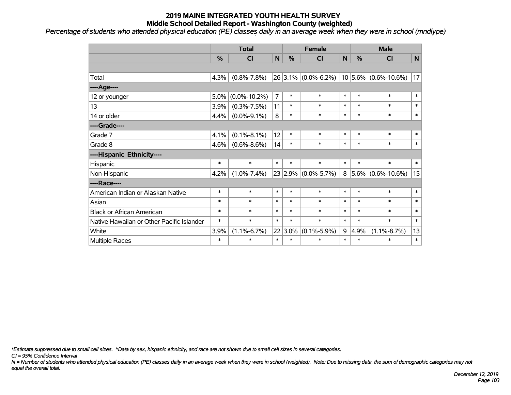*Percentage of students who attended physical education (PE) classes daily in an average week when they were in school (mndlype)*

|                                           | <b>Total</b> |                    |                | <b>Female</b> |                         |        | <b>Male</b>   |                          |        |  |
|-------------------------------------------|--------------|--------------------|----------------|---------------|-------------------------|--------|---------------|--------------------------|--------|--|
|                                           | %            | <b>CI</b>          | $\mathbf N$    | %             | <b>CI</b>               | N      | $\frac{0}{0}$ | <b>CI</b>                | N      |  |
|                                           |              |                    |                |               |                         |        |               |                          |        |  |
| Total                                     | 4.3%         | $(0.8\% - 7.8\%)$  |                |               | $26 3.1\% $ (0.0%-6.2%) |        |               | $10 5.6\% $ (0.6%-10.6%) | 17     |  |
| ---- Age----                              |              |                    |                |               |                         |        |               |                          |        |  |
| 12 or younger                             | 5.0%         | $(0.0\% - 10.2\%)$ | $\overline{7}$ | $\ast$        | $\ast$                  | $\ast$ | $\ast$        | $\ast$                   | $\ast$ |  |
| 13                                        | 3.9%         | $(0.3\% - 7.5\%)$  | 11             | $\ast$        | $\ast$                  | $\ast$ | $\ast$        | $\ast$                   | $\ast$ |  |
| 14 or older                               | 4.4%         | $(0.0\% - 9.1\%)$  | 8              | $\ast$        | $\ast$                  | $\ast$ | $\ast$        | $\ast$                   | $\ast$ |  |
| ----Grade----                             |              |                    |                |               |                         |        |               |                          |        |  |
| Grade 7                                   | 4.1%         | $(0.1\% - 8.1\%)$  | 12             | $\ast$        | $\ast$                  | $\ast$ | $\ast$        | $\ast$                   | $\ast$ |  |
| Grade 8                                   | 4.6%         | $(0.6\% - 8.6\%)$  | 14             | $\ast$        | $\ast$                  | $\ast$ | $\ast$        | $\ast$                   | $\ast$ |  |
| ----Hispanic Ethnicity----                |              |                    |                |               |                         |        |               |                          |        |  |
| Hispanic                                  | $\ast$       | $\ast$             | $\ast$         | $\ast$        | $\ast$                  | $\ast$ | $\ast$        | $\ast$                   | $\ast$ |  |
| Non-Hispanic                              | 4.2%         | $(1.0\% - 7.4\%)$  |                | 23 2.9%       | $(0.0\% - 5.7\%)$       | 8      |               | $ 5.6\% $ (0.6%-10.6%)   | 15     |  |
| ----Race----                              |              |                    |                |               |                         |        |               |                          |        |  |
| American Indian or Alaskan Native         | $\ast$       | $\ast$             | $\ast$         | $\ast$        | $\ast$                  | $\ast$ | $\ast$        | $\ast$                   | $\ast$ |  |
| Asian                                     | $\ast$       | $\ast$             | $\ast$         | $\ast$        | $\ast$                  | $\ast$ | $\ast$        | $\ast$                   | $\ast$ |  |
| <b>Black or African American</b>          | $\ast$       | $\ast$             | $\ast$         | $\ast$        | $\ast$                  | $\ast$ | $\ast$        | $\ast$                   | $\ast$ |  |
| Native Hawaiian or Other Pacific Islander | $\ast$       | $\ast$             | $\ast$         | $\ast$        | $\ast$                  | $\ast$ | $\ast$        | $\ast$                   | $\ast$ |  |
| White                                     | 3.9%         | $(1.1\% - 6.7\%)$  | 22             | 3.0%          | $(0.1\% - 5.9\%)$       | 9      | 4.9%          | $(1.1\% - 8.7\%)$        | 13     |  |
| Multiple Races                            | $\ast$       | $\ast$             | $\ast$         | $\ast$        | $\ast$                  | $\ast$ | $\ast$        | $\ast$                   | $\ast$ |  |

*\*Estimate suppressed due to small cell sizes. ^Data by sex, hispanic ethnicity, and race are not shown due to small cell sizes in several categories.*

*CI = 95% Confidence Interval*

*N = Number of students who attended physical education (PE) classes daily in an average week when they were in school (weighted). Note: Due to missing data, the sum of demographic categories may not equal the overall total.*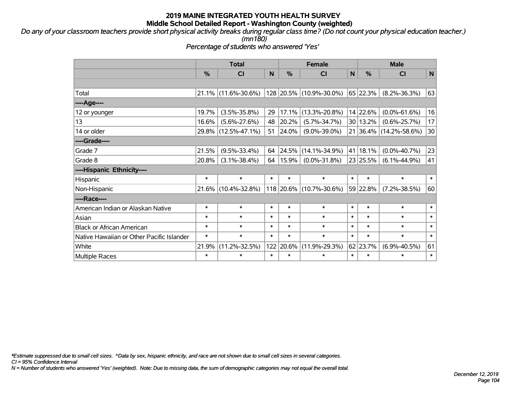*Do any of your classroom teachers provide short physical activity breaks during regular class time? (Do not count your physical education teacher.) (mn180)*

*Percentage of students who answered 'Yes'*

|                                           | <b>Total</b>  |                     |        | <b>Female</b> |                         |              | <b>Male</b>   |                        |        |
|-------------------------------------------|---------------|---------------------|--------|---------------|-------------------------|--------------|---------------|------------------------|--------|
|                                           | $\frac{0}{0}$ | <b>CI</b>           | N      | $\frac{0}{0}$ | <b>CI</b>               | $\mathsf{N}$ | $\frac{0}{0}$ | <b>CI</b>              | N      |
|                                           |               |                     |        |               |                         |              |               |                        |        |
| Total                                     |               | 21.1% (11.6%-30.6%) |        |               | 128 20.5% (10.9%-30.0%) |              | 65 22.3%      | $(8.2\% - 36.3\%)$     | 63     |
| ----Age----                               |               |                     |        |               |                         |              |               |                        |        |
| 12 or younger                             | 19.7%         | $(3.5\% - 35.8\%)$  | 29     | 17.1%         | $(13.3\% - 20.8\%)$     |              | 14 22.6%      | $(0.0\% - 61.6\%)$     | 16     |
| 13                                        | 16.6%         | $(5.6\% - 27.6\%)$  | 48     | 20.2%         | $(5.7\% - 34.7\%)$      |              | 30 13.2%      | $(0.6\% - 25.7\%)$     | 17     |
| 14 or older                               |               | 29.8% (12.5%-47.1%) | 51     | 24.0%         | $(9.0\% - 39.0\%)$      |              |               | 21 36.4% (14.2%-58.6%) | 30     |
| ----Grade----                             |               |                     |        |               |                         |              |               |                        |        |
| Grade 7                                   | 21.5%         | $(9.5\% - 33.4\%)$  | 64     | 24.5%         | $(14.1\% - 34.9\%)$     | 41           | 18.1%         | $(0.0\% - 40.7\%)$     | 23     |
| Grade 8                                   | 20.8%         | $(3.1\% - 38.4\%)$  | 64     | 15.9%         | $(0.0\% - 31.8\%)$      |              | 23 25.5%      | $(6.1\% - 44.9\%)$     | 41     |
| ----Hispanic Ethnicity----                |               |                     |        |               |                         |              |               |                        |        |
| Hispanic                                  | $\ast$        | $\ast$              | $\ast$ | $\ast$        | $\ast$                  | $\ast$       | $\ast$        | $\ast$                 | $\ast$ |
| Non-Hispanic                              |               | 21.6% (10.4%-32.8%) |        |               | 118 20.6% (10.7%-30.6%) |              | 59 22.8%      | $(7.2\% - 38.5\%)$     | 60     |
| ----Race----                              |               |                     |        |               |                         |              |               |                        |        |
| American Indian or Alaskan Native         | $\ast$        | $\ast$              | $\ast$ | $\ast$        | $\ast$                  | $\ast$       | $\ast$        | $\ast$                 | $\ast$ |
| Asian                                     | $\ast$        | $\ast$              | $\ast$ | $\ast$        | $\ast$                  | $\ast$       | $\ast$        | $\ast$                 | $\ast$ |
| <b>Black or African American</b>          | $\ast$        | $\ast$              | $\ast$ | $\ast$        | $\ast$                  | $\ast$       | $\ast$        | $\ast$                 | $\ast$ |
| Native Hawaiian or Other Pacific Islander | $\ast$        | $\ast$              | $\ast$ | $\ast$        | $\ast$                  | $\ast$       | $\ast$        | $\ast$                 | $\ast$ |
| White                                     | 21.9%         | $(11.2\% - 32.5\%)$ | 122    | 20.6%         | $(11.9\% - 29.3\%)$     |              | 62 23.7%      | $(6.9\% - 40.5\%)$     | 61     |
| <b>Multiple Races</b>                     | $\ast$        | $\ast$              | $\ast$ | $\ast$        | $\ast$                  | $\ast$       | $\ast$        | $\ast$                 | $\ast$ |

*\*Estimate suppressed due to small cell sizes. ^Data by sex, hispanic ethnicity, and race are not shown due to small cell sizes in several categories.*

*CI = 95% Confidence Interval*

*N = Number of students who answered 'Yes' (weighted). Note: Due to missing data, the sum of demographic categories may not equal the overall total.*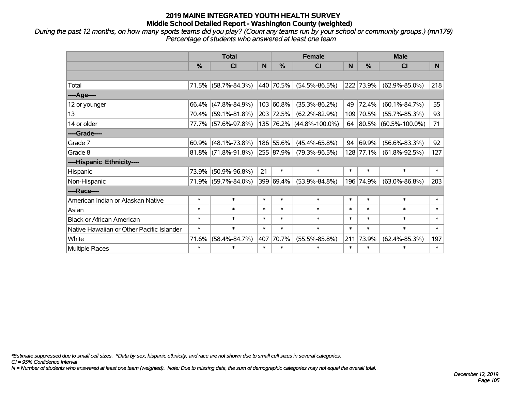*During the past 12 months, on how many sports teams did you play? (Count any teams run by your school or community groups.) (mn179) Percentage of students who answered at least one team*

|                                           | <b>Total</b>  |                        |        | <b>Female</b> | <b>Male</b>              |        |           |                         |        |
|-------------------------------------------|---------------|------------------------|--------|---------------|--------------------------|--------|-----------|-------------------------|--------|
|                                           | $\frac{0}{0}$ | <b>CI</b>              | N      | %             | <b>CI</b>                | N      | %         | <b>CI</b>               | N.     |
|                                           |               |                        |        |               |                          |        |           |                         |        |
| Total                                     | 71.5%         | $(58.7\% - 84.3\%)$    |        | 440 70.5%     | $(54.5\% - 86.5\%)$      |        | 222 73.9% | $(62.9\% - 85.0\%)$     | 218    |
| ----Age----                               |               |                        |        |               |                          |        |           |                         |        |
| 12 or younger                             | 66.4%         | $(47.8\% - 84.9\%)$    |        | 103 60.8%     | $(35.3\% - 86.2\%)$      | 49     | 72.4%     | $(60.1\% - 84.7\%)$     | 55     |
| 13                                        |               | 70.4% (59.1%-81.8%)    |        | 203 72.5%     | $(62.2\% - 82.9\%)$      | 109    | 70.5%     | $(55.7\% - 85.3\%)$     | 93     |
| 14 or older                               |               | 77.7% (57.6%-97.8%)    |        |               | 135 76.2% (44.8%-100.0%) |        |           | 64 80.5% (60.5%-100.0%) | 71     |
| ----Grade----                             |               |                        |        |               |                          |        |           |                         |        |
| Grade 7                                   | 60.9%         | $(48.1\% - 73.8\%)$    |        | 186 55.6%     | $(45.4\% - 65.8\%)$      | 94     | 69.9%     | $(56.6\% - 83.3\%)$     | 92     |
| Grade 8                                   |               | $81.8\%$ (71.8%-91.8%) |        | 255 87.9%     | $(79.3\% - 96.5\%)$      |        | 128 77.1% | $(61.8\% - 92.5\%)$     | 127    |
| ----Hispanic Ethnicity----                |               |                        |        |               |                          |        |           |                         |        |
| Hispanic                                  | 73.9%         | $(50.9\% - 96.8\%)$    | 21     | $\ast$        | $\ast$                   | $\ast$ | $\ast$    | $\ast$                  | $\ast$ |
| Non-Hispanic                              | 71.9%         | $(59.7\% - 84.0\%)$    |        | 399 69.4%     | $(53.9\% - 84.8\%)$      | 196    | 74.9%     | $(63.0\% - 86.8\%)$     | 203    |
| ----Race----                              |               |                        |        |               |                          |        |           |                         |        |
| American Indian or Alaskan Native         | $\ast$        | $\ast$                 | $\ast$ | $\ast$        | $\ast$                   | $\ast$ | $\ast$    | $\ast$                  | $\ast$ |
| Asian                                     | $\ast$        | $\ast$                 | $\ast$ | $\ast$        | $\ast$                   | $\ast$ | $\ast$    | $\ast$                  | $\ast$ |
| <b>Black or African American</b>          | $\ast$        | $\ast$                 | $\ast$ | $\ast$        | $\ast$                   | $\ast$ | $\ast$    | $\ast$                  | $\ast$ |
| Native Hawaiian or Other Pacific Islander | $\ast$        | $\ast$                 | $\ast$ | $\ast$        | $\ast$                   | $\ast$ | $\ast$    | $\ast$                  | $\ast$ |
| White                                     | 71.6%         | $(58.4\% - 84.7\%)$    | 407    | 70.7%         | $(55.5\% - 85.8\%)$      | 211    | 73.9%     | $(62.4\% - 85.3\%)$     | 197    |
| <b>Multiple Races</b>                     | $\ast$        | $\ast$                 | $\ast$ | $\ast$        | $\ast$                   | $\ast$ | $\ast$    | $\ast$                  | $\ast$ |

*\*Estimate suppressed due to small cell sizes. ^Data by sex, hispanic ethnicity, and race are not shown due to small cell sizes in several categories.*

*CI = 95% Confidence Interval*

*N = Number of students who answered at least one team (weighted). Note: Due to missing data, the sum of demographic categories may not equal the overall total.*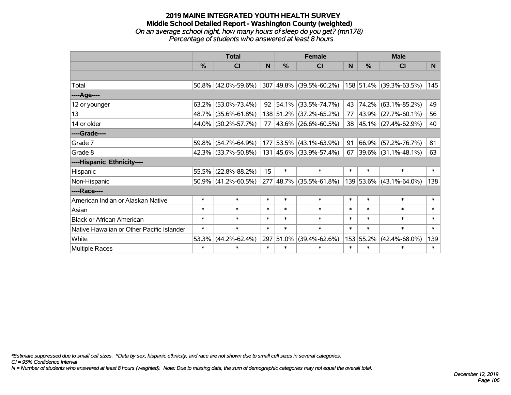#### **2019 MAINE INTEGRATED YOUTH HEALTH SURVEY Middle School Detailed Report - Washington County (weighted)** *On an average school night, how many hours of sleep do you get? (mn178) Percentage of students who answered at least 8 hours*

|                                           | <b>Total</b>  |                        |                |               | <b>Female</b>              | <b>Male</b> |           |                          |        |
|-------------------------------------------|---------------|------------------------|----------------|---------------|----------------------------|-------------|-----------|--------------------------|--------|
|                                           | $\frac{0}{0}$ | <b>CI</b>              | N <sub>1</sub> | $\frac{0}{0}$ | <b>CI</b>                  | <b>N</b>    | %         | <b>CI</b>                | N.     |
|                                           |               |                        |                |               |                            |             |           |                          |        |
| Total                                     |               | 50.8% (42.0%-59.6%)    |                |               | 307 49.8% (39.5%-60.2%)    |             |           | 158 51.4% (39.3%-63.5%)  | 145    |
| ----Age----                               |               |                        |                |               |                            |             |           |                          |        |
| 12 or younger                             | $63.2\%$      | $(53.0\% - 73.4\%)$    | 92             |               | $ 54.1\% $ (33.5%-74.7%)   | 43          | 74.2%     | $(63.1\% - 85.2\%)$      | 49     |
| 13                                        |               | 48.7% (35.6%-61.8%)    |                |               | 138 51.2% (37.2%-65.2%)    | 77          |           | 43.9% (27.7%-60.1%)      | 56     |
| 14 or older                               |               | 44.0% (30.2%-57.7%)    |                |               | 77   43.6%   (26.6%-60.5%) |             |           | 38 45.1% (27.4%-62.9%)   | 40     |
| ----Grade----                             |               |                        |                |               |                            |             |           |                          |        |
| Grade 7                                   | 59.8%         | $(54.7\% - 64.9\%)$    |                |               | 177 53.5% (43.1%-63.9%)    | 91          | 66.9%     | $(57.2\% - 76.7\%)$      | 81     |
| Grade 8                                   |               | $42.3\%$ (33.7%-50.8%) |                |               | 131 45.6% (33.9%-57.4%)    | 67          |           | $ 39.6\% $ (31.1%-48.1%) | 63     |
| ----Hispanic Ethnicity----                |               |                        |                |               |                            |             |           |                          |        |
| Hispanic                                  | 55.5%         | $(22.8\% - 88.2\%)$    | 15             | $\ast$        | $\ast$                     | $\ast$      | $\ast$    | $\ast$                   | $\ast$ |
| Non-Hispanic                              |               | $50.9\%$ (41.2%-60.5%) |                |               | 277 48.7% (35.5%-61.8%)    |             |           | 139 53.6% (43.1%-64.0%)  | 138    |
| ----Race----                              |               |                        |                |               |                            |             |           |                          |        |
| American Indian or Alaskan Native         | $\ast$        | $\ast$                 | $\ast$         | $\ast$        | $\ast$                     | $\ast$      | $\ast$    | $\ast$                   | $\ast$ |
| Asian                                     | $\ast$        | $\ast$                 | $\ast$         | $\ast$        | $\ast$                     | $\ast$      | $\ast$    | $\ast$                   | $\ast$ |
| <b>Black or African American</b>          | $\ast$        | $\ast$                 | $\ast$         | $\ast$        | $\ast$                     | $\ast$      | $\ast$    | $\ast$                   | $\ast$ |
| Native Hawaiian or Other Pacific Islander | $\ast$        | $\ast$                 | $\ast$         | $\ast$        | $\ast$                     | $\ast$      | $\ast$    | $\ast$                   | $\ast$ |
| White                                     | 53.3%         | $(44.2\% - 62.4\%)$    | 297            | 51.0%         | $(39.4\% - 62.6\%)$        |             | 153 55.2% | $(42.4\% - 68.0\%)$      | 139    |
| <b>Multiple Races</b>                     | $\ast$        | $\ast$                 | $\ast$         | $\ast$        | $\ast$                     | $\ast$      | $\ast$    | $\ast$                   | $\ast$ |

*\*Estimate suppressed due to small cell sizes. ^Data by sex, hispanic ethnicity, and race are not shown due to small cell sizes in several categories.*

*CI = 95% Confidence Interval*

*N = Number of students who answered at least 8 hours (weighted). Note: Due to missing data, the sum of demographic categories may not equal the overall total.*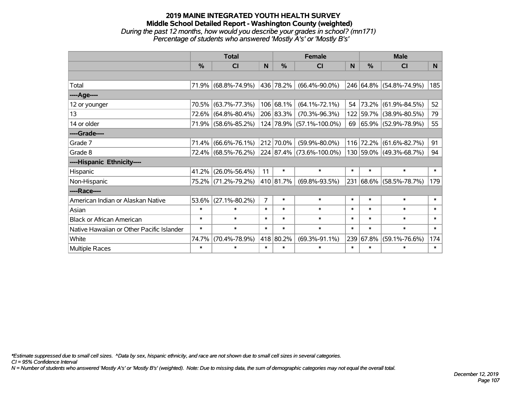#### **2019 MAINE INTEGRATED YOUTH HEALTH SURVEY Middle School Detailed Report - Washington County (weighted)** *During the past 12 months, how would you describe your grades in school? (mn171) Percentage of students who answered 'Mostly A's' or 'Mostly B's'*

|                                           | <b>Total</b> |                     |          | <b>Female</b> | <b>Male</b>                   |        |               |                              |        |
|-------------------------------------------|--------------|---------------------|----------|---------------|-------------------------------|--------|---------------|------------------------------|--------|
|                                           | %            | CI                  | <b>N</b> | %             | <b>CI</b>                     | N      | $\frac{0}{0}$ | <b>CI</b>                    | N.     |
|                                           |              |                     |          |               |                               |        |               |                              |        |
| Total                                     |              | 71.9% (68.8%-74.9%) |          | 436 78.2%     | $(66.4\% - 90.0\%)$           |        |               | 246 64.8% (54.8%-74.9%)      | 185    |
| ----Age----                               |              |                     |          |               |                               |        |               |                              |        |
| 12 or younger                             | 70.5%        | $(63.7\% - 77.3\%)$ |          | 106 68.1%     | $(64.1\% - 72.1\%)$           | 54     |               | 73.2% (61.9%-84.5%)          | 52     |
| 13                                        | 72.6%        | $(64.8\% - 80.4\%)$ |          | 206 83.3%     | $(70.3\% - 96.3\%)$           |        |               | 122 59.7% (38.9%-80.5%)      | 79     |
| 14 or older                               |              | 71.9% (58.6%-85.2%) |          |               | 124 78.9% (57.1%-100.0%)      | 69     |               | $ 65.9\%  (52.9\% - 78.9\%)$ | 55     |
| ----Grade----                             |              |                     |          |               |                               |        |               |                              |        |
| Grade 7                                   | 71.4%        | $(66.6\% - 76.1\%)$ |          | 212 70.0%     | $(59.9\% - 80.0\%)$           |        |               | 116 72.2% (61.6%-82.7%)      | 91     |
| Grade 8                                   |              | 72.4% (68.5%-76.2%) |          |               | $ 224 87.4\% $ (73.6%-100.0%) |        |               | 130 59.0% (49.3%-68.7%)      | 94     |
| ----Hispanic Ethnicity----                |              |                     |          |               |                               |        |               |                              |        |
| Hispanic                                  | 41.2%        | $(26.0\% - 56.4\%)$ | 11       | $\ast$        | $\ast$                        | $\ast$ | $\ast$        | $\ast$                       | $\ast$ |
| Non-Hispanic                              |              | 75.2% (71.2%-79.2%) |          | 410 81.7%     | $(69.8\% - 93.5\%)$           |        |               | 231 68.6% (58.5%-78.7%)      | 179    |
| ----Race----                              |              |                     |          |               |                               |        |               |                              |        |
| American Indian or Alaskan Native         | 53.6%        | $(27.1\% - 80.2\%)$ | 7        | $\ast$        | $\ast$                        | $\ast$ | $\ast$        | $\ast$                       | $\ast$ |
| Asian                                     | $\ast$       | $\ast$              | $\ast$   | $\ast$        | $\ast$                        | $\ast$ | $\ast$        | $\ast$                       | $\ast$ |
| <b>Black or African American</b>          | $\ast$       | $\ast$              | $\ast$   | $\ast$        | $\ast$                        | $\ast$ | $\ast$        | $\ast$                       | $\ast$ |
| Native Hawaiian or Other Pacific Islander | $\ast$       | $\ast$              | $\ast$   | $\ast$        | $\ast$                        | $\ast$ | $\ast$        | $\ast$                       | $\ast$ |
| White                                     | 74.7%        | $(70.4\% - 78.9\%)$ |          | 418 80.2%     | $(69.3\% - 91.1\%)$           |        | 239 67.8%     | $(59.1\% - 76.6\%)$          | 174    |
| Multiple Races                            | $\ast$       | $\ast$              | $\ast$   | $\ast$        | $\ast$                        | $\ast$ | $\ast$        | $\ast$                       | $\ast$ |

*\*Estimate suppressed due to small cell sizes. ^Data by sex, hispanic ethnicity, and race are not shown due to small cell sizes in several categories.*

*CI = 95% Confidence Interval*

*N = Number of students who answered 'Mostly A's' or 'Mostly B's' (weighted). Note: Due to missing data, the sum of demographic categories may not equal the overall total.*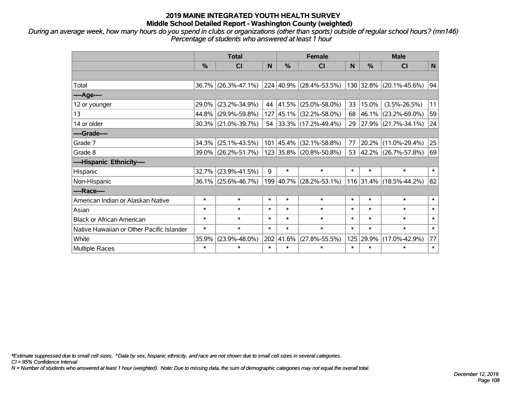*During an average week, how many hours do you spend in clubs or organizations (other than sports) outside of regular school hours? (mn146) Percentage of students who answered at least 1 hour*

|                                           | <b>Total</b>  |                     |        |                   | <b>Female</b>                    | <b>Male</b> |               |                         |        |
|-------------------------------------------|---------------|---------------------|--------|-------------------|----------------------------------|-------------|---------------|-------------------------|--------|
|                                           | $\frac{0}{0}$ | <b>CI</b>           | N      | $\frac{0}{0}$     | <b>CI</b>                        | N.          | $\frac{0}{0}$ | <b>CI</b>               | N      |
|                                           |               |                     |        |                   |                                  |             |               |                         |        |
| Total                                     |               | 36.7% (26.3%-47.1%) |        |                   | $ 224 40.9\%  (28.4\% - 53.5\%)$ |             |               | 130 32.8% (20.1%-45.6%) | 94     |
| ----Age----                               |               |                     |        |                   |                                  |             |               |                         |        |
| 12 or younger                             | 29.0%         | $(23.2\% - 34.9\%)$ | 44     | 41.5%             | $(25.0\% - 58.0\%)$              | 33          | 15.0%         | $(3.5\% - 26.5\%)$      | 11     |
| 13                                        | 44.8%         | $(29.9\% - 59.8\%)$ | 127    |                   | $ 45.1\% $ (32.2%-58.0%)         | 68          | $ 46.1\% $    | $(23.2\% - 69.0\%)$     | 59     |
| 14 or older                               |               | 30.3% (21.0%-39.7%) | 54     |                   | $ 33.3\% $ (17.2%-49.4%)         |             |               | 29 27.9% (21.7%-34.1%)  | 24     |
| ----Grade----                             |               |                     |        |                   |                                  |             |               |                         |        |
| Grade 7                                   | 34.3%         | $(25.1\% - 43.5\%)$ |        | $101 \,   45.4\%$ | $(32.1\% - 58.8\%)$              | 77          | 20.2%         | $(11.0\% - 29.4\%)$     | 25     |
| Grade 8                                   |               | 39.0% (26.2%-51.7%) |        |                   | 123 35.8% (20.8%-50.8%)          |             |               | 53 42.2% (26.7%-57.8%)  | 69     |
| ----Hispanic Ethnicity----                |               |                     |        |                   |                                  |             |               |                         |        |
| Hispanic                                  | 32.7%         | $(23.9\% - 41.5\%)$ | 9      | $\ast$            | $\ast$                           | $\ast$      | $\ast$        | $\ast$                  | $\ast$ |
| Non-Hispanic                              |               | 36.1% (25.6%-46.7%) |        |                   | 199 40.7% (28.2%-53.1%)          |             |               | 116 31.4% (18.5%-44.2%) | 82     |
| ----Race----                              |               |                     |        |                   |                                  |             |               |                         |        |
| American Indian or Alaskan Native         | $\ast$        | $\ast$              | $\ast$ | $\ast$            | $\ast$                           | $\ast$      | $\ast$        | $\ast$                  | $\ast$ |
| Asian                                     | $\ast$        | $\ast$              | $\ast$ | $\ast$            | $\ast$                           | $\ast$      | $\ast$        | $\ast$                  | $\ast$ |
| <b>Black or African American</b>          | $\ast$        | $\ast$              | $\ast$ | $\ast$            | $\ast$                           | $\ast$      | $\ast$        | $\ast$                  | $\ast$ |
| Native Hawaiian or Other Pacific Islander | $\ast$        | $\ast$              | $\ast$ | $\ast$            | $\ast$                           | $\ast$      | $\ast$        | $\ast$                  | $\ast$ |
| White                                     | 35.9%         | $(23.9\% - 48.0\%)$ |        | 202 41.6%         | $(27.8\% - 55.5\%)$              | 125         | 29.9%         | $(17.0\% - 42.9\%)$     | 77     |
| <b>Multiple Races</b>                     | $\ast$        | $\ast$              | $\ast$ | $\ast$            | $\ast$                           | $\ast$      | $\ast$        | $\ast$                  | $\ast$ |

*\*Estimate suppressed due to small cell sizes. ^Data by sex, hispanic ethnicity, and race are not shown due to small cell sizes in several categories.*

*CI = 95% Confidence Interval*

*N = Number of students who answered at least 1 hour (weighted). Note: Due to missing data, the sum of demographic categories may not equal the overall total.*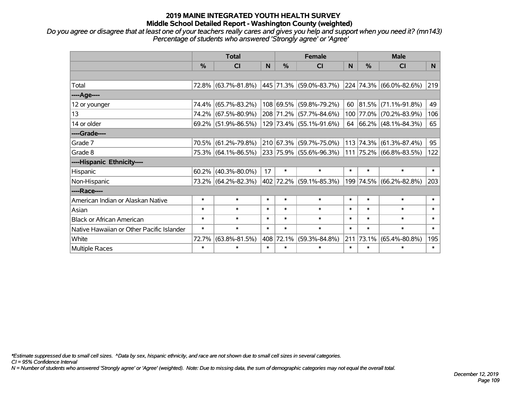## **2019 MAINE INTEGRATED YOUTH HEALTH SURVEY Middle School Detailed Report - Washington County (weighted)**

*Do you agree or disagree that at least one of your teachers really cares and gives you help and support when you need it? (mn143) Percentage of students who answered 'Strongly agree' or 'Agree'*

|                                           | <b>Total</b>  |                     |        | <b>Female</b> |                                  |        | <b>Male</b> |                                            |        |
|-------------------------------------------|---------------|---------------------|--------|---------------|----------------------------------|--------|-------------|--------------------------------------------|--------|
|                                           | $\frac{0}{0}$ | <b>CI</b>           | N      | $\frac{9}{6}$ | <b>CI</b>                        | N      | %           | <b>CI</b>                                  | N.     |
|                                           |               |                     |        |               |                                  |        |             |                                            |        |
| Total                                     |               | 72.8% (63.7%-81.8%) |        |               | $ 445 71.3\% $ (59.0%-83.7%)     |        |             | $ 224 74.3\%  (66.0\% - 82.6\%)$           | 219    |
| ----Age----                               |               |                     |        |               |                                  |        |             |                                            |        |
| 12 or younger                             | 74.4%         | $(65.7\% - 83.2\%)$ |        |               | 108 69.5% (59.8%-79.2%)          | 60     | 81.5%       | $(71.1\% - 91.8\%)$                        | 49     |
| 13                                        | 74.2%         | $(67.5\% - 80.9\%)$ |        |               | 208 71.2% (57.7%-84.6%)          |        |             | 100 77.0% (70.2%-83.9%)                    | 106    |
| 14 or older                               |               | 69.2% (51.9%-86.5%) |        |               | 129 73.4% (55.1%-91.6%)          |        |             | 64 $\big  66.2\% \big  (48.1\% - 84.3\% )$ | 65     |
| ----Grade----                             |               |                     |        |               |                                  |        |             |                                            |        |
| Grade 7                                   | 70.5%         | $(61.2\% - 79.8\%)$ |        |               | 210 67.3% (59.7%-75.0%)          | 113    | 74.3%       | $(61.3\% - 87.4\%)$                        | 95     |
| Grade 8                                   |               | 75.3% (64.1%-86.5%) |        |               | $ 233 75.9\%  (55.6\% - 96.3\%)$ |        |             | 111 75.2% (66.8%-83.5%)                    | 122    |
| ----Hispanic Ethnicity----                |               |                     |        |               |                                  |        |             |                                            |        |
| Hispanic                                  | 60.2%         | $(40.3\% - 80.0\%)$ | 17     | $\ast$        | $\ast$                           | $\ast$ | $\ast$      | $\ast$                                     | $\ast$ |
| Non-Hispanic                              |               | 73.2% (64.2%-82.3%) |        |               | 402 72.2% (59.1%-85.3%)          | 199    | 74.5%       | $(66.2\% - 82.8\%)$                        | 203    |
| ----Race----                              |               |                     |        |               |                                  |        |             |                                            |        |
| American Indian or Alaskan Native         | $\ast$        | $\ast$              | $\ast$ | $\ast$        | $\ast$                           | $\ast$ | $\ast$      | $\ast$                                     | $\ast$ |
| Asian                                     | $\ast$        | $\ast$              | $\ast$ | $\ast$        | $\ast$                           | $\ast$ | $\ast$      | $\ast$                                     | $\ast$ |
| <b>Black or African American</b>          | $\ast$        | $\ast$              | $\ast$ | $\ast$        | $\ast$                           | $\ast$ | $\ast$      | $\ast$                                     | $\ast$ |
| Native Hawaiian or Other Pacific Islander | $\ast$        | $\ast$              | $\ast$ | $\ast$        | $\ast$                           | $\ast$ | $\ast$      | $\ast$                                     | $\ast$ |
| White                                     | 72.7%         | $(63.8\% - 81.5\%)$ |        | 408 72.1%     | $(59.3\% - 84.8\%)$              | 211    | 73.1%       | $(65.4\% - 80.8\%)$                        | 195    |
| Multiple Races                            | $\ast$        | $\ast$              | $\ast$ | $\ast$        | $\ast$                           | $\ast$ | $\ast$      | *                                          | $\ast$ |

*\*Estimate suppressed due to small cell sizes. ^Data by sex, hispanic ethnicity, and race are not shown due to small cell sizes in several categories.*

*CI = 95% Confidence Interval*

*N = Number of students who answered 'Strongly agree' or 'Agree' (weighted). Note: Due to missing data, the sum of demographic categories may not equal the overall total.*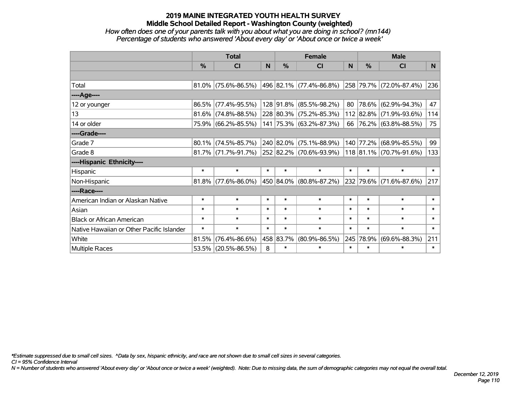## **2019 MAINE INTEGRATED YOUTH HEALTH SURVEY Middle School Detailed Report - Washington County (weighted)**

# *How often does one of your parents talk with you about what you are doing in school? (mn144) Percentage of students who answered 'About every day' or 'About once or twice a week'*

|                                           | <b>Total</b> |                        |        | <b>Female</b> |                             |        | <b>Male</b> |                              |        |
|-------------------------------------------|--------------|------------------------|--------|---------------|-----------------------------|--------|-------------|------------------------------|--------|
|                                           | $\%$         | <b>CI</b>              | N      | $\%$          | <b>CI</b>                   | N      | $\%$        | <b>CI</b>                    | N.     |
|                                           |              |                        |        |               |                             |        |             |                              |        |
| Total                                     |              | $81.0\%$ (75.6%-86.5%) |        |               | 496   82.1%   (77.4%-86.8%) |        |             | $ 258 79.7\% $ (72.0%-87.4%) | 236    |
| ----Age----                               |              |                        |        |               |                             |        |             |                              |        |
| 12 or younger                             |              | 86.5% (77.4%-95.5%)    |        | 128 91.8%     | $(85.5\% - 98.2\%)$         | 80     | 78.6%       | $(62.9\% - 94.3\%)$          | 47     |
| 13                                        |              | $81.6\%$ (74.8%-88.5%) |        |               | 228 80.3% (75.2%-85.3%)     |        |             | 112 82.8% (71.9%-93.6%)      | 114    |
| 14 or older                               |              | 75.9% (66.2%-85.5%)    |        |               | 141 75.3% (63.2%-87.3%)     |        |             | 66 76.2% (63.8%-88.5%)       | 75     |
| ----Grade----                             |              |                        |        |               |                             |        |             |                              |        |
| Grade 7                                   |              | $80.1\%$ (74.5%-85.7%) |        | 240 82.0%     | $(75.1\% - 88.9\%)$         | 140    | 77.2%       | $(68.9\% - 85.5\%)$          | 99     |
| Grade 8                                   |              | $81.7\%$ (71.7%-91.7%) |        |               | 252 82.2% (70.6%-93.9%)     |        |             | 118 81.1% (70.7%-91.6%)      | 133    |
| ----Hispanic Ethnicity----                |              |                        |        |               |                             |        |             |                              |        |
| Hispanic                                  | $\ast$       | $\ast$                 | $\ast$ | $\ast$        | $\ast$                      | $\ast$ | $\ast$      | $\ast$                       | $\ast$ |
| Non-Hispanic                              |              | $81.8\%$ (77.6%-86.0%) |        |               | 450 84.0% (80.8%-87.2%)     |        | 232 79.6%   | $(71.6\% - 87.6\%)$          | 217    |
| ----Race----                              |              |                        |        |               |                             |        |             |                              |        |
| American Indian or Alaskan Native         | $\ast$       | $\ast$                 | $\ast$ | $\ast$        | $\ast$                      | $\ast$ | $\ast$      | $\ast$                       | $\ast$ |
| Asian                                     | $\ast$       | $\ast$                 | $\ast$ | $\ast$        | $\ast$                      | $\ast$ | $\ast$      | $\ast$                       | $\ast$ |
| <b>Black or African American</b>          | $\ast$       | $\ast$                 | $\ast$ | $\ast$        | $\ast$                      | $\ast$ | $\ast$      | $\ast$                       | $\ast$ |
| Native Hawaiian or Other Pacific Islander | $\ast$       | $\ast$                 | $\ast$ | $\ast$        | $\ast$                      | $\ast$ | $\ast$      | $\ast$                       | $\ast$ |
| White                                     | 81.5%        | $(76.4\% - 86.6\%)$    |        | 458 83.7%     | $(80.9\% - 86.5\%)$         | 245    | 78.9%       | $(69.6\% - 88.3\%)$          | 211    |
| <b>Multiple Races</b>                     |              | 53.5% (20.5%-86.5%)    | 8      | $\ast$        | $\ast$                      | $\ast$ | $\ast$      | $\ast$                       | $\ast$ |

*\*Estimate suppressed due to small cell sizes. ^Data by sex, hispanic ethnicity, and race are not shown due to small cell sizes in several categories.*

*CI = 95% Confidence Interval*

*N = Number of students who answered 'About every day' or 'About once or twice a week' (weighted). Note: Due to missing data, the sum of demographic categories may not equal the overall total.*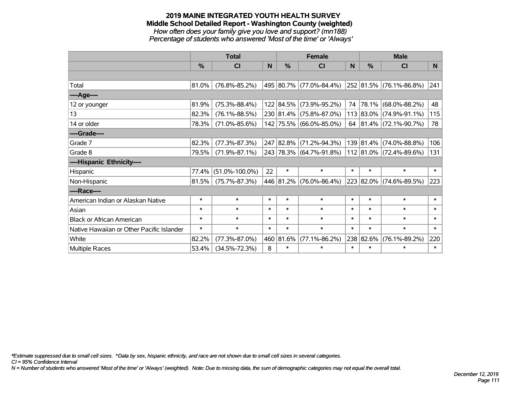#### **2019 MAINE INTEGRATED YOUTH HEALTH SURVEY Middle School Detailed Report - Washington County (weighted)** *How often does your family give you love and support? (mn188) Percentage of students who answered 'Most of the time' or 'Always'*

|                                           | <b>Total</b> |                      |        |           | <b>Female</b>           |        | <b>Male</b> |                         |        |
|-------------------------------------------|--------------|----------------------|--------|-----------|-------------------------|--------|-------------|-------------------------|--------|
|                                           | %            | <b>CI</b>            | N      | %         | <b>CI</b>               | N      | %           | <b>CI</b>               | N.     |
|                                           |              |                      |        |           |                         |        |             |                         |        |
| Total                                     | 81.0%        | $(76.8\% - 85.2\%)$  |        |           | 495 80.7% (77.0%-84.4%) |        |             | 252 81.5% (76.1%-86.8%) | 241    |
| ----Age----                               |              |                      |        |           |                         |        |             |                         |        |
| 12 or younger                             | 81.9%        | $(75.3\% - 88.4\%)$  |        |           | 122 84.5% (73.9%-95.2%) | 74     | $ 78.1\% $  | $(68.0\% - 88.2\%)$     | 48     |
| 13                                        | 82.3%        | $(76.1\% - 88.5\%)$  |        |           | 230 81.4% (75.8%-87.0%) |        |             | 113 83.0% (74.9%-91.1%) | 115    |
| 14 or older                               | 78.3%        | $(71.0\% - 85.6\%)$  |        |           | 142 75.5% (66.0%-85.0%) |        |             | 64 81.4% (72.1%-90.7%)  | 78     |
| ----Grade----                             |              |                      |        |           |                         |        |             |                         |        |
| Grade 7                                   | 82.3%        | $(77.3\% - 87.3\%)$  |        |           | 247 82.8% (71.2%-94.3%) |        |             | 139 81.4% (74.0%-88.8%) | 106    |
| Grade 8                                   | 79.5%        | $(71.9\% - 87.1\%)$  |        |           | 243 78.3% (64.7%-91.8%) |        |             | 112 81.0% (72.4%-89.6%) | 131    |
| ----Hispanic Ethnicity----                |              |                      |        |           |                         |        |             |                         |        |
| Hispanic                                  | 77.4%        | $(51.0\% - 100.0\%)$ | 22     | $\ast$    | $\ast$                  | $\ast$ | $\ast$      | $\ast$                  | $\ast$ |
| Non-Hispanic                              | 81.5%        | $(75.7\% - 87.3\%)$  |        |           | 446 81.2% (76.0%-86.4%) |        |             | 223 82.0% (74.6%-89.5%) | 223    |
| ----Race----                              |              |                      |        |           |                         |        |             |                         |        |
| American Indian or Alaskan Native         | $\ast$       | $\ast$               | $\ast$ | $\ast$    | $\ast$                  | $\ast$ | $\ast$      | $\ast$                  | $\ast$ |
| Asian                                     | $\ast$       | $\ast$               | $\ast$ | $\ast$    | $\ast$                  | $\ast$ | $\ast$      | $\ast$                  | $\ast$ |
| <b>Black or African American</b>          | $\ast$       | $\ast$               | $\ast$ | $\ast$    | $\ast$                  | $\ast$ | $\ast$      | $\ast$                  | $\ast$ |
| Native Hawaiian or Other Pacific Islander | $\ast$       | $\ast$               | $\ast$ | $\ast$    | $\ast$                  | $\ast$ | $\ast$      | $\ast$                  | $\ast$ |
| White                                     | 82.2%        | $(77.3\% - 87.0\%)$  |        | 460 81.6% | $(77.1\% - 86.2\%)$     |        | 238 82.6%   | $(76.1\% - 89.2\%)$     | 220    |
| Multiple Races                            | 53.4%        | $(34.5\% - 72.3\%)$  | 8      | $\ast$    | $\ast$                  | $\ast$ | $\ast$      | $\ast$                  | $\ast$ |

*\*Estimate suppressed due to small cell sizes. ^Data by sex, hispanic ethnicity, and race are not shown due to small cell sizes in several categories.*

*CI = 95% Confidence Interval*

*N = Number of students who answered 'Most of the time' or 'Always' (weighted). Note: Due to missing data, the sum of demographic categories may not equal the overall total.*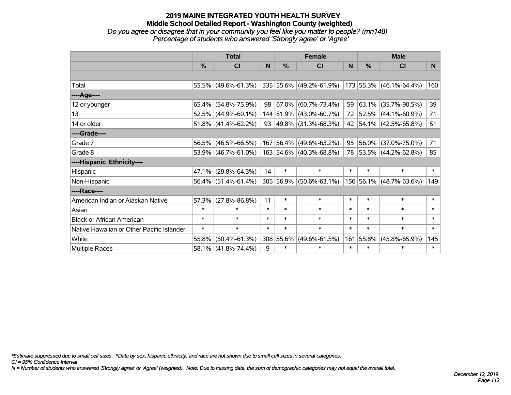#### **2019 MAINE INTEGRATED YOUTH HEALTH SURVEY Middle School Detailed Report - Washington County (weighted)** *Do you agree or disagree that in your community you feel like you matter to people? (mn148) Percentage of students who answered 'Strongly agree' or 'Agree'*

|                                           | <b>Total</b> |                           |        |               | <b>Female</b>              |          | <b>Male</b>   |                          |          |  |
|-------------------------------------------|--------------|---------------------------|--------|---------------|----------------------------|----------|---------------|--------------------------|----------|--|
|                                           | %            | CI                        | N      | $\frac{0}{0}$ | CI                         | <b>N</b> | $\frac{9}{6}$ | CI                       | <b>N</b> |  |
|                                           |              |                           |        |               |                            |          |               |                          |          |  |
| Total                                     |              | 55.5% (49.6%-61.3%)       |        |               | 335 55.6% (49.2%-61.9%)    |          |               | 173 55.3% (46.1%-64.4%)  | 160      |  |
| ----Age----                               |              |                           |        |               |                            |          |               |                          |          |  |
| 12 or younger                             |              | 65.4% (54.8%-75.9%)       | 98     | 67.0%         | $(60.7\% - 73.4\%)$        | 59       |               | $63.1\%$ (35.7%-90.5%)   | 39       |  |
| 13                                        |              | $52.5\%$ (44.9%-60.1%)    |        |               | 144 51.9% (43.0%-60.7%)    | 72       |               | 52.5% (44.1%-60.9%)      | 71       |  |
| 14 or older                               |              | 51.8% $(41.4\% - 62.2\%)$ |        |               | 93   49.8%   (31.3%-68.3%) | 42       |               | $ 54.1\% $ (42.5%-65.8%) | 51       |  |
| ----Grade----                             |              |                           |        |               |                            |          |               |                          |          |  |
| Grade 7                                   | 56.5%        | $(46.5\% - 66.5\%)$       |        | 167 56.4%     | $(49.6\% - 63.2\%)$        | 95       |               | 56.0% (37.0%-75.0%)      | 71       |  |
| Grade 8                                   |              | 53.9% (46.7%-61.0%)       |        |               | 163 54.6% (40.3%-68.8%)    | 78       |               | 53.5% (44.2%-62.8%)      | 85       |  |
| ----Hispanic Ethnicity----                |              |                           |        |               |                            |          |               |                          |          |  |
| Hispanic                                  | $47.1\%$     | $(29.8\% - 64.3\%)$       | 14     | $\ast$        | $\ast$                     | $\ast$   | $\ast$        | $\ast$                   | $\ast$   |  |
| Non-Hispanic                              |              | $56.4\%$ (51.4%-61.4%)    |        |               | 305 56.9% (50.6%-63.1%)    |          |               | 156 56.1% (48.7%-63.6%)  | 149      |  |
| ----Race----                              |              |                           |        |               |                            |          |               |                          |          |  |
| American Indian or Alaskan Native         | 57.3%        | $(27.8\% - 86.8\%)$       | 11     | $\ast$        | $\ast$                     | $\ast$   | $\ast$        | $\ast$                   | $\ast$   |  |
| Asian                                     | $\ast$       | $\ast$                    | $\ast$ | $\ast$        | $\ast$                     | $\ast$   | $\ast$        | $\ast$                   | $\ast$   |  |
| <b>Black or African American</b>          | $\ast$       | $\ast$                    | $\ast$ | $\ast$        | $\ast$                     | $\ast$   | $\ast$        | $\ast$                   | $\ast$   |  |
| Native Hawaiian or Other Pacific Islander | $\ast$       | $\ast$                    | $\ast$ | $\ast$        | $\ast$                     | $\ast$   | $\ast$        | $\ast$                   | $\ast$   |  |
| White                                     | 55.8%        | $(50.4\% - 61.3\%)$       |        | 308 55.6%     | $(49.6\% - 61.5\%)$        | 161      | 55.8%         | $(45.8\% - 65.9\%)$      | 145      |  |
| Multiple Races                            |              | 58.1% (41.8%-74.4%)       | 9      | $\ast$        | $\ast$                     | $\ast$   | $\ast$        | $\ast$                   | $\ast$   |  |

*CI = 95% Confidence Interval \*Estimate suppressed due to small cell sizes. ^Data by sex, hispanic ethnicity, and race are not shown due to small cell sizes in several categories.*

*N = Number of students who answered 'Strongly agree' or 'Agree' (weighted). Note: Due to missing data, the sum of demographic categories may not equal the overall total.*